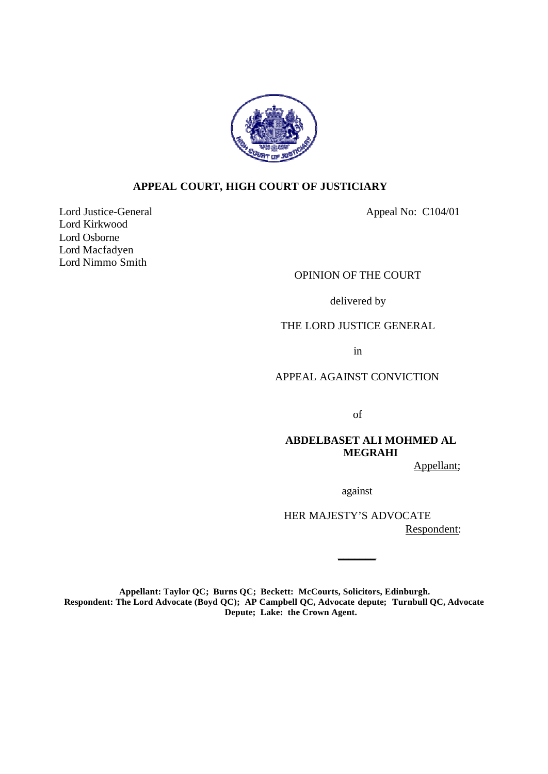

# **APPEAL COURT, HIGH COURT OF JUSTICIARY**

Lord Justice-General Lord Kirkwood Lord Osborne Lord Macfadyen Lord Nimmo Smith

Appeal No: C104/01

OPINION OF THE COURT

delivered by

## THE LORD JUSTICE GENERAL

in

APPEAL AGAINST CONVICTION

of

**ABDELBASET ALI MOHMED AL MEGRAHI**

Appellant;

against

 $\mathcal{L}$ 

HER MAJESTY'S ADVOCATE Respondent:

**Appellant: Taylor QC; Burns QC; Beckett: McCourts, Solicitors, Edinburgh. Respondent: The Lord Advocate (Boyd QC); AP Campbell QC, Advocate depute; Turnbull QC, Advocate Depute; Lake: the Crown Agent.**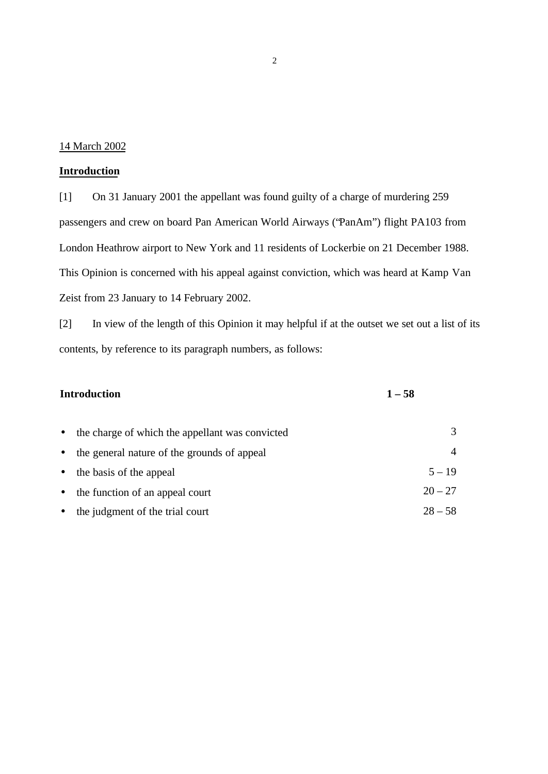### 14 March 2002

## **Introduction**

[1] On 31 January 2001 the appellant was found guilty of a charge of murdering 259 passengers and crew on board Pan American World Airways ("PanAm") flight PA103 from London Heathrow airport to New York and 11 residents of Lockerbie on 21 December 1988. This Opinion is concerned with his appeal against conviction, which was heard at Kamp Van Zeist from 23 January to 14 February 2002.

[2] In view of the length of this Opinion it may helpful if at the outset we set out a list of its contents, by reference to its paragraph numbers, as follows:

## **Introduction 1 – 58**

| • the charge of which the appellant was convicted | 3              |
|---------------------------------------------------|----------------|
| • the general nature of the grounds of appeal     | $\overline{4}$ |
| • the basis of the appeal                         | $5 - 19$       |
| • the function of an appeal court                 | $20 - 27$      |
| • the judgment of the trial court                 | $28 - 58$      |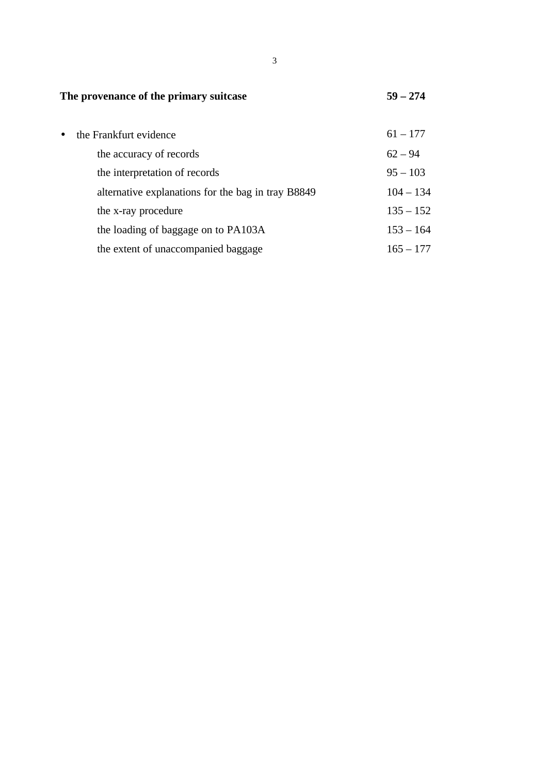| The provenance of the primary suitcase             | $59 - 274$  |
|----------------------------------------------------|-------------|
| the Frankfurt evidence                             | $61 - 177$  |
| the accuracy of records                            | $62 - 94$   |
| the interpretation of records                      | $95 - 103$  |
| alternative explanations for the bag in tray B8849 | $104 - 134$ |
| the x-ray procedure                                | $135 - 152$ |
| the loading of baggage on to PA103A                | $153 - 164$ |
| the extent of unaccompanied baggage                | $165 - 177$ |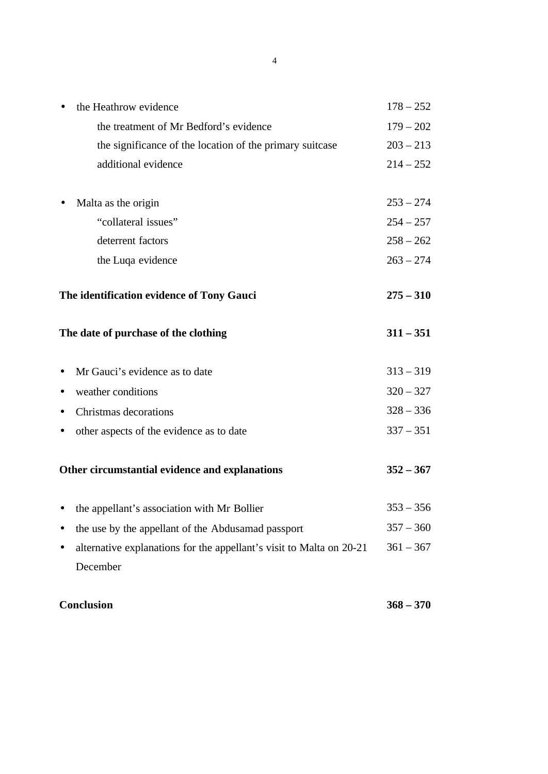|                                                | the Heathrow evidence                                                            | $178 - 252$ |
|------------------------------------------------|----------------------------------------------------------------------------------|-------------|
|                                                | the treatment of Mr Bedford's evidence                                           | $179 - 202$ |
|                                                | the significance of the location of the primary suitcase                         | $203 - 213$ |
|                                                | additional evidence                                                              | $214 - 252$ |
|                                                |                                                                                  |             |
|                                                | Malta as the origin                                                              | $253 - 274$ |
|                                                | "collateral issues"                                                              | $254 - 257$ |
|                                                | deterrent factors                                                                | $258 - 262$ |
|                                                | the Luqa evidence                                                                | $263 - 274$ |
| The identification evidence of Tony Gauci      |                                                                                  |             |
| The date of purchase of the clothing           |                                                                                  | $311 - 351$ |
|                                                | Mr Gauci's evidence as to date                                                   | $313 - 319$ |
| $\bullet$                                      | weather conditions                                                               | $320 - 327$ |
|                                                | Christmas decorations                                                            | $328 - 336$ |
|                                                | other aspects of the evidence as to date                                         | $337 - 351$ |
| Other circumstantial evidence and explanations |                                                                                  | $352 - 367$ |
|                                                | • the appellant's association with Mr Bollier                                    | $353 - 356$ |
|                                                | the use by the appellant of the Abdusamad passport                               | $357 - 360$ |
|                                                | alternative explanations for the appellant's visit to Malta on 20-21<br>December | $361 - 367$ |
|                                                |                                                                                  |             |

**Conclusion 368 – 370**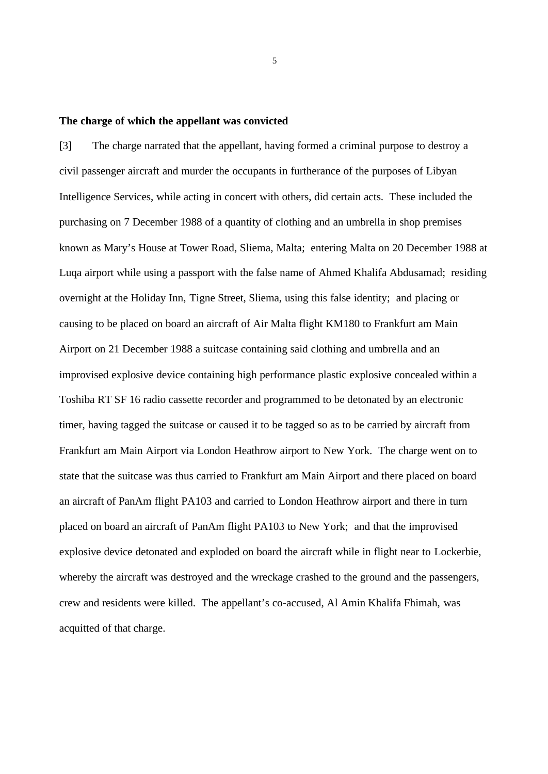#### **The charge of which the appellant was convicted**

[3] The charge narrated that the appellant, having formed a criminal purpose to destroy a civil passenger aircraft and murder the occupants in furtherance of the purposes of Libyan Intelligence Services, while acting in concert with others, did certain acts. These included the purchasing on 7 December 1988 of a quantity of clothing and an umbrella in shop premises known as Mary's House at Tower Road, Sliema, Malta; entering Malta on 20 December 1988 at Luqa airport while using a passport with the false name of Ahmed Khalifa Abdusamad; residing overnight at the Holiday Inn, Tigne Street, Sliema, using this false identity; and placing or causing to be placed on board an aircraft of Air Malta flight KM180 to Frankfurt am Main Airport on 21 December 1988 a suitcase containing said clothing and umbrella and an improvised explosive device containing high performance plastic explosive concealed within a Toshiba RT SF 16 radio cassette recorder and programmed to be detonated by an electronic timer, having tagged the suitcase or caused it to be tagged so as to be carried by aircraft from Frankfurt am Main Airport via London Heathrow airport to New York. The charge went on to state that the suitcase was thus carried to Frankfurt am Main Airport and there placed on board an aircraft of PanAm flight PA103 and carried to London Heathrow airport and there in turn placed on board an aircraft of PanAm flight PA103 to New York; and that the improvised explosive device detonated and exploded on board the aircraft while in flight near to Lockerbie, whereby the aircraft was destroyed and the wreckage crashed to the ground and the passengers, crew and residents were killed. The appellant's co-accused, Al Amin Khalifa Fhimah, was acquitted of that charge.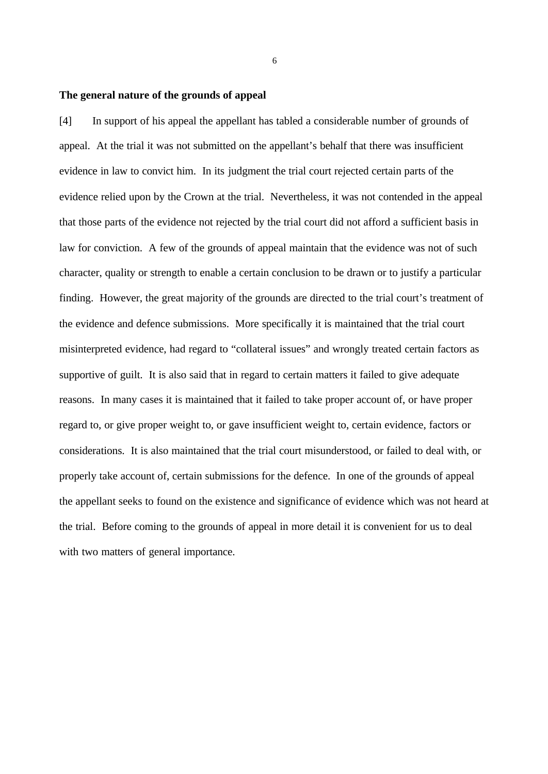#### **The general nature of the grounds of appeal**

[4] In support of his appeal the appellant has tabled a considerable number of grounds of appeal. At the trial it was not submitted on the appellant's behalf that there was insufficient evidence in law to convict him. In its judgment the trial court rejected certain parts of the evidence relied upon by the Crown at the trial. Nevertheless, it was not contended in the appeal that those parts of the evidence not rejected by the trial court did not afford a sufficient basis in law for conviction. A few of the grounds of appeal maintain that the evidence was not of such character, quality or strength to enable a certain conclusion to be drawn or to justify a particular finding. However, the great majority of the grounds are directed to the trial court's treatment of the evidence and defence submissions. More specifically it is maintained that the trial court misinterpreted evidence, had regard to "collateral issues" and wrongly treated certain factors as supportive of guilt. It is also said that in regard to certain matters it failed to give adequate reasons. In many cases it is maintained that it failed to take proper account of, or have proper regard to, or give proper weight to, or gave insufficient weight to, certain evidence, factors or considerations. It is also maintained that the trial court misunderstood, or failed to deal with, or properly take account of, certain submissions for the defence. In one of the grounds of appeal the appellant seeks to found on the existence and significance of evidence which was not heard at the trial. Before coming to the grounds of appeal in more detail it is convenient for us to deal with two matters of general importance.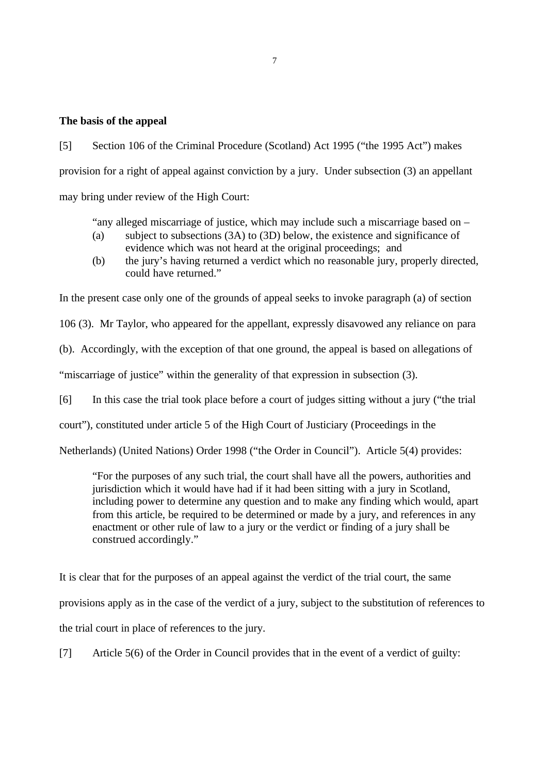### **The basis of the appeal**

[5] Section 106 of the Criminal Procedure (Scotland) Act 1995 ("the 1995 Act") makes provision for a right of appeal against conviction by a jury. Under subsection (3) an appellant may bring under review of the High Court:

"any alleged miscarriage of justice, which may include such a miscarriage based on –

- (a) subject to subsections (3A) to (3D) below, the existence and significance of evidence which was not heard at the original proceedings; and
- (b) the jury's having returned a verdict which no reasonable jury, properly directed, could have returned."

In the present case only one of the grounds of appeal seeks to invoke paragraph (a) of section

106 (3). Mr Taylor, who appeared for the appellant, expressly disavowed any reliance on para

(b). Accordingly, with the exception of that one ground, the appeal is based on allegations of

"miscarriage of justice" within the generality of that expression in subsection (3).

[6] In this case the trial took place before a court of judges sitting without a jury ("the trial

court"), constituted under article 5 of the High Court of Justiciary (Proceedings in the

Netherlands) (United Nations) Order 1998 ("the Order in Council"). Article 5(4) provides:

"For the purposes of any such trial, the court shall have all the powers, authorities and jurisdiction which it would have had if it had been sitting with a jury in Scotland, including power to determine any question and to make any finding which would, apart from this article, be required to be determined or made by a jury, and references in any enactment or other rule of law to a jury or the verdict or finding of a jury shall be construed accordingly."

It is clear that for the purposes of an appeal against the verdict of the trial court, the same provisions apply as in the case of the verdict of a jury, subject to the substitution of references to the trial court in place of references to the jury.

[7] Article 5(6) of the Order in Council provides that in the event of a verdict of guilty: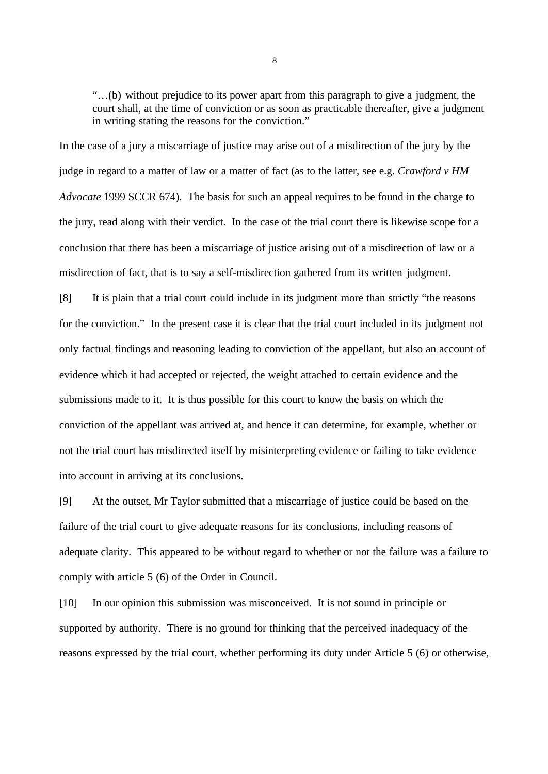"…(b) without prejudice to its power apart from this paragraph to give a judgment, the court shall, at the time of conviction or as soon as practicable thereafter, give a judgment in writing stating the reasons for the conviction."

In the case of a jury a miscarriage of justice may arise out of a misdirection of the jury by the judge in regard to a matter of law or a matter of fact (as to the latter, see e.g. *Crawford v HM Advocate* 1999 SCCR 674). The basis for such an appeal requires to be found in the charge to the jury, read along with their verdict. In the case of the trial court there is likewise scope for a conclusion that there has been a miscarriage of justice arising out of a misdirection of law or a misdirection of fact, that is to say a self-misdirection gathered from its written judgment.

[8] It is plain that a trial court could include in its judgment more than strictly "the reasons for the conviction." In the present case it is clear that the trial court included in its judgment not only factual findings and reasoning leading to conviction of the appellant, but also an account of evidence which it had accepted or rejected, the weight attached to certain evidence and the submissions made to it. It is thus possible for this court to know the basis on which the conviction of the appellant was arrived at, and hence it can determine, for example, whether or not the trial court has misdirected itself by misinterpreting evidence or failing to take evidence into account in arriving at its conclusions.

[9] At the outset, Mr Taylor submitted that a miscarriage of justice could be based on the failure of the trial court to give adequate reasons for its conclusions, including reasons of adequate clarity. This appeared to be without regard to whether or not the failure was a failure to comply with article 5 (6) of the Order in Council.

[10] In our opinion this submission was misconceived. It is not sound in principle or supported by authority. There is no ground for thinking that the perceived inadequacy of the reasons expressed by the trial court, whether performing its duty under Article 5 (6) or otherwise,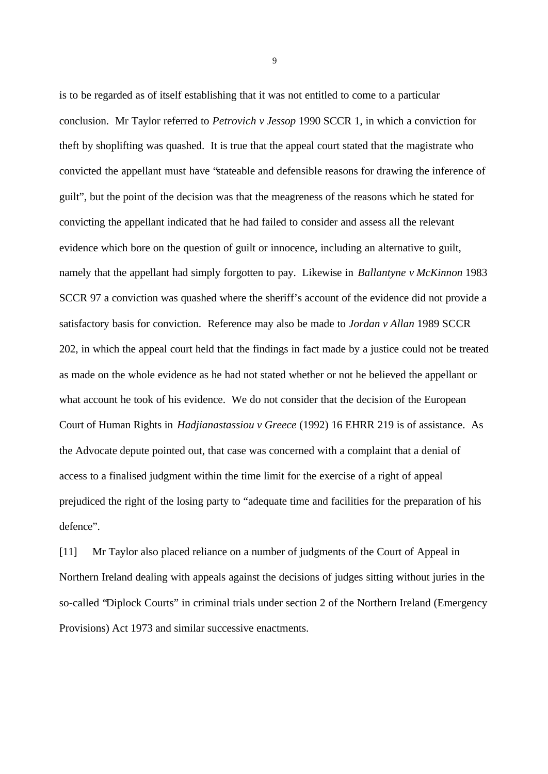is to be regarded as of itself establishing that it was not entitled to come to a particular conclusion. Mr Taylor referred to *Petrovich v Jessop* 1990 SCCR 1, in which a conviction for theft by shoplifting was quashed. It is true that the appeal court stated that the magistrate who convicted the appellant must have "stateable and defensible reasons for drawing the inference of guilt", but the point of the decision was that the meagreness of the reasons which he stated for convicting the appellant indicated that he had failed to consider and assess all the relevant evidence which bore on the question of guilt or innocence, including an alternative to guilt, namely that the appellant had simply forgotten to pay. Likewise in *Ballantyne v McKinnon* 1983 SCCR 97 a conviction was quashed where the sheriff's account of the evidence did not provide a satisfactory basis for conviction. Reference may also be made to *Jordan v Allan* 1989 SCCR 202, in which the appeal court held that the findings in fact made by a justice could not be treated as made on the whole evidence as he had not stated whether or not he believed the appellant or what account he took of his evidence. We do not consider that the decision of the European Court of Human Rights in *Hadjianastassiou v Greece* (1992) 16 EHRR 219 is of assistance. As the Advocate depute pointed out, that case was concerned with a complaint that a denial of access to a finalised judgment within the time limit for the exercise of a right of appeal prejudiced the right of the losing party to "adequate time and facilities for the preparation of his defence".

[11] Mr Taylor also placed reliance on a number of judgments of the Court of Appeal in Northern Ireland dealing with appeals against the decisions of judges sitting without juries in the so-called "Diplock Courts" in criminal trials under section 2 of the Northern Ireland (Emergency Provisions) Act 1973 and similar successive enactments.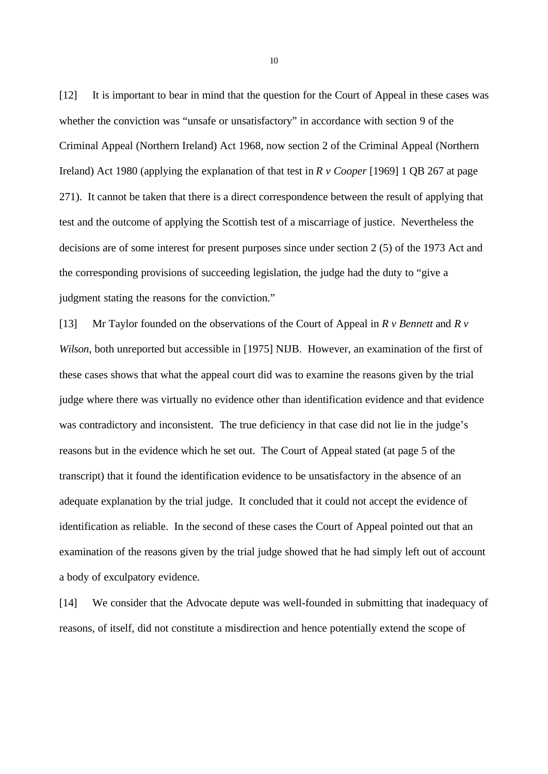[12] It is important to bear in mind that the question for the Court of Appeal in these cases was whether the conviction was "unsafe or unsatisfactory" in accordance with section 9 of the Criminal Appeal (Northern Ireland) Act 1968, now section 2 of the Criminal Appeal (Northern Ireland) Act 1980 (applying the explanation of that test in *R v Cooper* [1969] 1 QB 267 at page 271). It cannot be taken that there is a direct correspondence between the result of applying that test and the outcome of applying the Scottish test of a miscarriage of justice. Nevertheless the decisions are of some interest for present purposes since under section 2 (5) of the 1973 Act and the corresponding provisions of succeeding legislation, the judge had the duty to "give a judgment stating the reasons for the conviction."

[13] Mr Taylor founded on the observations of the Court of Appeal in *R v Bennett* and *R v Wilson*, both unreported but accessible in [1975] NIJB. However, an examination of the first of these cases shows that what the appeal court did was to examine the reasons given by the trial judge where there was virtually no evidence other than identification evidence and that evidence was contradictory and inconsistent. The true deficiency in that case did not lie in the judge's reasons but in the evidence which he set out. The Court of Appeal stated (at page 5 of the transcript) that it found the identification evidence to be unsatisfactory in the absence of an adequate explanation by the trial judge. It concluded that it could not accept the evidence of identification as reliable. In the second of these cases the Court of Appeal pointed out that an examination of the reasons given by the trial judge showed that he had simply left out of account a body of exculpatory evidence.

[14] We consider that the Advocate depute was well-founded in submitting that inadequacy of reasons, of itself, did not constitute a misdirection and hence potentially extend the scope of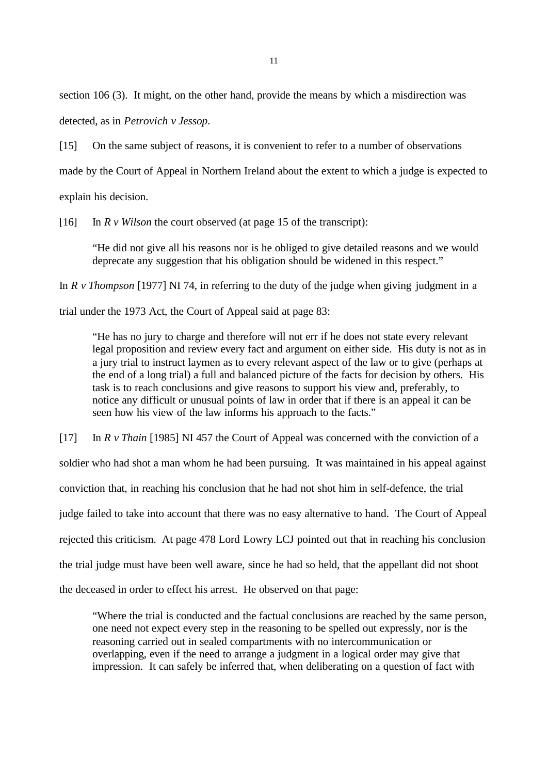section 106 (3). It might, on the other hand, provide the means by which a misdirection was

detected, as in *Petrovich v Jessop*.

[15] On the same subject of reasons, it is convenient to refer to a number of observations

made by the Court of Appeal in Northern Ireland about the extent to which a judge is expected to

explain his decision.

[16] In *R v Wilson* the court observed (at page 15 of the transcript):

"He did not give all his reasons nor is he obliged to give detailed reasons and we would deprecate any suggestion that his obligation should be widened in this respect."

In *R v Thompson* [1977] NI 74, in referring to the duty of the judge when giving judgment in a

trial under the 1973 Act, the Court of Appeal said at page 83:

"He has no jury to charge and therefore will not err if he does not state every relevant legal proposition and review every fact and argument on either side. His duty is not as in a jury trial to instruct laymen as to every relevant aspect of the law or to give (perhaps at the end of a long trial) a full and balanced picture of the facts for decision by others. His task is to reach conclusions and give reasons to support his view and, preferably, to notice any difficult or unusual points of law in order that if there is an appeal it can be seen how his view of the law informs his approach to the facts."

[17] In *R v Thain* [1985] NI 457 the Court of Appeal was concerned with the conviction of a

soldier who had shot a man whom he had been pursuing. It was maintained in his appeal against

conviction that, in reaching his conclusion that he had not shot him in self-defence, the trial

judge failed to take into account that there was no easy alternative to hand. The Court of Appeal

rejected this criticism. At page 478 Lord Lowry LCJ pointed out that in reaching his conclusion

the trial judge must have been well aware, since he had so held, that the appellant did not shoot

the deceased in order to effect his arrest. He observed on that page:

"Where the trial is conducted and the factual conclusions are reached by the same person, one need not expect every step in the reasoning to be spelled out expressly, nor is the reasoning carried out in sealed compartments with no intercommunication or overlapping, even if the need to arrange a judgment in a logical order may give that impression. It can safely be inferred that, when deliberating on a question of fact with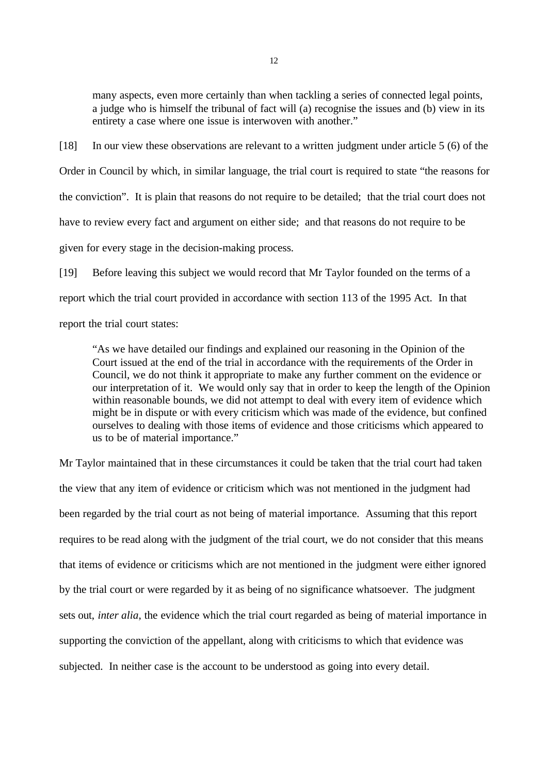many aspects, even more certainly than when tackling a series of connected legal points, a judge who is himself the tribunal of fact will (a) recognise the issues and (b) view in its entirety a case where one issue is interwoven with another."

[18] In our view these observations are relevant to a written judgment under article 5 (6) of the Order in Council by which, in similar language, the trial court is required to state "the reasons for the conviction". It is plain that reasons do not require to be detailed; that the trial court does not have to review every fact and argument on either side; and that reasons do not require to be given for every stage in the decision-making process.

[19] Before leaving this subject we would record that Mr Taylor founded on the terms of a report which the trial court provided in accordance with section 113 of the 1995 Act. In that report the trial court states:

"As we have detailed our findings and explained our reasoning in the Opinion of the Court issued at the end of the trial in accordance with the requirements of the Order in Council, we do not think it appropriate to make any further comment on the evidence or our interpretation of it. We would only say that in order to keep the length of the Opinion within reasonable bounds, we did not attempt to deal with every item of evidence which might be in dispute or with every criticism which was made of the evidence, but confined ourselves to dealing with those items of evidence and those criticisms which appeared to us to be of material importance."

Mr Taylor maintained that in these circumstances it could be taken that the trial court had taken the view that any item of evidence or criticism which was not mentioned in the judgment had been regarded by the trial court as not being of material importance. Assuming that this report requires to be read along with the judgment of the trial court, we do not consider that this means that items of evidence or criticisms which are not mentioned in the judgment were either ignored by the trial court or were regarded by it as being of no significance whatsoever. The judgment sets out, *inter alia*, the evidence which the trial court regarded as being of material importance in supporting the conviction of the appellant, along with criticisms to which that evidence was subjected. In neither case is the account to be understood as going into every detail.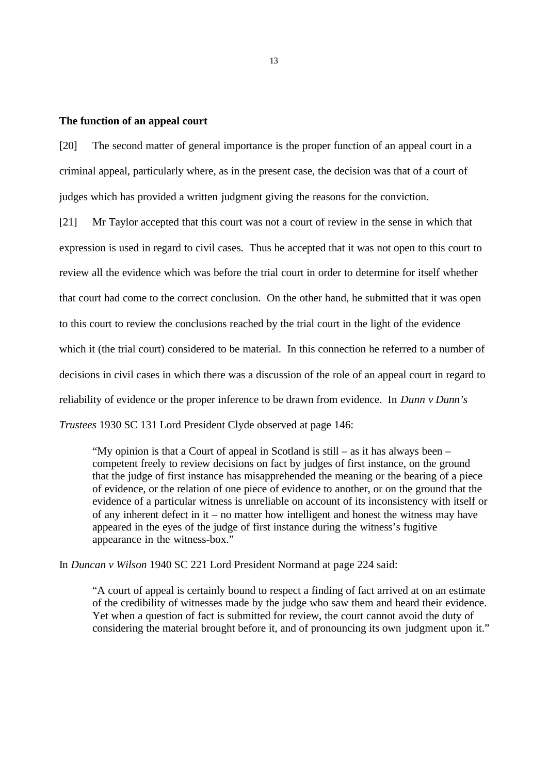#### **The function of an appeal court**

[20] The second matter of general importance is the proper function of an appeal court in a criminal appeal, particularly where, as in the present case, the decision was that of a court of judges which has provided a written judgment giving the reasons for the conviction.

[21] Mr Taylor accepted that this court was not a court of review in the sense in which that expression is used in regard to civil cases. Thus he accepted that it was not open to this court to review all the evidence which was before the trial court in order to determine for itself whether that court had come to the correct conclusion. On the other hand, he submitted that it was open to this court to review the conclusions reached by the trial court in the light of the evidence which it (the trial court) considered to be material. In this connection he referred to a number of decisions in civil cases in which there was a discussion of the role of an appeal court in regard to reliability of evidence or the proper inference to be drawn from evidence. In *Dunn v Dunn's Trustees* 1930 SC 131 Lord President Clyde observed at page 146:

"My opinion is that a Court of appeal in Scotland is still  $-$  as it has always been  $$ competent freely to review decisions on fact by judges of first instance, on the ground that the judge of first instance has misapprehended the meaning or the bearing of a piece of evidence, or the relation of one piece of evidence to another, or on the ground that the evidence of a particular witness is unreliable on account of its inconsistency with itself or of any inherent defect in it – no matter how intelligent and honest the witness may have appeared in the eyes of the judge of first instance during the witness's fugitive appearance in the witness-box."

In *Duncan v Wilson* 1940 SC 221 Lord President Normand at page 224 said:

"A court of appeal is certainly bound to respect a finding of fact arrived at on an estimate of the credibility of witnesses made by the judge who saw them and heard their evidence. Yet when a question of fact is submitted for review, the court cannot avoid the duty of considering the material brought before it, and of pronouncing its own judgment upon it."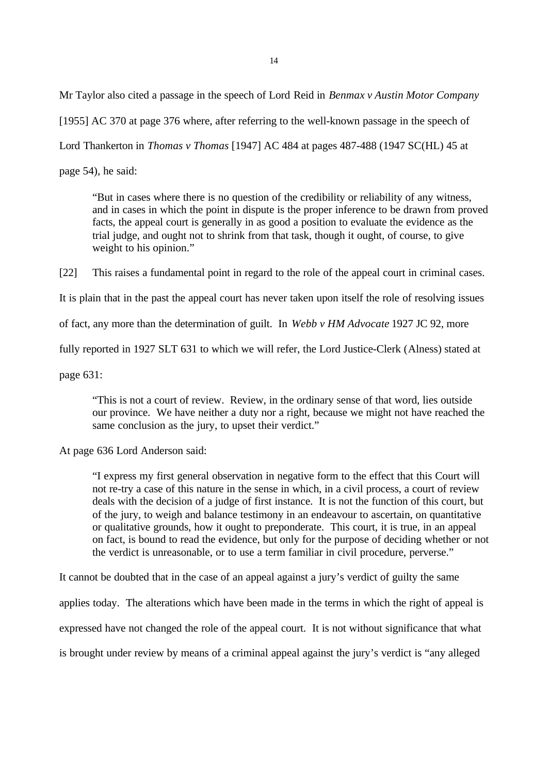14

Mr Taylor also cited a passage in the speech of Lord Reid in *Benmax v Austin Motor Company*

[1955] AC 370 at page 376 where, after referring to the well-known passage in the speech of

Lord Thankerton in *Thomas v Thomas* [1947] AC 484 at pages 487-488 (1947 SC(HL) 45 at

page 54), he said:

"But in cases where there is no question of the credibility or reliability of any witness, and in cases in which the point in dispute is the proper inference to be drawn from proved facts, the appeal court is generally in as good a position to evaluate the evidence as the trial judge, and ought not to shrink from that task, though it ought, of course, to give weight to his opinion."

[22] This raises a fundamental point in regard to the role of the appeal court in criminal cases.

It is plain that in the past the appeal court has never taken upon itself the role of resolving issues

of fact, any more than the determination of guilt. In *Webb v HM Advocate* 1927 JC 92, more

fully reported in 1927 SLT 631 to which we will refer, the Lord Justice-Clerk (Alness) stated at

page 631:

"This is not a court of review. Review, in the ordinary sense of that word, lies outside our province. We have neither a duty nor a right, because we might not have reached the same conclusion as the jury, to upset their verdict."

At page 636 Lord Anderson said:

"I express my first general observation in negative form to the effect that this Court will not re-try a case of this nature in the sense in which, in a civil process, a court of review deals with the decision of a judge of first instance. It is not the function of this court, but of the jury, to weigh and balance testimony in an endeavour to ascertain, on quantitative or qualitative grounds, how it ought to preponderate. This court, it is true, in an appeal on fact, is bound to read the evidence, but only for the purpose of deciding whether or not the verdict is unreasonable, or to use a term familiar in civil procedure, perverse."

It cannot be doubted that in the case of an appeal against a jury's verdict of guilty the same

applies today. The alterations which have been made in the terms in which the right of appeal is

expressed have not changed the role of the appeal court. It is not without significance that what

is brought under review by means of a criminal appeal against the jury's verdict is "any alleged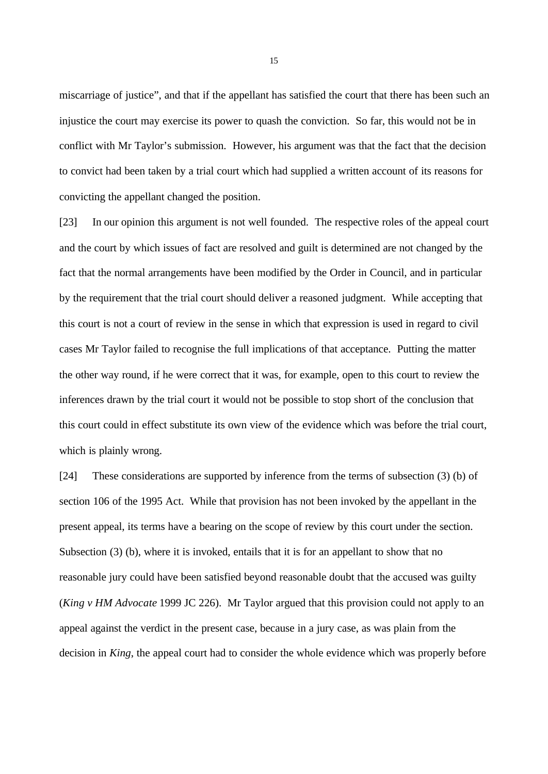miscarriage of justice", and that if the appellant has satisfied the court that there has been such an injustice the court may exercise its power to quash the conviction. So far, this would not be in conflict with Mr Taylor's submission. However, his argument was that the fact that the decision to convict had been taken by a trial court which had supplied a written account of its reasons for convicting the appellant changed the position.

[23] In our opinion this argument is not well founded. The respective roles of the appeal court and the court by which issues of fact are resolved and guilt is determined are not changed by the fact that the normal arrangements have been modified by the Order in Council, and in particular by the requirement that the trial court should deliver a reasoned judgment. While accepting that this court is not a court of review in the sense in which that expression is used in regard to civil cases Mr Taylor failed to recognise the full implications of that acceptance. Putting the matter the other way round, if he were correct that it was, for example, open to this court to review the inferences drawn by the trial court it would not be possible to stop short of the conclusion that this court could in effect substitute its own view of the evidence which was before the trial court, which is plainly wrong.

[24] These considerations are supported by inference from the terms of subsection (3) (b) of section 106 of the 1995 Act. While that provision has not been invoked by the appellant in the present appeal, its terms have a bearing on the scope of review by this court under the section. Subsection (3) (b), where it is invoked, entails that it is for an appellant to show that no reasonable jury could have been satisfied beyond reasonable doubt that the accused was guilty (*King v HM Advocate* 1999 JC 226). Mr Taylor argued that this provision could not apply to an appeal against the verdict in the present case, because in a jury case, as was plain from the decision in *King*, the appeal court had to consider the whole evidence which was properly before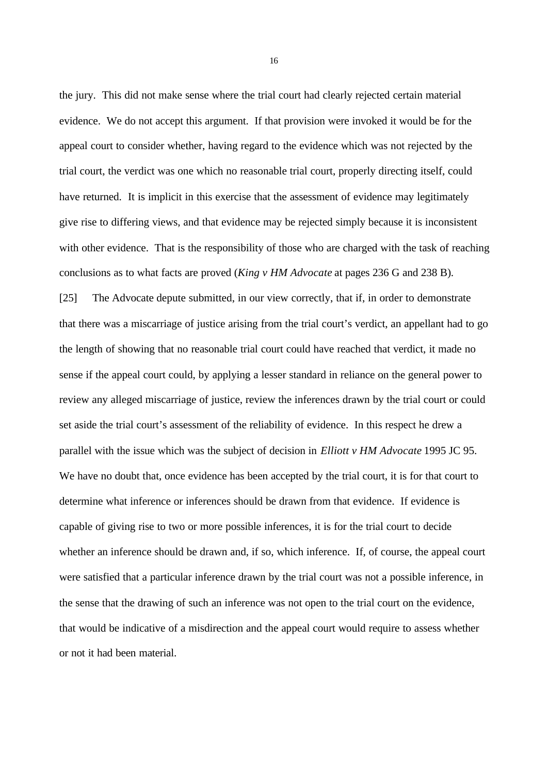the jury. This did not make sense where the trial court had clearly rejected certain material evidence. We do not accept this argument. If that provision were invoked it would be for the appeal court to consider whether, having regard to the evidence which was not rejected by the trial court, the verdict was one which no reasonable trial court, properly directing itself, could have returned. It is implicit in this exercise that the assessment of evidence may legitimately give rise to differing views, and that evidence may be rejected simply because it is inconsistent with other evidence. That is the responsibility of those who are charged with the task of reaching conclusions as to what facts are proved (*King v HM Advocate* at pages 236 G and 238 B).

[25] The Advocate depute submitted, in our view correctly, that if, in order to demonstrate that there was a miscarriage of justice arising from the trial court's verdict, an appellant had to go the length of showing that no reasonable trial court could have reached that verdict, it made no sense if the appeal court could, by applying a lesser standard in reliance on the general power to review any alleged miscarriage of justice, review the inferences drawn by the trial court or could set aside the trial court's assessment of the reliability of evidence. In this respect he drew a parallel with the issue which was the subject of decision in *Elliott v HM Advocate* 1995 JC 95. We have no doubt that, once evidence has been accepted by the trial court, it is for that court to determine what inference or inferences should be drawn from that evidence. If evidence is capable of giving rise to two or more possible inferences, it is for the trial court to decide whether an inference should be drawn and, if so, which inference. If, of course, the appeal court were satisfied that a particular inference drawn by the trial court was not a possible inference, in the sense that the drawing of such an inference was not open to the trial court on the evidence, that would be indicative of a misdirection and the appeal court would require to assess whether or not it had been material.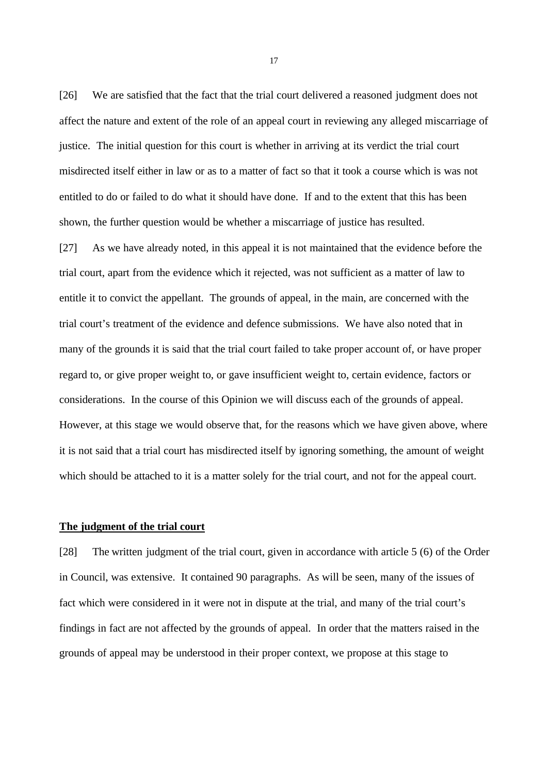[26] We are satisfied that the fact that the trial court delivered a reasoned judgment does not affect the nature and extent of the role of an appeal court in reviewing any alleged miscarriage of justice. The initial question for this court is whether in arriving at its verdict the trial court misdirected itself either in law or as to a matter of fact so that it took a course which is was not entitled to do or failed to do what it should have done. If and to the extent that this has been shown, the further question would be whether a miscarriage of justice has resulted.

[27] As we have already noted, in this appeal it is not maintained that the evidence before the trial court, apart from the evidence which it rejected, was not sufficient as a matter of law to entitle it to convict the appellant. The grounds of appeal, in the main, are concerned with the trial court's treatment of the evidence and defence submissions. We have also noted that in many of the grounds it is said that the trial court failed to take proper account of, or have proper regard to, or give proper weight to, or gave insufficient weight to, certain evidence, factors or considerations. In the course of this Opinion we will discuss each of the grounds of appeal. However, at this stage we would observe that, for the reasons which we have given above, where it is not said that a trial court has misdirected itself by ignoring something, the amount of weight which should be attached to it is a matter solely for the trial court, and not for the appeal court.

#### **The judgment of the trial court**

[28] The written judgment of the trial court, given in accordance with article 5 (6) of the Order in Council, was extensive. It contained 90 paragraphs. As will be seen, many of the issues of fact which were considered in it were not in dispute at the trial, and many of the trial court's findings in fact are not affected by the grounds of appeal. In order that the matters raised in the grounds of appeal may be understood in their proper context, we propose at this stage to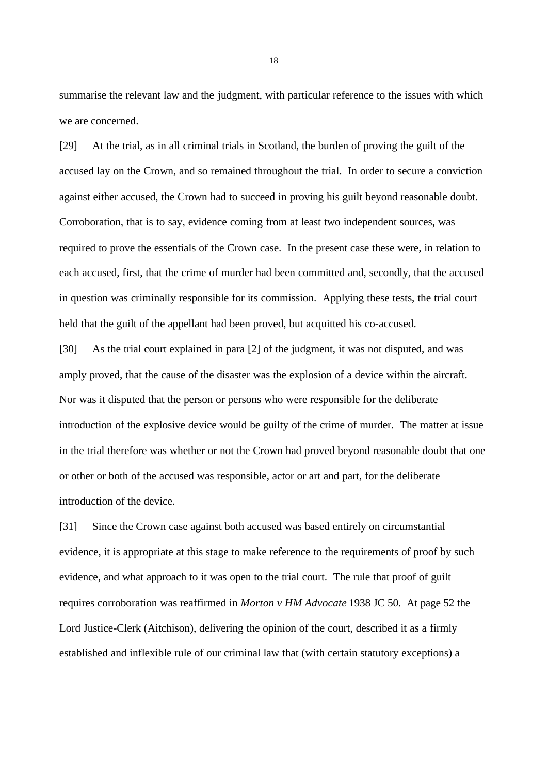summarise the relevant law and the judgment, with particular reference to the issues with which we are concerned.

[29] At the trial, as in all criminal trials in Scotland, the burden of proving the guilt of the accused lay on the Crown, and so remained throughout the trial. In order to secure a conviction against either accused, the Crown had to succeed in proving his guilt beyond reasonable doubt. Corroboration, that is to say, evidence coming from at least two independent sources, was required to prove the essentials of the Crown case. In the present case these were, in relation to each accused, first, that the crime of murder had been committed and, secondly, that the accused in question was criminally responsible for its commission. Applying these tests, the trial court held that the guilt of the appellant had been proved, but acquitted his co-accused.

[30] As the trial court explained in para [2] of the judgment, it was not disputed, and was amply proved, that the cause of the disaster was the explosion of a device within the aircraft. Nor was it disputed that the person or persons who were responsible for the deliberate introduction of the explosive device would be guilty of the crime of murder. The matter at issue in the trial therefore was whether or not the Crown had proved beyond reasonable doubt that one or other or both of the accused was responsible, actor or art and part, for the deliberate introduction of the device.

[31] Since the Crown case against both accused was based entirely on circumstantial evidence, it is appropriate at this stage to make reference to the requirements of proof by such evidence, and what approach to it was open to the trial court. The rule that proof of guilt requires corroboration was reaffirmed in *Morton v HM Advocate* 1938 JC 50. At page 52 the Lord Justice-Clerk (Aitchison), delivering the opinion of the court, described it as a firmly established and inflexible rule of our criminal law that (with certain statutory exceptions) a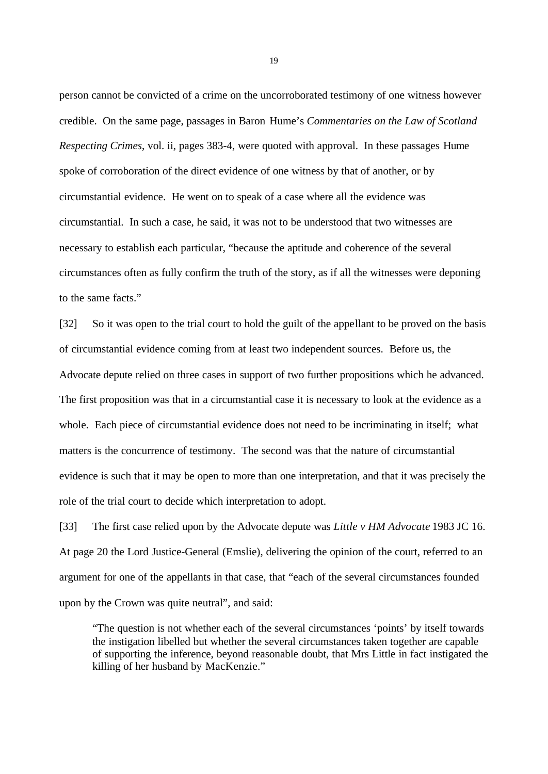person cannot be convicted of a crime on the uncorroborated testimony of one witness however credible. On the same page, passages in Baron Hume's *Commentaries on the Law of Scotland Respecting Crimes*, vol. ii, pages 383-4, were quoted with approval. In these passages Hume spoke of corroboration of the direct evidence of one witness by that of another, or by circumstantial evidence. He went on to speak of a case where all the evidence was circumstantial. In such a case, he said, it was not to be understood that two witnesses are necessary to establish each particular, "because the aptitude and coherence of the several circumstances often as fully confirm the truth of the story, as if all the witnesses were deponing to the same facts."

[32] So it was open to the trial court to hold the guilt of the appellant to be proved on the basis of circumstantial evidence coming from at least two independent sources. Before us, the Advocate depute relied on three cases in support of two further propositions which he advanced. The first proposition was that in a circumstantial case it is necessary to look at the evidence as a whole. Each piece of circumstantial evidence does not need to be incriminating in itself; what matters is the concurrence of testimony. The second was that the nature of circumstantial evidence is such that it may be open to more than one interpretation, and that it was precisely the role of the trial court to decide which interpretation to adopt.

[33] The first case relied upon by the Advocate depute was *Little v HM Advocate* 1983 JC 16. At page 20 the Lord Justice-General (Emslie), delivering the opinion of the court, referred to an argument for one of the appellants in that case, that "each of the several circumstances founded upon by the Crown was quite neutral", and said:

"The question is not whether each of the several circumstances 'points' by itself towards the instigation libelled but whether the several circumstances taken together are capable of supporting the inference, beyond reasonable doubt, that Mrs Little in fact instigated the killing of her husband by MacKenzie."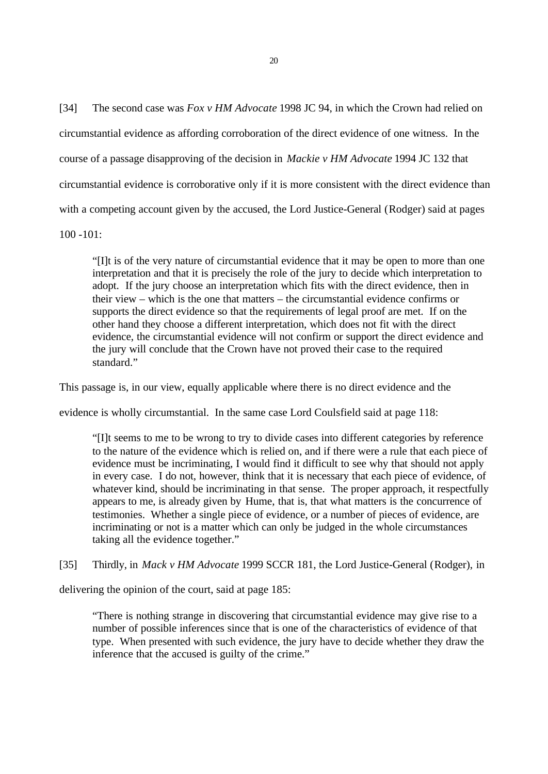[34] The second case was *Fox v HM Advocate* 1998 JC 94, in which the Crown had relied on circumstantial evidence as affording corroboration of the direct evidence of one witness. In the course of a passage disapproving of the decision in *Mackie v HM Advocate* 1994 JC 132 that circumstantial evidence is corroborative only if it is more consistent with the direct evidence than with a competing account given by the accused, the Lord Justice-General (Rodger) said at pages

100 -101:

"[I]t is of the very nature of circumstantial evidence that it may be open to more than one interpretation and that it is precisely the role of the jury to decide which interpretation to adopt. If the jury choose an interpretation which fits with the direct evidence, then in their view – which is the one that matters – the circumstantial evidence confirms or supports the direct evidence so that the requirements of legal proof are met. If on the other hand they choose a different interpretation, which does not fit with the direct evidence, the circumstantial evidence will not confirm or support the direct evidence and the jury will conclude that the Crown have not proved their case to the required standard."

This passage is, in our view, equally applicable where there is no direct evidence and the

evidence is wholly circumstantial. In the same case Lord Coulsfield said at page 118:

"[I]t seems to me to be wrong to try to divide cases into different categories by reference to the nature of the evidence which is relied on, and if there were a rule that each piece of evidence must be incriminating, I would find it difficult to see why that should not apply in every case. I do not, however, think that it is necessary that each piece of evidence, of whatever kind, should be incriminating in that sense. The proper approach, it respectfully appears to me, is already given by Hume, that is, that what matters is the concurrence of testimonies. Whether a single piece of evidence, or a number of pieces of evidence, are incriminating or not is a matter which can only be judged in the whole circumstances taking all the evidence together."

[35] Thirdly, in *Mack v HM Advocate* 1999 SCCR 181, the Lord Justice-General (Rodger), in

delivering the opinion of the court, said at page 185:

"There is nothing strange in discovering that circumstantial evidence may give rise to a number of possible inferences since that is one of the characteristics of evidence of that type. When presented with such evidence, the jury have to decide whether they draw the inference that the accused is guilty of the crime."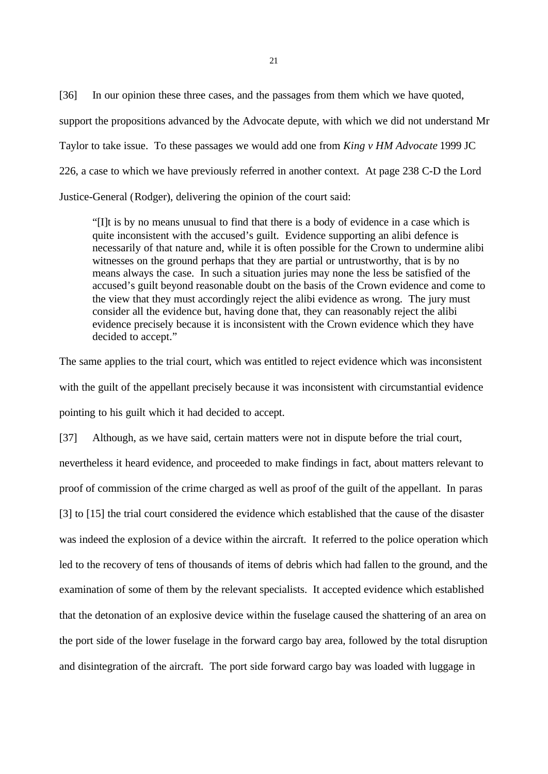[36] In our opinion these three cases, and the passages from them which we have quoted, support the propositions advanced by the Advocate depute, with which we did not understand Mr Taylor to take issue. To these passages we would add one from *King v HM Advocate* 1999 JC 226, a case to which we have previously referred in another context. At page 238 C-D the Lord Justice-General (Rodger), delivering the opinion of the court said:

"[I]t is by no means unusual to find that there is a body of evidence in a case which is quite inconsistent with the accused's guilt. Evidence supporting an alibi defence is necessarily of that nature and, while it is often possible for the Crown to undermine alibi witnesses on the ground perhaps that they are partial or untrustworthy, that is by no means always the case. In such a situation juries may none the less be satisfied of the accused's guilt beyond reasonable doubt on the basis of the Crown evidence and come to the view that they must accordingly reject the alibi evidence as wrong. The jury must consider all the evidence but, having done that, they can reasonably reject the alibi evidence precisely because it is inconsistent with the Crown evidence which they have decided to accept."

The same applies to the trial court, which was entitled to reject evidence which was inconsistent with the guilt of the appellant precisely because it was inconsistent with circumstantial evidence pointing to his guilt which it had decided to accept.

[37] Although, as we have said, certain matters were not in dispute before the trial court, nevertheless it heard evidence, and proceeded to make findings in fact, about matters relevant to proof of commission of the crime charged as well as proof of the guilt of the appellant. In paras [3] to [15] the trial court considered the evidence which established that the cause of the disaster was indeed the explosion of a device within the aircraft. It referred to the police operation which led to the recovery of tens of thousands of items of debris which had fallen to the ground, and the examination of some of them by the relevant specialists. It accepted evidence which established that the detonation of an explosive device within the fuselage caused the shattering of an area on the port side of the lower fuselage in the forward cargo bay area, followed by the total disruption and disintegration of the aircraft. The port side forward cargo bay was loaded with luggage in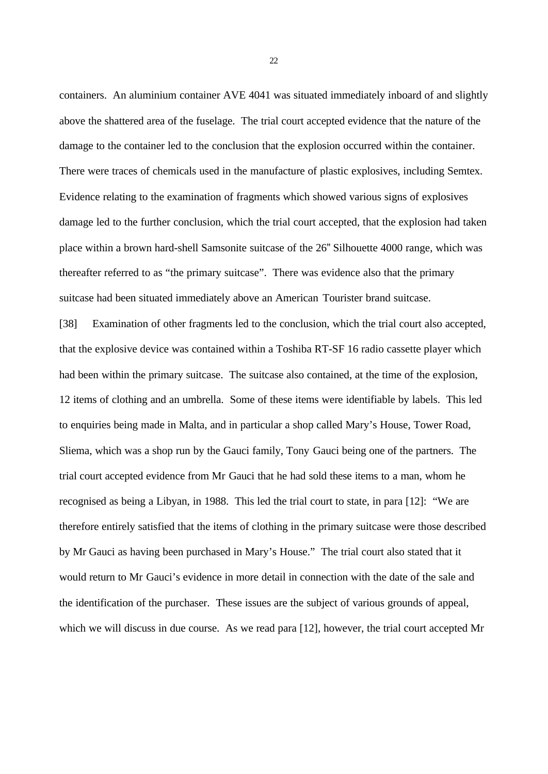containers. An aluminium container AVE 4041 was situated immediately inboard of and slightly above the shattered area of the fuselage. The trial court accepted evidence that the nature of the damage to the container led to the conclusion that the explosion occurred within the container. There were traces of chemicals used in the manufacture of plastic explosives, including Semtex. Evidence relating to the examination of fragments which showed various signs of explosives damage led to the further conclusion, which the trial court accepted, that the explosion had taken place within a brown hard-shell Samsonite suitcase of the 26" Silhouette 4000 range, which was thereafter referred to as "the primary suitcase". There was evidence also that the primary suitcase had been situated immediately above an American Tourister brand suitcase.

[38] Examination of other fragments led to the conclusion, which the trial court also accepted, that the explosive device was contained within a Toshiba RT-SF 16 radio cassette player which had been within the primary suitcase. The suitcase also contained, at the time of the explosion, 12 items of clothing and an umbrella. Some of these items were identifiable by labels. This led to enquiries being made in Malta, and in particular a shop called Mary's House, Tower Road, Sliema, which was a shop run by the Gauci family, Tony Gauci being one of the partners. The trial court accepted evidence from Mr Gauci that he had sold these items to a man, whom he recognised as being a Libyan, in 1988. This led the trial court to state, in para [12]: "We are therefore entirely satisfied that the items of clothing in the primary suitcase were those described by Mr Gauci as having been purchased in Mary's House." The trial court also stated that it would return to Mr Gauci's evidence in more detail in connection with the date of the sale and the identification of the purchaser. These issues are the subject of various grounds of appeal, which we will discuss in due course. As we read para [12], however, the trial court accepted Mr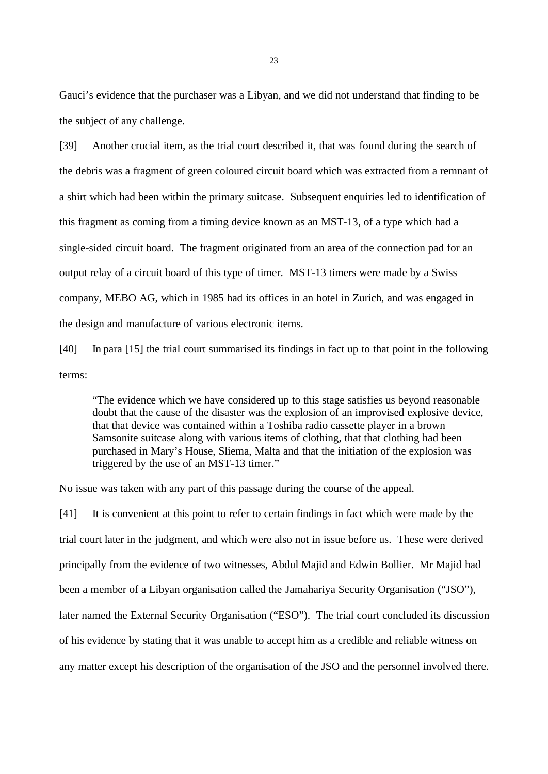Gauci's evidence that the purchaser was a Libyan, and we did not understand that finding to be the subject of any challenge.

[39] Another crucial item, as the trial court described it, that was found during the search of the debris was a fragment of green coloured circuit board which was extracted from a remnant of a shirt which had been within the primary suitcase. Subsequent enquiries led to identification of this fragment as coming from a timing device known as an MST-13, of a type which had a single-sided circuit board. The fragment originated from an area of the connection pad for an output relay of a circuit board of this type of timer. MST-13 timers were made by a Swiss company, MEBO AG, which in 1985 had its offices in an hotel in Zurich, and was engaged in the design and manufacture of various electronic items.

[40] In para [15] the trial court summarised its findings in fact up to that point in the following terms:

"The evidence which we have considered up to this stage satisfies us beyond reasonable doubt that the cause of the disaster was the explosion of an improvised explosive device, that that device was contained within a Toshiba radio cassette player in a brown Samsonite suitcase along with various items of clothing, that that clothing had been purchased in Mary's House, Sliema, Malta and that the initiation of the explosion was triggered by the use of an MST-13 timer."

No issue was taken with any part of this passage during the course of the appeal.

[41] It is convenient at this point to refer to certain findings in fact which were made by the trial court later in the judgment, and which were also not in issue before us. These were derived principally from the evidence of two witnesses, Abdul Majid and Edwin Bollier. Mr Majid had been a member of a Libyan organisation called the Jamahariya Security Organisation ("JSO"), later named the External Security Organisation ("ESO"). The trial court concluded its discussion of his evidence by stating that it was unable to accept him as a credible and reliable witness on any matter except his description of the organisation of the JSO and the personnel involved there.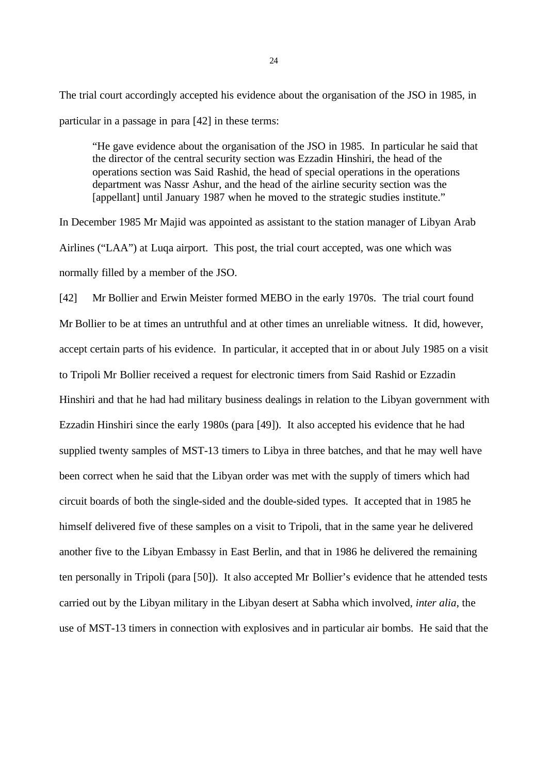The trial court accordingly accepted his evidence about the organisation of the JSO in 1985, in particular in a passage in para [42] in these terms:

"He gave evidence about the organisation of the JSO in 1985. In particular he said that the director of the central security section was Ezzadin Hinshiri, the head of the operations section was Said Rashid, the head of special operations in the operations department was Nassr Ashur, and the head of the airline security section was the [appellant] until January 1987 when he moved to the strategic studies institute."

In December 1985 Mr Majid was appointed as assistant to the station manager of Libyan Arab Airlines ("LAA") at Luqa airport. This post, the trial court accepted, was one which was normally filled by a member of the JSO.

[42] Mr Bollier and Erwin Meister formed MEBO in the early 1970s. The trial court found Mr Bollier to be at times an untruthful and at other times an unreliable witness. It did, however, accept certain parts of his evidence. In particular, it accepted that in or about July 1985 on a visit to Tripoli Mr Bollier received a request for electronic timers from Said Rashid or Ezzadin Hinshiri and that he had had military business dealings in relation to the Libyan government with Ezzadin Hinshiri since the early 1980s (para [49]). It also accepted his evidence that he had supplied twenty samples of MST-13 timers to Libya in three batches, and that he may well have been correct when he said that the Libyan order was met with the supply of timers which had circuit boards of both the single-sided and the double-sided types. It accepted that in 1985 he himself delivered five of these samples on a visit to Tripoli, that in the same year he delivered another five to the Libyan Embassy in East Berlin, and that in 1986 he delivered the remaining ten personally in Tripoli (para [50]). It also accepted Mr Bollier's evidence that he attended tests carried out by the Libyan military in the Libyan desert at Sabha which involved, *inter alia*, the use of MST-13 timers in connection with explosives and in particular air bombs. He said that the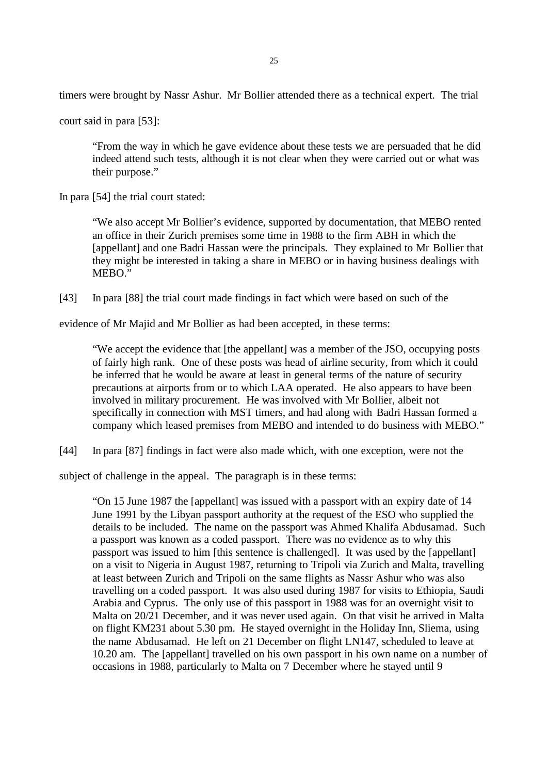timers were brought by Nassr Ashur. Mr Bollier attended there as a technical expert. The trial

court said in para [53]:

"From the way in which he gave evidence about these tests we are persuaded that he did indeed attend such tests, although it is not clear when they were carried out or what was their purpose."

In para [54] the trial court stated:

"We also accept Mr Bollier's evidence, supported by documentation, that MEBO rented an office in their Zurich premises some time in 1988 to the firm ABH in which the [appellant] and one Badri Hassan were the principals. They explained to Mr Bollier that they might be interested in taking a share in MEBO or in having business dealings with MEBO."

[43] In para [88] the trial court made findings in fact which were based on such of the

evidence of Mr Majid and Mr Bollier as had been accepted, in these terms:

"We accept the evidence that [the appellant] was a member of the JSO, occupying posts of fairly high rank. One of these posts was head of airline security, from which it could be inferred that he would be aware at least in general terms of the nature of security precautions at airports from or to which LAA operated. He also appears to have been involved in military procurement. He was involved with Mr Bollier, albeit not specifically in connection with MST timers, and had along with Badri Hassan formed a company which leased premises from MEBO and intended to do business with MEBO."

[44] In para [87] findings in fact were also made which, with one exception, were not the

subject of challenge in the appeal. The paragraph is in these terms:

"On 15 June 1987 the [appellant] was issued with a passport with an expiry date of 14 June 1991 by the Libyan passport authority at the request of the ESO who supplied the details to be included. The name on the passport was Ahmed Khalifa Abdusamad. Such a passport was known as a coded passport. There was no evidence as to why this passport was issued to him [this sentence is challenged]. It was used by the [appellant] on a visit to Nigeria in August 1987, returning to Tripoli via Zurich and Malta, travelling at least between Zurich and Tripoli on the same flights as Nassr Ashur who was also travelling on a coded passport. It was also used during 1987 for visits to Ethiopia, Saudi Arabia and Cyprus. The only use of this passport in 1988 was for an overnight visit to Malta on 20/21 December, and it was never used again. On that visit he arrived in Malta on flight KM231 about 5.30 pm. He stayed overnight in the Holiday Inn, Sliema, using the name Abdusamad. He left on 21 December on flight LN147, scheduled to leave at 10.20 am. The [appellant] travelled on his own passport in his own name on a number of occasions in 1988, particularly to Malta on 7 December where he stayed until 9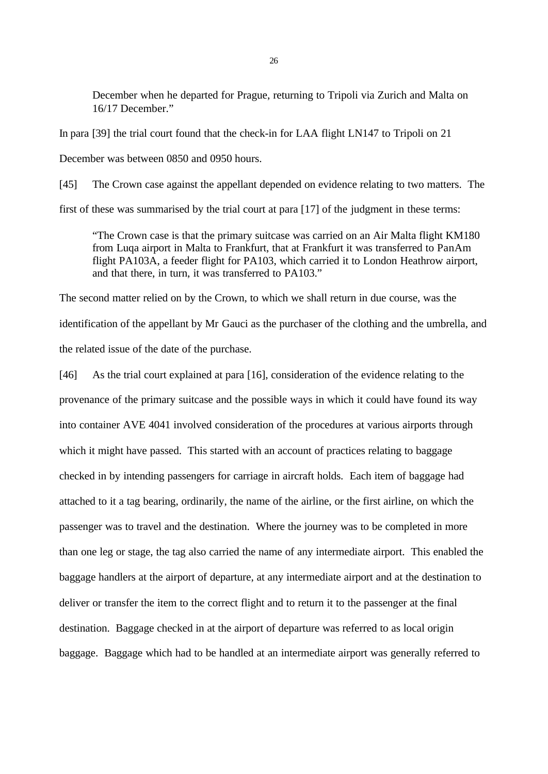December when he departed for Prague, returning to Tripoli via Zurich and Malta on 16/17 December."

In para [39] the trial court found that the check-in for LAA flight LN147 to Tripoli on 21

December was between 0850 and 0950 hours.

[45] The Crown case against the appellant depended on evidence relating to two matters. The first of these was summarised by the trial court at para [17] of the judgment in these terms:

"The Crown case is that the primary suitcase was carried on an Air Malta flight KM180 from Luqa airport in Malta to Frankfurt, that at Frankfurt it was transferred to PanAm flight PA103A, a feeder flight for PA103, which carried it to London Heathrow airport, and that there, in turn, it was transferred to PA103."

The second matter relied on by the Crown, to which we shall return in due course, was the identification of the appellant by Mr Gauci as the purchaser of the clothing and the umbrella, and the related issue of the date of the purchase.

[46] As the trial court explained at para [16], consideration of the evidence relating to the provenance of the primary suitcase and the possible ways in which it could have found its way into container AVE 4041 involved consideration of the procedures at various airports through which it might have passed. This started with an account of practices relating to baggage checked in by intending passengers for carriage in aircraft holds. Each item of baggage had attached to it a tag bearing, ordinarily, the name of the airline, or the first airline, on which the passenger was to travel and the destination. Where the journey was to be completed in more than one leg or stage, the tag also carried the name of any intermediate airport. This enabled the baggage handlers at the airport of departure, at any intermediate airport and at the destination to deliver or transfer the item to the correct flight and to return it to the passenger at the final destination. Baggage checked in at the airport of departure was referred to as local origin baggage. Baggage which had to be handled at an intermediate airport was generally referred to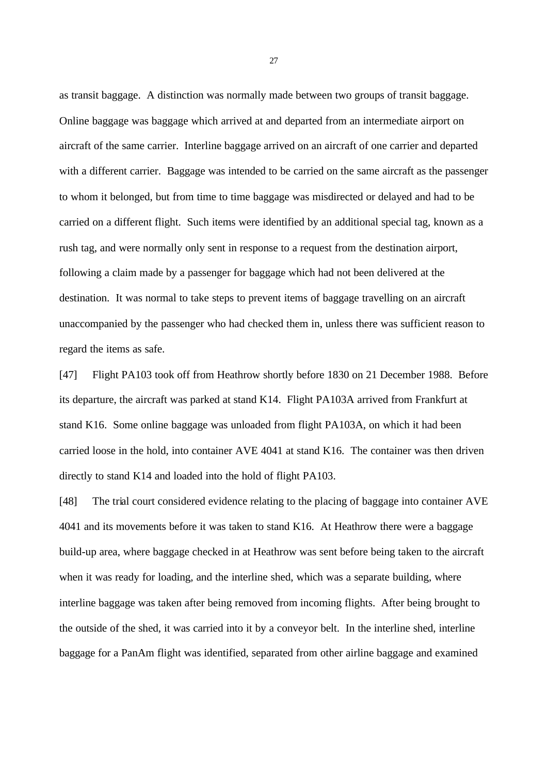as transit baggage. A distinction was normally made between two groups of transit baggage. Online baggage was baggage which arrived at and departed from an intermediate airport on aircraft of the same carrier. Interline baggage arrived on an aircraft of one carrier and departed with a different carrier. Baggage was intended to be carried on the same aircraft as the passenger to whom it belonged, but from time to time baggage was misdirected or delayed and had to be carried on a different flight. Such items were identified by an additional special tag, known as a rush tag, and were normally only sent in response to a request from the destination airport, following a claim made by a passenger for baggage which had not been delivered at the destination. It was normal to take steps to prevent items of baggage travelling on an aircraft unaccompanied by the passenger who had checked them in, unless there was sufficient reason to regard the items as safe.

[47] Flight PA103 took off from Heathrow shortly before 1830 on 21 December 1988. Before its departure, the aircraft was parked at stand K14. Flight PA103A arrived from Frankfurt at stand K16. Some online baggage was unloaded from flight PA103A, on which it had been carried loose in the hold, into container AVE 4041 at stand K16. The container was then driven directly to stand K14 and loaded into the hold of flight PA103.

[48] The trial court considered evidence relating to the placing of baggage into container AVE 4041 and its movements before it was taken to stand K16. At Heathrow there were a baggage build-up area, where baggage checked in at Heathrow was sent before being taken to the aircraft when it was ready for loading, and the interline shed, which was a separate building, where interline baggage was taken after being removed from incoming flights. After being brought to the outside of the shed, it was carried into it by a conveyor belt. In the interline shed, interline baggage for a PanAm flight was identified, separated from other airline baggage and examined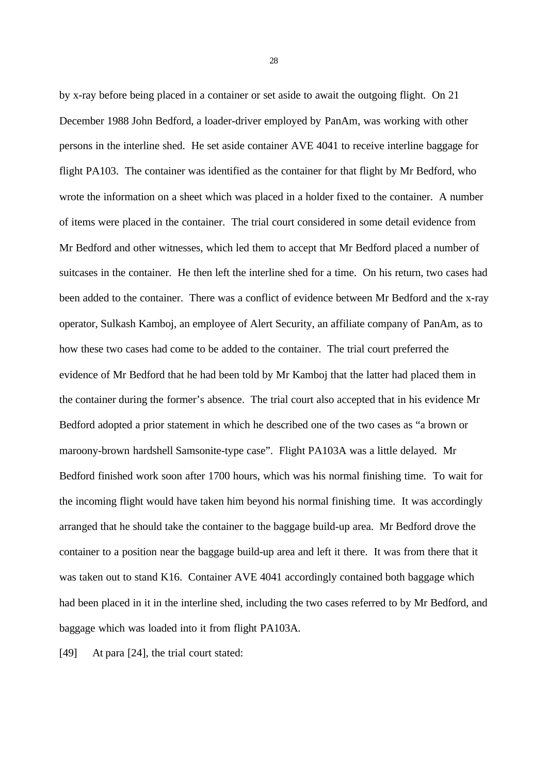by x-ray before being placed in a container or set aside to await the outgoing flight. On 21 December 1988 John Bedford, a loader-driver employed by PanAm, was working with other persons in the interline shed. He set aside container AVE 4041 to receive interline baggage for flight PA103. The container was identified as the container for that flight by Mr Bedford, who wrote the information on a sheet which was placed in a holder fixed to the container. A number of items were placed in the container. The trial court considered in some detail evidence from Mr Bedford and other witnesses, which led them to accept that Mr Bedford placed a number of suitcases in the container. He then left the interline shed for a time. On his return, two cases had been added to the container. There was a conflict of evidence between Mr Bedford and the x-ray operator, Sulkash Kamboj, an employee of Alert Security, an affiliate company of PanAm, as to how these two cases had come to be added to the container. The trial court preferred the evidence of Mr Bedford that he had been told by Mr Kamboj that the latter had placed them in the container during the former's absence. The trial court also accepted that in his evidence Mr Bedford adopted a prior statement in which he described one of the two cases as "a brown or maroony-brown hardshell Samsonite-type case". Flight PA103A was a little delayed. Mr Bedford finished work soon after 1700 hours, which was his normal finishing time. To wait for the incoming flight would have taken him beyond his normal finishing time. It was accordingly arranged that he should take the container to the baggage build-up area. Mr Bedford drove the container to a position near the baggage build-up area and left it there. It was from there that it was taken out to stand K16. Container AVE 4041 accordingly contained both baggage which had been placed in it in the interline shed, including the two cases referred to by Mr Bedford, and baggage which was loaded into it from flight PA103A.

[49] At para [24], the trial court stated: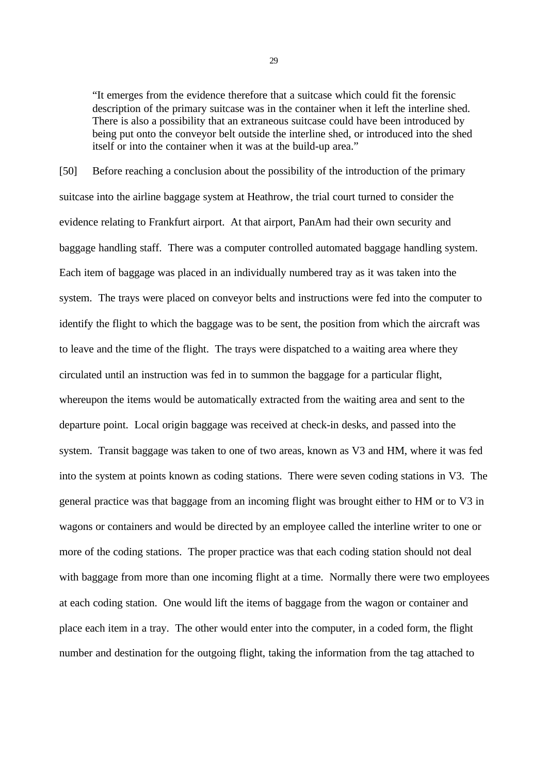"It emerges from the evidence therefore that a suitcase which could fit the forensic description of the primary suitcase was in the container when it left the interline shed. There is also a possibility that an extraneous suitcase could have been introduced by being put onto the conveyor belt outside the interline shed, or introduced into the shed itself or into the container when it was at the build-up area."

[50] Before reaching a conclusion about the possibility of the introduction of the primary suitcase into the airline baggage system at Heathrow, the trial court turned to consider the evidence relating to Frankfurt airport. At that airport, PanAm had their own security and baggage handling staff. There was a computer controlled automated baggage handling system. Each item of baggage was placed in an individually numbered tray as it was taken into the system. The trays were placed on conveyor belts and instructions were fed into the computer to identify the flight to which the baggage was to be sent, the position from which the aircraft was to leave and the time of the flight. The trays were dispatched to a waiting area where they circulated until an instruction was fed in to summon the baggage for a particular flight, whereupon the items would be automatically extracted from the waiting area and sent to the departure point. Local origin baggage was received at check-in desks, and passed into the system. Transit baggage was taken to one of two areas, known as V3 and HM, where it was fed into the system at points known as coding stations. There were seven coding stations in V3. The general practice was that baggage from an incoming flight was brought either to HM or to V3 in wagons or containers and would be directed by an employee called the interline writer to one or more of the coding stations. The proper practice was that each coding station should not deal with baggage from more than one incoming flight at a time. Normally there were two employees at each coding station. One would lift the items of baggage from the wagon or container and place each item in a tray. The other would enter into the computer, in a coded form, the flight number and destination for the outgoing flight, taking the information from the tag attached to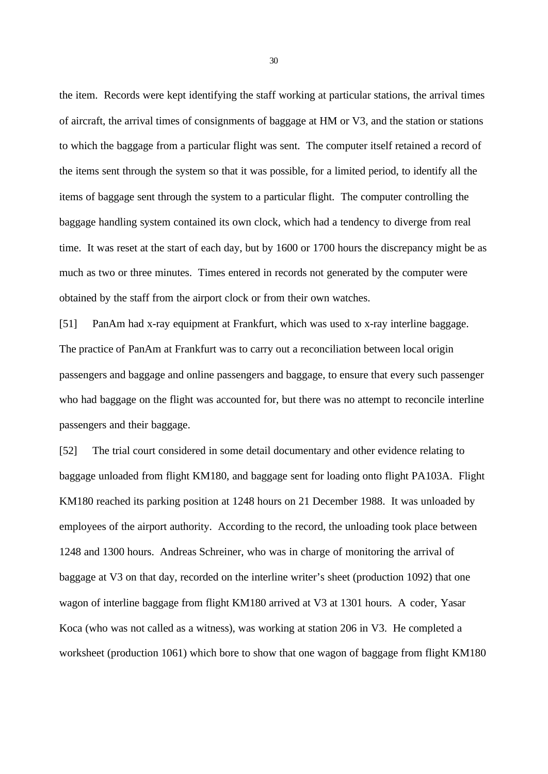the item. Records were kept identifying the staff working at particular stations, the arrival times of aircraft, the arrival times of consignments of baggage at HM or V3, and the station or stations to which the baggage from a particular flight was sent. The computer itself retained a record of the items sent through the system so that it was possible, for a limited period, to identify all the items of baggage sent through the system to a particular flight. The computer controlling the baggage handling system contained its own clock, which had a tendency to diverge from real time. It was reset at the start of each day, but by 1600 or 1700 hours the discrepancy might be as much as two or three minutes. Times entered in records not generated by the computer were obtained by the staff from the airport clock or from their own watches.

[51] PanAm had x-ray equipment at Frankfurt, which was used to x-ray interline baggage. The practice of PanAm at Frankfurt was to carry out a reconciliation between local origin passengers and baggage and online passengers and baggage, to ensure that every such passenger who had baggage on the flight was accounted for, but there was no attempt to reconcile interline passengers and their baggage.

[52] The trial court considered in some detail documentary and other evidence relating to baggage unloaded from flight KM180, and baggage sent for loading onto flight PA103A. Flight KM180 reached its parking position at 1248 hours on 21 December 1988. It was unloaded by employees of the airport authority. According to the record, the unloading took place between 1248 and 1300 hours. Andreas Schreiner, who was in charge of monitoring the arrival of baggage at V3 on that day, recorded on the interline writer's sheet (production 1092) that one wagon of interline baggage from flight KM180 arrived at V3 at 1301 hours. A coder, Yasar Koca (who was not called as a witness), was working at station 206 in V3. He completed a worksheet (production 1061) which bore to show that one wagon of baggage from flight KM180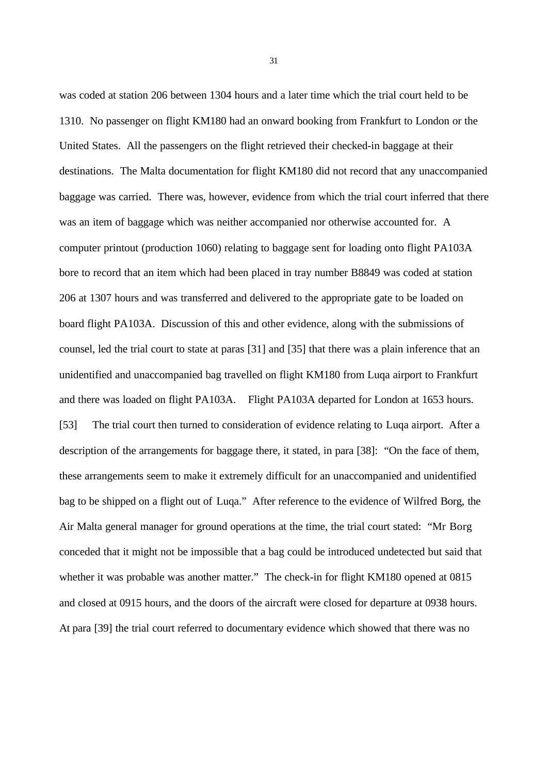was coded at station 206 between 1304 hours and a later time which the trial court held to be 1310. No passenger on flight KM180 had an onward booking from Frankfurt to London or the United States. All the passengers on the flight retrieved their checked-in baggage at their destinations. The Malta documentation for flight KM180 did not record that any unaccompanied baggage was carried. There was, however, evidence from which the trial court inferred that there was an item of baggage which was neither accompanied nor otherwise accounted for. A computer printout (production 1060) relating to baggage sent for loading onto flight PA103A bore to record that an item which had been placed in tray number B8849 was coded at station 206 at 1307 hours and was transferred and delivered to the appropriate gate to be loaded on board flight PA103A. Discussion of this and other evidence, along with the submissions of counsel, led the trial court to state at paras [31] and [35] that there was a plain inference that an unidentified and unaccompanied bag travelled on flight KM180 from Luqa airport to Frankfurt and there was loaded on flight PA103A. Flight PA103A departed for London at 1653 hours. [53] The trial court then turned to consideration of evidence relating to Luqa airport. After a description of the arrangements for baggage there, it stated, in para [38]: "On the face of them, these arrangements seem to make it extremely difficult for an unaccompanied and unidentified bag to be shipped on a flight out of Luqa." After reference to the evidence of Wilfred Borg, the Air Malta general manager for ground operations at the time, the trial court stated: "Mr Borg conceded that it might not be impossible that a bag could be introduced undetected but said that whether it was probable was another matter." The check-in for flight KM180 opened at 0815 and closed at 0915 hours, and the doors of the aircraft were closed for departure at 0938 hours. At para [39] the trial court referred to documentary evidence which showed that there was no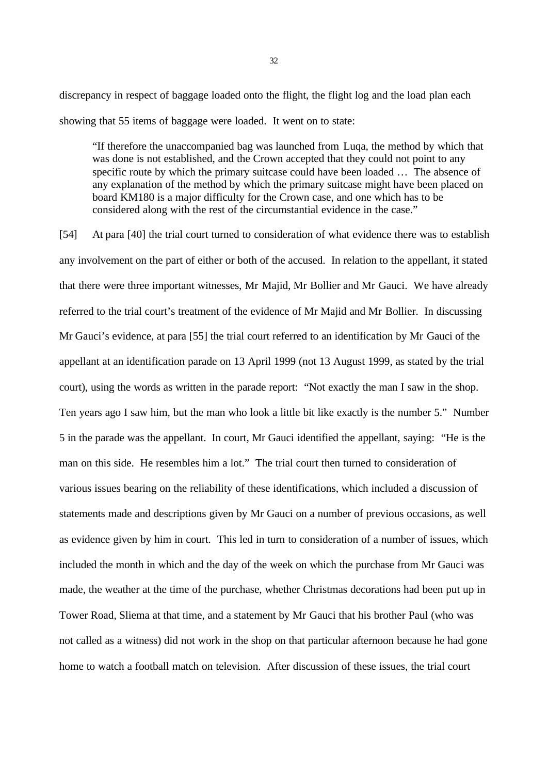discrepancy in respect of baggage loaded onto the flight, the flight log and the load plan each showing that 55 items of baggage were loaded. It went on to state:

"If therefore the unaccompanied bag was launched from Luqa, the method by which that was done is not established, and the Crown accepted that they could not point to any specific route by which the primary suitcase could have been loaded … The absence of any explanation of the method by which the primary suitcase might have been placed on board KM180 is a major difficulty for the Crown case, and one which has to be considered along with the rest of the circumstantial evidence in the case."

[54] At para [40] the trial court turned to consideration of what evidence there was to establish any involvement on the part of either or both of the accused. In relation to the appellant, it stated that there were three important witnesses, Mr Majid, Mr Bollier and Mr Gauci. We have already referred to the trial court's treatment of the evidence of Mr Majid and Mr Bollier. In discussing Mr Gauci's evidence, at para [55] the trial court referred to an identification by Mr Gauci of the appellant at an identification parade on 13 April 1999 (not 13 August 1999, as stated by the trial court), using the words as written in the parade report: "Not exactly the man I saw in the shop. Ten years ago I saw him, but the man who look a little bit like exactly is the number 5." Number 5 in the parade was the appellant. In court, Mr Gauci identified the appellant, saying: "He is the man on this side. He resembles him a lot." The trial court then turned to consideration of various issues bearing on the reliability of these identifications, which included a discussion of statements made and descriptions given by Mr Gauci on a number of previous occasions, as well as evidence given by him in court. This led in turn to consideration of a number of issues, which included the month in which and the day of the week on which the purchase from Mr Gauci was made, the weather at the time of the purchase, whether Christmas decorations had been put up in Tower Road, Sliema at that time, and a statement by Mr Gauci that his brother Paul (who was not called as a witness) did not work in the shop on that particular afternoon because he had gone home to watch a football match on television. After discussion of these issues, the trial court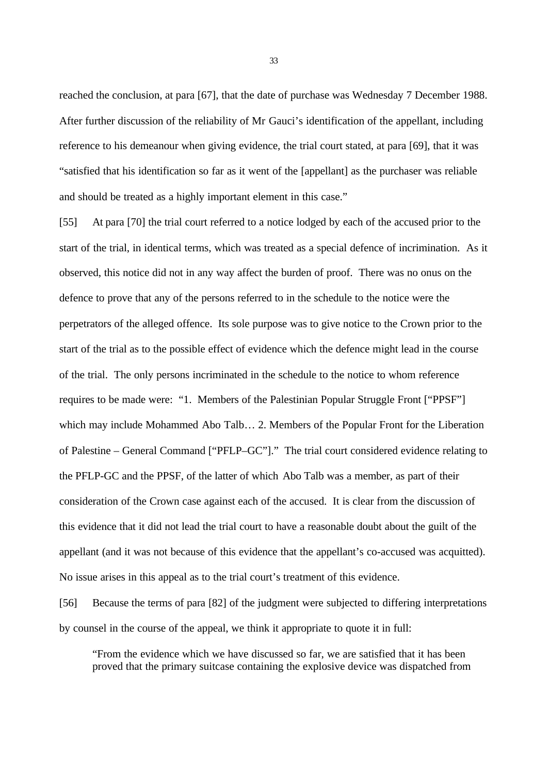reached the conclusion, at para [67], that the date of purchase was Wednesday 7 December 1988. After further discussion of the reliability of Mr Gauci's identification of the appellant, including reference to his demeanour when giving evidence, the trial court stated, at para [69], that it was "satisfied that his identification so far as it went of the [appellant] as the purchaser was reliable and should be treated as a highly important element in this case."

[55] At para [70] the trial court referred to a notice lodged by each of the accused prior to the start of the trial, in identical terms, which was treated as a special defence of incrimination. As it observed, this notice did not in any way affect the burden of proof. There was no onus on the defence to prove that any of the persons referred to in the schedule to the notice were the perpetrators of the alleged offence. Its sole purpose was to give notice to the Crown prior to the start of the trial as to the possible effect of evidence which the defence might lead in the course of the trial. The only persons incriminated in the schedule to the notice to whom reference requires to be made were: "1. Members of the Palestinian Popular Struggle Front ["PPSF"] which may include Mohammed Abo Talb… 2. Members of the Popular Front for the Liberation of Palestine – General Command ["PFLP–GC"]." The trial court considered evidence relating to the PFLP-GC and the PPSF, of the latter of which Abo Talb was a member, as part of their consideration of the Crown case against each of the accused. It is clear from the discussion of this evidence that it did not lead the trial court to have a reasonable doubt about the guilt of the appellant (and it was not because of this evidence that the appellant's co-accused was acquitted). No issue arises in this appeal as to the trial court's treatment of this evidence.

[56] Because the terms of para [82] of the judgment were subjected to differing interpretations by counsel in the course of the appeal, we think it appropriate to quote it in full:

"From the evidence which we have discussed so far, we are satisfied that it has been proved that the primary suitcase containing the explosive device was dispatched from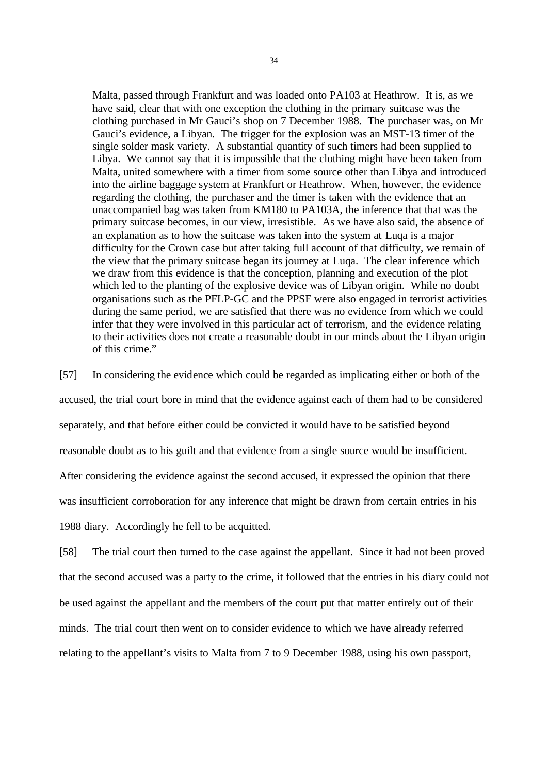Malta, passed through Frankfurt and was loaded onto PA103 at Heathrow. It is, as we have said, clear that with one exception the clothing in the primary suitcase was the clothing purchased in Mr Gauci's shop on 7 December 1988. The purchaser was, on Mr Gauci's evidence, a Libyan. The trigger for the explosion was an MST-13 timer of the single solder mask variety. A substantial quantity of such timers had been supplied to Libya. We cannot say that it is impossible that the clothing might have been taken from Malta, united somewhere with a timer from some source other than Libya and introduced into the airline baggage system at Frankfurt or Heathrow. When, however, the evidence regarding the clothing, the purchaser and the timer is taken with the evidence that an unaccompanied bag was taken from KM180 to PA103A, the inference that that was the primary suitcase becomes, in our view, irresistible. As we have also said, the absence of an explanation as to how the suitcase was taken into the system at Luqa is a major difficulty for the Crown case but after taking full account of that difficulty, we remain of the view that the primary suitcase began its journey at Luqa. The clear inference which we draw from this evidence is that the conception, planning and execution of the plot which led to the planting of the explosive device was of Libyan origin. While no doubt organisations such as the PFLP-GC and the PPSF were also engaged in terrorist activities during the same period, we are satisfied that there was no evidence from which we could infer that they were involved in this particular act of terrorism, and the evidence relating to their activities does not create a reasonable doubt in our minds about the Libyan origin of this crime."

[57] In considering the evidence which could be regarded as implicating either or both of the accused, the trial court bore in mind that the evidence against each of them had to be considered separately, and that before either could be convicted it would have to be satisfied beyond reasonable doubt as to his guilt and that evidence from a single source would be insufficient. After considering the evidence against the second accused, it expressed the opinion that there was insufficient corroboration for any inference that might be drawn from certain entries in his 1988 diary. Accordingly he fell to be acquitted.

[58] The trial court then turned to the case against the appellant. Since it had not been proved that the second accused was a party to the crime, it followed that the entries in his diary could not be used against the appellant and the members of the court put that matter entirely out of their minds. The trial court then went on to consider evidence to which we have already referred relating to the appellant's visits to Malta from 7 to 9 December 1988, using his own passport,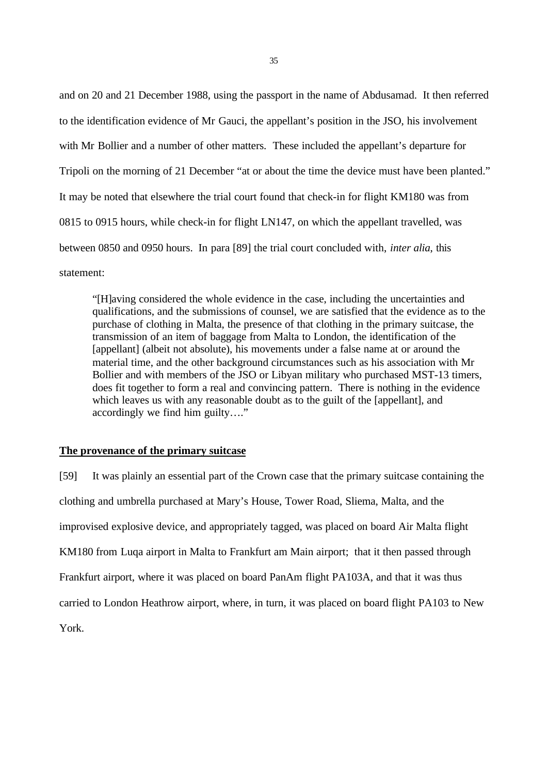and on 20 and 21 December 1988, using the passport in the name of Abdusamad. It then referred to the identification evidence of Mr Gauci, the appellant's position in the JSO, his involvement with Mr Bollier and a number of other matters. These included the appellant's departure for Tripoli on the morning of 21 December "at or about the time the device must have been planted." It may be noted that elsewhere the trial court found that check-in for flight KM180 was from 0815 to 0915 hours, while check-in for flight LN147, on which the appellant travelled, was between 0850 and 0950 hours. In para [89] the trial court concluded with, *inter alia*, this statement:

"[H]aving considered the whole evidence in the case, including the uncertainties and qualifications, and the submissions of counsel, we are satisfied that the evidence as to the purchase of clothing in Malta, the presence of that clothing in the primary suitcase, the transmission of an item of baggage from Malta to London, the identification of the [appellant] (albeit not absolute), his movements under a false name at or around the material time, and the other background circumstances such as his association with Mr Bollier and with members of the JSO or Libyan military who purchased MST-13 timers, does fit together to form a real and convincing pattern. There is nothing in the evidence which leaves us with any reasonable doubt as to the guilt of the [appellant], and accordingly we find him guilty…."

## **The provenance of the primary suitcase**

[59] It was plainly an essential part of the Crown case that the primary suitcase containing the clothing and umbrella purchased at Mary's House, Tower Road, Sliema, Malta, and the improvised explosive device, and appropriately tagged, was placed on board Air Malta flight KM180 from Luqa airport in Malta to Frankfurt am Main airport; that it then passed through Frankfurt airport, where it was placed on board PanAm flight PA103A, and that it was thus carried to London Heathrow airport, where, in turn, it was placed on board flight PA103 to New York.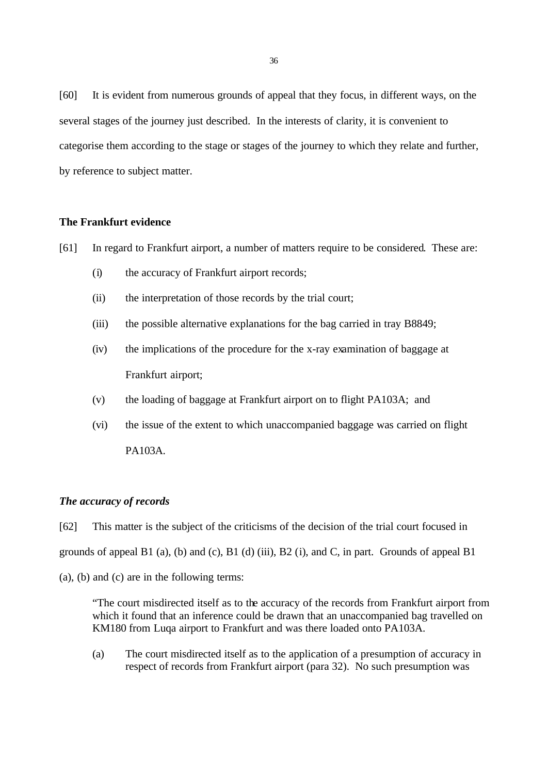[60] It is evident from numerous grounds of appeal that they focus, in different ways, on the several stages of the journey just described. In the interests of clarity, it is convenient to categorise them according to the stage or stages of the journey to which they relate and further, by reference to subject matter.

### **The Frankfurt evidence**

[61] In regard to Frankfurt airport, a number of matters require to be considered. These are:

- (i) the accuracy of Frankfurt airport records;
- (ii) the interpretation of those records by the trial court;
- (iii) the possible alternative explanations for the bag carried in tray B8849;
- (iv) the implications of the procedure for the x-ray examination of baggage at Frankfurt airport;
- (v) the loading of baggage at Frankfurt airport on to flight PA103A; and
- (vi) the issue of the extent to which unaccompanied baggage was carried on flight PA103A.

### *The accuracy of records*

[62] This matter is the subject of the criticisms of the decision of the trial court focused in grounds of appeal B1 (a), (b) and (c), B1 (d) (iii), B2 (i), and C, in part. Grounds of appeal B1 (a), (b) and (c) are in the following terms:

"The court misdirected itself as to the accuracy of the records from Frankfurt airport from which it found that an inference could be drawn that an unaccompanied bag travelled on KM180 from Luqa airport to Frankfurt and was there loaded onto PA103A.

(a) The court misdirected itself as to the application of a presumption of accuracy in respect of records from Frankfurt airport (para 32). No such presumption was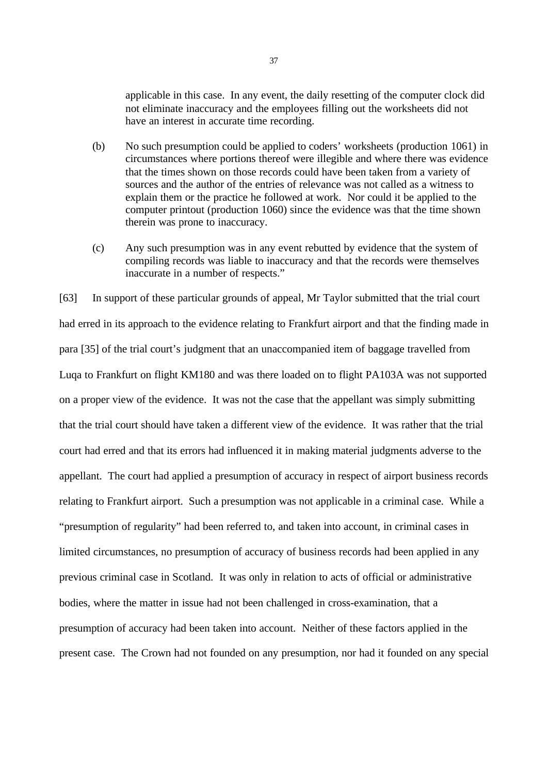applicable in this case. In any event, the daily resetting of the computer clock did not eliminate inaccuracy and the employees filling out the worksheets did not have an interest in accurate time recording.

- (b) No such presumption could be applied to coders' worksheets (production 1061) in circumstances where portions thereof were illegible and where there was evidence that the times shown on those records could have been taken from a variety of sources and the author of the entries of relevance was not called as a witness to explain them or the practice he followed at work. Nor could it be applied to the computer printout (production 1060) since the evidence was that the time shown therein was prone to inaccuracy.
- (c) Any such presumption was in any event rebutted by evidence that the system of compiling records was liable to inaccuracy and that the records were themselves inaccurate in a number of respects."

[63] In support of these particular grounds of appeal, Mr Taylor submitted that the trial court had erred in its approach to the evidence relating to Frankfurt airport and that the finding made in para [35] of the trial court's judgment that an unaccompanied item of baggage travelled from Luqa to Frankfurt on flight KM180 and was there loaded on to flight PA103A was not supported on a proper view of the evidence. It was not the case that the appellant was simply submitting that the trial court should have taken a different view of the evidence. It was rather that the trial court had erred and that its errors had influenced it in making material judgments adverse to the appellant. The court had applied a presumption of accuracy in respect of airport business records relating to Frankfurt airport. Such a presumption was not applicable in a criminal case. While a "presumption of regularity" had been referred to, and taken into account, in criminal cases in limited circumstances, no presumption of accuracy of business records had been applied in any previous criminal case in Scotland. It was only in relation to acts of official or administrative bodies, where the matter in issue had not been challenged in cross-examination, that a presumption of accuracy had been taken into account. Neither of these factors applied in the present case. The Crown had not founded on any presumption, nor had it founded on any special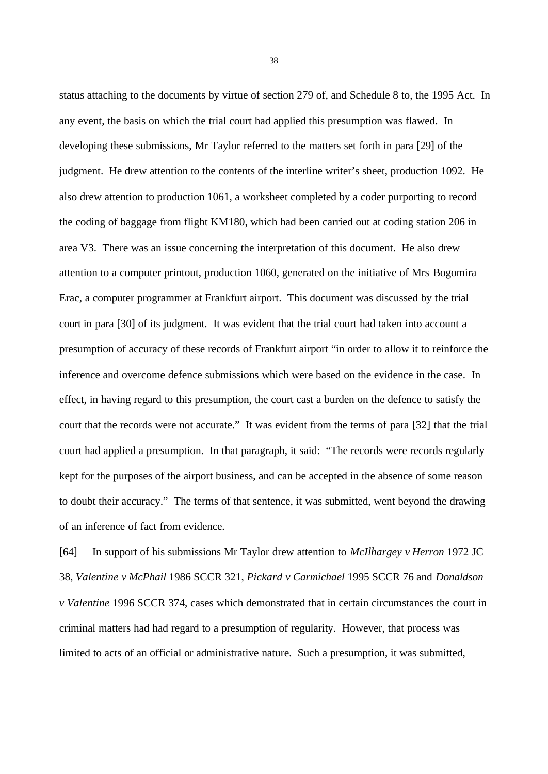status attaching to the documents by virtue of section 279 of, and Schedule 8 to, the 1995 Act. In any event, the basis on which the trial court had applied this presumption was flawed. In developing these submissions, Mr Taylor referred to the matters set forth in para [29] of the judgment. He drew attention to the contents of the interline writer's sheet, production 1092. He also drew attention to production 1061, a worksheet completed by a coder purporting to record the coding of baggage from flight KM180, which had been carried out at coding station 206 in area V3. There was an issue concerning the interpretation of this document. He also drew attention to a computer printout, production 1060, generated on the initiative of Mrs Bogomira Erac, a computer programmer at Frankfurt airport. This document was discussed by the trial court in para [30] of its judgment. It was evident that the trial court had taken into account a presumption of accuracy of these records of Frankfurt airport "in order to allow it to reinforce the inference and overcome defence submissions which were based on the evidence in the case. In effect, in having regard to this presumption, the court cast a burden on the defence to satisfy the court that the records were not accurate." It was evident from the terms of para [32] that the trial court had applied a presumption. In that paragraph, it said: "The records were records regularly kept for the purposes of the airport business, and can be accepted in the absence of some reason to doubt their accuracy." The terms of that sentence, it was submitted, went beyond the drawing of an inference of fact from evidence.

[64] In support of his submissions Mr Taylor drew attention to *McIlhargey v Herron* 1972 JC 38, *Valentine v McPhail* 1986 SCCR 321, *Pickard v Carmichael* 1995 SCCR 76 and *Donaldson v Valentine* 1996 SCCR 374, cases which demonstrated that in certain circumstances the court in criminal matters had had regard to a presumption of regularity. However, that process was limited to acts of an official or administrative nature. Such a presumption, it was submitted,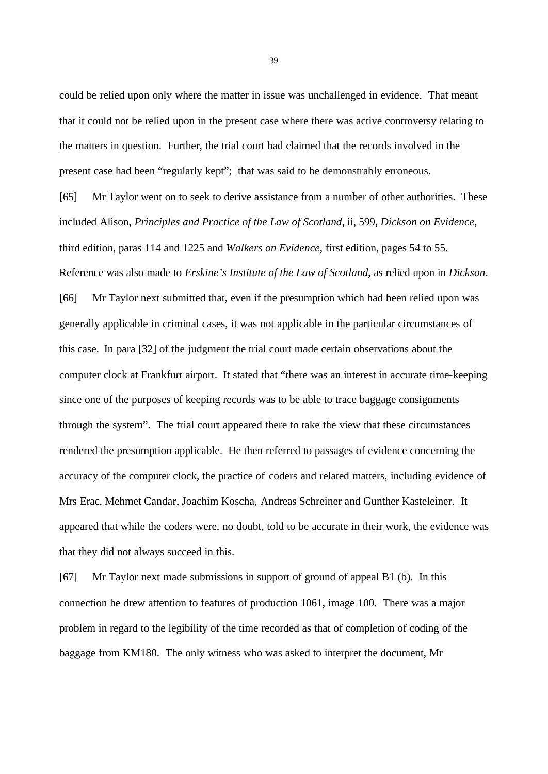could be relied upon only where the matter in issue was unchallenged in evidence. That meant that it could not be relied upon in the present case where there was active controversy relating to the matters in question. Further, the trial court had claimed that the records involved in the present case had been "regularly kept"; that was said to be demonstrably erroneous.

[65] Mr Taylor went on to seek to derive assistance from a number of other authorities. These included Alison, *Principles and Practice of the Law of Scotland*, ii, 599, *Dickson on Evidence*, third edition, paras 114 and 1225 and *Walkers on Evidence*, first edition, pages 54 to 55. Reference was also made to *Erskine's Institute of the Law of Scotland*, as relied upon in *Dickson*. [66] Mr Taylor next submitted that, even if the presumption which had been relied upon was generally applicable in criminal cases, it was not applicable in the particular circumstances of this case. In para [32] of the judgment the trial court made certain observations about the computer clock at Frankfurt airport. It stated that "there was an interest in accurate time-keeping since one of the purposes of keeping records was to be able to trace baggage consignments through the system". The trial court appeared there to take the view that these circumstances rendered the presumption applicable. He then referred to passages of evidence concerning the accuracy of the computer clock, the practice of coders and related matters, including evidence of Mrs Erac, Mehmet Candar, Joachim Koscha, Andreas Schreiner and Gunther Kasteleiner. It appeared that while the coders were, no doubt, told to be accurate in their work, the evidence was that they did not always succeed in this.

[67] Mr Taylor next made submissions in support of ground of appeal B1 (b). In this connection he drew attention to features of production 1061, image 100. There was a major problem in regard to the legibility of the time recorded as that of completion of coding of the baggage from KM180. The only witness who was asked to interpret the document, Mr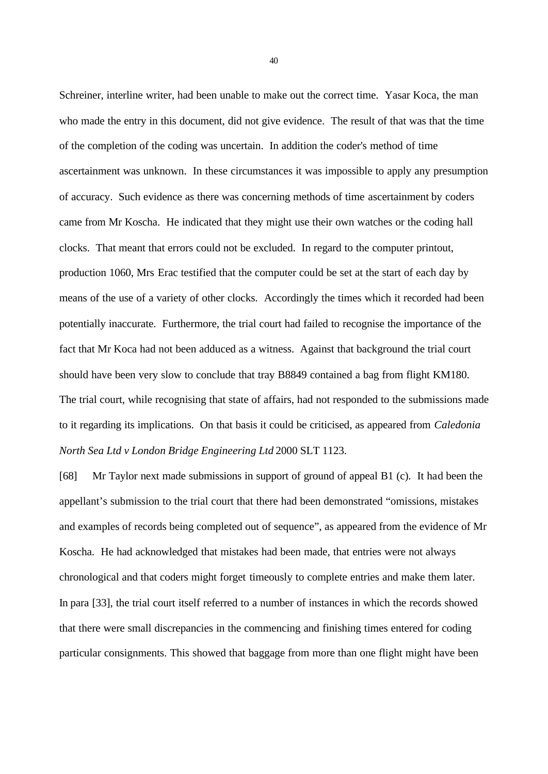Schreiner, interline writer, had been unable to make out the correct time. Yasar Koca, the man who made the entry in this document, did not give evidence. The result of that was that the time of the completion of the coding was uncertain. In addition the coder's method of time ascertainment was unknown. In these circumstances it was impossible to apply any presumption of accuracy. Such evidence as there was concerning methods of time ascertainment by coders came from Mr Koscha. He indicated that they might use their own watches or the coding hall clocks. That meant that errors could not be excluded. In regard to the computer printout, production 1060, Mrs Erac testified that the computer could be set at the start of each day by means of the use of a variety of other clocks. Accordingly the times which it recorded had been potentially inaccurate. Furthermore, the trial court had failed to recognise the importance of the fact that Mr Koca had not been adduced as a witness. Against that background the trial court should have been very slow to conclude that tray B8849 contained a bag from flight KM180. The trial court, while recognising that state of affairs, had not responded to the submissions made to it regarding its implications. On that basis it could be criticised, as appeared from *Caledonia North Sea Ltd v London Bridge Engineering Ltd* 2000 SLT 1123.

[68] Mr Taylor next made submissions in support of ground of appeal B1 (c). It had been the appellant's submission to the trial court that there had been demonstrated "omissions, mistakes and examples of records being completed out of sequence", as appeared from the evidence of Mr Koscha. He had acknowledged that mistakes had been made, that entries were not always chronological and that coders might forget timeously to complete entries and make them later. In para [33], the trial court itself referred to a number of instances in which the records showed that there were small discrepancies in the commencing and finishing times entered for coding particular consignments. This showed that baggage from more than one flight might have been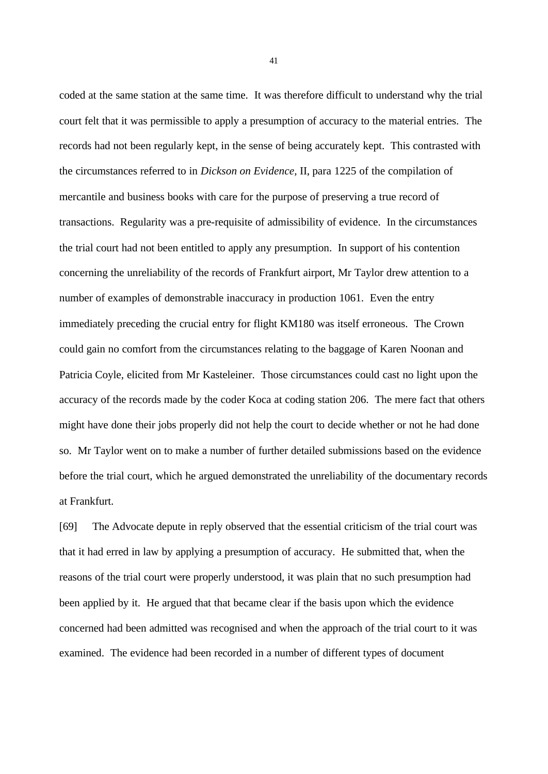coded at the same station at the same time. It was therefore difficult to understand why the trial court felt that it was permissible to apply a presumption of accuracy to the material entries. The records had not been regularly kept, in the sense of being accurately kept. This contrasted with the circumstances referred to in *Dickson on Evidence,* II, para 1225 of the compilation of mercantile and business books with care for the purpose of preserving a true record of transactions. Regularity was a pre-requisite of admissibility of evidence. In the circumstances the trial court had not been entitled to apply any presumption. In support of his contention concerning the unreliability of the records of Frankfurt airport, Mr Taylor drew attention to a number of examples of demonstrable inaccuracy in production 1061. Even the entry immediately preceding the crucial entry for flight KM180 was itself erroneous. The Crown could gain no comfort from the circumstances relating to the baggage of Karen Noonan and Patricia Coyle, elicited from Mr Kasteleiner. Those circumstances could cast no light upon the accuracy of the records made by the coder Koca at coding station 206. The mere fact that others might have done their jobs properly did not help the court to decide whether or not he had done so. Mr Taylor went on to make a number of further detailed submissions based on the evidence before the trial court, which he argued demonstrated the unreliability of the documentary records at Frankfurt.

[69] The Advocate depute in reply observed that the essential criticism of the trial court was that it had erred in law by applying a presumption of accuracy. He submitted that, when the reasons of the trial court were properly understood, it was plain that no such presumption had been applied by it. He argued that that became clear if the basis upon which the evidence concerned had been admitted was recognised and when the approach of the trial court to it was examined. The evidence had been recorded in a number of different types of document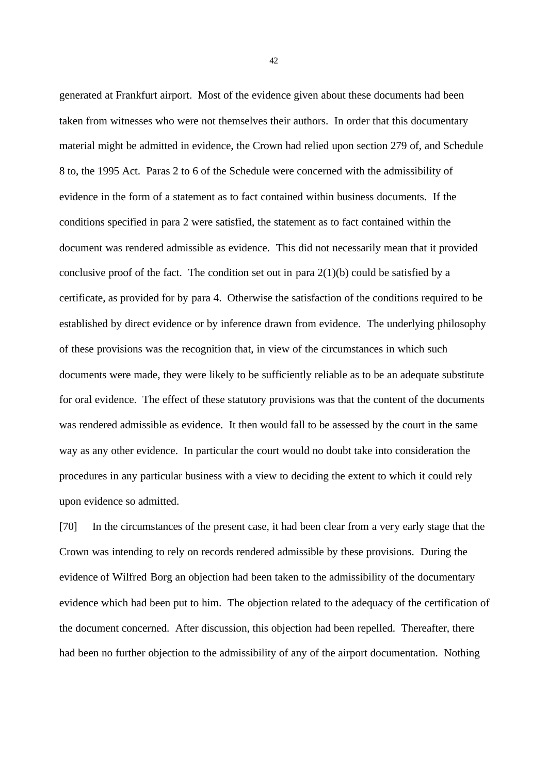generated at Frankfurt airport. Most of the evidence given about these documents had been taken from witnesses who were not themselves their authors. In order that this documentary material might be admitted in evidence, the Crown had relied upon section 279 of, and Schedule 8 to, the 1995 Act. Paras 2 to 6 of the Schedule were concerned with the admissibility of evidence in the form of a statement as to fact contained within business documents. If the conditions specified in para 2 were satisfied, the statement as to fact contained within the document was rendered admissible as evidence. This did not necessarily mean that it provided conclusive proof of the fact. The condition set out in para  $2(1)(b)$  could be satisfied by a certificate, as provided for by para 4. Otherwise the satisfaction of the conditions required to be established by direct evidence or by inference drawn from evidence. The underlying philosophy of these provisions was the recognition that, in view of the circumstances in which such documents were made, they were likely to be sufficiently reliable as to be an adequate substitute for oral evidence. The effect of these statutory provisions was that the content of the documents was rendered admissible as evidence. It then would fall to be assessed by the court in the same way as any other evidence. In particular the court would no doubt take into consideration the procedures in any particular business with a view to deciding the extent to which it could rely upon evidence so admitted.

[70] In the circumstances of the present case, it had been clear from a very early stage that the Crown was intending to rely on records rendered admissible by these provisions. During the evidence of Wilfred Borg an objection had been taken to the admissibility of the documentary evidence which had been put to him. The objection related to the adequacy of the certification of the document concerned. After discussion, this objection had been repelled. Thereafter, there had been no further objection to the admissibility of any of the airport documentation. Nothing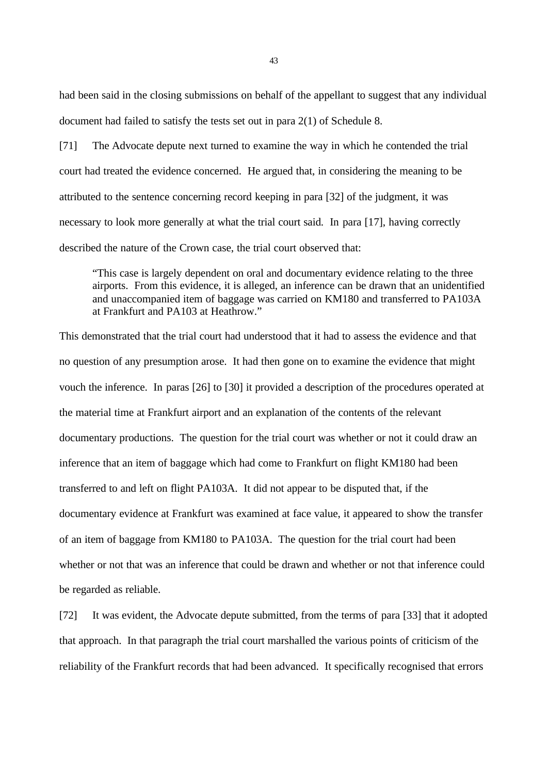had been said in the closing submissions on behalf of the appellant to suggest that any individual document had failed to satisfy the tests set out in para 2(1) of Schedule 8.

[71] The Advocate depute next turned to examine the way in which he contended the trial court had treated the evidence concerned. He argued that, in considering the meaning to be attributed to the sentence concerning record keeping in para [32] of the judgment, it was necessary to look more generally at what the trial court said. In para [17], having correctly described the nature of the Crown case, the trial court observed that:

"This case is largely dependent on oral and documentary evidence relating to the three airports. From this evidence, it is alleged, an inference can be drawn that an unidentified and unaccompanied item of baggage was carried on KM180 and transferred to PA103A at Frankfurt and PA103 at Heathrow."

This demonstrated that the trial court had understood that it had to assess the evidence and that no question of any presumption arose. It had then gone on to examine the evidence that might vouch the inference. In paras [26] to [30] it provided a description of the procedures operated at the material time at Frankfurt airport and an explanation of the contents of the relevant documentary productions. The question for the trial court was whether or not it could draw an inference that an item of baggage which had come to Frankfurt on flight KM180 had been transferred to and left on flight PA103A. It did not appear to be disputed that, if the documentary evidence at Frankfurt was examined at face value, it appeared to show the transfer of an item of baggage from KM180 to PA103A. The question for the trial court had been whether or not that was an inference that could be drawn and whether or not that inference could be regarded as reliable.

[72] It was evident, the Advocate depute submitted, from the terms of para [33] that it adopted that approach. In that paragraph the trial court marshalled the various points of criticism of the reliability of the Frankfurt records that had been advanced. It specifically recognised that errors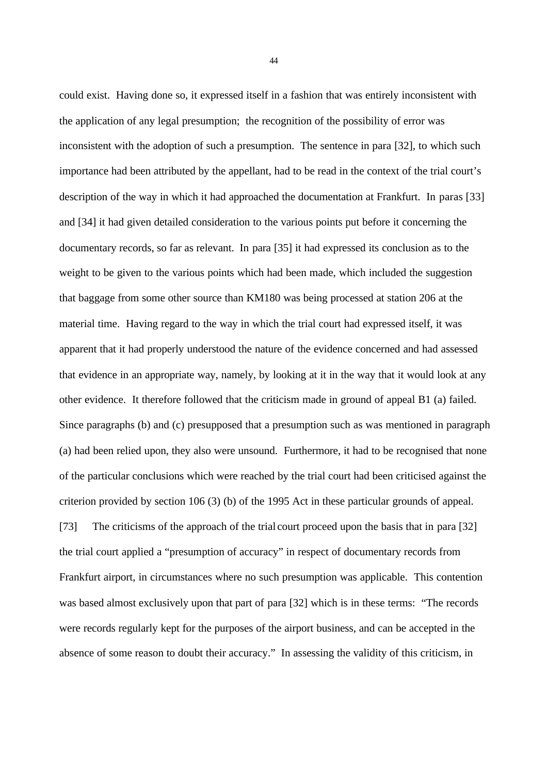could exist. Having done so, it expressed itself in a fashion that was entirely inconsistent with the application of any legal presumption; the recognition of the possibility of error was inconsistent with the adoption of such a presumption. The sentence in para [32], to which such importance had been attributed by the appellant, had to be read in the context of the trial court's description of the way in which it had approached the documentation at Frankfurt. In paras [33] and [34] it had given detailed consideration to the various points put before it concerning the documentary records, so far as relevant. In para [35] it had expressed its conclusion as to the weight to be given to the various points which had been made, which included the suggestion that baggage from some other source than KM180 was being processed at station 206 at the material time. Having regard to the way in which the trial court had expressed itself, it was apparent that it had properly understood the nature of the evidence concerned and had assessed that evidence in an appropriate way, namely, by looking at it in the way that it would look at any other evidence. It therefore followed that the criticism made in ground of appeal B1 (a) failed. Since paragraphs (b) and (c) presupposed that a presumption such as was mentioned in paragraph (a) had been relied upon, they also were unsound. Furthermore, it had to be recognised that none of the particular conclusions which were reached by the trial court had been criticised against the criterion provided by section 106 (3) (b) of the 1995 Act in these particular grounds of appeal. [73] The criticisms of the approach of the trial court proceed upon the basis that in para [32] the trial court applied a "presumption of accuracy" in respect of documentary records from Frankfurt airport, in circumstances where no such presumption was applicable. This contention was based almost exclusively upon that part of para [32] which is in these terms: "The records were records regularly kept for the purposes of the airport business, and can be accepted in the absence of some reason to doubt their accuracy." In assessing the validity of this criticism, in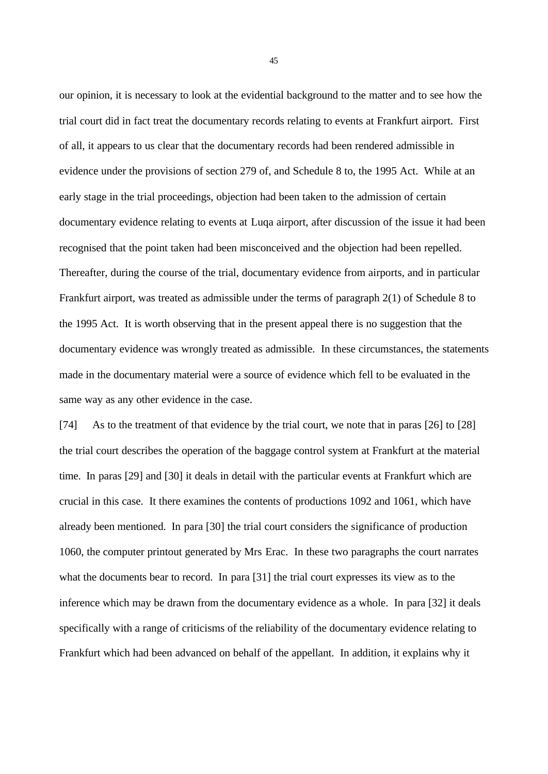our opinion, it is necessary to look at the evidential background to the matter and to see how the trial court did in fact treat the documentary records relating to events at Frankfurt airport. First of all, it appears to us clear that the documentary records had been rendered admissible in evidence under the provisions of section 279 of, and Schedule 8 to, the 1995 Act. While at an early stage in the trial proceedings, objection had been taken to the admission of certain documentary evidence relating to events at Luqa airport, after discussion of the issue it had been recognised that the point taken had been misconceived and the objection had been repelled. Thereafter, during the course of the trial, documentary evidence from airports, and in particular Frankfurt airport, was treated as admissible under the terms of paragraph 2(1) of Schedule 8 to the 1995 Act. It is worth observing that in the present appeal there is no suggestion that the documentary evidence was wrongly treated as admissible. In these circumstances, the statements made in the documentary material were a source of evidence which fell to be evaluated in the same way as any other evidence in the case.

[74] As to the treatment of that evidence by the trial court, we note that in paras [26] to [28] the trial court describes the operation of the baggage control system at Frankfurt at the material time. In paras [29] and [30] it deals in detail with the particular events at Frankfurt which are crucial in this case. It there examines the contents of productions 1092 and 1061, which have already been mentioned. In para [30] the trial court considers the significance of production 1060, the computer printout generated by Mrs Erac. In these two paragraphs the court narrates what the documents bear to record. In para [31] the trial court expresses its view as to the inference which may be drawn from the documentary evidence as a whole. In para [32] it deals specifically with a range of criticisms of the reliability of the documentary evidence relating to Frankfurt which had been advanced on behalf of the appellant. In addition, it explains why it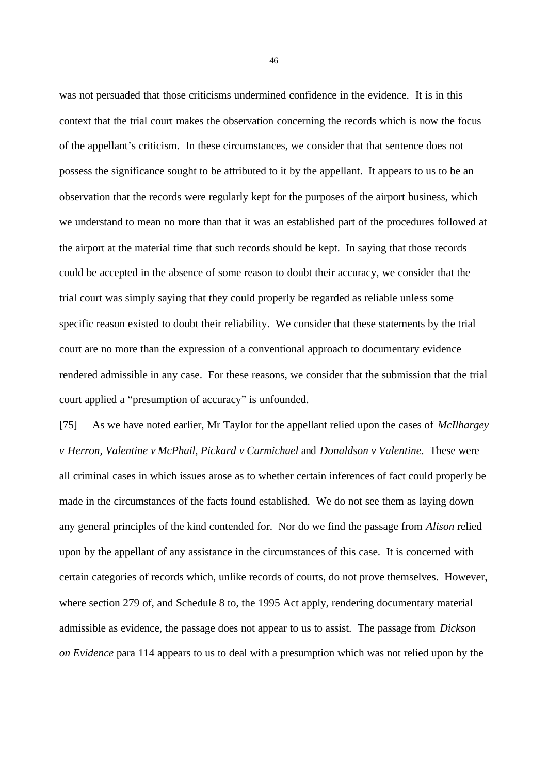was not persuaded that those criticisms undermined confidence in the evidence. It is in this context that the trial court makes the observation concerning the records which is now the focus of the appellant's criticism. In these circumstances, we consider that that sentence does not possess the significance sought to be attributed to it by the appellant. It appears to us to be an observation that the records were regularly kept for the purposes of the airport business, which we understand to mean no more than that it was an established part of the procedures followed at the airport at the material time that such records should be kept. In saying that those records could be accepted in the absence of some reason to doubt their accuracy, we consider that the trial court was simply saying that they could properly be regarded as reliable unless some specific reason existed to doubt their reliability. We consider that these statements by the trial court are no more than the expression of a conventional approach to documentary evidence rendered admissible in any case. For these reasons, we consider that the submission that the trial court applied a "presumption of accuracy" is unfounded.

[75] As we have noted earlier, Mr Taylor for the appellant relied upon the cases of *McIlhargey v Herron, Valentine v McPhail, Pickard v Carmichael* and *Donaldson v Valentine*. These were all criminal cases in which issues arose as to whether certain inferences of fact could properly be made in the circumstances of the facts found established. We do not see them as laying down any general principles of the kind contended for. Nor do we find the passage from *Alison* relied upon by the appellant of any assistance in the circumstances of this case. It is concerned with certain categories of records which, unlike records of courts, do not prove themselves. However, where section 279 of, and Schedule 8 to, the 1995 Act apply, rendering documentary material admissible as evidence, the passage does not appear to us to assist. The passage from *Dickson on Evidence* para 114 appears to us to deal with a presumption which was not relied upon by the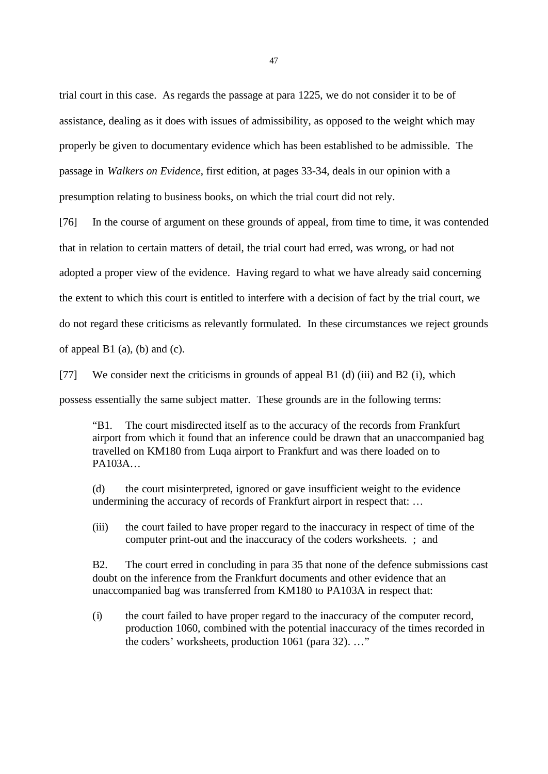trial court in this case. As regards the passage at para 1225, we do not consider it to be of assistance, dealing as it does with issues of admissibility, as opposed to the weight which may properly be given to documentary evidence which has been established to be admissible. The passage in *Walkers on Evidence*, first edition, at pages 33-34, deals in our opinion with a presumption relating to business books, on which the trial court did not rely.

[76] In the course of argument on these grounds of appeal, from time to time, it was contended that in relation to certain matters of detail, the trial court had erred, was wrong, or had not adopted a proper view of the evidence. Having regard to what we have already said concerning the extent to which this court is entitled to interfere with a decision of fact by the trial court, we do not regard these criticisms as relevantly formulated. In these circumstances we reject grounds of appeal  $B1$  (a), (b) and (c).

[77] We consider next the criticisms in grounds of appeal B1 (d) (iii) and B2 (i), which

possess essentially the same subject matter. These grounds are in the following terms:

"B1. The court misdirected itself as to the accuracy of the records from Frankfurt airport from which it found that an inference could be drawn that an unaccompanied bag travelled on KM180 from Luqa airport to Frankfurt and was there loaded on to PA103A…

(d) the court misinterpreted, ignored or gave insufficient weight to the evidence undermining the accuracy of records of Frankfurt airport in respect that: ...

(iii) the court failed to have proper regard to the inaccuracy in respect of time of the computer print-out and the inaccuracy of the coders worksheets. ; and

B2. The court erred in concluding in para 35 that none of the defence submissions cast doubt on the inference from the Frankfurt documents and other evidence that an unaccompanied bag was transferred from KM180 to PA103A in respect that:

(i) the court failed to have proper regard to the inaccuracy of the computer record, production 1060, combined with the potential inaccuracy of the times recorded in the coders' worksheets, production 1061 (para 32). …"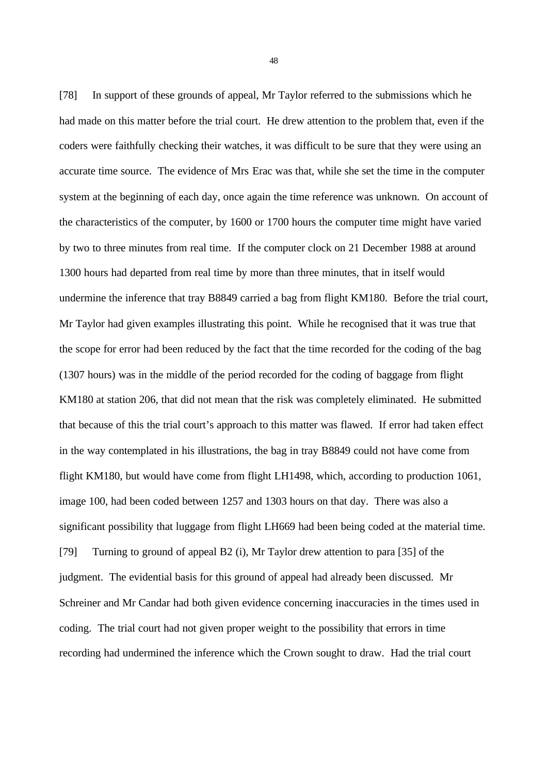[78] In support of these grounds of appeal, Mr Taylor referred to the submissions which he had made on this matter before the trial court. He drew attention to the problem that, even if the coders were faithfully checking their watches, it was difficult to be sure that they were using an accurate time source. The evidence of Mrs Erac was that, while she set the time in the computer system at the beginning of each day, once again the time reference was unknown. On account of the characteristics of the computer, by 1600 or 1700 hours the computer time might have varied by two to three minutes from real time. If the computer clock on 21 December 1988 at around 1300 hours had departed from real time by more than three minutes, that in itself would undermine the inference that tray B8849 carried a bag from flight KM180. Before the trial court, Mr Taylor had given examples illustrating this point. While he recognised that it was true that the scope for error had been reduced by the fact that the time recorded for the coding of the bag (1307 hours) was in the middle of the period recorded for the coding of baggage from flight KM180 at station 206, that did not mean that the risk was completely eliminated. He submitted that because of this the trial court's approach to this matter was flawed. If error had taken effect in the way contemplated in his illustrations, the bag in tray B8849 could not have come from flight KM180, but would have come from flight LH1498, which, according to production 1061, image 100, had been coded between 1257 and 1303 hours on that day. There was also a significant possibility that luggage from flight LH669 had been being coded at the material time. [79] Turning to ground of appeal B2 (i), Mr Taylor drew attention to para [35] of the judgment. The evidential basis for this ground of appeal had already been discussed. Mr Schreiner and Mr Candar had both given evidence concerning inaccuracies in the times used in coding. The trial court had not given proper weight to the possibility that errors in time recording had undermined the inference which the Crown sought to draw. Had the trial court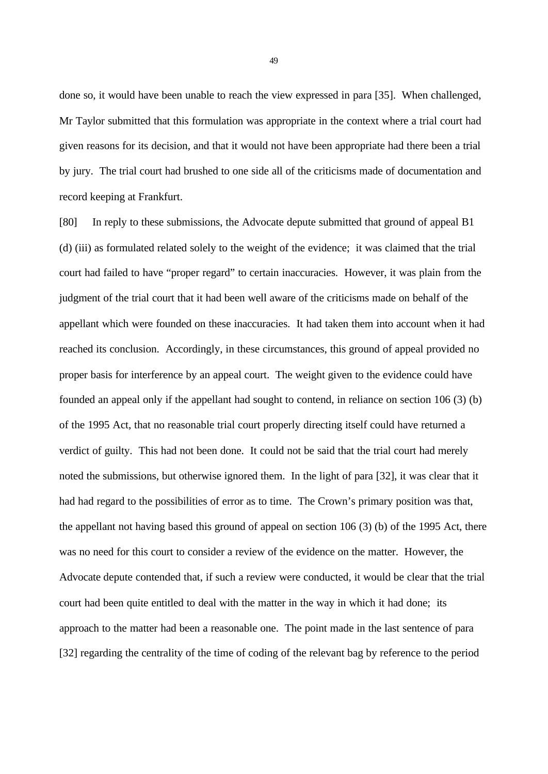done so, it would have been unable to reach the view expressed in para [35]. When challenged, Mr Taylor submitted that this formulation was appropriate in the context where a trial court had given reasons for its decision, and that it would not have been appropriate had there been a trial by jury. The trial court had brushed to one side all of the criticisms made of documentation and record keeping at Frankfurt.

[80] In reply to these submissions, the Advocate depute submitted that ground of appeal B1 (d) (iii) as formulated related solely to the weight of the evidence; it was claimed that the trial court had failed to have "proper regard" to certain inaccuracies. However, it was plain from the judgment of the trial court that it had been well aware of the criticisms made on behalf of the appellant which were founded on these inaccuracies. It had taken them into account when it had reached its conclusion. Accordingly, in these circumstances, this ground of appeal provided no proper basis for interference by an appeal court. The weight given to the evidence could have founded an appeal only if the appellant had sought to contend, in reliance on section 106 (3) (b) of the 1995 Act, that no reasonable trial court properly directing itself could have returned a verdict of guilty. This had not been done. It could not be said that the trial court had merely noted the submissions, but otherwise ignored them. In the light of para [32], it was clear that it had had regard to the possibilities of error as to time. The Crown's primary position was that, the appellant not having based this ground of appeal on section 106 (3) (b) of the 1995 Act, there was no need for this court to consider a review of the evidence on the matter. However, the Advocate depute contended that, if such a review were conducted, it would be clear that the trial court had been quite entitled to deal with the matter in the way in which it had done; its approach to the matter had been a reasonable one. The point made in the last sentence of para [32] regarding the centrality of the time of coding of the relevant bag by reference to the period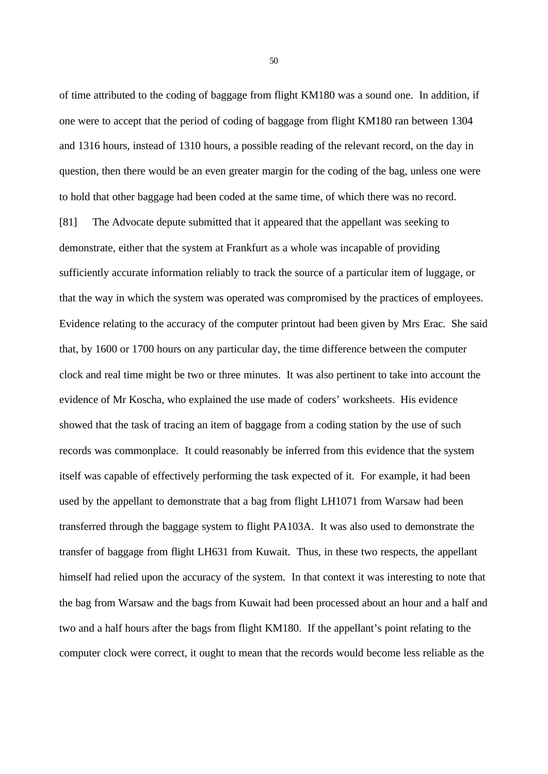of time attributed to the coding of baggage from flight KM180 was a sound one. In addition, if one were to accept that the period of coding of baggage from flight KM180 ran between 1304 and 1316 hours, instead of 1310 hours, a possible reading of the relevant record, on the day in question, then there would be an even greater margin for the coding of the bag, unless one were to hold that other baggage had been coded at the same time, of which there was no record.

[81] The Advocate depute submitted that it appeared that the appellant was seeking to demonstrate, either that the system at Frankfurt as a whole was incapable of providing sufficiently accurate information reliably to track the source of a particular item of luggage, or that the way in which the system was operated was compromised by the practices of employees. Evidence relating to the accuracy of the computer printout had been given by Mrs Erac. She said that, by 1600 or 1700 hours on any particular day, the time difference between the computer clock and real time might be two or three minutes. It was also pertinent to take into account the evidence of Mr Koscha, who explained the use made of coders' worksheets. His evidence showed that the task of tracing an item of baggage from a coding station by the use of such records was commonplace. It could reasonably be inferred from this evidence that the system itself was capable of effectively performing the task expected of it. For example, it had been used by the appellant to demonstrate that a bag from flight LH1071 from Warsaw had been transferred through the baggage system to flight PA103A. It was also used to demonstrate the transfer of baggage from flight LH631 from Kuwait. Thus, in these two respects, the appellant himself had relied upon the accuracy of the system. In that context it was interesting to note that the bag from Warsaw and the bags from Kuwait had been processed about an hour and a half and two and a half hours after the bags from flight KM180. If the appellant's point relating to the computer clock were correct, it ought to mean that the records would become less reliable as the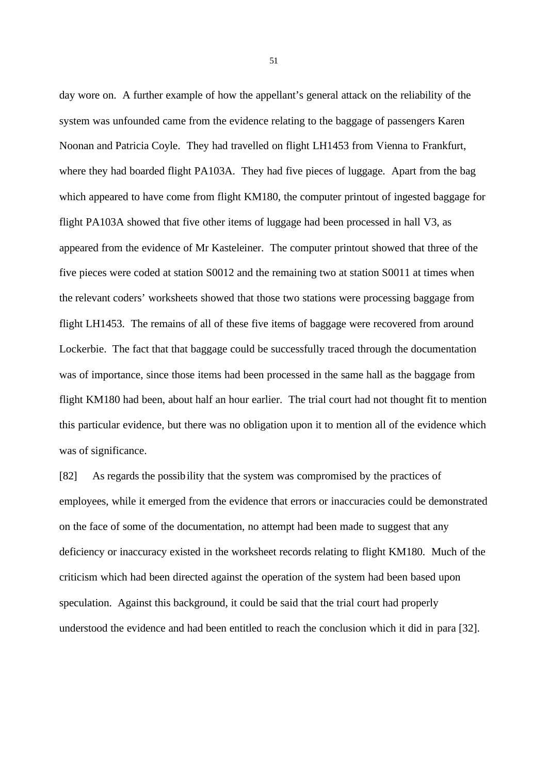day wore on. A further example of how the appellant's general attack on the reliability of the system was unfounded came from the evidence relating to the baggage of passengers Karen Noonan and Patricia Coyle. They had travelled on flight LH1453 from Vienna to Frankfurt, where they had boarded flight PA103A. They had five pieces of luggage. Apart from the bag which appeared to have come from flight KM180, the computer printout of ingested baggage for flight PA103A showed that five other items of luggage had been processed in hall V3, as appeared from the evidence of Mr Kasteleiner. The computer printout showed that three of the five pieces were coded at station S0012 and the remaining two at station S0011 at times when the relevant coders' worksheets showed that those two stations were processing baggage from flight LH1453. The remains of all of these five items of baggage were recovered from around Lockerbie. The fact that that baggage could be successfully traced through the documentation was of importance, since those items had been processed in the same hall as the baggage from flight KM180 had been, about half an hour earlier. The trial court had not thought fit to mention this particular evidence, but there was no obligation upon it to mention all of the evidence which was of significance.

[82] As regards the possibility that the system was compromised by the practices of employees, while it emerged from the evidence that errors or inaccuracies could be demonstrated on the face of some of the documentation, no attempt had been made to suggest that any deficiency or inaccuracy existed in the worksheet records relating to flight KM180. Much of the criticism which had been directed against the operation of the system had been based upon speculation. Against this background, it could be said that the trial court had properly understood the evidence and had been entitled to reach the conclusion which it did in para [32].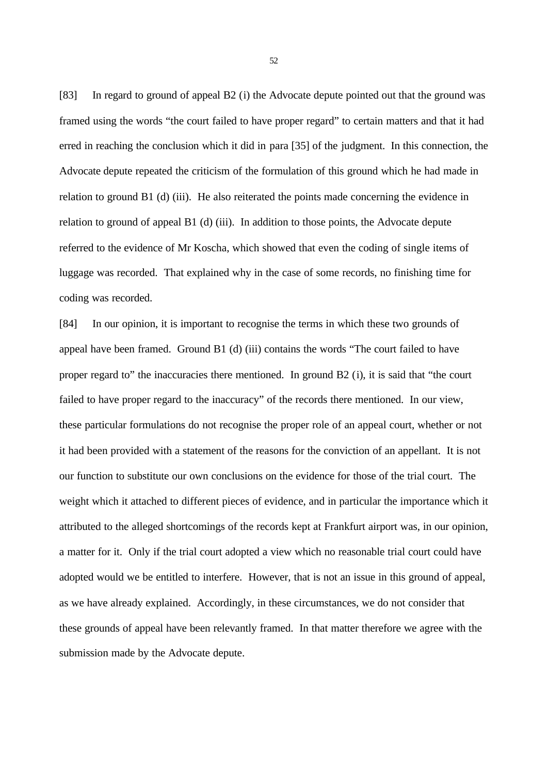[83] In regard to ground of appeal B2 (i) the Advocate depute pointed out that the ground was framed using the words "the court failed to have proper regard" to certain matters and that it had erred in reaching the conclusion which it did in para [35] of the judgment. In this connection, the Advocate depute repeated the criticism of the formulation of this ground which he had made in relation to ground B1 (d) (iii). He also reiterated the points made concerning the evidence in relation to ground of appeal B1 (d) (iii). In addition to those points, the Advocate depute referred to the evidence of Mr Koscha, which showed that even the coding of single items of luggage was recorded. That explained why in the case of some records, no finishing time for coding was recorded.

[84] In our opinion, it is important to recognise the terms in which these two grounds of appeal have been framed. Ground B1 (d) (iii) contains the words "The court failed to have proper regard to" the inaccuracies there mentioned. In ground B2 (i), it is said that "the court failed to have proper regard to the inaccuracy" of the records there mentioned. In our view, these particular formulations do not recognise the proper role of an appeal court, whether or not it had been provided with a statement of the reasons for the conviction of an appellant. It is not our function to substitute our own conclusions on the evidence for those of the trial court. The weight which it attached to different pieces of evidence, and in particular the importance which it attributed to the alleged shortcomings of the records kept at Frankfurt airport was, in our opinion, a matter for it. Only if the trial court adopted a view which no reasonable trial court could have adopted would we be entitled to interfere. However, that is not an issue in this ground of appeal, as we have already explained. Accordingly, in these circumstances, we do not consider that these grounds of appeal have been relevantly framed. In that matter therefore we agree with the submission made by the Advocate depute.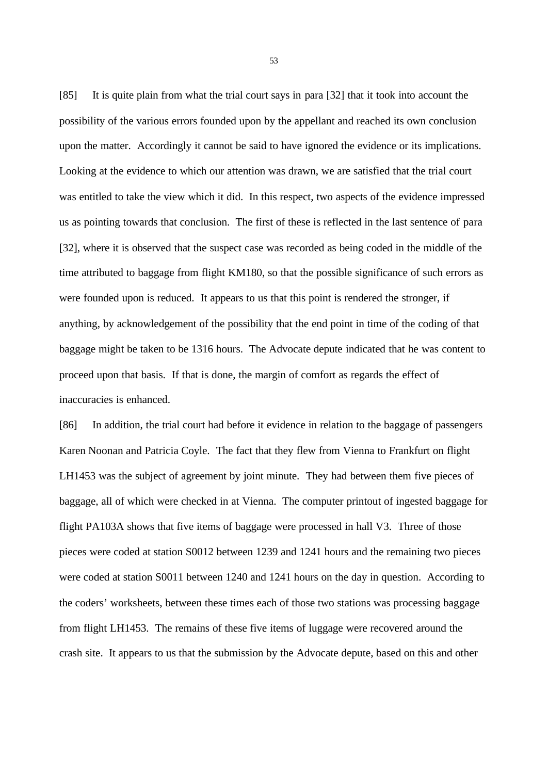[85] It is quite plain from what the trial court says in para [32] that it took into account the possibility of the various errors founded upon by the appellant and reached its own conclusion upon the matter. Accordingly it cannot be said to have ignored the evidence or its implications. Looking at the evidence to which our attention was drawn, we are satisfied that the trial court was entitled to take the view which it did. In this respect, two aspects of the evidence impressed us as pointing towards that conclusion. The first of these is reflected in the last sentence of para [32], where it is observed that the suspect case was recorded as being coded in the middle of the time attributed to baggage from flight KM180, so that the possible significance of such errors as were founded upon is reduced. It appears to us that this point is rendered the stronger, if anything, by acknowledgement of the possibility that the end point in time of the coding of that baggage might be taken to be 1316 hours. The Advocate depute indicated that he was content to proceed upon that basis. If that is done, the margin of comfort as regards the effect of inaccuracies is enhanced.

[86] In addition, the trial court had before it evidence in relation to the baggage of passengers Karen Noonan and Patricia Coyle. The fact that they flew from Vienna to Frankfurt on flight LH1453 was the subject of agreement by joint minute. They had between them five pieces of baggage, all of which were checked in at Vienna. The computer printout of ingested baggage for flight PA103A shows that five items of baggage were processed in hall V3. Three of those pieces were coded at station S0012 between 1239 and 1241 hours and the remaining two pieces were coded at station S0011 between 1240 and 1241 hours on the day in question. According to the coders' worksheets, between these times each of those two stations was processing baggage from flight LH1453. The remains of these five items of luggage were recovered around the crash site. It appears to us that the submission by the Advocate depute, based on this and other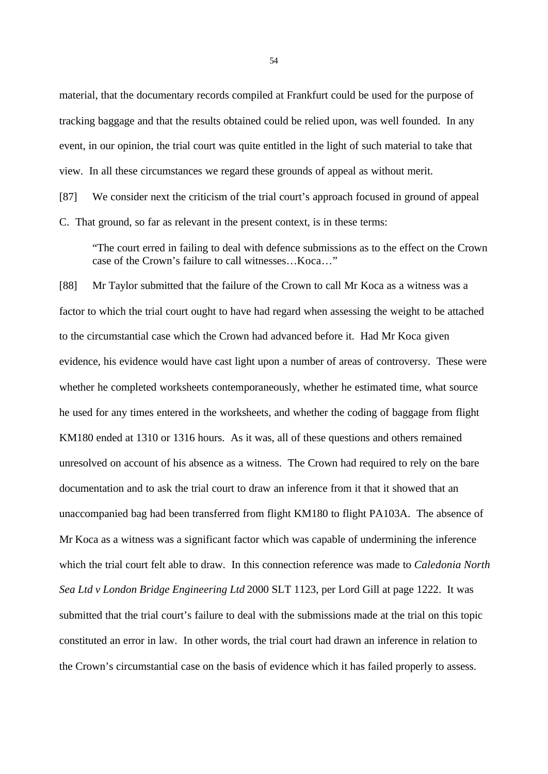material, that the documentary records compiled at Frankfurt could be used for the purpose of tracking baggage and that the results obtained could be relied upon, was well founded. In any event, in our opinion, the trial court was quite entitled in the light of such material to take that view. In all these circumstances we regard these grounds of appeal as without merit.

[87] We consider next the criticism of the trial court's approach focused in ground of appeal C. That ground, so far as relevant in the present context, is in these terms:

"The court erred in failing to deal with defence submissions as to the effect on the Crown case of the Crown's failure to call witnesses…Koca…"

[88] Mr Taylor submitted that the failure of the Crown to call Mr Koca as a witness was a factor to which the trial court ought to have had regard when assessing the weight to be attached to the circumstantial case which the Crown had advanced before it. Had Mr Koca given evidence, his evidence would have cast light upon a number of areas of controversy. These were whether he completed worksheets contemporaneously, whether he estimated time, what source he used for any times entered in the worksheets, and whether the coding of baggage from flight KM180 ended at 1310 or 1316 hours. As it was, all of these questions and others remained unresolved on account of his absence as a witness. The Crown had required to rely on the bare documentation and to ask the trial court to draw an inference from it that it showed that an unaccompanied bag had been transferred from flight KM180 to flight PA103A. The absence of Mr Koca as a witness was a significant factor which was capable of undermining the inference which the trial court felt able to draw. In this connection reference was made to *Caledonia North Sea Ltd v London Bridge Engineering Ltd* 2000 SLT 1123, per Lord Gill at page 1222. It was submitted that the trial court's failure to deal with the submissions made at the trial on this topic constituted an error in law. In other words, the trial court had drawn an inference in relation to the Crown's circumstantial case on the basis of evidence which it has failed properly to assess.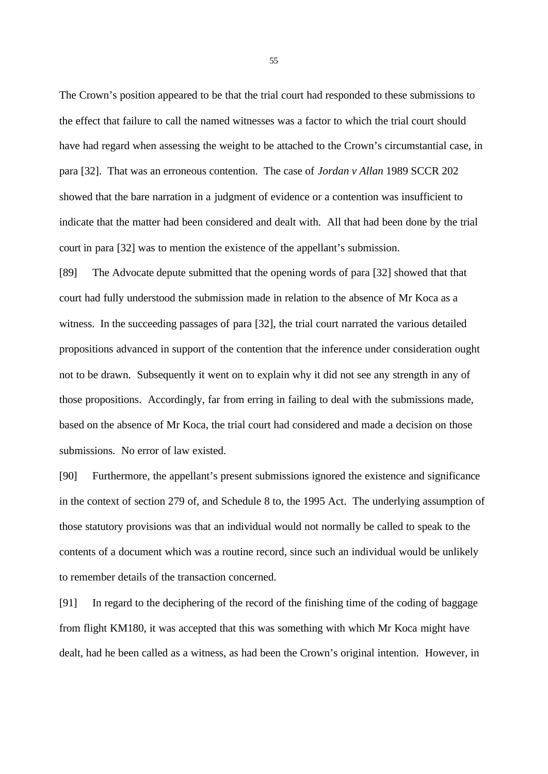The Crown's position appeared to be that the trial court had responded to these submissions to the effect that failure to call the named witnesses was a factor to which the trial court should have had regard when assessing the weight to be attached to the Crown's circumstantial case, in para [32]. That was an erroneous contention. The case of *Jordan v Allan* 1989 SCCR 202 showed that the bare narration in a judgment of evidence or a contention was insufficient to indicate that the matter had been considered and dealt with. All that had been done by the trial court in para [32] was to mention the existence of the appellant's submission.

[89] The Advocate depute submitted that the opening words of para [32] showed that that court had fully understood the submission made in relation to the absence of Mr Koca as a witness. In the succeeding passages of para [32], the trial court narrated the various detailed propositions advanced in support of the contention that the inference under consideration ought not to be drawn. Subsequently it went on to explain why it did not see any strength in any of those propositions. Accordingly, far from erring in failing to deal with the submissions made, based on the absence of Mr Koca, the trial court had considered and made a decision on those submissions. No error of law existed.

[90] Furthermore, the appellant's present submissions ignored the existence and significance in the context of section 279 of, and Schedule 8 to, the 1995 Act. The underlying assumption of those statutory provisions was that an individual would not normally be called to speak to the contents of a document which was a routine record, since such an individual would be unlikely to remember details of the transaction concerned.

[91] In regard to the deciphering of the record of the finishing time of the coding of baggage from flight KM180, it was accepted that this was something with which Mr Koca might have dealt, had he been called as a witness, as had been the Crown's original intention. However, in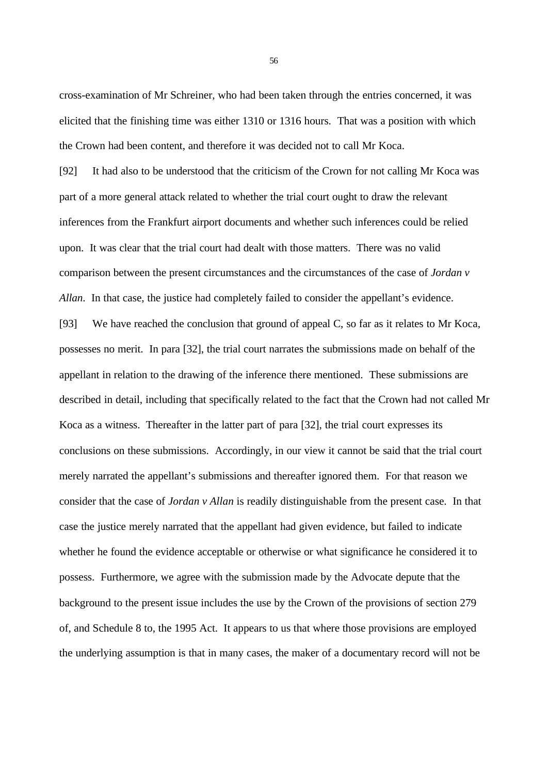cross-examination of Mr Schreiner, who had been taken through the entries concerned, it was elicited that the finishing time was either 1310 or 1316 hours. That was a position with which the Crown had been content, and therefore it was decided not to call Mr Koca.

[92] It had also to be understood that the criticism of the Crown for not calling Mr Koca was part of a more general attack related to whether the trial court ought to draw the relevant inferences from the Frankfurt airport documents and whether such inferences could be relied upon. It was clear that the trial court had dealt with those matters. There was no valid comparison between the present circumstances and the circumstances of the case of *Jordan v Allan*. In that case, the justice had completely failed to consider the appellant's evidence. [93] We have reached the conclusion that ground of appeal C, so far as it relates to Mr Koca, possesses no merit. In para [32], the trial court narrates the submissions made on behalf of the appellant in relation to the drawing of the inference there mentioned. These submissions are described in detail, including that specifically related to the fact that the Crown had not called Mr Koca as a witness. Thereafter in the latter part of para [32], the trial court expresses its conclusions on these submissions. Accordingly, in our view it cannot be said that the trial court merely narrated the appellant's submissions and thereafter ignored them. For that reason we consider that the case of *Jordan v Allan* is readily distinguishable from the present case. In that case the justice merely narrated that the appellant had given evidence, but failed to indicate whether he found the evidence acceptable or otherwise or what significance he considered it to possess. Furthermore, we agree with the submission made by the Advocate depute that the background to the present issue includes the use by the Crown of the provisions of section 279 of, and Schedule 8 to, the 1995 Act. It appears to us that where those provisions are employed the underlying assumption is that in many cases, the maker of a documentary record will not be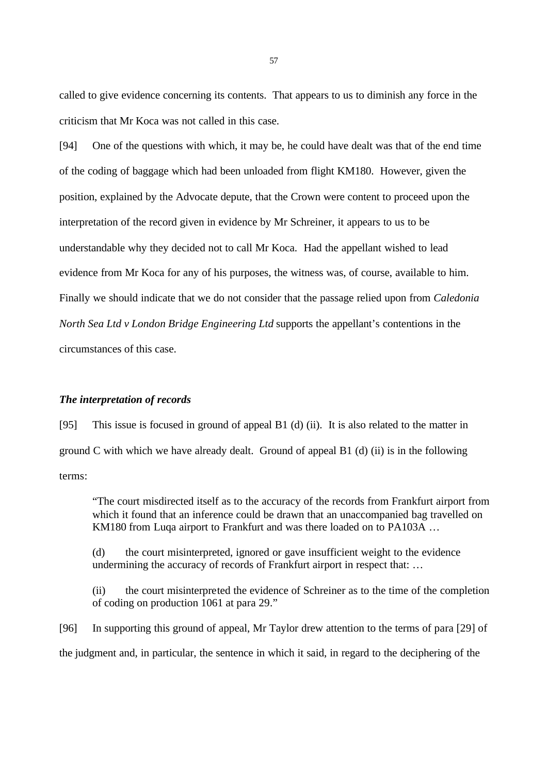called to give evidence concerning its contents. That appears to us to diminish any force in the criticism that Mr Koca was not called in this case.

[94] One of the questions with which, it may be, he could have dealt was that of the end time of the coding of baggage which had been unloaded from flight KM180. However, given the position, explained by the Advocate depute, that the Crown were content to proceed upon the interpretation of the record given in evidence by Mr Schreiner, it appears to us to be understandable why they decided not to call Mr Koca. Had the appellant wished to lead evidence from Mr Koca for any of his purposes, the witness was, of course, available to him. Finally we should indicate that we do not consider that the passage relied upon from *Caledonia North Sea Ltd v London Bridge Engineering Ltd* supports the appellant's contentions in the circumstances of this case.

## *The interpretation of records*

[95] This issue is focused in ground of appeal B1 (d) (ii). It is also related to the matter in ground C with which we have already dealt. Ground of appeal B1 (d) (ii) is in the following terms:

"The court misdirected itself as to the accuracy of the records from Frankfurt airport from which it found that an inference could be drawn that an unaccompanied bag travelled on KM180 from Luqa airport to Frankfurt and was there loaded on to PA103A ...

(d) the court misinterpreted, ignored or gave insufficient weight to the evidence undermining the accuracy of records of Frankfurt airport in respect that: …

(ii) the court misinterpreted the evidence of Schreiner as to the time of the completion of coding on production 1061 at para 29."

[96] In supporting this ground of appeal, Mr Taylor drew attention to the terms of para [29] of the judgment and, in particular, the sentence in which it said, in regard to the deciphering of the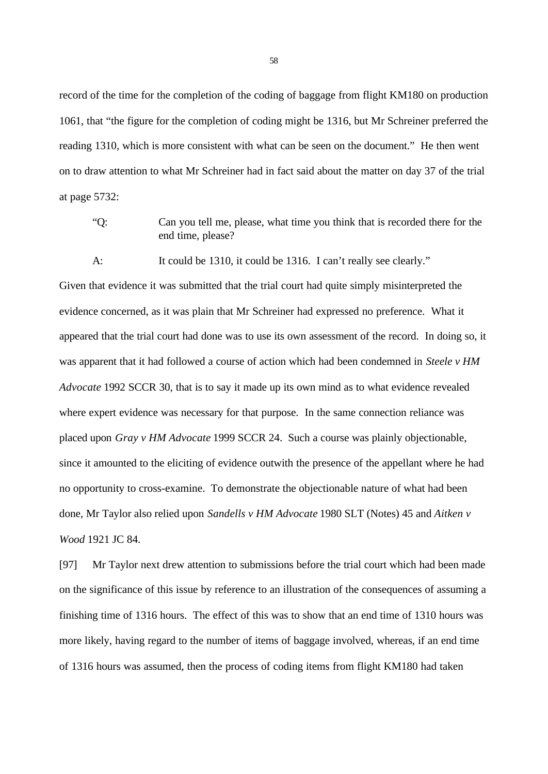record of the time for the completion of the coding of baggage from flight KM180 on production 1061, that "the figure for the completion of coding might be 1316, but Mr Schreiner preferred the reading 1310, which is more consistent with what can be seen on the document." He then went on to draw attention to what Mr Schreiner had in fact said about the matter on day 37 of the trial at page 5732:

"Q: Can you tell me, please, what time you think that is recorded there for the end time, please?

A: It could be 1310, it could be 1316. I can't really see clearly."

Given that evidence it was submitted that the trial court had quite simply misinterpreted the evidence concerned, as it was plain that Mr Schreiner had expressed no preference. What it appeared that the trial court had done was to use its own assessment of the record. In doing so, it was apparent that it had followed a course of action which had been condemned in *Steele v HM Advocate* 1992 SCCR 30, that is to say it made up its own mind as to what evidence revealed where expert evidence was necessary for that purpose. In the same connection reliance was placed upon *Gray v HM Advocate* 1999 SCCR 24. Such a course was plainly objectionable, since it amounted to the eliciting of evidence outwith the presence of the appellant where he had no opportunity to cross-examine. To demonstrate the objectionable nature of what had been done, Mr Taylor also relied upon *Sandells v HM Advocate* 1980 SLT (Notes) 45 and *Aitken v Wood* 1921 JC 84.

[97] Mr Taylor next drew attention to submissions before the trial court which had been made on the significance of this issue by reference to an illustration of the consequences of assuming a finishing time of 1316 hours. The effect of this was to show that an end time of 1310 hours was more likely, having regard to the number of items of baggage involved, whereas, if an end time of 1316 hours was assumed, then the process of coding items from flight KM180 had taken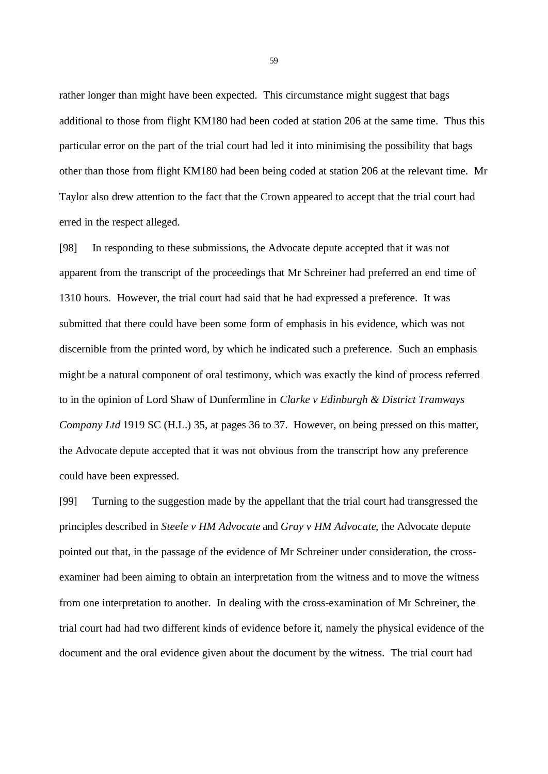rather longer than might have been expected. This circumstance might suggest that bags additional to those from flight KM180 had been coded at station 206 at the same time. Thus this particular error on the part of the trial court had led it into minimising the possibility that bags other than those from flight KM180 had been being coded at station 206 at the relevant time. Mr Taylor also drew attention to the fact that the Crown appeared to accept that the trial court had erred in the respect alleged.

[98] In responding to these submissions, the Advocate depute accepted that it was not apparent from the transcript of the proceedings that Mr Schreiner had preferred an end time of 1310 hours. However, the trial court had said that he had expressed a preference. It was submitted that there could have been some form of emphasis in his evidence, which was not discernible from the printed word, by which he indicated such a preference. Such an emphasis might be a natural component of oral testimony, which was exactly the kind of process referred to in the opinion of Lord Shaw of Dunfermline in *Clarke v Edinburgh & District Tramways Company Ltd* 1919 SC (H.L.) 35, at pages 36 to 37. However, on being pressed on this matter, the Advocate depute accepted that it was not obvious from the transcript how any preference could have been expressed.

[99] Turning to the suggestion made by the appellant that the trial court had transgressed the principles described in *Steele v HM Advocate* and *Gray v HM Advocate*, the Advocate depute pointed out that, in the passage of the evidence of Mr Schreiner under consideration, the crossexaminer had been aiming to obtain an interpretation from the witness and to move the witness from one interpretation to another. In dealing with the cross-examination of Mr Schreiner, the trial court had had two different kinds of evidence before it, namely the physical evidence of the document and the oral evidence given about the document by the witness. The trial court had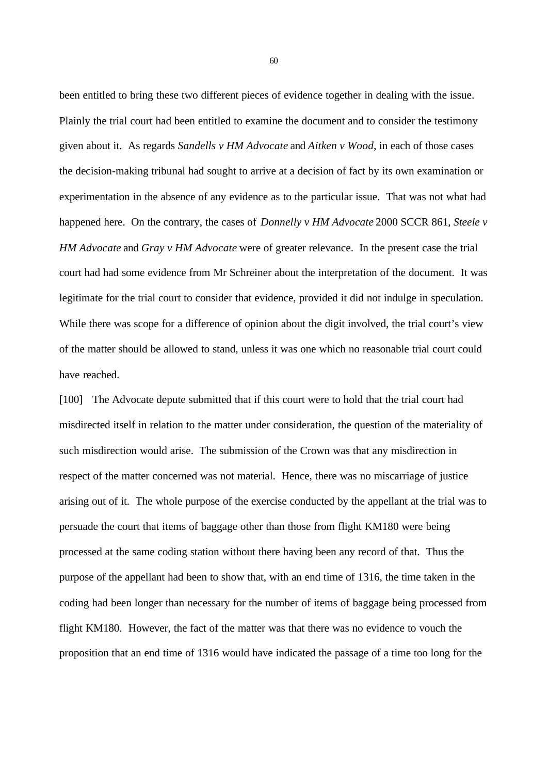been entitled to bring these two different pieces of evidence together in dealing with the issue. Plainly the trial court had been entitled to examine the document and to consider the testimony given about it. As regards *Sandells v HM Advocate* and *Aitken v Wood*, in each of those cases the decision-making tribunal had sought to arrive at a decision of fact by its own examination or experimentation in the absence of any evidence as to the particular issue. That was not what had happened here. On the contrary, the cases of *Donnelly v HM Advocate* 2000 SCCR 861, *Steele v HM Advocate* and *Gray v HM Advocate* were of greater relevance. In the present case the trial court had had some evidence from Mr Schreiner about the interpretation of the document. It was legitimate for the trial court to consider that evidence, provided it did not indulge in speculation. While there was scope for a difference of opinion about the digit involved, the trial court's view of the matter should be allowed to stand, unless it was one which no reasonable trial court could have reached.

[100] The Advocate depute submitted that if this court were to hold that the trial court had misdirected itself in relation to the matter under consideration, the question of the materiality of such misdirection would arise. The submission of the Crown was that any misdirection in respect of the matter concerned was not material. Hence, there was no miscarriage of justice arising out of it. The whole purpose of the exercise conducted by the appellant at the trial was to persuade the court that items of baggage other than those from flight KM180 were being processed at the same coding station without there having been any record of that. Thus the purpose of the appellant had been to show that, with an end time of 1316, the time taken in the coding had been longer than necessary for the number of items of baggage being processed from flight KM180. However, the fact of the matter was that there was no evidence to vouch the proposition that an end time of 1316 would have indicated the passage of a time too long for the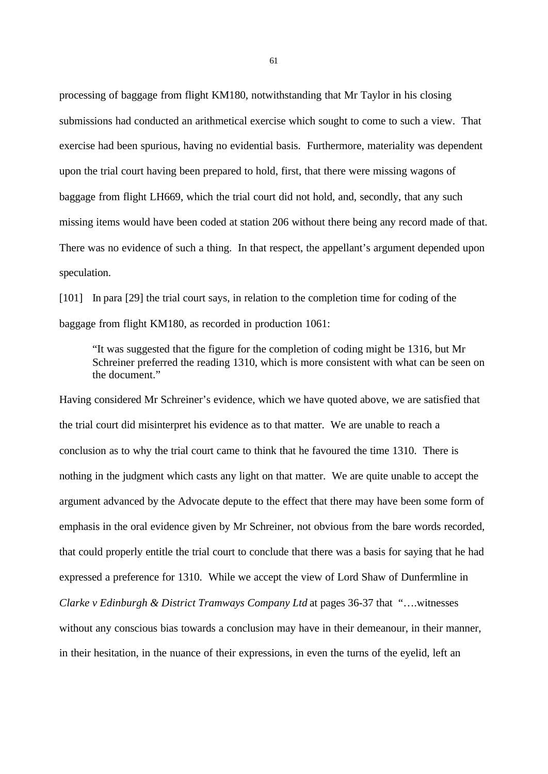processing of baggage from flight KM180, notwithstanding that Mr Taylor in his closing submissions had conducted an arithmetical exercise which sought to come to such a view. That exercise had been spurious, having no evidential basis. Furthermore, materiality was dependent upon the trial court having been prepared to hold, first, that there were missing wagons of baggage from flight LH669, which the trial court did not hold, and, secondly, that any such missing items would have been coded at station 206 without there being any record made of that. There was no evidence of such a thing. In that respect, the appellant's argument depended upon speculation.

[101] In para [29] the trial court says, in relation to the completion time for coding of the baggage from flight KM180, as recorded in production 1061:

"It was suggested that the figure for the completion of coding might be 1316, but Mr Schreiner preferred the reading 1310, which is more consistent with what can be seen on the document."

Having considered Mr Schreiner's evidence, which we have quoted above, we are satisfied that the trial court did misinterpret his evidence as to that matter. We are unable to reach a conclusion as to why the trial court came to think that he favoured the time 1310. There is nothing in the judgment which casts any light on that matter. We are quite unable to accept the argument advanced by the Advocate depute to the effect that there may have been some form of emphasis in the oral evidence given by Mr Schreiner, not obvious from the bare words recorded, that could properly entitle the trial court to conclude that there was a basis for saying that he had expressed a preference for 1310. While we accept the view of Lord Shaw of Dunfermline in *Clarke v Edinburgh & District Tramways Company Ltd* at pages 36-37 that "….witnesses without any conscious bias towards a conclusion may have in their demeanour, in their manner, in their hesitation, in the nuance of their expressions, in even the turns of the eyelid, left an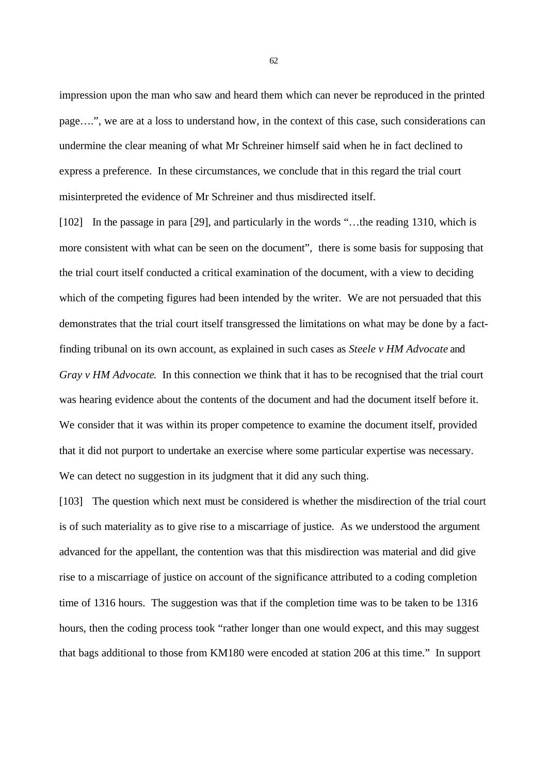impression upon the man who saw and heard them which can never be reproduced in the printed page….", we are at a loss to understand how, in the context of this case, such considerations can undermine the clear meaning of what Mr Schreiner himself said when he in fact declined to express a preference. In these circumstances, we conclude that in this regard the trial court misinterpreted the evidence of Mr Schreiner and thus misdirected itself.

[102] In the passage in para [29], and particularly in the words "...the reading 1310, which is more consistent with what can be seen on the document", there is some basis for supposing that the trial court itself conducted a critical examination of the document, with a view to deciding which of the competing figures had been intended by the writer. We are not persuaded that this demonstrates that the trial court itself transgressed the limitations on what may be done by a factfinding tribunal on its own account, as explained in such cases as *Steele v HM Advocate* and *Gray v HM Advocate*. In this connection we think that it has to be recognised that the trial court was hearing evidence about the contents of the document and had the document itself before it. We consider that it was within its proper competence to examine the document itself, provided that it did not purport to undertake an exercise where some particular expertise was necessary. We can detect no suggestion in its judgment that it did any such thing.

[103] The question which next must be considered is whether the misdirection of the trial court is of such materiality as to give rise to a miscarriage of justice. As we understood the argument advanced for the appellant, the contention was that this misdirection was material and did give rise to a miscarriage of justice on account of the significance attributed to a coding completion time of 1316 hours. The suggestion was that if the completion time was to be taken to be 1316 hours, then the coding process took "rather longer than one would expect, and this may suggest that bags additional to those from KM180 were encoded at station 206 at this time." In support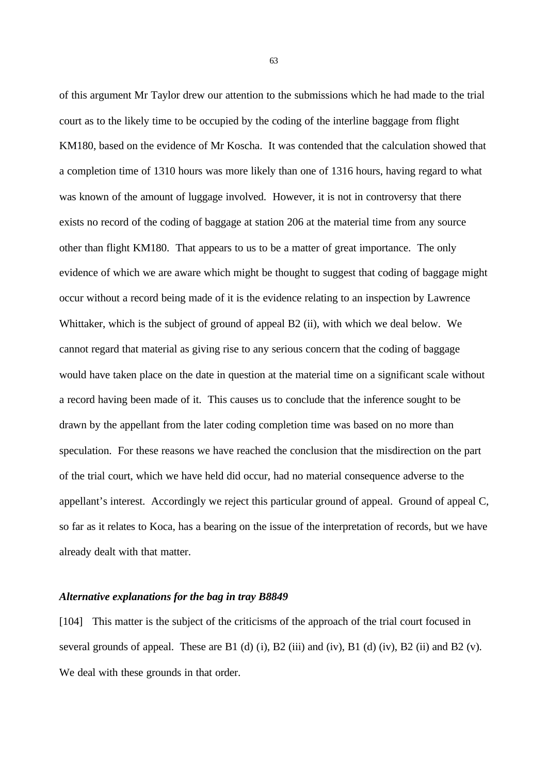of this argument Mr Taylor drew our attention to the submissions which he had made to the trial court as to the likely time to be occupied by the coding of the interline baggage from flight KM180, based on the evidence of Mr Koscha. It was contended that the calculation showed that a completion time of 1310 hours was more likely than one of 1316 hours, having regard to what was known of the amount of luggage involved. However, it is not in controversy that there exists no record of the coding of baggage at station 206 at the material time from any source other than flight KM180. That appears to us to be a matter of great importance. The only evidence of which we are aware which might be thought to suggest that coding of baggage might occur without a record being made of it is the evidence relating to an inspection by Lawrence Whittaker, which is the subject of ground of appeal B2 (ii), with which we deal below. We cannot regard that material as giving rise to any serious concern that the coding of baggage would have taken place on the date in question at the material time on a significant scale without a record having been made of it. This causes us to conclude that the inference sought to be drawn by the appellant from the later coding completion time was based on no more than speculation. For these reasons we have reached the conclusion that the misdirection on the part of the trial court, which we have held did occur, had no material consequence adverse to the appellant's interest. Accordingly we reject this particular ground of appeal. Ground of appeal C, so far as it relates to Koca, has a bearing on the issue of the interpretation of records, but we have already dealt with that matter.

## *Alternative explanations for the bag in tray B8849*

[104] This matter is the subject of the criticisms of the approach of the trial court focused in several grounds of appeal. These are B1 (d) (i), B2 (iii) and (iv), B1 (d) (iv), B2 (ii) and B2 (v). We deal with these grounds in that order.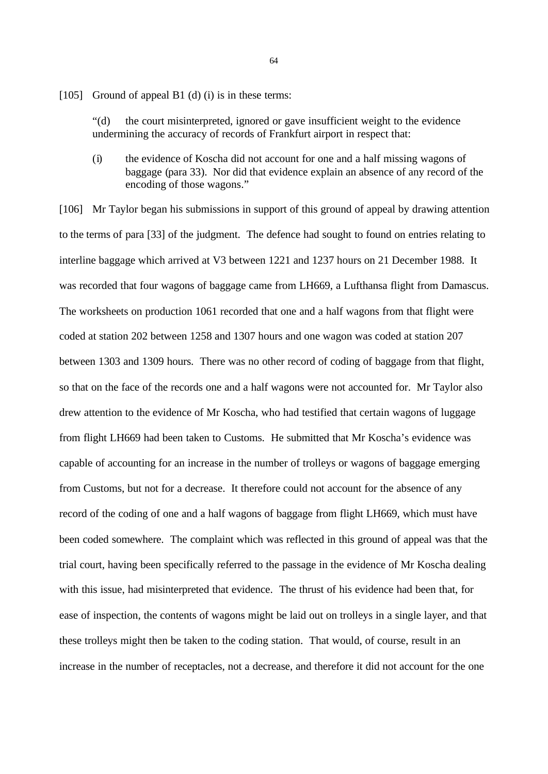[105] Ground of appeal B1 (d) (i) is in these terms:

"(d) the court misinterpreted, ignored or gave insufficient weight to the evidence undermining the accuracy of records of Frankfurt airport in respect that:

(i) the evidence of Koscha did not account for one and a half missing wagons of baggage (para 33). Nor did that evidence explain an absence of any record of the encoding of those wagons."

[106] Mr Taylor began his submissions in support of this ground of appeal by drawing attention to the terms of para [33] of the judgment. The defence had sought to found on entries relating to interline baggage which arrived at V3 between 1221 and 1237 hours on 21 December 1988. It was recorded that four wagons of baggage came from LH669, a Lufthansa flight from Damascus. The worksheets on production 1061 recorded that one and a half wagons from that flight were coded at station 202 between 1258 and 1307 hours and one wagon was coded at station 207 between 1303 and 1309 hours. There was no other record of coding of baggage from that flight, so that on the face of the records one and a half wagons were not accounted for. Mr Taylor also drew attention to the evidence of Mr Koscha, who had testified that certain wagons of luggage from flight LH669 had been taken to Customs. He submitted that Mr Koscha's evidence was capable of accounting for an increase in the number of trolleys or wagons of baggage emerging from Customs, but not for a decrease. It therefore could not account for the absence of any record of the coding of one and a half wagons of baggage from flight LH669, which must have been coded somewhere. The complaint which was reflected in this ground of appeal was that the trial court, having been specifically referred to the passage in the evidence of Mr Koscha dealing with this issue, had misinterpreted that evidence. The thrust of his evidence had been that, for ease of inspection, the contents of wagons might be laid out on trolleys in a single layer, and that these trolleys might then be taken to the coding station. That would, of course, result in an increase in the number of receptacles, not a decrease, and therefore it did not account for the one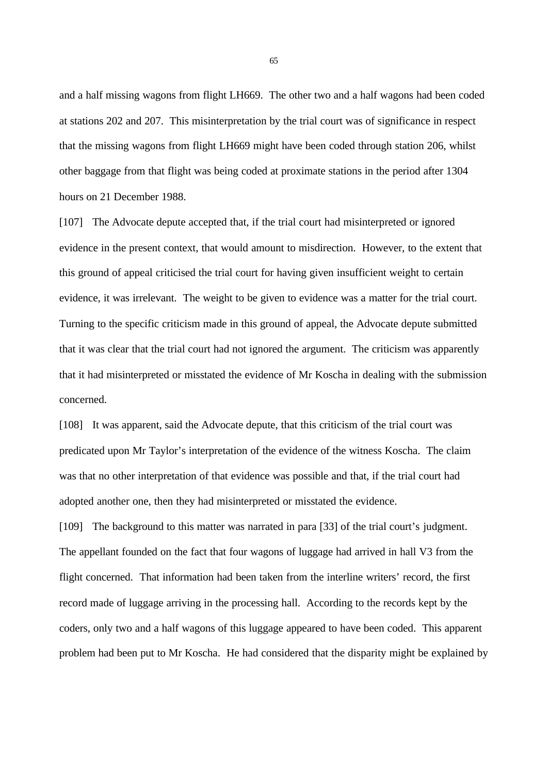and a half missing wagons from flight LH669. The other two and a half wagons had been coded at stations 202 and 207. This misinterpretation by the trial court was of significance in respect that the missing wagons from flight LH669 might have been coded through station 206, whilst other baggage from that flight was being coded at proximate stations in the period after 1304 hours on 21 December 1988.

[107] The Advocate depute accepted that, if the trial court had misinterpreted or ignored evidence in the present context, that would amount to misdirection. However, to the extent that this ground of appeal criticised the trial court for having given insufficient weight to certain evidence, it was irrelevant. The weight to be given to evidence was a matter for the trial court. Turning to the specific criticism made in this ground of appeal, the Advocate depute submitted that it was clear that the trial court had not ignored the argument. The criticism was apparently that it had misinterpreted or misstated the evidence of Mr Koscha in dealing with the submission concerned.

[108] It was apparent, said the Advocate depute, that this criticism of the trial court was predicated upon Mr Taylor's interpretation of the evidence of the witness Koscha. The claim was that no other interpretation of that evidence was possible and that, if the trial court had adopted another one, then they had misinterpreted or misstated the evidence.

[109] The background to this matter was narrated in para [33] of the trial court's judgment. The appellant founded on the fact that four wagons of luggage had arrived in hall V3 from the flight concerned. That information had been taken from the interline writers' record, the first record made of luggage arriving in the processing hall. According to the records kept by the coders, only two and a half wagons of this luggage appeared to have been coded. This apparent problem had been put to Mr Koscha. He had considered that the disparity might be explained by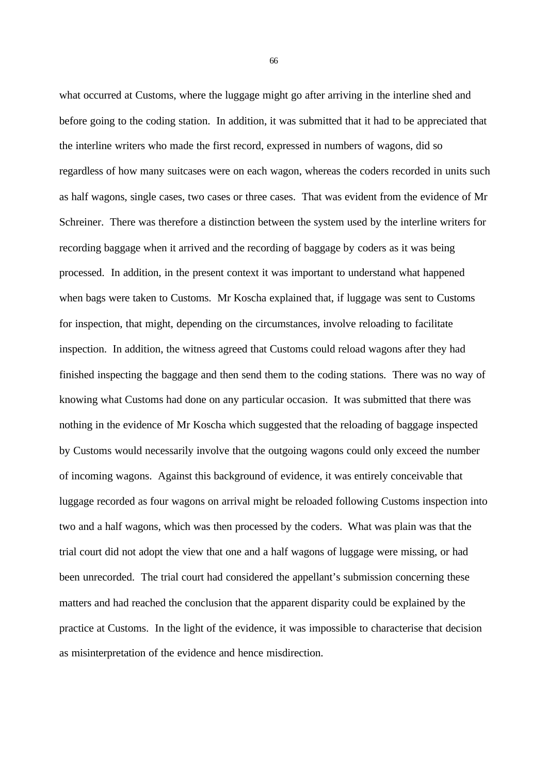what occurred at Customs, where the luggage might go after arriving in the interline shed and before going to the coding station. In addition, it was submitted that it had to be appreciated that the interline writers who made the first record, expressed in numbers of wagons, did so regardless of how many suitcases were on each wagon, whereas the coders recorded in units such as half wagons, single cases, two cases or three cases. That was evident from the evidence of Mr Schreiner. There was therefore a distinction between the system used by the interline writers for recording baggage when it arrived and the recording of baggage by coders as it was being processed. In addition, in the present context it was important to understand what happened when bags were taken to Customs. Mr Koscha explained that, if luggage was sent to Customs for inspection, that might, depending on the circumstances, involve reloading to facilitate inspection. In addition, the witness agreed that Customs could reload wagons after they had finished inspecting the baggage and then send them to the coding stations. There was no way of knowing what Customs had done on any particular occasion. It was submitted that there was nothing in the evidence of Mr Koscha which suggested that the reloading of baggage inspected by Customs would necessarily involve that the outgoing wagons could only exceed the number of incoming wagons. Against this background of evidence, it was entirely conceivable that luggage recorded as four wagons on arrival might be reloaded following Customs inspection into two and a half wagons, which was then processed by the coders. What was plain was that the trial court did not adopt the view that one and a half wagons of luggage were missing, or had been unrecorded. The trial court had considered the appellant's submission concerning these matters and had reached the conclusion that the apparent disparity could be explained by the practice at Customs. In the light of the evidence, it was impossible to characterise that decision as misinterpretation of the evidence and hence misdirection.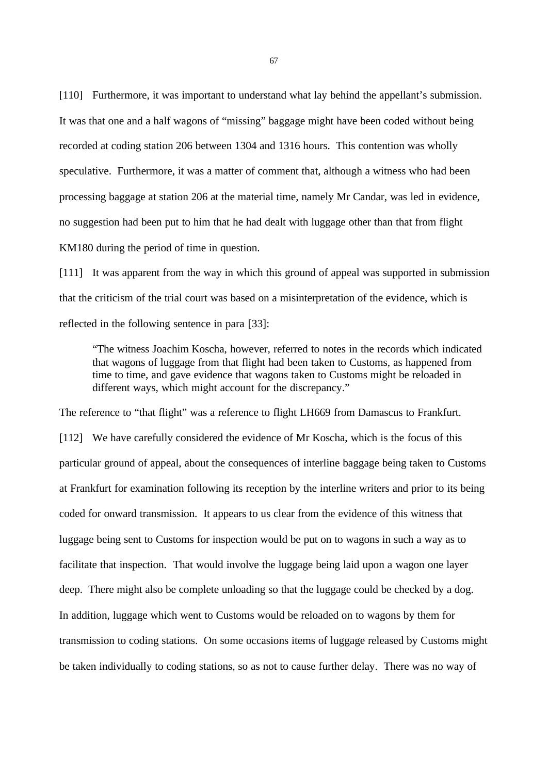[110] Furthermore, it was important to understand what lay behind the appellant's submission. It was that one and a half wagons of "missing" baggage might have been coded without being recorded at coding station 206 between 1304 and 1316 hours. This contention was wholly speculative. Furthermore, it was a matter of comment that, although a witness who had been processing baggage at station 206 at the material time, namely Mr Candar, was led in evidence, no suggestion had been put to him that he had dealt with luggage other than that from flight KM180 during the period of time in question.

[111] It was apparent from the way in which this ground of appeal was supported in submission that the criticism of the trial court was based on a misinterpretation of the evidence, which is reflected in the following sentence in para [33]:

"The witness Joachim Koscha, however, referred to notes in the records which indicated that wagons of luggage from that flight had been taken to Customs, as happened from time to time, and gave evidence that wagons taken to Customs might be reloaded in different ways, which might account for the discrepancy."

The reference to "that flight" was a reference to flight LH669 from Damascus to Frankfurt. [112] We have carefully considered the evidence of Mr Koscha, which is the focus of this particular ground of appeal, about the consequences of interline baggage being taken to Customs at Frankfurt for examination following its reception by the interline writers and prior to its being coded for onward transmission. It appears to us clear from the evidence of this witness that luggage being sent to Customs for inspection would be put on to wagons in such a way as to facilitate that inspection. That would involve the luggage being laid upon a wagon one layer deep. There might also be complete unloading so that the luggage could be checked by a dog. In addition, luggage which went to Customs would be reloaded on to wagons by them for transmission to coding stations. On some occasions items of luggage released by Customs might be taken individually to coding stations, so as not to cause further delay. There was no way of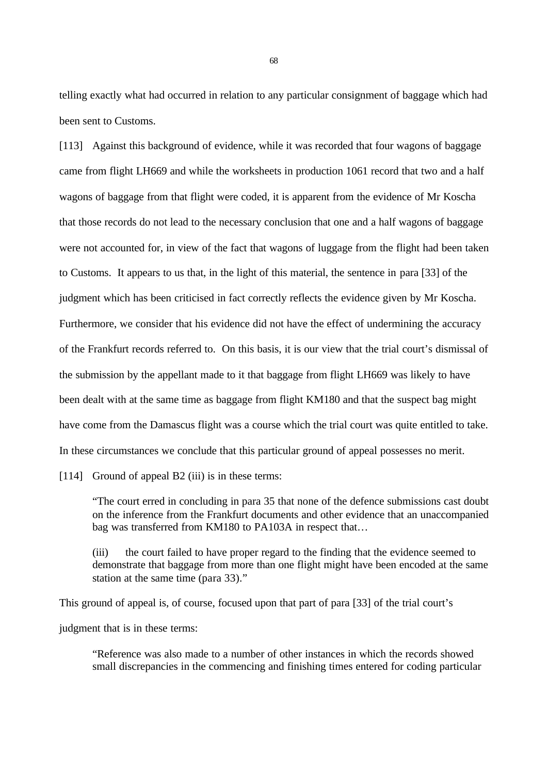telling exactly what had occurred in relation to any particular consignment of baggage which had been sent to Customs.

[113] Against this background of evidence, while it was recorded that four wagons of baggage came from flight LH669 and while the worksheets in production 1061 record that two and a half wagons of baggage from that flight were coded, it is apparent from the evidence of Mr Koscha that those records do not lead to the necessary conclusion that one and a half wagons of baggage were not accounted for, in view of the fact that wagons of luggage from the flight had been taken to Customs. It appears to us that, in the light of this material, the sentence in para [33] of the judgment which has been criticised in fact correctly reflects the evidence given by Mr Koscha. Furthermore, we consider that his evidence did not have the effect of undermining the accuracy of the Frankfurt records referred to. On this basis, it is our view that the trial court's dismissal of the submission by the appellant made to it that baggage from flight LH669 was likely to have been dealt with at the same time as baggage from flight KM180 and that the suspect bag might have come from the Damascus flight was a course which the trial court was quite entitled to take. In these circumstances we conclude that this particular ground of appeal possesses no merit.

[114] Ground of appeal B2 (iii) is in these terms:

"The court erred in concluding in para 35 that none of the defence submissions cast doubt on the inference from the Frankfurt documents and other evidence that an unaccompanied bag was transferred from KM180 to PA103A in respect that…

(iii) the court failed to have proper regard to the finding that the evidence seemed to demonstrate that baggage from more than one flight might have been encoded at the same station at the same time (para 33)."

This ground of appeal is, of course, focused upon that part of para [33] of the trial court's

judgment that is in these terms:

"Reference was also made to a number of other instances in which the records showed small discrepancies in the commencing and finishing times entered for coding particular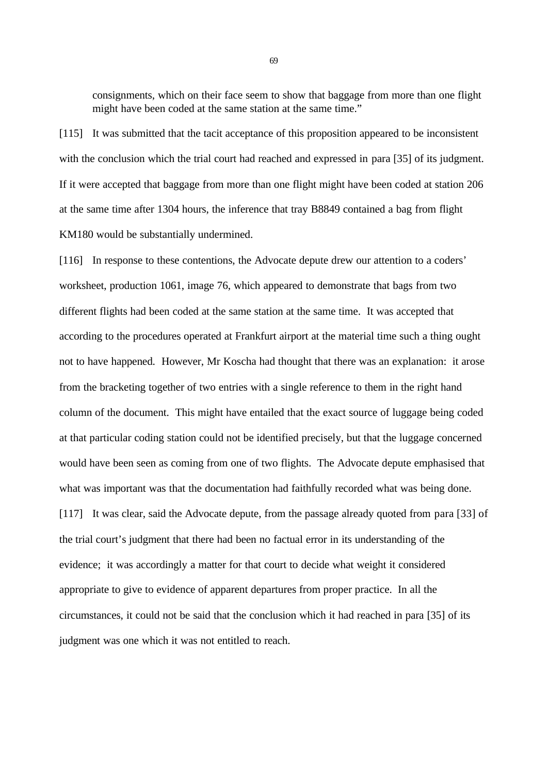consignments, which on their face seem to show that baggage from more than one flight might have been coded at the same station at the same time."

[115] It was submitted that the tacit acceptance of this proposition appeared to be inconsistent with the conclusion which the trial court had reached and expressed in para [35] of its judgment. If it were accepted that baggage from more than one flight might have been coded at station 206 at the same time after 1304 hours, the inference that tray B8849 contained a bag from flight KM180 would be substantially undermined.

[116] In response to these contentions, the Advocate depute drew our attention to a coders' worksheet, production 1061, image 76, which appeared to demonstrate that bags from two different flights had been coded at the same station at the same time. It was accepted that according to the procedures operated at Frankfurt airport at the material time such a thing ought not to have happened. However, Mr Koscha had thought that there was an explanation: it arose from the bracketing together of two entries with a single reference to them in the right hand column of the document. This might have entailed that the exact source of luggage being coded at that particular coding station could not be identified precisely, but that the luggage concerned would have been seen as coming from one of two flights. The Advocate depute emphasised that what was important was that the documentation had faithfully recorded what was being done. [117] It was clear, said the Advocate depute, from the passage already quoted from para [33] of the trial court's judgment that there had been no factual error in its understanding of the evidence; it was accordingly a matter for that court to decide what weight it considered appropriate to give to evidence of apparent departures from proper practice. In all the circumstances, it could not be said that the conclusion which it had reached in para [35] of its judgment was one which it was not entitled to reach.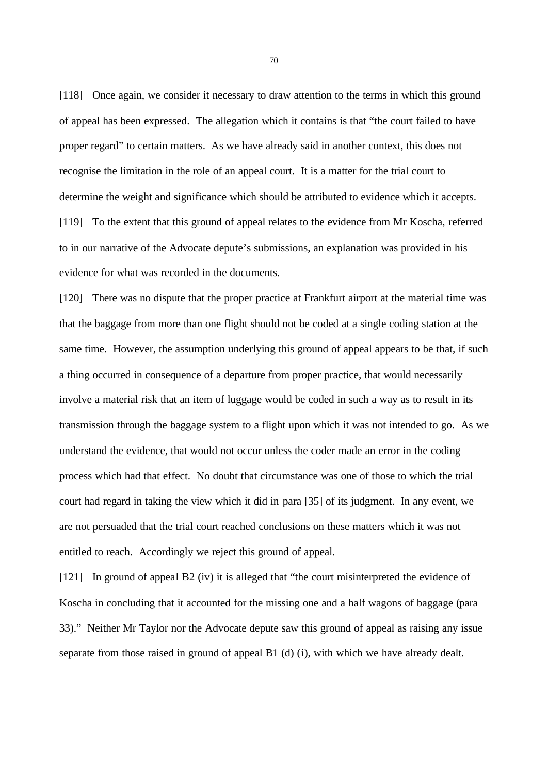[118] Once again, we consider it necessary to draw attention to the terms in which this ground of appeal has been expressed. The allegation which it contains is that "the court failed to have proper regard" to certain matters. As we have already said in another context, this does not recognise the limitation in the role of an appeal court. It is a matter for the trial court to determine the weight and significance which should be attributed to evidence which it accepts. [119] To the extent that this ground of appeal relates to the evidence from Mr Koscha, referred to in our narrative of the Advocate depute's submissions, an explanation was provided in his evidence for what was recorded in the documents.

[120] There was no dispute that the proper practice at Frankfurt airport at the material time was that the baggage from more than one flight should not be coded at a single coding station at the same time. However, the assumption underlying this ground of appeal appears to be that, if such a thing occurred in consequence of a departure from proper practice, that would necessarily involve a material risk that an item of luggage would be coded in such a way as to result in its transmission through the baggage system to a flight upon which it was not intended to go. As we understand the evidence, that would not occur unless the coder made an error in the coding process which had that effect. No doubt that circumstance was one of those to which the trial court had regard in taking the view which it did in para [35] of its judgment. In any event, we are not persuaded that the trial court reached conclusions on these matters which it was not entitled to reach. Accordingly we reject this ground of appeal.

[121] In ground of appeal B2 (iv) it is alleged that "the court misinterpreted the evidence of Koscha in concluding that it accounted for the missing one and a half wagons of baggage (para 33)." Neither Mr Taylor nor the Advocate depute saw this ground of appeal as raising any issue separate from those raised in ground of appeal B1 (d) (i), with which we have already dealt.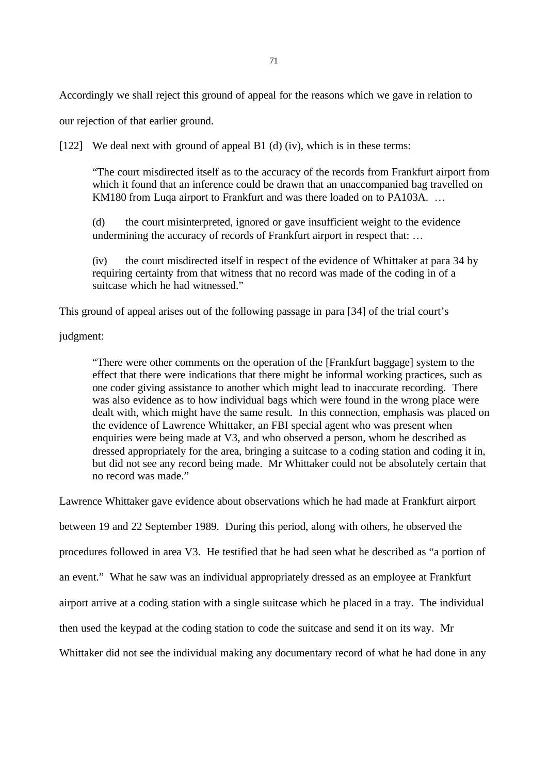Accordingly we shall reject this ground of appeal for the reasons which we gave in relation to

our rejection of that earlier ground.

[122] We deal next with ground of appeal B1 (d) (iv), which is in these terms:

"The court misdirected itself as to the accuracy of the records from Frankfurt airport from which it found that an inference could be drawn that an unaccompanied bag travelled on KM180 from Luqa airport to Frankfurt and was there loaded on to PA103A. ...

(d) the court misinterpreted, ignored or gave insufficient weight to the evidence undermining the accuracy of records of Frankfurt airport in respect that: …

(iv) the court misdirected itself in respect of the evidence of Whittaker at para 34 by requiring certainty from that witness that no record was made of the coding in of a suitcase which he had witnessed."

This ground of appeal arises out of the following passage in para [34] of the trial court's

judgment:

"There were other comments on the operation of the [Frankfurt baggage] system to the effect that there were indications that there might be informal working practices, such as one coder giving assistance to another which might lead to inaccurate recording. There was also evidence as to how individual bags which were found in the wrong place were dealt with, which might have the same result. In this connection, emphasis was placed on the evidence of Lawrence Whittaker, an FBI special agent who was present when enquiries were being made at V3, and who observed a person, whom he described as dressed appropriately for the area, bringing a suitcase to a coding station and coding it in, but did not see any record being made. Mr Whittaker could not be absolutely certain that no record was made."

Lawrence Whittaker gave evidence about observations which he had made at Frankfurt airport between 19 and 22 September 1989. During this period, along with others, he observed the procedures followed in area V3. He testified that he had seen what he described as "a portion of an event." What he saw was an individual appropriately dressed as an employee at Frankfurt airport arrive at a coding station with a single suitcase which he placed in a tray. The individual then used the keypad at the coding station to code the suitcase and send it on its way. Mr Whittaker did not see the individual making any documentary record of what he had done in any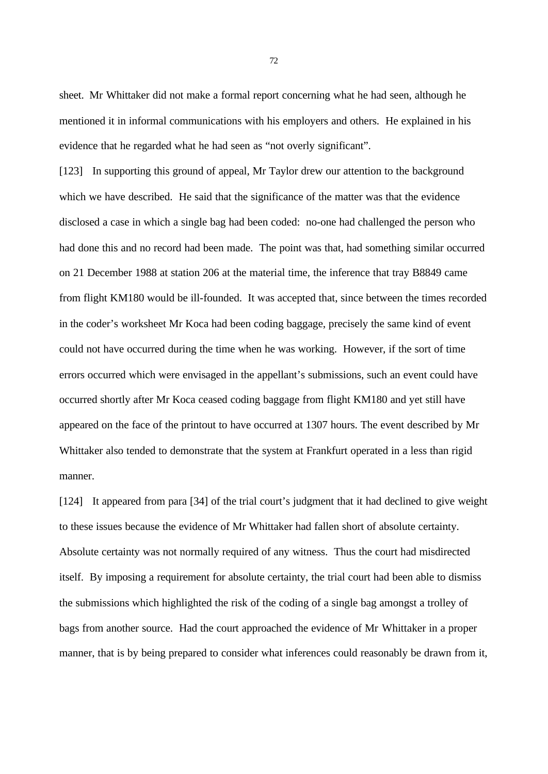sheet. Mr Whittaker did not make a formal report concerning what he had seen, although he mentioned it in informal communications with his employers and others. He explained in his evidence that he regarded what he had seen as "not overly significant".

[123] In supporting this ground of appeal, Mr Taylor drew our attention to the background which we have described. He said that the significance of the matter was that the evidence disclosed a case in which a single bag had been coded: no-one had challenged the person who had done this and no record had been made. The point was that, had something similar occurred on 21 December 1988 at station 206 at the material time, the inference that tray B8849 came from flight KM180 would be ill-founded. It was accepted that, since between the times recorded in the coder's worksheet Mr Koca had been coding baggage, precisely the same kind of event could not have occurred during the time when he was working. However, if the sort of time errors occurred which were envisaged in the appellant's submissions, such an event could have occurred shortly after Mr Koca ceased coding baggage from flight KM180 and yet still have appeared on the face of the printout to have occurred at 1307 hours. The event described by Mr Whittaker also tended to demonstrate that the system at Frankfurt operated in a less than rigid manner.

[124] It appeared from para [34] of the trial court's judgment that it had declined to give weight to these issues because the evidence of Mr Whittaker had fallen short of absolute certainty. Absolute certainty was not normally required of any witness. Thus the court had misdirected itself. By imposing a requirement for absolute certainty, the trial court had been able to dismiss the submissions which highlighted the risk of the coding of a single bag amongst a trolley of bags from another source. Had the court approached the evidence of Mr Whittaker in a proper manner, that is by being prepared to consider what inferences could reasonably be drawn from it,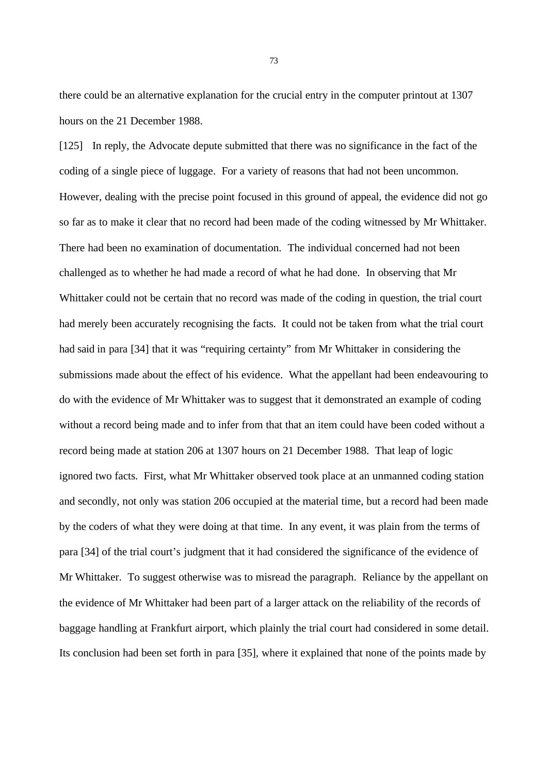there could be an alternative explanation for the crucial entry in the computer printout at 1307 hours on the 21 December 1988.

[125] In reply, the Advocate depute submitted that there was no significance in the fact of the coding of a single piece of luggage. For a variety of reasons that had not been uncommon. However, dealing with the precise point focused in this ground of appeal, the evidence did not go so far as to make it clear that no record had been made of the coding witnessed by Mr Whittaker. There had been no examination of documentation. The individual concerned had not been challenged as to whether he had made a record of what he had done. In observing that Mr Whittaker could not be certain that no record was made of the coding in question, the trial court had merely been accurately recognising the facts. It could not be taken from what the trial court had said in para [34] that it was "requiring certainty" from Mr Whittaker in considering the submissions made about the effect of his evidence. What the appellant had been endeavouring to do with the evidence of Mr Whittaker was to suggest that it demonstrated an example of coding without a record being made and to infer from that that an item could have been coded without a record being made at station 206 at 1307 hours on 21 December 1988. That leap of logic ignored two facts. First, what Mr Whittaker observed took place at an unmanned coding station and secondly, not only was station 206 occupied at the material time, but a record had been made by the coders of what they were doing at that time. In any event, it was plain from the terms of para [34] of the trial court's judgment that it had considered the significance of the evidence of Mr Whittaker. To suggest otherwise was to misread the paragraph. Reliance by the appellant on the evidence of Mr Whittaker had been part of a larger attack on the reliability of the records of baggage handling at Frankfurt airport, which plainly the trial court had considered in some detail. Its conclusion had been set forth in para [35], where it explained that none of the points made by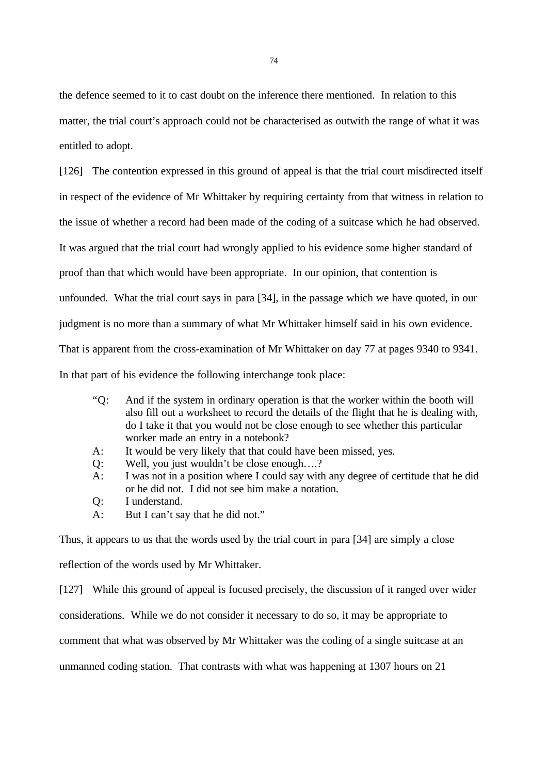the defence seemed to it to cast doubt on the inference there mentioned. In relation to this matter, the trial court's approach could not be characterised as outwith the range of what it was entitled to adopt.

[126] The contention expressed in this ground of appeal is that the trial court misdirected itself in respect of the evidence of Mr Whittaker by requiring certainty from that witness in relation to the issue of whether a record had been made of the coding of a suitcase which he had observed. It was argued that the trial court had wrongly applied to his evidence some higher standard of proof than that which would have been appropriate. In our opinion, that contention is unfounded. What the trial court says in para [34], in the passage which we have quoted, in our judgment is no more than a summary of what Mr Whittaker himself said in his own evidence. That is apparent from the cross-examination of Mr Whittaker on day 77 at pages 9340 to 9341. In that part of his evidence the following interchange took place:

- "Q: And if the system in ordinary operation is that the worker within the booth will also fill out a worksheet to record the details of the flight that he is dealing with, do I take it that you would not be close enough to see whether this particular worker made an entry in a notebook?
- A: It would be very likely that that could have been missed, yes.
- Q: Well, you just wouldn't be close enough….?
- A: I was not in a position where I could say with any degree of certitude that he did or he did not. I did not see him make a notation.
- Q: I understand.
- A: But I can't say that he did not."

Thus, it appears to us that the words used by the trial court in para [34] are simply a close reflection of the words used by Mr Whittaker.

[127] While this ground of appeal is focused precisely, the discussion of it ranged over wider considerations. While we do not consider it necessary to do so, it may be appropriate to comment that what was observed by Mr Whittaker was the coding of a single suitcase at an unmanned coding station. That contrasts with what was happening at 1307 hours on 21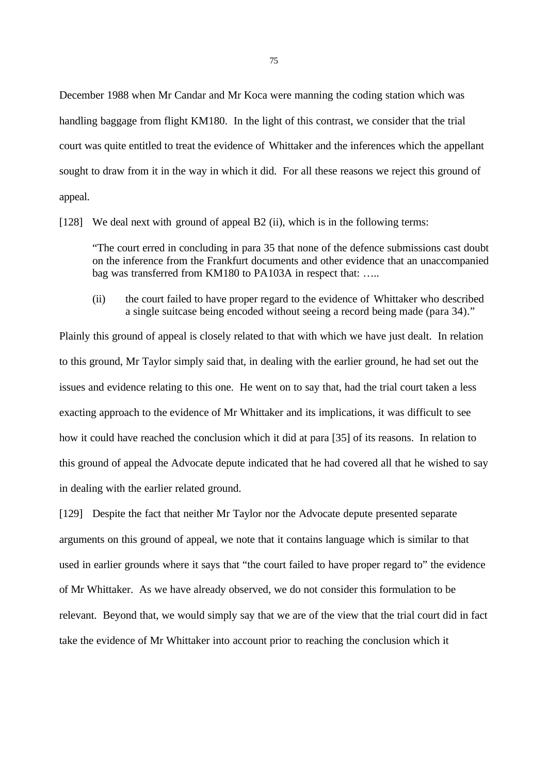December 1988 when Mr Candar and Mr Koca were manning the coding station which was handling baggage from flight KM180. In the light of this contrast, we consider that the trial court was quite entitled to treat the evidence of Whittaker and the inferences which the appellant sought to draw from it in the way in which it did. For all these reasons we reject this ground of appeal.

[128] We deal next with ground of appeal B2 (ii), which is in the following terms:

"The court erred in concluding in para 35 that none of the defence submissions cast doubt on the inference from the Frankfurt documents and other evidence that an unaccompanied bag was transferred from KM180 to PA103A in respect that: .....

(ii) the court failed to have proper regard to the evidence of Whittaker who described a single suitcase being encoded without seeing a record being made (para 34)."

Plainly this ground of appeal is closely related to that with which we have just dealt. In relation to this ground, Mr Taylor simply said that, in dealing with the earlier ground, he had set out the issues and evidence relating to this one. He went on to say that, had the trial court taken a less exacting approach to the evidence of Mr Whittaker and its implications, it was difficult to see how it could have reached the conclusion which it did at para [35] of its reasons. In relation to this ground of appeal the Advocate depute indicated that he had covered all that he wished to say in dealing with the earlier related ground.

[129] Despite the fact that neither Mr Taylor nor the Advocate depute presented separate arguments on this ground of appeal, we note that it contains language which is similar to that used in earlier grounds where it says that "the court failed to have proper regard to" the evidence of Mr Whittaker. As we have already observed, we do not consider this formulation to be relevant. Beyond that, we would simply say that we are of the view that the trial court did in fact take the evidence of Mr Whittaker into account prior to reaching the conclusion which it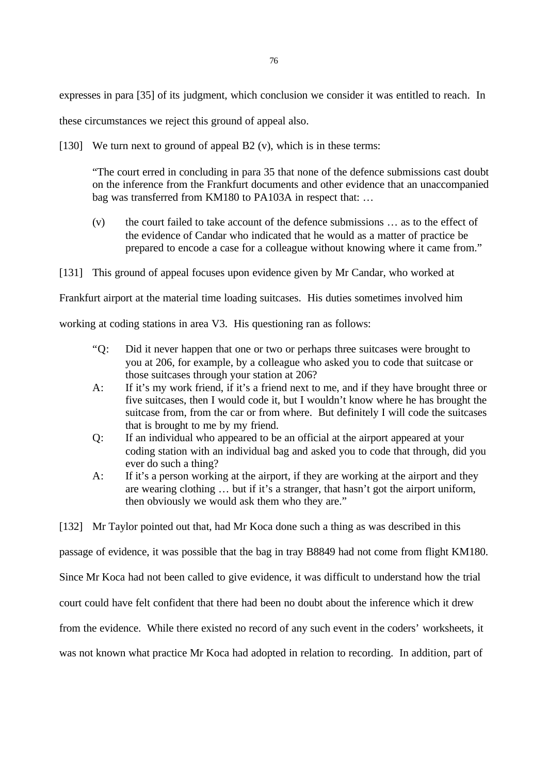expresses in para [35] of its judgment, which conclusion we consider it was entitled to reach. In

these circumstances we reject this ground of appeal also.

[130] We turn next to ground of appeal B2 (v), which is in these terms:

"The court erred in concluding in para 35 that none of the defence submissions cast doubt on the inference from the Frankfurt documents and other evidence that an unaccompanied bag was transferred from KM180 to PA103A in respect that: …

- (v) the court failed to take account of the defence submissions … as to the effect of the evidence of Candar who indicated that he would as a matter of practice be prepared to encode a case for a colleague without knowing where it came from."
- [131] This ground of appeal focuses upon evidence given by Mr Candar, who worked at

Frankfurt airport at the material time loading suitcases. His duties sometimes involved him

working at coding stations in area V3. His questioning ran as follows:

- "Q: Did it never happen that one or two or perhaps three suitcases were brought to you at 206, for example, by a colleague who asked you to code that suitcase or those suitcases through your station at 206?
- A: If it's my work friend, if it's a friend next to me, and if they have brought three or five suitcases, then I would code it, but I wouldn't know where he has brought the suitcase from, from the car or from where. But definitely I will code the suitcases that is brought to me by my friend.
- Q: If an individual who appeared to be an official at the airport appeared at your coding station with an individual bag and asked you to code that through, did you ever do such a thing?
- A: If it's a person working at the airport, if they are working at the airport and they are wearing clothing … but if it's a stranger, that hasn't got the airport uniform, then obviously we would ask them who they are."

[132] Mr Taylor pointed out that, had Mr Koca done such a thing as was described in this

passage of evidence, it was possible that the bag in tray B8849 had not come from flight KM180.

Since Mr Koca had not been called to give evidence, it was difficult to understand how the trial

court could have felt confident that there had been no doubt about the inference which it drew

from the evidence. While there existed no record of any such event in the coders' worksheets, it

was not known what practice Mr Koca had adopted in relation to recording. In addition, part of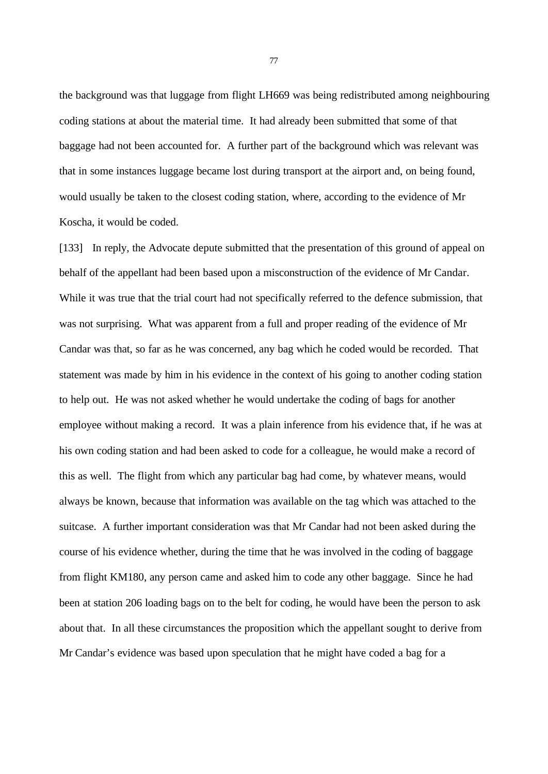the background was that luggage from flight LH669 was being redistributed among neighbouring coding stations at about the material time. It had already been submitted that some of that baggage had not been accounted for. A further part of the background which was relevant was that in some instances luggage became lost during transport at the airport and, on being found, would usually be taken to the closest coding station, where, according to the evidence of Mr Koscha, it would be coded.

[133] In reply, the Advocate depute submitted that the presentation of this ground of appeal on behalf of the appellant had been based upon a misconstruction of the evidence of Mr Candar. While it was true that the trial court had not specifically referred to the defence submission, that was not surprising. What was apparent from a full and proper reading of the evidence of Mr Candar was that, so far as he was concerned, any bag which he coded would be recorded. That statement was made by him in his evidence in the context of his going to another coding station to help out. He was not asked whether he would undertake the coding of bags for another employee without making a record. It was a plain inference from his evidence that, if he was at his own coding station and had been asked to code for a colleague, he would make a record of this as well. The flight from which any particular bag had come, by whatever means, would always be known, because that information was available on the tag which was attached to the suitcase. A further important consideration was that Mr Candar had not been asked during the course of his evidence whether, during the time that he was involved in the coding of baggage from flight KM180, any person came and asked him to code any other baggage. Since he had been at station 206 loading bags on to the belt for coding, he would have been the person to ask about that. In all these circumstances the proposition which the appellant sought to derive from Mr Candar's evidence was based upon speculation that he might have coded a bag for a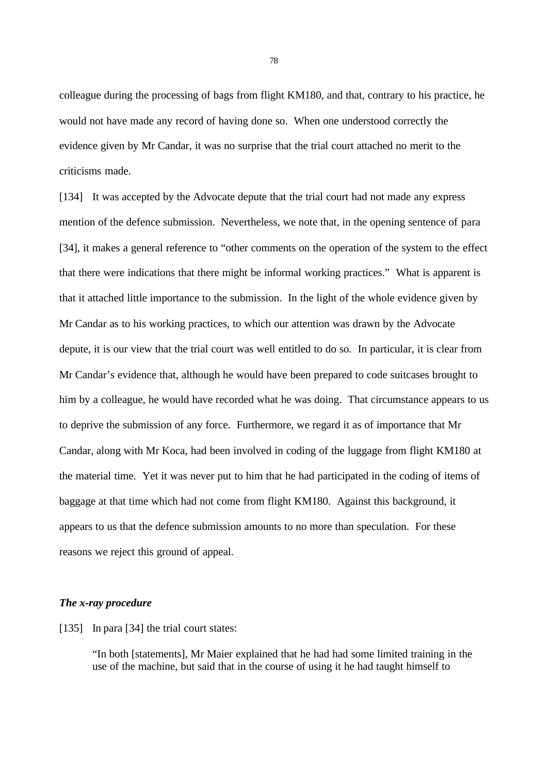colleague during the processing of bags from flight KM180, and that, contrary to his practice, he would not have made any record of having done so. When one understood correctly the evidence given by Mr Candar, it was no surprise that the trial court attached no merit to the criticisms made.

[134] It was accepted by the Advocate depute that the trial court had not made any express mention of the defence submission. Nevertheless, we note that, in the opening sentence of para [34], it makes a general reference to "other comments on the operation of the system to the effect that there were indications that there might be informal working practices." What is apparent is that it attached little importance to the submission. In the light of the whole evidence given by Mr Candar as to his working practices, to which our attention was drawn by the Advocate depute, it is our view that the trial court was well entitled to do so. In particular, it is clear from Mr Candar's evidence that, although he would have been prepared to code suitcases brought to him by a colleague, he would have recorded what he was doing. That circumstance appears to us to deprive the submission of any force. Furthermore, we regard it as of importance that Mr Candar, along with Mr Koca, had been involved in coding of the luggage from flight KM180 at the material time. Yet it was never put to him that he had participated in the coding of items of baggage at that time which had not come from flight KM180. Against this background, it appears to us that the defence submission amounts to no more than speculation. For these reasons we reject this ground of appeal.

### *The x-ray procedure*

[135] In para [34] the trial court states:

"In both [statements], Mr Maier explained that he had had some limited training in the use of the machine, but said that in the course of using it he had taught himself to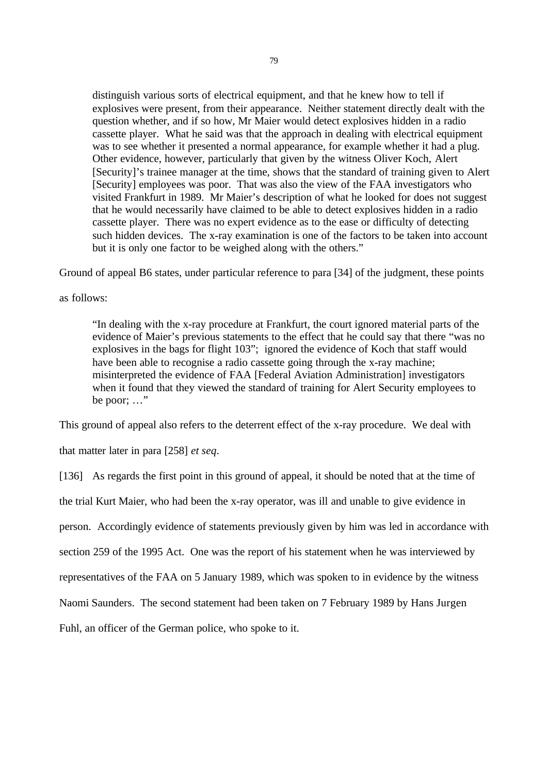distinguish various sorts of electrical equipment, and that he knew how to tell if explosives were present, from their appearance. Neither statement directly dealt with the question whether, and if so how, Mr Maier would detect explosives hidden in a radio cassette player. What he said was that the approach in dealing with electrical equipment was to see whether it presented a normal appearance, for example whether it had a plug. Other evidence, however, particularly that given by the witness Oliver Koch, Alert [Security]'s trainee manager at the time, shows that the standard of training given to Alert [Security] employees was poor. That was also the view of the FAA investigators who visited Frankfurt in 1989. Mr Maier's description of what he looked for does not suggest that he would necessarily have claimed to be able to detect explosives hidden in a radio cassette player. There was no expert evidence as to the ease or difficulty of detecting such hidden devices. The x-ray examination is one of the factors to be taken into account but it is only one factor to be weighed along with the others."

Ground of appeal B6 states, under particular reference to para [34] of the judgment, these points

as follows:

"In dealing with the x-ray procedure at Frankfurt, the court ignored material parts of the evidence of Maier's previous statements to the effect that he could say that there "was no explosives in the bags for flight 103"; ignored the evidence of Koch that staff would have been able to recognise a radio cassette going through the x-ray machine; misinterpreted the evidence of FAA [Federal Aviation Administration] investigators when it found that they viewed the standard of training for Alert Security employees to be poor; ..."

This ground of appeal also refers to the deterrent effect of the x-ray procedure. We deal with

that matter later in para [258] *et seq*.

[136] As regards the first point in this ground of appeal, it should be noted that at the time of the trial Kurt Maier, who had been the x-ray operator, was ill and unable to give evidence in person. Accordingly evidence of statements previously given by him was led in accordance with section 259 of the 1995 Act. One was the report of his statement when he was interviewed by representatives of the FAA on 5 January 1989, which was spoken to in evidence by the witness Naomi Saunders. The second statement had been taken on 7 February 1989 by Hans Jurgen Fuhl, an officer of the German police, who spoke to it.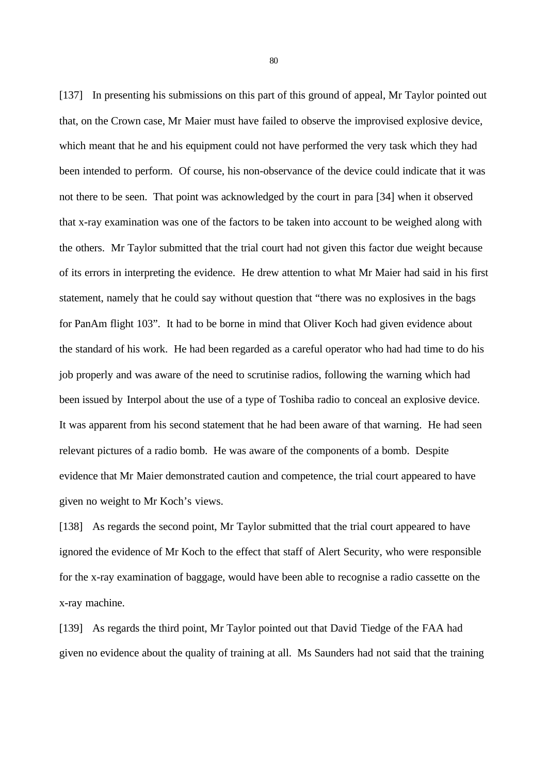[137] In presenting his submissions on this part of this ground of appeal, Mr Taylor pointed out that, on the Crown case, Mr Maier must have failed to observe the improvised explosive device, which meant that he and his equipment could not have performed the very task which they had been intended to perform. Of course, his non-observance of the device could indicate that it was not there to be seen. That point was acknowledged by the court in para [34] when it observed that x-ray examination was one of the factors to be taken into account to be weighed along with the others. Mr Taylor submitted that the trial court had not given this factor due weight because of its errors in interpreting the evidence. He drew attention to what Mr Maier had said in his first statement, namely that he could say without question that "there was no explosives in the bags for PanAm flight 103". It had to be borne in mind that Oliver Koch had given evidence about the standard of his work. He had been regarded as a careful operator who had had time to do his job properly and was aware of the need to scrutinise radios, following the warning which had been issued by Interpol about the use of a type of Toshiba radio to conceal an explosive device. It was apparent from his second statement that he had been aware of that warning. He had seen relevant pictures of a radio bomb. He was aware of the components of a bomb. Despite evidence that Mr Maier demonstrated caution and competence, the trial court appeared to have given no weight to Mr Koch's views.

[138] As regards the second point, Mr Taylor submitted that the trial court appeared to have ignored the evidence of Mr Koch to the effect that staff of Alert Security, who were responsible for the x-ray examination of baggage, would have been able to recognise a radio cassette on the x-ray machine.

[139] As regards the third point, Mr Taylor pointed out that David Tiedge of the FAA had given no evidence about the quality of training at all. Ms Saunders had not said that the training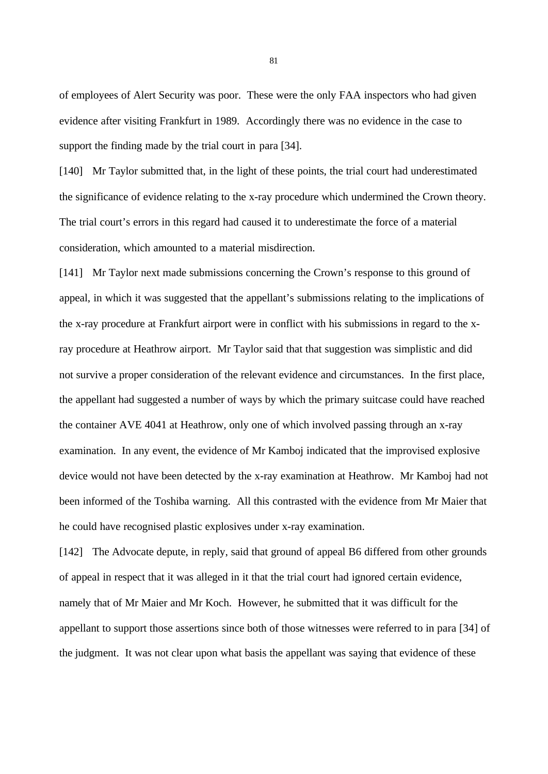of employees of Alert Security was poor. These were the only FAA inspectors who had given evidence after visiting Frankfurt in 1989. Accordingly there was no evidence in the case to support the finding made by the trial court in para [34].

[140] Mr Taylor submitted that, in the light of these points, the trial court had underestimated the significance of evidence relating to the x-ray procedure which undermined the Crown theory. The trial court's errors in this regard had caused it to underestimate the force of a material consideration, which amounted to a material misdirection.

[141] Mr Taylor next made submissions concerning the Crown's response to this ground of appeal, in which it was suggested that the appellant's submissions relating to the implications of the x-ray procedure at Frankfurt airport were in conflict with his submissions in regard to the xray procedure at Heathrow airport. Mr Taylor said that that suggestion was simplistic and did not survive a proper consideration of the relevant evidence and circumstances. In the first place, the appellant had suggested a number of ways by which the primary suitcase could have reached the container AVE 4041 at Heathrow, only one of which involved passing through an x-ray examination. In any event, the evidence of Mr Kamboj indicated that the improvised explosive device would not have been detected by the x-ray examination at Heathrow. Mr Kamboj had not been informed of the Toshiba warning. All this contrasted with the evidence from Mr Maier that he could have recognised plastic explosives under x-ray examination.

[142] The Advocate depute, in reply, said that ground of appeal B6 differed from other grounds of appeal in respect that it was alleged in it that the trial court had ignored certain evidence, namely that of Mr Maier and Mr Koch. However, he submitted that it was difficult for the appellant to support those assertions since both of those witnesses were referred to in para [34] of the judgment. It was not clear upon what basis the appellant was saying that evidence of these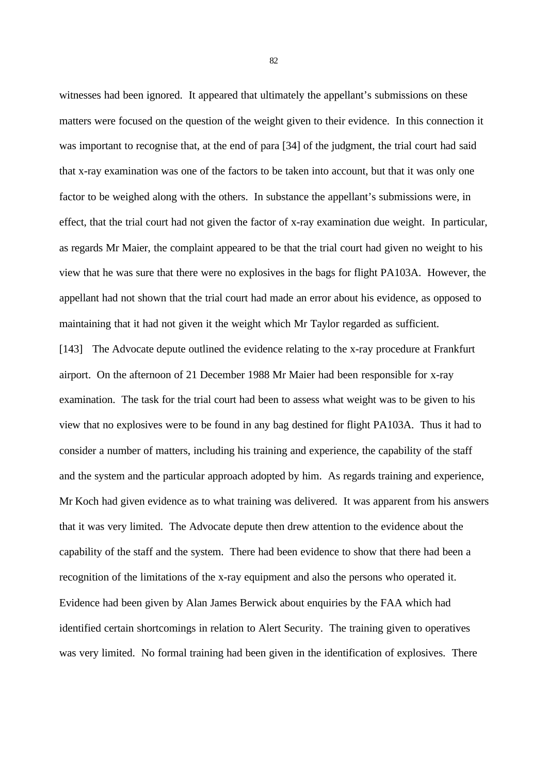witnesses had been ignored. It appeared that ultimately the appellant's submissions on these matters were focused on the question of the weight given to their evidence. In this connection it was important to recognise that, at the end of para [34] of the judgment, the trial court had said that x-ray examination was one of the factors to be taken into account, but that it was only one factor to be weighed along with the others. In substance the appellant's submissions were, in effect, that the trial court had not given the factor of x-ray examination due weight. In particular, as regards Mr Maier, the complaint appeared to be that the trial court had given no weight to his view that he was sure that there were no explosives in the bags for flight PA103A. However, the appellant had not shown that the trial court had made an error about his evidence, as opposed to maintaining that it had not given it the weight which Mr Taylor regarded as sufficient. [143] The Advocate depute outlined the evidence relating to the x-ray procedure at Frankfurt

airport. On the afternoon of 21 December 1988 Mr Maier had been responsible for x-ray examination. The task for the trial court had been to assess what weight was to be given to his view that no explosives were to be found in any bag destined for flight PA103A. Thus it had to consider a number of matters, including his training and experience, the capability of the staff and the system and the particular approach adopted by him. As regards training and experience, Mr Koch had given evidence as to what training was delivered. It was apparent from his answers that it was very limited. The Advocate depute then drew attention to the evidence about the capability of the staff and the system. There had been evidence to show that there had been a recognition of the limitations of the x-ray equipment and also the persons who operated it. Evidence had been given by Alan James Berwick about enquiries by the FAA which had identified certain shortcomings in relation to Alert Security. The training given to operatives was very limited. No formal training had been given in the identification of explosives. There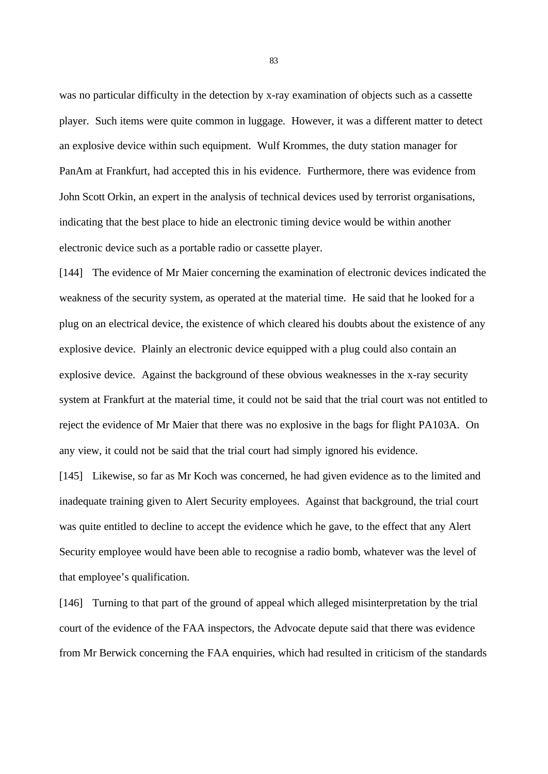was no particular difficulty in the detection by x-ray examination of objects such as a cassette player. Such items were quite common in luggage. However, it was a different matter to detect an explosive device within such equipment. Wulf Krommes, the duty station manager for PanAm at Frankfurt, had accepted this in his evidence. Furthermore, there was evidence from John Scott Orkin, an expert in the analysis of technical devices used by terrorist organisations, indicating that the best place to hide an electronic timing device would be within another electronic device such as a portable radio or cassette player.

[144] The evidence of Mr Maier concerning the examination of electronic devices indicated the weakness of the security system, as operated at the material time. He said that he looked for a plug on an electrical device, the existence of which cleared his doubts about the existence of any explosive device. Plainly an electronic device equipped with a plug could also contain an explosive device. Against the background of these obvious weaknesses in the x-ray security system at Frankfurt at the material time, it could not be said that the trial court was not entitled to reject the evidence of Mr Maier that there was no explosive in the bags for flight PA103A. On any view, it could not be said that the trial court had simply ignored his evidence.

[145] Likewise, so far as Mr Koch was concerned, he had given evidence as to the limited and inadequate training given to Alert Security employees. Against that background, the trial court was quite entitled to decline to accept the evidence which he gave, to the effect that any Alert Security employee would have been able to recognise a radio bomb, whatever was the level of that employee's qualification.

[146] Turning to that part of the ground of appeal which alleged misinterpretation by the trial court of the evidence of the FAA inspectors, the Advocate depute said that there was evidence from Mr Berwick concerning the FAA enquiries, which had resulted in criticism of the standards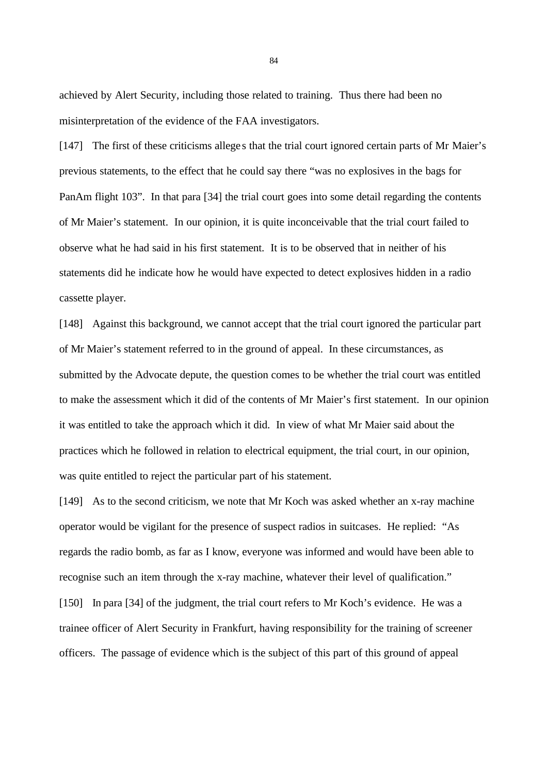achieved by Alert Security, including those related to training. Thus there had been no misinterpretation of the evidence of the FAA investigators.

[147] The first of these criticisms alleges that the trial court ignored certain parts of Mr Maier's previous statements, to the effect that he could say there "was no explosives in the bags for PanAm flight 103". In that para [34] the trial court goes into some detail regarding the contents of Mr Maier's statement. In our opinion, it is quite inconceivable that the trial court failed to observe what he had said in his first statement. It is to be observed that in neither of his statements did he indicate how he would have expected to detect explosives hidden in a radio cassette player.

[148] Against this background, we cannot accept that the trial court ignored the particular part of Mr Maier's statement referred to in the ground of appeal. In these circumstances, as submitted by the Advocate depute, the question comes to be whether the trial court was entitled to make the assessment which it did of the contents of Mr Maier's first statement. In our opinion it was entitled to take the approach which it did. In view of what Mr Maier said about the practices which he followed in relation to electrical equipment, the trial court, in our opinion, was quite entitled to reject the particular part of his statement.

[149] As to the second criticism, we note that Mr Koch was asked whether an x-ray machine operator would be vigilant for the presence of suspect radios in suitcases. He replied: "As regards the radio bomb, as far as I know, everyone was informed and would have been able to recognise such an item through the x-ray machine, whatever their level of qualification." [150] In para [34] of the judgment, the trial court refers to Mr Koch's evidence. He was a trainee officer of Alert Security in Frankfurt, having responsibility for the training of screener officers. The passage of evidence which is the subject of this part of this ground of appeal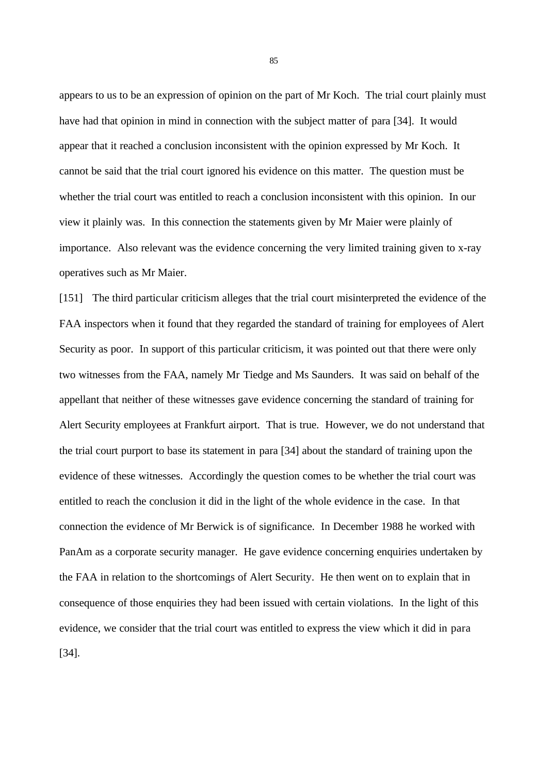appears to us to be an expression of opinion on the part of Mr Koch. The trial court plainly must have had that opinion in mind in connection with the subject matter of para [34]. It would appear that it reached a conclusion inconsistent with the opinion expressed by Mr Koch. It cannot be said that the trial court ignored his evidence on this matter. The question must be whether the trial court was entitled to reach a conclusion inconsistent with this opinion. In our view it plainly was. In this connection the statements given by Mr Maier were plainly of importance. Also relevant was the evidence concerning the very limited training given to x-ray operatives such as Mr Maier.

[151] The third particular criticism alleges that the trial court misinterpreted the evidence of the FAA inspectors when it found that they regarded the standard of training for employees of Alert Security as poor. In support of this particular criticism, it was pointed out that there were only two witnesses from the FAA, namely Mr Tiedge and Ms Saunders. It was said on behalf of the appellant that neither of these witnesses gave evidence concerning the standard of training for Alert Security employees at Frankfurt airport. That is true. However, we do not understand that the trial court purport to base its statement in para [34] about the standard of training upon the evidence of these witnesses. Accordingly the question comes to be whether the trial court was entitled to reach the conclusion it did in the light of the whole evidence in the case. In that connection the evidence of Mr Berwick is of significance. In December 1988 he worked with PanAm as a corporate security manager. He gave evidence concerning enquiries undertaken by the FAA in relation to the shortcomings of Alert Security. He then went on to explain that in consequence of those enquiries they had been issued with certain violations. In the light of this evidence, we consider that the trial court was entitled to express the view which it did in para [34].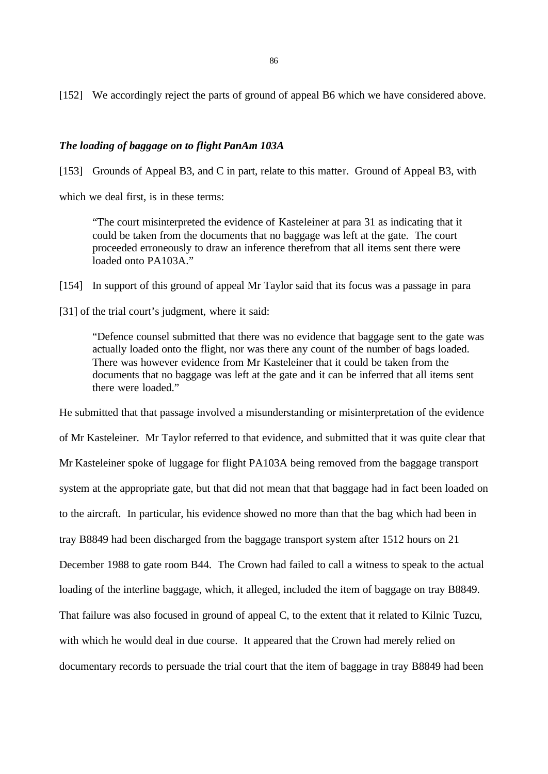[152] We accordingly reject the parts of ground of appeal B6 which we have considered above.

## *The loading of baggage on to flight PanAm 103A*

[153] Grounds of Appeal B3, and C in part, relate to this matter. Ground of Appeal B3, with

which we deal first, is in these terms:

"The court misinterpreted the evidence of Kasteleiner at para 31 as indicating that it could be taken from the documents that no baggage was left at the gate. The court proceeded erroneously to draw an inference therefrom that all items sent there were loaded onto PA103A."

[154] In support of this ground of appeal Mr Taylor said that its focus was a passage in para

[31] of the trial court's judgment, where it said:

"Defence counsel submitted that there was no evidence that baggage sent to the gate was actually loaded onto the flight, nor was there any count of the number of bags loaded. There was however evidence from Mr Kasteleiner that it could be taken from the documents that no baggage was left at the gate and it can be inferred that all items sent there were loaded."

He submitted that that passage involved a misunderstanding or misinterpretation of the evidence of Mr Kasteleiner. Mr Taylor referred to that evidence, and submitted that it was quite clear that Mr Kasteleiner spoke of luggage for flight PA103A being removed from the baggage transport system at the appropriate gate, but that did not mean that that baggage had in fact been loaded on to the aircraft. In particular, his evidence showed no more than that the bag which had been in tray B8849 had been discharged from the baggage transport system after 1512 hours on 21 December 1988 to gate room B44. The Crown had failed to call a witness to speak to the actual loading of the interline baggage, which, it alleged, included the item of baggage on tray B8849. That failure was also focused in ground of appeal C, to the extent that it related to Kilnic Tuzcu, with which he would deal in due course. It appeared that the Crown had merely relied on documentary records to persuade the trial court that the item of baggage in tray B8849 had been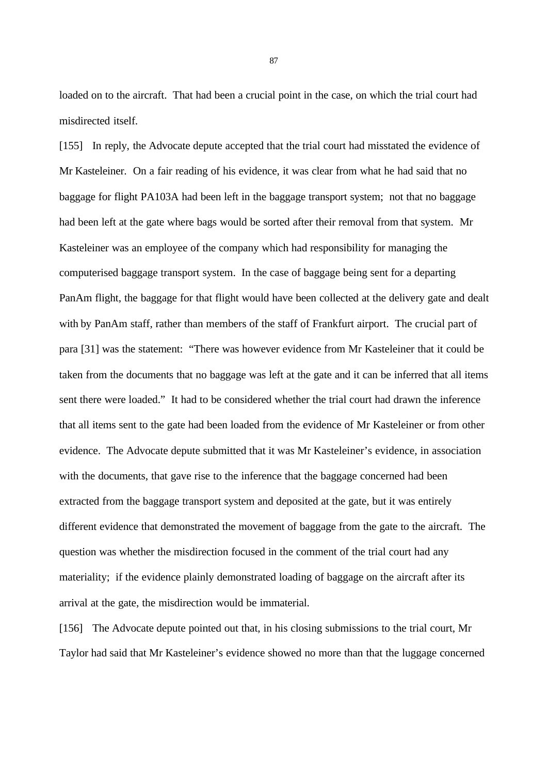loaded on to the aircraft. That had been a crucial point in the case, on which the trial court had misdirected itself.

[155] In reply, the Advocate depute accepted that the trial court had misstated the evidence of Mr Kasteleiner. On a fair reading of his evidence, it was clear from what he had said that no baggage for flight PA103A had been left in the baggage transport system; not that no baggage had been left at the gate where bags would be sorted after their removal from that system. Mr Kasteleiner was an employee of the company which had responsibility for managing the computerised baggage transport system. In the case of baggage being sent for a departing PanAm flight, the baggage for that flight would have been collected at the delivery gate and dealt with by PanAm staff, rather than members of the staff of Frankfurt airport. The crucial part of para [31] was the statement: "There was however evidence from Mr Kasteleiner that it could be taken from the documents that no baggage was left at the gate and it can be inferred that all items sent there were loaded." It had to be considered whether the trial court had drawn the inference that all items sent to the gate had been loaded from the evidence of Mr Kasteleiner or from other evidence. The Advocate depute submitted that it was Mr Kasteleiner's evidence, in association with the documents, that gave rise to the inference that the baggage concerned had been extracted from the baggage transport system and deposited at the gate, but it was entirely different evidence that demonstrated the movement of baggage from the gate to the aircraft. The question was whether the misdirection focused in the comment of the trial court had any materiality; if the evidence plainly demonstrated loading of baggage on the aircraft after its arrival at the gate, the misdirection would be immaterial.

[156] The Advocate depute pointed out that, in his closing submissions to the trial court, Mr Taylor had said that Mr Kasteleiner's evidence showed no more than that the luggage concerned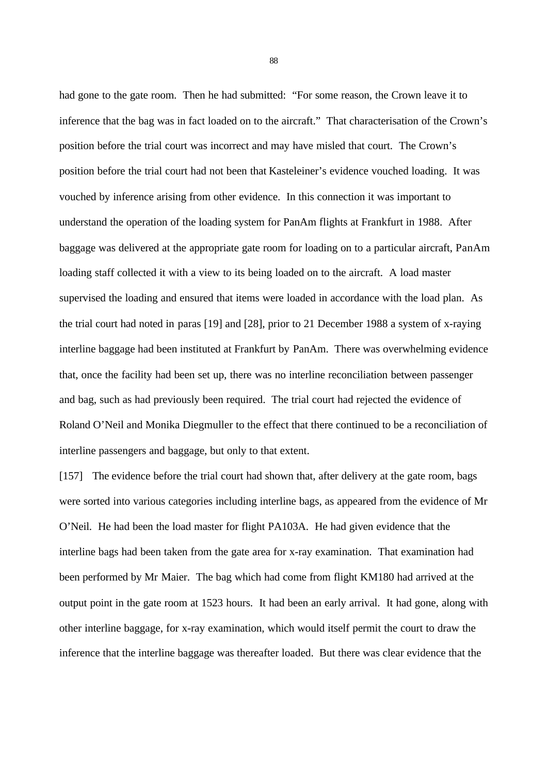had gone to the gate room. Then he had submitted: "For some reason, the Crown leave it to inference that the bag was in fact loaded on to the aircraft." That characterisation of the Crown's position before the trial court was incorrect and may have misled that court. The Crown's position before the trial court had not been that Kasteleiner's evidence vouched loading. It was vouched by inference arising from other evidence. In this connection it was important to understand the operation of the loading system for PanAm flights at Frankfurt in 1988. After baggage was delivered at the appropriate gate room for loading on to a particular aircraft, PanAm loading staff collected it with a view to its being loaded on to the aircraft. A load master supervised the loading and ensured that items were loaded in accordance with the load plan. As the trial court had noted in paras [19] and [28], prior to 21 December 1988 a system of x-raying interline baggage had been instituted at Frankfurt by PanAm. There was overwhelming evidence that, once the facility had been set up, there was no interline reconciliation between passenger and bag, such as had previously been required. The trial court had rejected the evidence of Roland O'Neil and Monika Diegmuller to the effect that there continued to be a reconciliation of interline passengers and baggage, but only to that extent.

[157] The evidence before the trial court had shown that, after delivery at the gate room, bags were sorted into various categories including interline bags, as appeared from the evidence of Mr O'Neil. He had been the load master for flight PA103A. He had given evidence that the interline bags had been taken from the gate area for x-ray examination. That examination had been performed by Mr Maier. The bag which had come from flight KM180 had arrived at the output point in the gate room at 1523 hours. It had been an early arrival. It had gone, along with other interline baggage, for x-ray examination, which would itself permit the court to draw the inference that the interline baggage was thereafter loaded. But there was clear evidence that the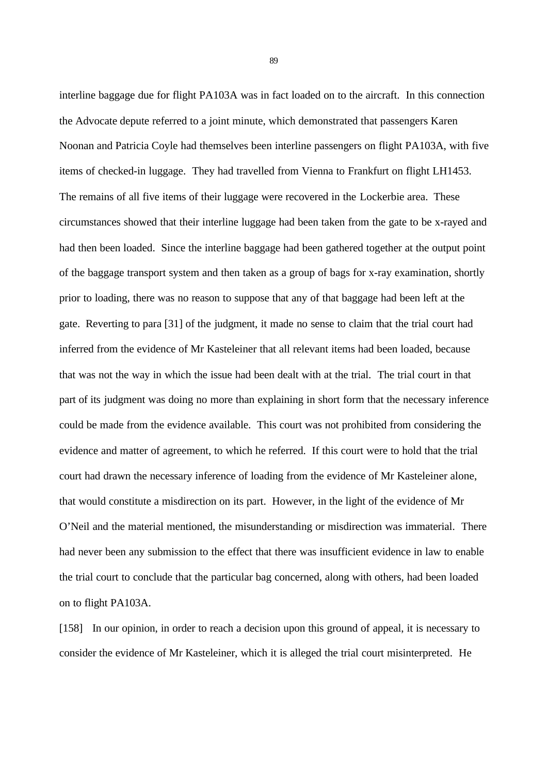interline baggage due for flight PA103A was in fact loaded on to the aircraft. In this connection the Advocate depute referred to a joint minute, which demonstrated that passengers Karen Noonan and Patricia Coyle had themselves been interline passengers on flight PA103A, with five items of checked-in luggage. They had travelled from Vienna to Frankfurt on flight LH1453. The remains of all five items of their luggage were recovered in the Lockerbie area. These circumstances showed that their interline luggage had been taken from the gate to be x-rayed and had then been loaded. Since the interline baggage had been gathered together at the output point of the baggage transport system and then taken as a group of bags for x-ray examination, shortly prior to loading, there was no reason to suppose that any of that baggage had been left at the gate. Reverting to para [31] of the judgment, it made no sense to claim that the trial court had inferred from the evidence of Mr Kasteleiner that all relevant items had been loaded, because that was not the way in which the issue had been dealt with at the trial. The trial court in that part of its judgment was doing no more than explaining in short form that the necessary inference could be made from the evidence available. This court was not prohibited from considering the evidence and matter of agreement, to which he referred. If this court were to hold that the trial court had drawn the necessary inference of loading from the evidence of Mr Kasteleiner alone, that would constitute a misdirection on its part. However, in the light of the evidence of Mr O'Neil and the material mentioned, the misunderstanding or misdirection was immaterial. There had never been any submission to the effect that there was insufficient evidence in law to enable the trial court to conclude that the particular bag concerned, along with others, had been loaded on to flight PA103A.

[158] In our opinion, in order to reach a decision upon this ground of appeal, it is necessary to consider the evidence of Mr Kasteleiner, which it is alleged the trial court misinterpreted. He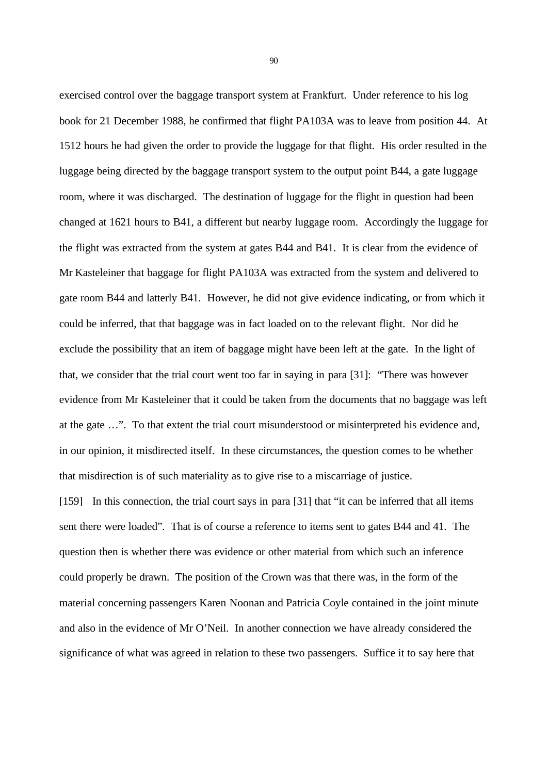exercised control over the baggage transport system at Frankfurt. Under reference to his log book for 21 December 1988, he confirmed that flight PA103A was to leave from position 44. At 1512 hours he had given the order to provide the luggage for that flight. His order resulted in the luggage being directed by the baggage transport system to the output point B44, a gate luggage room, where it was discharged. The destination of luggage for the flight in question had been changed at 1621 hours to B41, a different but nearby luggage room. Accordingly the luggage for the flight was extracted from the system at gates B44 and B41. It is clear from the evidence of Mr Kasteleiner that baggage for flight PA103A was extracted from the system and delivered to gate room B44 and latterly B41. However, he did not give evidence indicating, or from which it could be inferred, that that baggage was in fact loaded on to the relevant flight. Nor did he exclude the possibility that an item of baggage might have been left at the gate. In the light of that, we consider that the trial court went too far in saying in para [31]: "There was however evidence from Mr Kasteleiner that it could be taken from the documents that no baggage was left at the gate …". To that extent the trial court misunderstood or misinterpreted his evidence and, in our opinion, it misdirected itself. In these circumstances, the question comes to be whether that misdirection is of such materiality as to give rise to a miscarriage of justice.

[159] In this connection, the trial court says in para [31] that "it can be inferred that all items sent there were loaded". That is of course a reference to items sent to gates B44 and 41. The question then is whether there was evidence or other material from which such an inference could properly be drawn. The position of the Crown was that there was, in the form of the material concerning passengers Karen Noonan and Patricia Coyle contained in the joint minute and also in the evidence of Mr O'Neil. In another connection we have already considered the significance of what was agreed in relation to these two passengers. Suffice it to say here that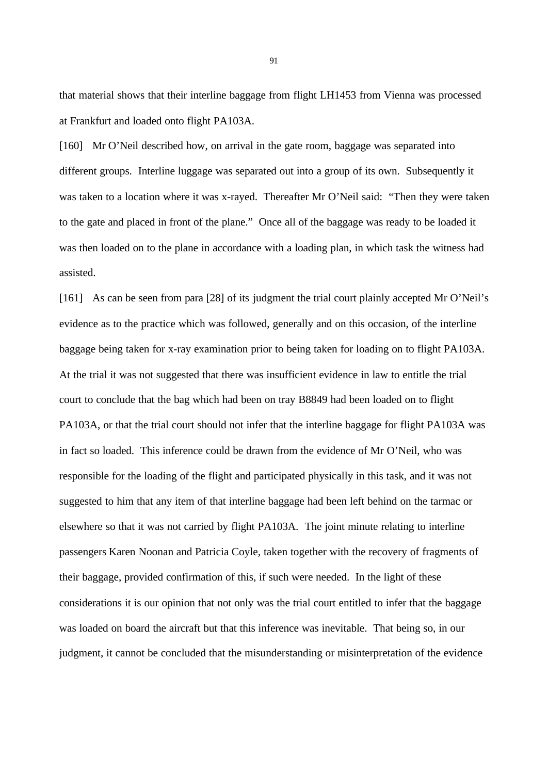that material shows that their interline baggage from flight LH1453 from Vienna was processed at Frankfurt and loaded onto flight PA103A.

[160] Mr O'Neil described how, on arrival in the gate room, baggage was separated into different groups. Interline luggage was separated out into a group of its own. Subsequently it was taken to a location where it was x-rayed. Thereafter Mr O'Neil said: "Then they were taken to the gate and placed in front of the plane." Once all of the baggage was ready to be loaded it was then loaded on to the plane in accordance with a loading plan, in which task the witness had assisted.

[161] As can be seen from para [28] of its judgment the trial court plainly accepted Mr O'Neil's evidence as to the practice which was followed, generally and on this occasion, of the interline baggage being taken for x-ray examination prior to being taken for loading on to flight PA103A. At the trial it was not suggested that there was insufficient evidence in law to entitle the trial court to conclude that the bag which had been on tray B8849 had been loaded on to flight PA103A, or that the trial court should not infer that the interline baggage for flight PA103A was in fact so loaded. This inference could be drawn from the evidence of Mr O'Neil, who was responsible for the loading of the flight and participated physically in this task, and it was not suggested to him that any item of that interline baggage had been left behind on the tarmac or elsewhere so that it was not carried by flight PA103A. The joint minute relating to interline passengers Karen Noonan and Patricia Coyle, taken together with the recovery of fragments of their baggage, provided confirmation of this, if such were needed. In the light of these considerations it is our opinion that not only was the trial court entitled to infer that the baggage was loaded on board the aircraft but that this inference was inevitable. That being so, in our judgment, it cannot be concluded that the misunderstanding or misinterpretation of the evidence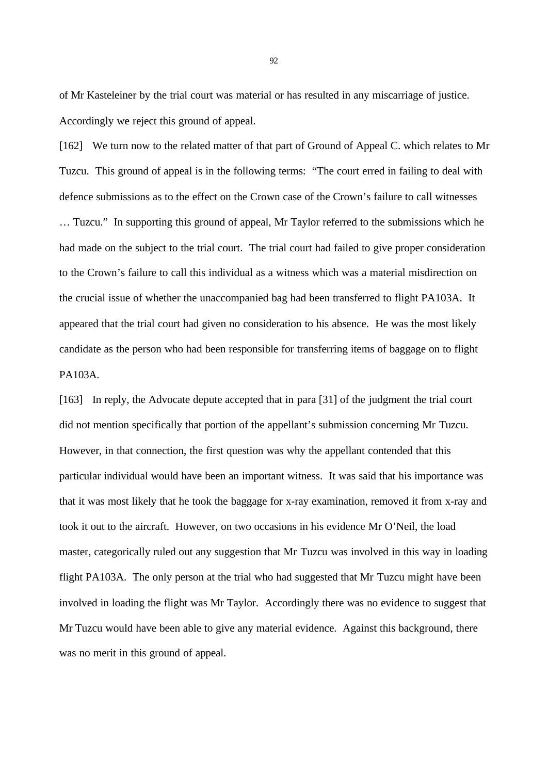of Mr Kasteleiner by the trial court was material or has resulted in any miscarriage of justice. Accordingly we reject this ground of appeal.

[162] We turn now to the related matter of that part of Ground of Appeal C. which relates to Mr Tuzcu. This ground of appeal is in the following terms: "The court erred in failing to deal with defence submissions as to the effect on the Crown case of the Crown's failure to call witnesses … Tuzcu." In supporting this ground of appeal, Mr Taylor referred to the submissions which he had made on the subject to the trial court. The trial court had failed to give proper consideration to the Crown's failure to call this individual as a witness which was a material misdirection on the crucial issue of whether the unaccompanied bag had been transferred to flight PA103A. It appeared that the trial court had given no consideration to his absence. He was the most likely candidate as the person who had been responsible for transferring items of baggage on to flight PA103A.

[163] In reply, the Advocate depute accepted that in para [31] of the judgment the trial court did not mention specifically that portion of the appellant's submission concerning Mr Tuzcu. However, in that connection, the first question was why the appellant contended that this particular individual would have been an important witness. It was said that his importance was that it was most likely that he took the baggage for x-ray examination, removed it from x-ray and took it out to the aircraft. However, on two occasions in his evidence Mr O'Neil, the load master, categorically ruled out any suggestion that Mr Tuzcu was involved in this way in loading flight PA103A. The only person at the trial who had suggested that Mr Tuzcu might have been involved in loading the flight was Mr Taylor. Accordingly there was no evidence to suggest that Mr Tuzcu would have been able to give any material evidence. Against this background, there was no merit in this ground of appeal.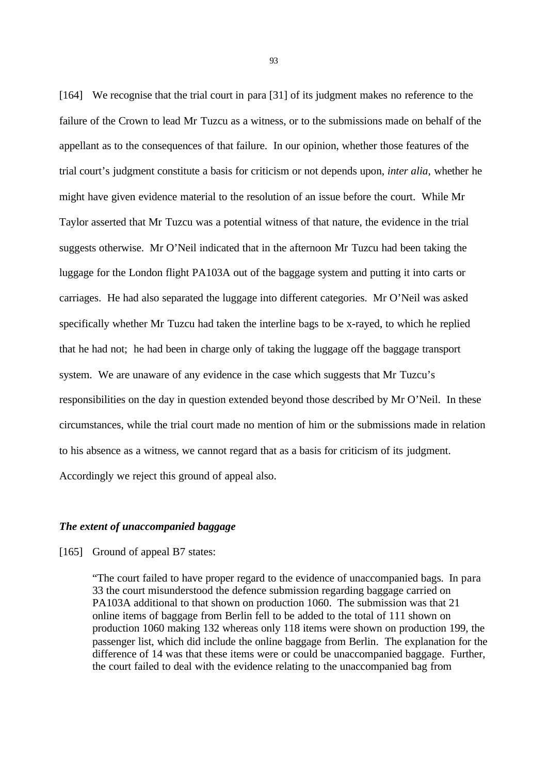[164] We recognise that the trial court in para [31] of its judgment makes no reference to the failure of the Crown to lead Mr Tuzcu as a witness, or to the submissions made on behalf of the appellant as to the consequences of that failure. In our opinion, whether those features of the trial court's judgment constitute a basis for criticism or not depends upon, *inter alia*, whether he might have given evidence material to the resolution of an issue before the court. While Mr Taylor asserted that Mr Tuzcu was a potential witness of that nature, the evidence in the trial suggests otherwise. Mr O'Neil indicated that in the afternoon Mr Tuzcu had been taking the luggage for the London flight PA103A out of the baggage system and putting it into carts or carriages. He had also separated the luggage into different categories. Mr O'Neil was asked specifically whether Mr Tuzcu had taken the interline bags to be x-rayed, to which he replied that he had not; he had been in charge only of taking the luggage off the baggage transport system. We are unaware of any evidence in the case which suggests that Mr Tuzcu's responsibilities on the day in question extended beyond those described by Mr O'Neil. In these circumstances, while the trial court made no mention of him or the submissions made in relation to his absence as a witness, we cannot regard that as a basis for criticism of its judgment. Accordingly we reject this ground of appeal also.

## *The extent of unaccompanied baggage*

[165] Ground of appeal B7 states:

"The court failed to have proper regard to the evidence of unaccompanied bags. In para 33 the court misunderstood the defence submission regarding baggage carried on PA103A additional to that shown on production 1060. The submission was that 21 online items of baggage from Berlin fell to be added to the total of 111 shown on production 1060 making 132 whereas only 118 items were shown on production 199, the passenger list, which did include the online baggage from Berlin. The explanation for the difference of 14 was that these items were or could be unaccompanied baggage. Further, the court failed to deal with the evidence relating to the unaccompanied bag from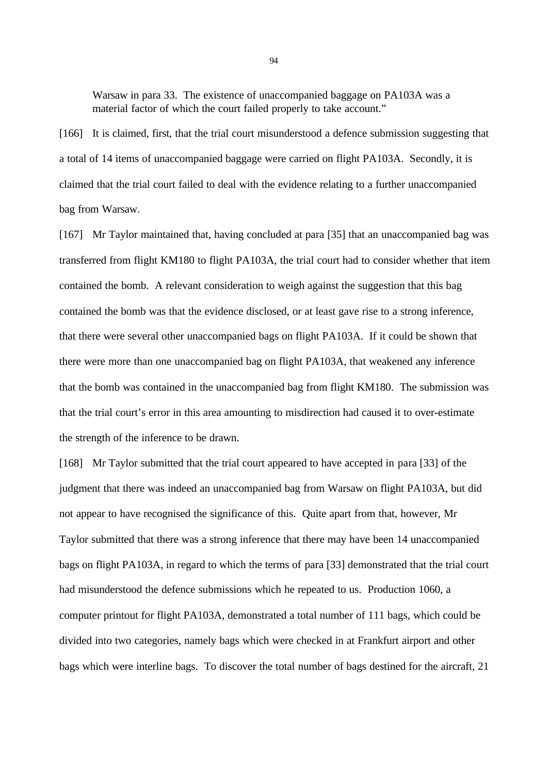Warsaw in para 33. The existence of unaccompanied baggage on PA103A was a material factor of which the court failed properly to take account."

[166] It is claimed, first, that the trial court misunderstood a defence submission suggesting that a total of 14 items of unaccompanied baggage were carried on flight PA103A. Secondly, it is claimed that the trial court failed to deal with the evidence relating to a further unaccompanied bag from Warsaw.

[167] Mr Taylor maintained that, having concluded at para [35] that an unaccompanied bag was transferred from flight KM180 to flight PA103A, the trial court had to consider whether that item contained the bomb. A relevant consideration to weigh against the suggestion that this bag contained the bomb was that the evidence disclosed, or at least gave rise to a strong inference, that there were several other unaccompanied bags on flight PA103A. If it could be shown that there were more than one unaccompanied bag on flight PA103A, that weakened any inference that the bomb was contained in the unaccompanied bag from flight KM180. The submission was that the trial court's error in this area amounting to misdirection had caused it to over-estimate the strength of the inference to be drawn.

[168] Mr Taylor submitted that the trial court appeared to have accepted in para [33] of the judgment that there was indeed an unaccompanied bag from Warsaw on flight PA103A, but did not appear to have recognised the significance of this. Quite apart from that, however, Mr Taylor submitted that there was a strong inference that there may have been 14 unaccompanied bags on flight PA103A, in regard to which the terms of para [33] demonstrated that the trial court had misunderstood the defence submissions which he repeated to us. Production 1060, a computer printout for flight PA103A, demonstrated a total number of 111 bags, which could be divided into two categories, namely bags which were checked in at Frankfurt airport and other bags which were interline bags. To discover the total number of bags destined for the aircraft, 21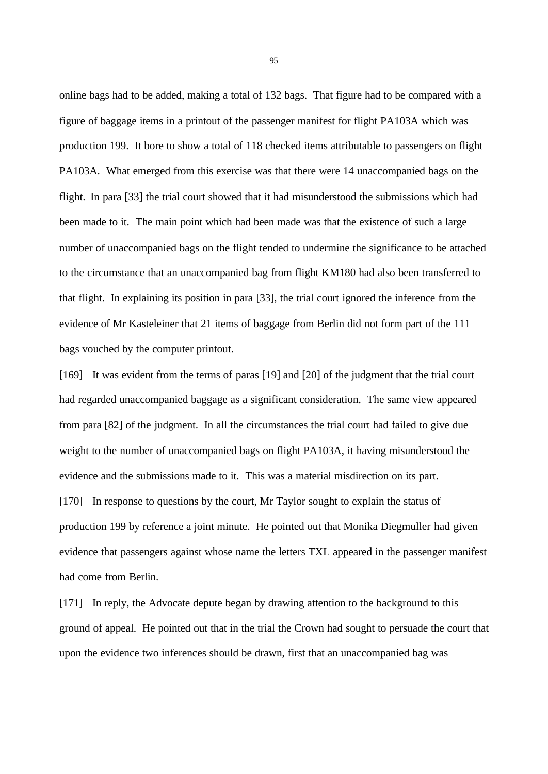online bags had to be added, making a total of 132 bags. That figure had to be compared with a figure of baggage items in a printout of the passenger manifest for flight PA103A which was production 199. It bore to show a total of 118 checked items attributable to passengers on flight PA103A. What emerged from this exercise was that there were 14 unaccompanied bags on the flight. In para [33] the trial court showed that it had misunderstood the submissions which had been made to it. The main point which had been made was that the existence of such a large number of unaccompanied bags on the flight tended to undermine the significance to be attached to the circumstance that an unaccompanied bag from flight KM180 had also been transferred to that flight. In explaining its position in para [33], the trial court ignored the inference from the evidence of Mr Kasteleiner that 21 items of baggage from Berlin did not form part of the 111 bags vouched by the computer printout.

[169] It was evident from the terms of paras [19] and [20] of the judgment that the trial court had regarded unaccompanied baggage as a significant consideration. The same view appeared from para [82] of the judgment. In all the circumstances the trial court had failed to give due weight to the number of unaccompanied bags on flight PA103A, it having misunderstood the evidence and the submissions made to it. This was a material misdirection on its part. [170] In response to questions by the court, Mr Taylor sought to explain the status of production 199 by reference a joint minute. He pointed out that Monika Diegmuller had given evidence that passengers against whose name the letters TXL appeared in the passenger manifest had come from Berlin.

[171] In reply, the Advocate depute began by drawing attention to the background to this ground of appeal. He pointed out that in the trial the Crown had sought to persuade the court that upon the evidence two inferences should be drawn, first that an unaccompanied bag was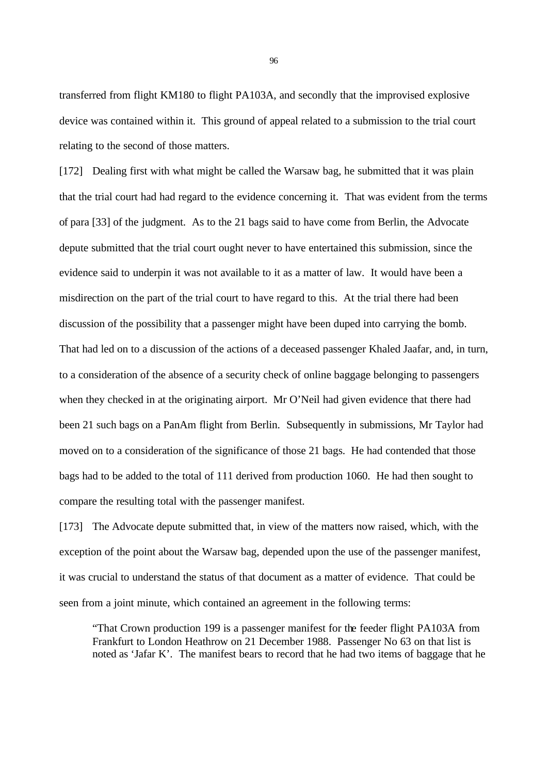transferred from flight KM180 to flight PA103A, and secondly that the improvised explosive device was contained within it. This ground of appeal related to a submission to the trial court relating to the second of those matters.

[172] Dealing first with what might be called the Warsaw bag, he submitted that it was plain that the trial court had had regard to the evidence concerning it. That was evident from the terms of para [33] of the judgment. As to the 21 bags said to have come from Berlin, the Advocate depute submitted that the trial court ought never to have entertained this submission, since the evidence said to underpin it was not available to it as a matter of law. It would have been a misdirection on the part of the trial court to have regard to this. At the trial there had been discussion of the possibility that a passenger might have been duped into carrying the bomb. That had led on to a discussion of the actions of a deceased passenger Khaled Jaafar, and, in turn, to a consideration of the absence of a security check of online baggage belonging to passengers when they checked in at the originating airport. Mr O'Neil had given evidence that there had been 21 such bags on a PanAm flight from Berlin. Subsequently in submissions, Mr Taylor had moved on to a consideration of the significance of those 21 bags. He had contended that those bags had to be added to the total of 111 derived from production 1060. He had then sought to compare the resulting total with the passenger manifest.

[173] The Advocate depute submitted that, in view of the matters now raised, which, with the exception of the point about the Warsaw bag, depended upon the use of the passenger manifest, it was crucial to understand the status of that document as a matter of evidence. That could be seen from a joint minute, which contained an agreement in the following terms:

"That Crown production 199 is a passenger manifest for the feeder flight PA103A from Frankfurt to London Heathrow on 21 December 1988. Passenger No 63 on that list is noted as 'Jafar K'. The manifest bears to record that he had two items of baggage that he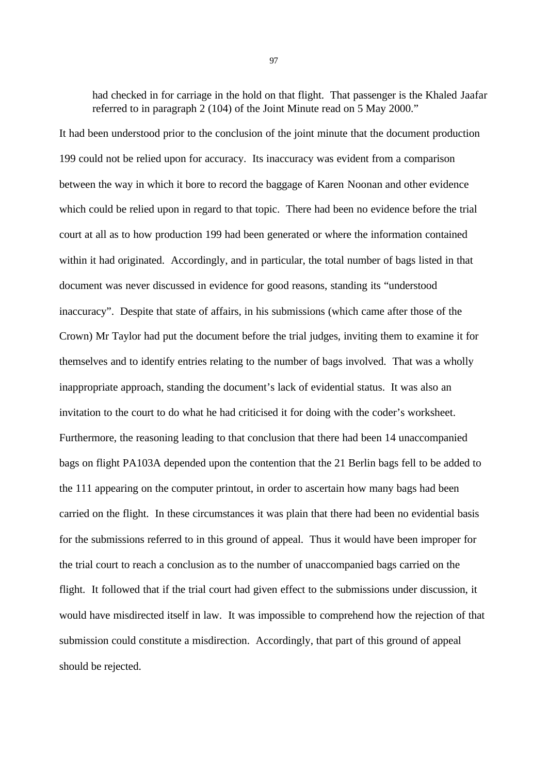had checked in for carriage in the hold on that flight. That passenger is the Khaled Jaafar referred to in paragraph 2 (104) of the Joint Minute read on 5 May 2000."

It had been understood prior to the conclusion of the joint minute that the document production 199 could not be relied upon for accuracy. Its inaccuracy was evident from a comparison between the way in which it bore to record the baggage of Karen Noonan and other evidence which could be relied upon in regard to that topic. There had been no evidence before the trial court at all as to how production 199 had been generated or where the information contained within it had originated. Accordingly, and in particular, the total number of bags listed in that document was never discussed in evidence for good reasons, standing its "understood inaccuracy". Despite that state of affairs, in his submissions (which came after those of the Crown) Mr Taylor had put the document before the trial judges, inviting them to examine it for themselves and to identify entries relating to the number of bags involved. That was a wholly inappropriate approach, standing the document's lack of evidential status. It was also an invitation to the court to do what he had criticised it for doing with the coder's worksheet. Furthermore, the reasoning leading to that conclusion that there had been 14 unaccompanied bags on flight PA103A depended upon the contention that the 21 Berlin bags fell to be added to the 111 appearing on the computer printout, in order to ascertain how many bags had been carried on the flight. In these circumstances it was plain that there had been no evidential basis for the submissions referred to in this ground of appeal. Thus it would have been improper for the trial court to reach a conclusion as to the number of unaccompanied bags carried on the flight. It followed that if the trial court had given effect to the submissions under discussion, it would have misdirected itself in law. It was impossible to comprehend how the rejection of that submission could constitute a misdirection. Accordingly, that part of this ground of appeal should be rejected.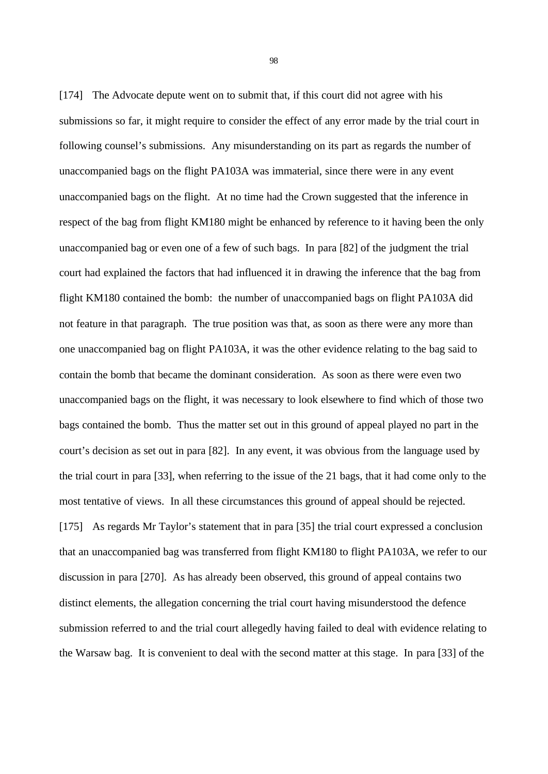[174] The Advocate depute went on to submit that, if this court did not agree with his submissions so far, it might require to consider the effect of any error made by the trial court in following counsel's submissions. Any misunderstanding on its part as regards the number of unaccompanied bags on the flight PA103A was immaterial, since there were in any event unaccompanied bags on the flight. At no time had the Crown suggested that the inference in respect of the bag from flight KM180 might be enhanced by reference to it having been the only unaccompanied bag or even one of a few of such bags. In para [82] of the judgment the trial court had explained the factors that had influenced it in drawing the inference that the bag from flight KM180 contained the bomb: the number of unaccompanied bags on flight PA103A did not feature in that paragraph. The true position was that, as soon as there were any more than one unaccompanied bag on flight PA103A, it was the other evidence relating to the bag said to contain the bomb that became the dominant consideration. As soon as there were even two unaccompanied bags on the flight, it was necessary to look elsewhere to find which of those two bags contained the bomb. Thus the matter set out in this ground of appeal played no part in the court's decision as set out in para [82]. In any event, it was obvious from the language used by the trial court in para [33], when referring to the issue of the 21 bags, that it had come only to the most tentative of views. In all these circumstances this ground of appeal should be rejected. [175] As regards Mr Taylor's statement that in para [35] the trial court expressed a conclusion that an unaccompanied bag was transferred from flight KM180 to flight PA103A, we refer to our discussion in para [270]. As has already been observed, this ground of appeal contains two distinct elements, the allegation concerning the trial court having misunderstood the defence submission referred to and the trial court allegedly having failed to deal with evidence relating to the Warsaw bag. It is convenient to deal with the second matter at this stage. In para [33] of the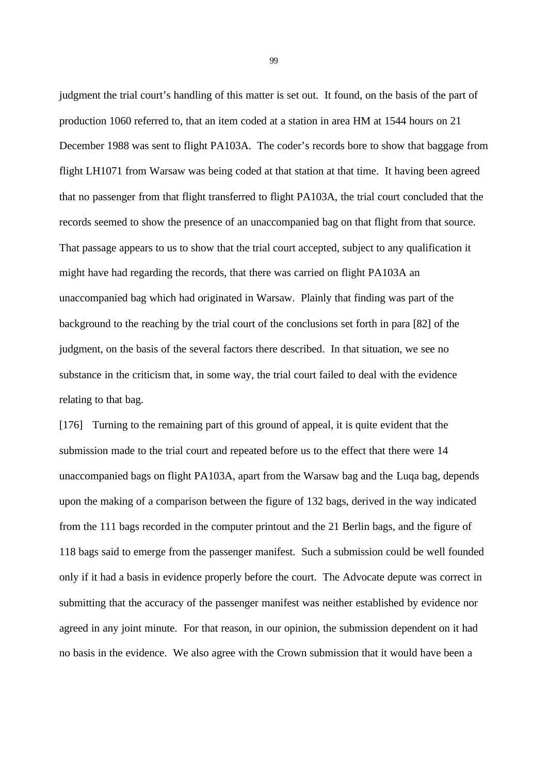judgment the trial court's handling of this matter is set out. It found, on the basis of the part of production 1060 referred to, that an item coded at a station in area HM at 1544 hours on 21 December 1988 was sent to flight PA103A. The coder's records bore to show that baggage from flight LH1071 from Warsaw was being coded at that station at that time. It having been agreed that no passenger from that flight transferred to flight PA103A, the trial court concluded that the records seemed to show the presence of an unaccompanied bag on that flight from that source. That passage appears to us to show that the trial court accepted, subject to any qualification it might have had regarding the records, that there was carried on flight PA103A an unaccompanied bag which had originated in Warsaw. Plainly that finding was part of the background to the reaching by the trial court of the conclusions set forth in para [82] of the judgment, on the basis of the several factors there described. In that situation, we see no substance in the criticism that, in some way, the trial court failed to deal with the evidence relating to that bag.

[176] Turning to the remaining part of this ground of appeal, it is quite evident that the submission made to the trial court and repeated before us to the effect that there were 14 unaccompanied bags on flight PA103A, apart from the Warsaw bag and the Luqa bag, depends upon the making of a comparison between the figure of 132 bags, derived in the way indicated from the 111 bags recorded in the computer printout and the 21 Berlin bags, and the figure of 118 bags said to emerge from the passenger manifest. Such a submission could be well founded only if it had a basis in evidence properly before the court. The Advocate depute was correct in submitting that the accuracy of the passenger manifest was neither established by evidence nor agreed in any joint minute. For that reason, in our opinion, the submission dependent on it had no basis in the evidence. We also agree with the Crown submission that it would have been a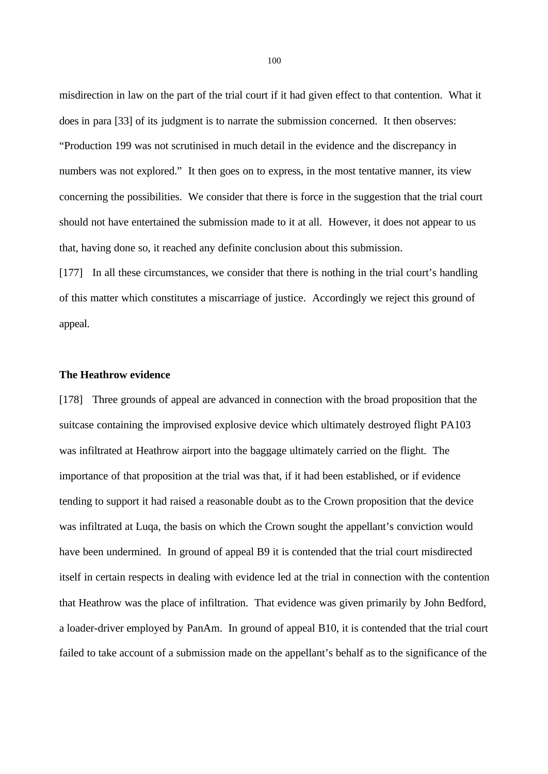misdirection in law on the part of the trial court if it had given effect to that contention. What it does in para [33] of its judgment is to narrate the submission concerned. It then observes: "Production 199 was not scrutinised in much detail in the evidence and the discrepancy in numbers was not explored." It then goes on to express, in the most tentative manner, its view concerning the possibilities. We consider that there is force in the suggestion that the trial court should not have entertained the submission made to it at all. However, it does not appear to us that, having done so, it reached any definite conclusion about this submission.

[177] In all these circumstances, we consider that there is nothing in the trial court's handling of this matter which constitutes a miscarriage of justice. Accordingly we reject this ground of appeal.

### **The Heathrow evidence**

[178] Three grounds of appeal are advanced in connection with the broad proposition that the suitcase containing the improvised explosive device which ultimately destroyed flight PA103 was infiltrated at Heathrow airport into the baggage ultimately carried on the flight. The importance of that proposition at the trial was that, if it had been established, or if evidence tending to support it had raised a reasonable doubt as to the Crown proposition that the device was infiltrated at Luqa, the basis on which the Crown sought the appellant's conviction would have been undermined. In ground of appeal B9 it is contended that the trial court misdirected itself in certain respects in dealing with evidence led at the trial in connection with the contention that Heathrow was the place of infiltration. That evidence was given primarily by John Bedford, a loader-driver employed by PanAm. In ground of appeal B10, it is contended that the trial court failed to take account of a submission made on the appellant's behalf as to the significance of the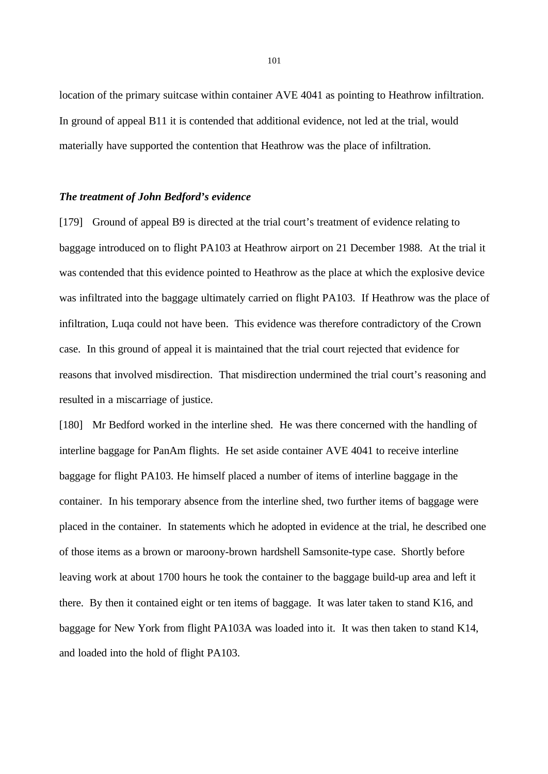location of the primary suitcase within container AVE 4041 as pointing to Heathrow infiltration. In ground of appeal B11 it is contended that additional evidence, not led at the trial, would materially have supported the contention that Heathrow was the place of infiltration.

# *The treatment of John Bedford's evidence*

[179] Ground of appeal B9 is directed at the trial court's treatment of evidence relating to baggage introduced on to flight PA103 at Heathrow airport on 21 December 1988. At the trial it was contended that this evidence pointed to Heathrow as the place at which the explosive device was infiltrated into the baggage ultimately carried on flight PA103. If Heathrow was the place of infiltration, Luqa could not have been. This evidence was therefore contradictory of the Crown case. In this ground of appeal it is maintained that the trial court rejected that evidence for reasons that involved misdirection. That misdirection undermined the trial court's reasoning and resulted in a miscarriage of justice.

[180] Mr Bedford worked in the interline shed. He was there concerned with the handling of interline baggage for PanAm flights. He set aside container AVE 4041 to receive interline baggage for flight PA103. He himself placed a number of items of interline baggage in the container. In his temporary absence from the interline shed, two further items of baggage were placed in the container. In statements which he adopted in evidence at the trial, he described one of those items as a brown or maroony-brown hardshell Samsonite-type case. Shortly before leaving work at about 1700 hours he took the container to the baggage build-up area and left it there. By then it contained eight or ten items of baggage. It was later taken to stand K16, and baggage for New York from flight PA103A was loaded into it. It was then taken to stand K14, and loaded into the hold of flight PA103.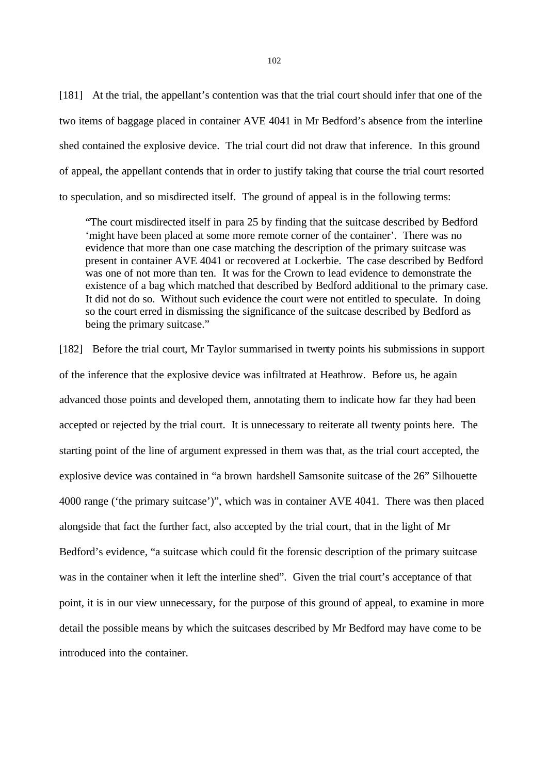[181] At the trial, the appellant's contention was that the trial court should infer that one of the two items of baggage placed in container AVE 4041 in Mr Bedford's absence from the interline shed contained the explosive device. The trial court did not draw that inference. In this ground of appeal, the appellant contends that in order to justify taking that course the trial court resorted to speculation, and so misdirected itself. The ground of appeal is in the following terms:

"The court misdirected itself in para 25 by finding that the suitcase described by Bedford 'might have been placed at some more remote corner of the container'. There was no evidence that more than one case matching the description of the primary suitcase was present in container AVE 4041 or recovered at Lockerbie. The case described by Bedford was one of not more than ten. It was for the Crown to lead evidence to demonstrate the existence of a bag which matched that described by Bedford additional to the primary case. It did not do so. Without such evidence the court were not entitled to speculate. In doing so the court erred in dismissing the significance of the suitcase described by Bedford as being the primary suitcase."

[182] Before the trial court, Mr Taylor summarised in twenty points his submissions in support of the inference that the explosive device was infiltrated at Heathrow. Before us, he again advanced those points and developed them, annotating them to indicate how far they had been accepted or rejected by the trial court. It is unnecessary to reiterate all twenty points here. The starting point of the line of argument expressed in them was that, as the trial court accepted, the explosive device was contained in "a brown hardshell Samsonite suitcase of the 26" Silhouette 4000 range ('the primary suitcase')", which was in container AVE 4041. There was then placed alongside that fact the further fact, also accepted by the trial court, that in the light of Mr Bedford's evidence, "a suitcase which could fit the forensic description of the primary suitcase was in the container when it left the interline shed". Given the trial court's acceptance of that point, it is in our view unnecessary, for the purpose of this ground of appeal, to examine in more detail the possible means by which the suitcases described by Mr Bedford may have come to be introduced into the container.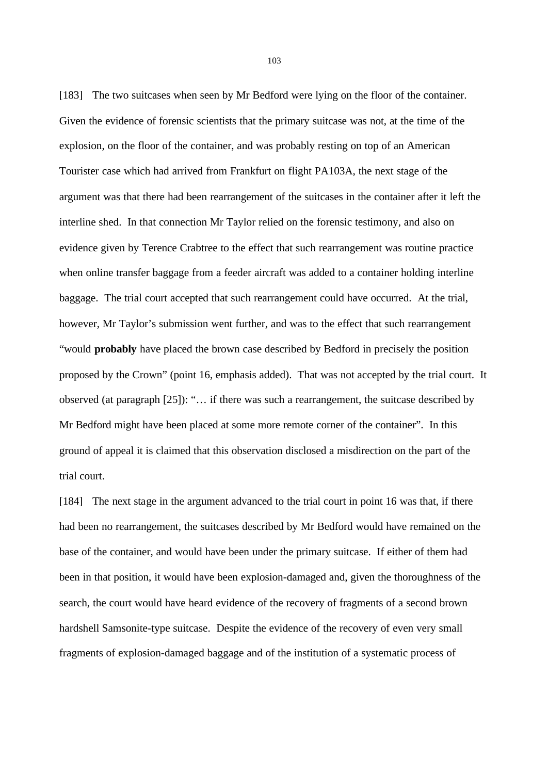[183] The two suitcases when seen by Mr Bedford were lying on the floor of the container. Given the evidence of forensic scientists that the primary suitcase was not, at the time of the explosion, on the floor of the container, and was probably resting on top of an American Tourister case which had arrived from Frankfurt on flight PA103A, the next stage of the argument was that there had been rearrangement of the suitcases in the container after it left the interline shed. In that connection Mr Taylor relied on the forensic testimony, and also on evidence given by Terence Crabtree to the effect that such rearrangement was routine practice when online transfer baggage from a feeder aircraft was added to a container holding interline baggage. The trial court accepted that such rearrangement could have occurred. At the trial, however, Mr Taylor's submission went further, and was to the effect that such rearrangement "would **probably** have placed the brown case described by Bedford in precisely the position proposed by the Crown" (point 16, emphasis added). That was not accepted by the trial court. It observed (at paragraph [25]): "… if there was such a rearrangement, the suitcase described by Mr Bedford might have been placed at some more remote corner of the container". In this ground of appeal it is claimed that this observation disclosed a misdirection on the part of the trial court.

[184] The next stage in the argument advanced to the trial court in point 16 was that, if there had been no rearrangement, the suitcases described by Mr Bedford would have remained on the base of the container, and would have been under the primary suitcase. If either of them had been in that position, it would have been explosion-damaged and, given the thoroughness of the search, the court would have heard evidence of the recovery of fragments of a second brown hardshell Samsonite-type suitcase. Despite the evidence of the recovery of even very small fragments of explosion-damaged baggage and of the institution of a systematic process of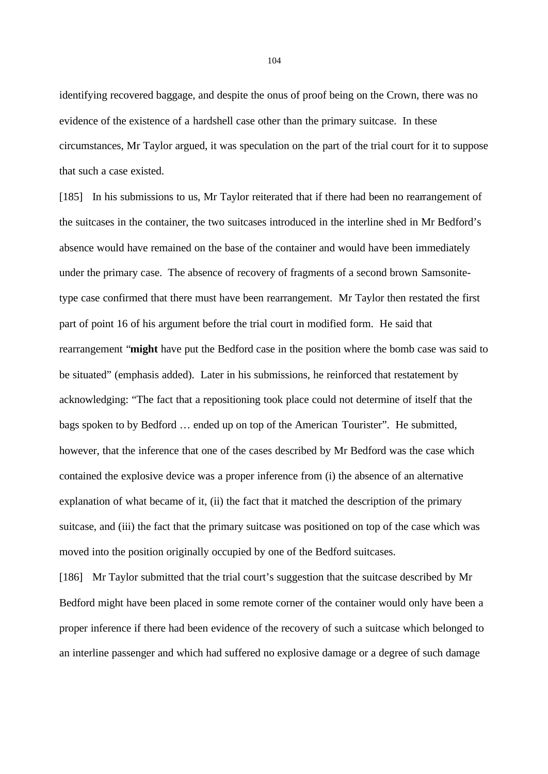identifying recovered baggage, and despite the onus of proof being on the Crown, there was no evidence of the existence of a hardshell case other than the primary suitcase. In these circumstances, Mr Taylor argued, it was speculation on the part of the trial court for it to suppose that such a case existed.

[185] In his submissions to us, Mr Taylor reiterated that if there had been no rearrangement of the suitcases in the container, the two suitcases introduced in the interline shed in Mr Bedford's absence would have remained on the base of the container and would have been immediately under the primary case. The absence of recovery of fragments of a second brown Samsonitetype case confirmed that there must have been rearrangement. Mr Taylor then restated the first part of point 16 of his argument before the trial court in modified form. He said that rearrangement "**might** have put the Bedford case in the position where the bomb case was said to be situated" (emphasis added). Later in his submissions, he reinforced that restatement by acknowledging: "The fact that a repositioning took place could not determine of itself that the bags spoken to by Bedford … ended up on top of the American Tourister". He submitted, however, that the inference that one of the cases described by Mr Bedford was the case which contained the explosive device was a proper inference from (i) the absence of an alternative explanation of what became of it, (ii) the fact that it matched the description of the primary suitcase, and (iii) the fact that the primary suitcase was positioned on top of the case which was moved into the position originally occupied by one of the Bedford suitcases.

[186] Mr Taylor submitted that the trial court's suggestion that the suitcase described by Mr Bedford might have been placed in some remote corner of the container would only have been a proper inference if there had been evidence of the recovery of such a suitcase which belonged to an interline passenger and which had suffered no explosive damage or a degree of such damage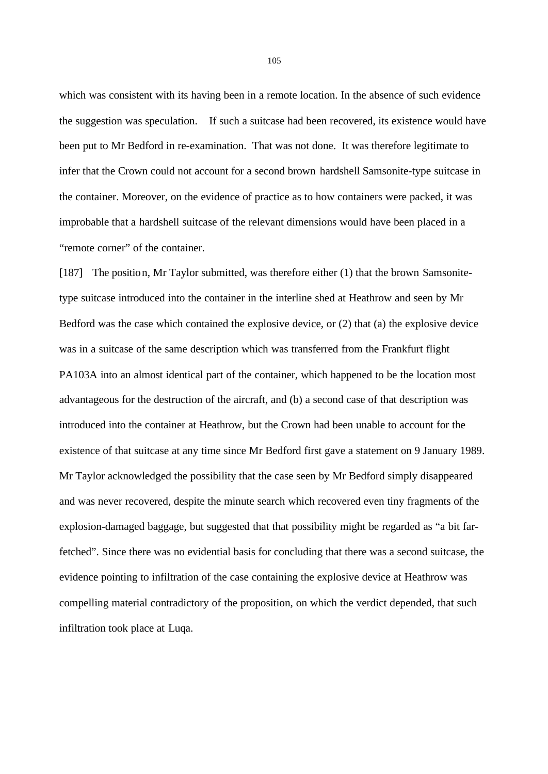which was consistent with its having been in a remote location. In the absence of such evidence the suggestion was speculation. If such a suitcase had been recovered, its existence would have been put to Mr Bedford in re-examination. That was not done. It was therefore legitimate to infer that the Crown could not account for a second brown hardshell Samsonite-type suitcase in the container. Moreover, on the evidence of practice as to how containers were packed, it was improbable that a hardshell suitcase of the relevant dimensions would have been placed in a "remote corner" of the container.

[187] The position, Mr Taylor submitted, was therefore either (1) that the brown Samsonitetype suitcase introduced into the container in the interline shed at Heathrow and seen by Mr Bedford was the case which contained the explosive device, or (2) that (a) the explosive device was in a suitcase of the same description which was transferred from the Frankfurt flight PA103A into an almost identical part of the container, which happened to be the location most advantageous for the destruction of the aircraft, and (b) a second case of that description was introduced into the container at Heathrow, but the Crown had been unable to account for the existence of that suitcase at any time since Mr Bedford first gave a statement on 9 January 1989. Mr Taylor acknowledged the possibility that the case seen by Mr Bedford simply disappeared and was never recovered, despite the minute search which recovered even tiny fragments of the explosion-damaged baggage, but suggested that that possibility might be regarded as "a bit farfetched". Since there was no evidential basis for concluding that there was a second suitcase, the evidence pointing to infiltration of the case containing the explosive device at Heathrow was compelling material contradictory of the proposition, on which the verdict depended, that such infiltration took place at Luqa.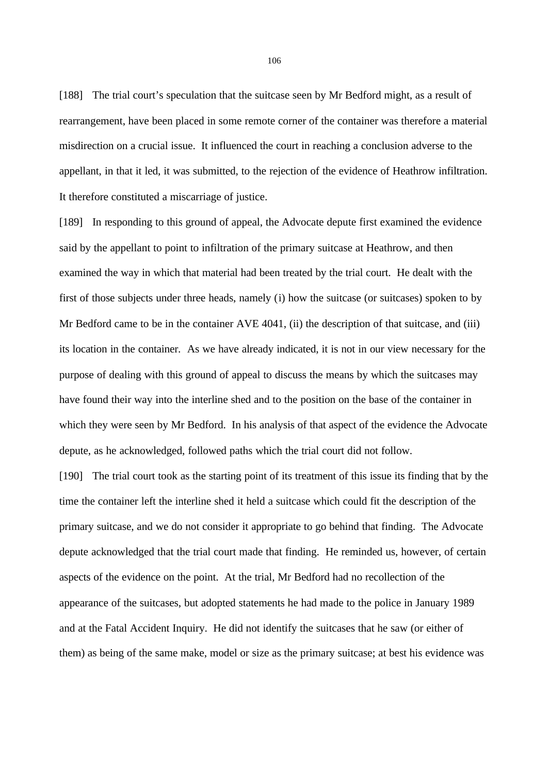[188] The trial court's speculation that the suitcase seen by Mr Bedford might, as a result of rearrangement, have been placed in some remote corner of the container was therefore a material misdirection on a crucial issue. It influenced the court in reaching a conclusion adverse to the appellant, in that it led, it was submitted, to the rejection of the evidence of Heathrow infiltration. It therefore constituted a miscarriage of justice.

[189] In responding to this ground of appeal, the Advocate depute first examined the evidence said by the appellant to point to infiltration of the primary suitcase at Heathrow, and then examined the way in which that material had been treated by the trial court. He dealt with the first of those subjects under three heads, namely (i) how the suitcase (or suitcases) spoken to by Mr Bedford came to be in the container AVE 4041, (ii) the description of that suitcase, and (iii) its location in the container. As we have already indicated, it is not in our view necessary for the purpose of dealing with this ground of appeal to discuss the means by which the suitcases may have found their way into the interline shed and to the position on the base of the container in which they were seen by Mr Bedford. In his analysis of that aspect of the evidence the Advocate depute, as he acknowledged, followed paths which the trial court did not follow.

[190] The trial court took as the starting point of its treatment of this issue its finding that by the time the container left the interline shed it held a suitcase which could fit the description of the primary suitcase, and we do not consider it appropriate to go behind that finding. The Advocate depute acknowledged that the trial court made that finding. He reminded us, however, of certain aspects of the evidence on the point. At the trial, Mr Bedford had no recollection of the appearance of the suitcases, but adopted statements he had made to the police in January 1989 and at the Fatal Accident Inquiry. He did not identify the suitcases that he saw (or either of them) as being of the same make, model or size as the primary suitcase; at best his evidence was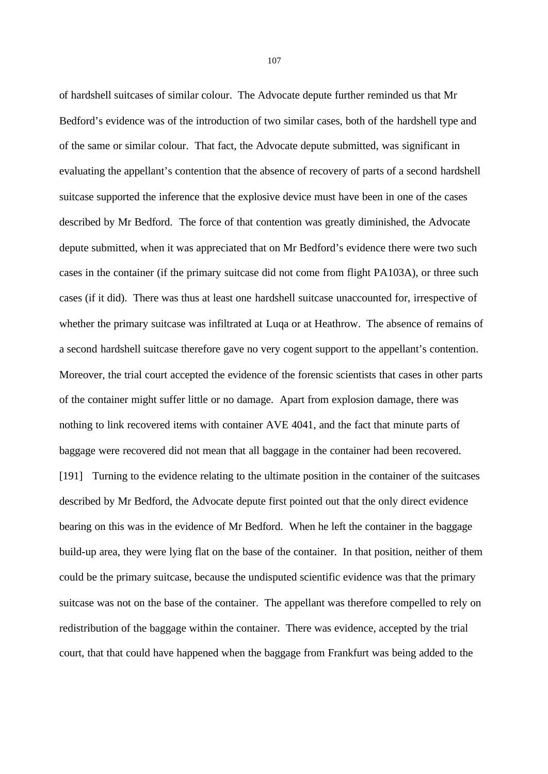of hardshell suitcases of similar colour. The Advocate depute further reminded us that Mr Bedford's evidence was of the introduction of two similar cases, both of the hardshell type and of the same or similar colour. That fact, the Advocate depute submitted, was significant in evaluating the appellant's contention that the absence of recovery of parts of a second hardshell suitcase supported the inference that the explosive device must have been in one of the cases described by Mr Bedford. The force of that contention was greatly diminished, the Advocate depute submitted, when it was appreciated that on Mr Bedford's evidence there were two such cases in the container (if the primary suitcase did not come from flight PA103A), or three such cases (if it did). There was thus at least one hardshell suitcase unaccounted for, irrespective of whether the primary suitcase was infiltrated at Luqa or at Heathrow. The absence of remains of a second hardshell suitcase therefore gave no very cogent support to the appellant's contention. Moreover, the trial court accepted the evidence of the forensic scientists that cases in other parts of the container might suffer little or no damage. Apart from explosion damage, there was nothing to link recovered items with container AVE 4041, and the fact that minute parts of baggage were recovered did not mean that all baggage in the container had been recovered. [191] Turning to the evidence relating to the ultimate position in the container of the suitcases described by Mr Bedford, the Advocate depute first pointed out that the only direct evidence bearing on this was in the evidence of Mr Bedford. When he left the container in the baggage build-up area, they were lying flat on the base of the container. In that position, neither of them could be the primary suitcase, because the undisputed scientific evidence was that the primary suitcase was not on the base of the container. The appellant was therefore compelled to rely on redistribution of the baggage within the container. There was evidence, accepted by the trial court, that that could have happened when the baggage from Frankfurt was being added to the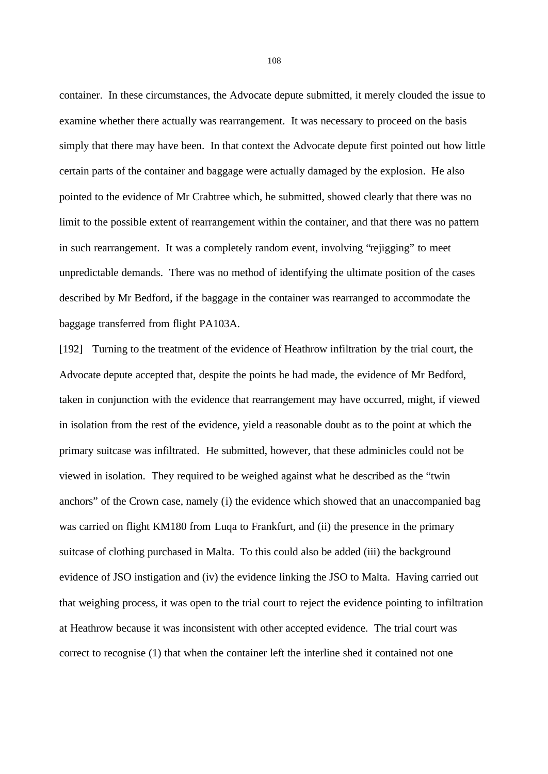container. In these circumstances, the Advocate depute submitted, it merely clouded the issue to examine whether there actually was rearrangement. It was necessary to proceed on the basis simply that there may have been. In that context the Advocate depute first pointed out how little certain parts of the container and baggage were actually damaged by the explosion. He also pointed to the evidence of Mr Crabtree which, he submitted, showed clearly that there was no limit to the possible extent of rearrangement within the container, and that there was no pattern in such rearrangement. It was a completely random event, involving "rejigging" to meet unpredictable demands. There was no method of identifying the ultimate position of the cases described by Mr Bedford, if the baggage in the container was rearranged to accommodate the baggage transferred from flight PA103A.

[192] Turning to the treatment of the evidence of Heathrow infiltration by the trial court, the Advocate depute accepted that, despite the points he had made, the evidence of Mr Bedford, taken in conjunction with the evidence that rearrangement may have occurred, might, if viewed in isolation from the rest of the evidence, yield a reasonable doubt as to the point at which the primary suitcase was infiltrated. He submitted, however, that these adminicles could not be viewed in isolation. They required to be weighed against what he described as the "twin anchors" of the Crown case, namely (i) the evidence which showed that an unaccompanied bag was carried on flight KM180 from Luqa to Frankfurt, and (ii) the presence in the primary suitcase of clothing purchased in Malta. To this could also be added (iii) the background evidence of JSO instigation and (iv) the evidence linking the JSO to Malta. Having carried out that weighing process, it was open to the trial court to reject the evidence pointing to infiltration at Heathrow because it was inconsistent with other accepted evidence. The trial court was correct to recognise (1) that when the container left the interline shed it contained not one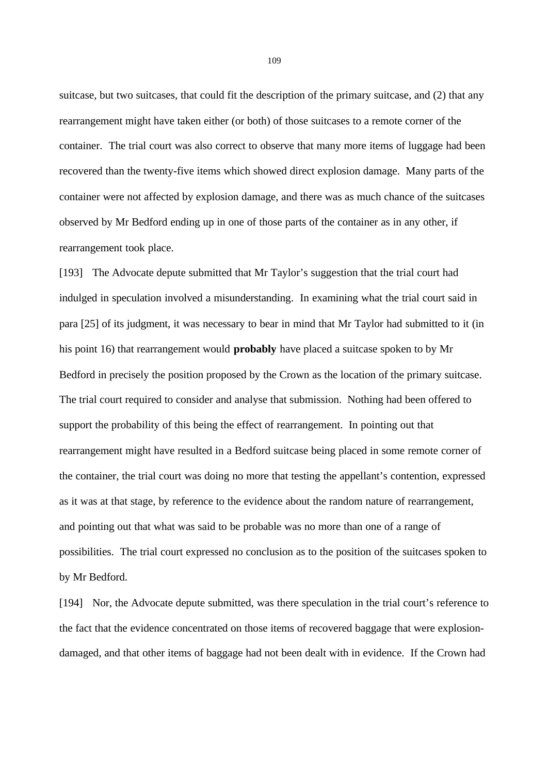suitcase, but two suitcases, that could fit the description of the primary suitcase, and (2) that any rearrangement might have taken either (or both) of those suitcases to a remote corner of the container. The trial court was also correct to observe that many more items of luggage had been recovered than the twenty-five items which showed direct explosion damage. Many parts of the container were not affected by explosion damage, and there was as much chance of the suitcases observed by Mr Bedford ending up in one of those parts of the container as in any other, if rearrangement took place.

[193] The Advocate depute submitted that Mr Taylor's suggestion that the trial court had indulged in speculation involved a misunderstanding. In examining what the trial court said in para [25] of its judgment, it was necessary to bear in mind that Mr Taylor had submitted to it (in his point 16) that rearrangement would **probably** have placed a suitcase spoken to by Mr Bedford in precisely the position proposed by the Crown as the location of the primary suitcase. The trial court required to consider and analyse that submission. Nothing had been offered to support the probability of this being the effect of rearrangement. In pointing out that rearrangement might have resulted in a Bedford suitcase being placed in some remote corner of the container, the trial court was doing no more that testing the appellant's contention, expressed as it was at that stage, by reference to the evidence about the random nature of rearrangement, and pointing out that what was said to be probable was no more than one of a range of possibilities. The trial court expressed no conclusion as to the position of the suitcases spoken to by Mr Bedford.

[194] Nor, the Advocate depute submitted, was there speculation in the trial court's reference to the fact that the evidence concentrated on those items of recovered baggage that were explosiondamaged, and that other items of baggage had not been dealt with in evidence. If the Crown had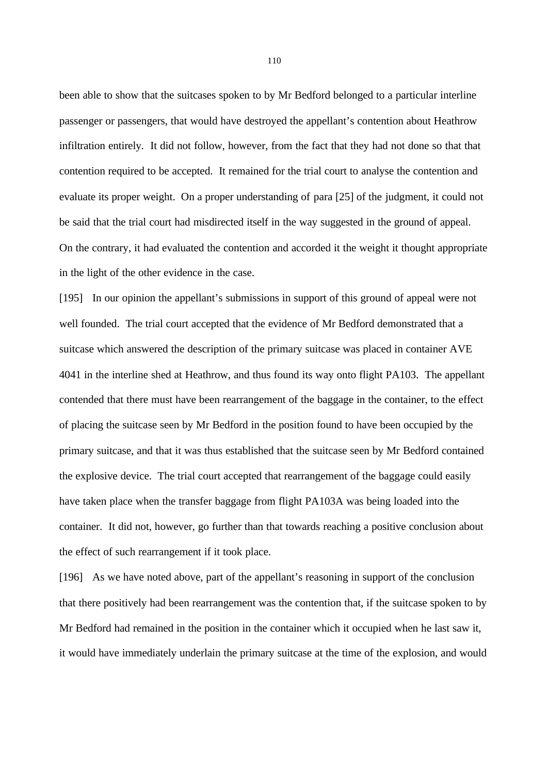been able to show that the suitcases spoken to by Mr Bedford belonged to a particular interline passenger or passengers, that would have destroyed the appellant's contention about Heathrow infiltration entirely. It did not follow, however, from the fact that they had not done so that that contention required to be accepted. It remained for the trial court to analyse the contention and evaluate its proper weight. On a proper understanding of para [25] of the judgment, it could not be said that the trial court had misdirected itself in the way suggested in the ground of appeal. On the contrary, it had evaluated the contention and accorded it the weight it thought appropriate in the light of the other evidence in the case.

[195] In our opinion the appellant's submissions in support of this ground of appeal were not well founded. The trial court accepted that the evidence of Mr Bedford demonstrated that a suitcase which answered the description of the primary suitcase was placed in container AVE 4041 in the interline shed at Heathrow, and thus found its way onto flight PA103. The appellant contended that there must have been rearrangement of the baggage in the container, to the effect of placing the suitcase seen by Mr Bedford in the position found to have been occupied by the primary suitcase, and that it was thus established that the suitcase seen by Mr Bedford contained the explosive device. The trial court accepted that rearrangement of the baggage could easily have taken place when the transfer baggage from flight PA103A was being loaded into the container. It did not, however, go further than that towards reaching a positive conclusion about the effect of such rearrangement if it took place.

[196] As we have noted above, part of the appellant's reasoning in support of the conclusion that there positively had been rearrangement was the contention that, if the suitcase spoken to by Mr Bedford had remained in the position in the container which it occupied when he last saw it, it would have immediately underlain the primary suitcase at the time of the explosion, and would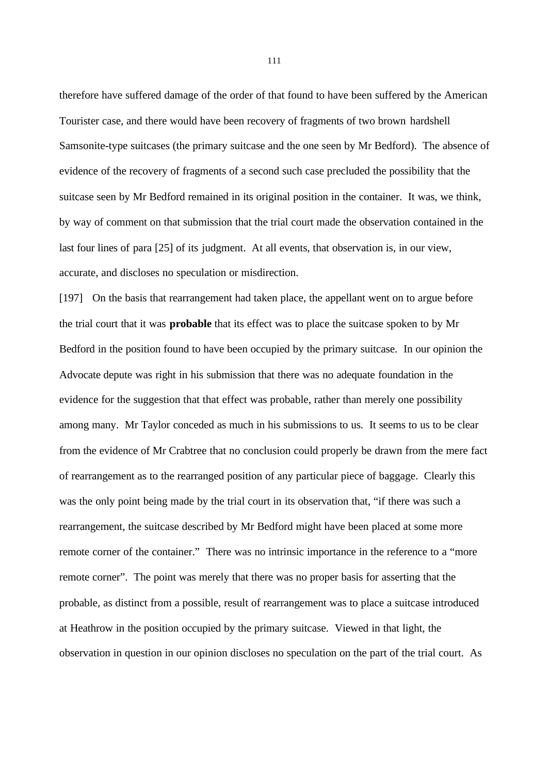therefore have suffered damage of the order of that found to have been suffered by the American Tourister case, and there would have been recovery of fragments of two brown hardshell Samsonite-type suitcases (the primary suitcase and the one seen by Mr Bedford). The absence of evidence of the recovery of fragments of a second such case precluded the possibility that the suitcase seen by Mr Bedford remained in its original position in the container. It was, we think, by way of comment on that submission that the trial court made the observation contained in the last four lines of para [25] of its judgment. At all events, that observation is, in our view, accurate, and discloses no speculation or misdirection.

[197] On the basis that rearrangement had taken place, the appellant went on to argue before the trial court that it was **probable** that its effect was to place the suitcase spoken to by Mr Bedford in the position found to have been occupied by the primary suitcase. In our opinion the Advocate depute was right in his submission that there was no adequate foundation in the evidence for the suggestion that that effect was probable, rather than merely one possibility among many. Mr Taylor conceded as much in his submissions to us. It seems to us to be clear from the evidence of Mr Crabtree that no conclusion could properly be drawn from the mere fact of rearrangement as to the rearranged position of any particular piece of baggage. Clearly this was the only point being made by the trial court in its observation that, "if there was such a rearrangement, the suitcase described by Mr Bedford might have been placed at some more remote corner of the container." There was no intrinsic importance in the reference to a "more remote corner". The point was merely that there was no proper basis for asserting that the probable, as distinct from a possible, result of rearrangement was to place a suitcase introduced at Heathrow in the position occupied by the primary suitcase. Viewed in that light, the observation in question in our opinion discloses no speculation on the part of the trial court. As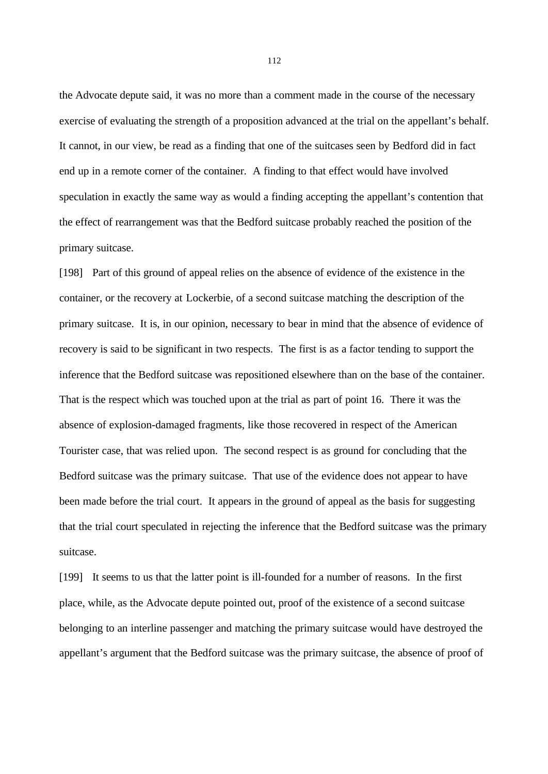the Advocate depute said, it was no more than a comment made in the course of the necessary exercise of evaluating the strength of a proposition advanced at the trial on the appellant's behalf. It cannot, in our view, be read as a finding that one of the suitcases seen by Bedford did in fact end up in a remote corner of the container. A finding to that effect would have involved speculation in exactly the same way as would a finding accepting the appellant's contention that the effect of rearrangement was that the Bedford suitcase probably reached the position of the primary suitcase.

[198] Part of this ground of appeal relies on the absence of evidence of the existence in the container, or the recovery at Lockerbie, of a second suitcase matching the description of the primary suitcase. It is, in our opinion, necessary to bear in mind that the absence of evidence of recovery is said to be significant in two respects. The first is as a factor tending to support the inference that the Bedford suitcase was repositioned elsewhere than on the base of the container. That is the respect which was touched upon at the trial as part of point 16. There it was the absence of explosion-damaged fragments, like those recovered in respect of the American Tourister case, that was relied upon. The second respect is as ground for concluding that the Bedford suitcase was the primary suitcase. That use of the evidence does not appear to have been made before the trial court. It appears in the ground of appeal as the basis for suggesting that the trial court speculated in rejecting the inference that the Bedford suitcase was the primary suitcase.

[199] It seems to us that the latter point is ill-founded for a number of reasons. In the first place, while, as the Advocate depute pointed out, proof of the existence of a second suitcase belonging to an interline passenger and matching the primary suitcase would have destroyed the appellant's argument that the Bedford suitcase was the primary suitcase, the absence of proof of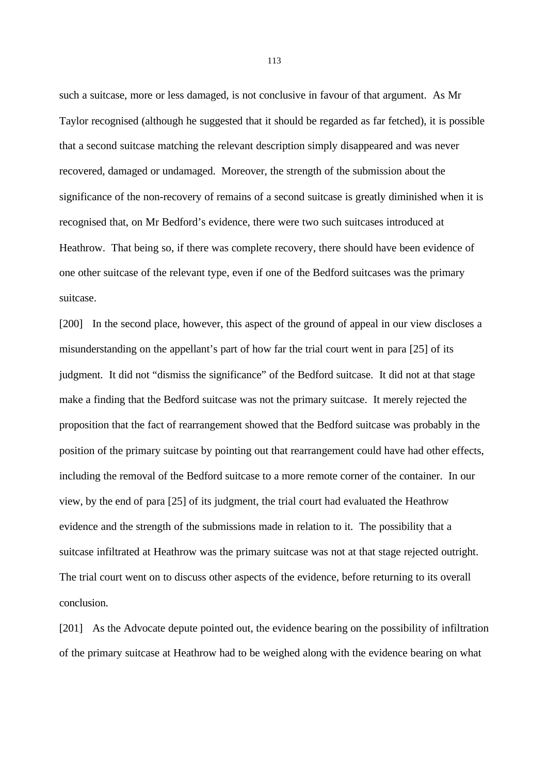such a suitcase, more or less damaged, is not conclusive in favour of that argument. As Mr Taylor recognised (although he suggested that it should be regarded as far fetched), it is possible that a second suitcase matching the relevant description simply disappeared and was never recovered, damaged or undamaged. Moreover, the strength of the submission about the significance of the non-recovery of remains of a second suitcase is greatly diminished when it is recognised that, on Mr Bedford's evidence, there were two such suitcases introduced at Heathrow. That being so, if there was complete recovery, there should have been evidence of one other suitcase of the relevant type, even if one of the Bedford suitcases was the primary suitcase.

[200] In the second place, however, this aspect of the ground of appeal in our view discloses a misunderstanding on the appellant's part of how far the trial court went in para [25] of its judgment. It did not "dismiss the significance" of the Bedford suitcase. It did not at that stage make a finding that the Bedford suitcase was not the primary suitcase. It merely rejected the proposition that the fact of rearrangement showed that the Bedford suitcase was probably in the position of the primary suitcase by pointing out that rearrangement could have had other effects, including the removal of the Bedford suitcase to a more remote corner of the container. In our view, by the end of para [25] of its judgment, the trial court had evaluated the Heathrow evidence and the strength of the submissions made in relation to it. The possibility that a suitcase infiltrated at Heathrow was the primary suitcase was not at that stage rejected outright. The trial court went on to discuss other aspects of the evidence, before returning to its overall conclusion.

[201] As the Advocate depute pointed out, the evidence bearing on the possibility of infiltration of the primary suitcase at Heathrow had to be weighed along with the evidence bearing on what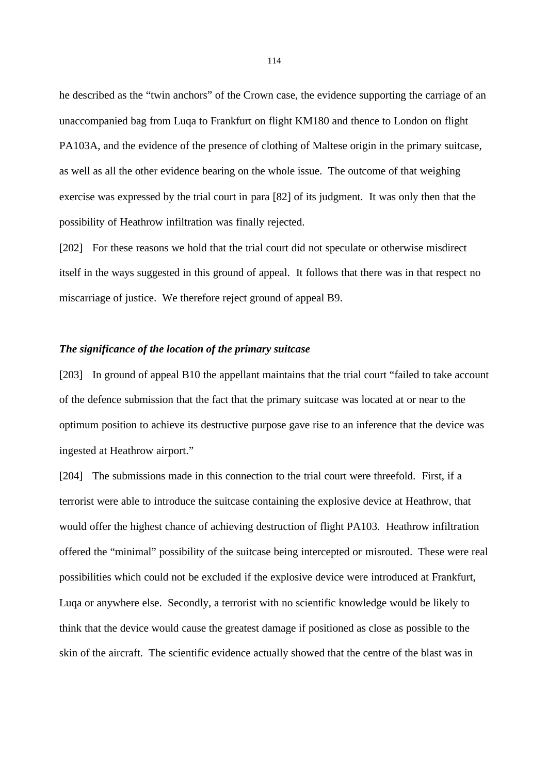he described as the "twin anchors" of the Crown case, the evidence supporting the carriage of an unaccompanied bag from Luqa to Frankfurt on flight KM180 and thence to London on flight PA103A, and the evidence of the presence of clothing of Maltese origin in the primary suitcase, as well as all the other evidence bearing on the whole issue. The outcome of that weighing exercise was expressed by the trial court in para [82] of its judgment. It was only then that the possibility of Heathrow infiltration was finally rejected.

[202] For these reasons we hold that the trial court did not speculate or otherwise misdirect itself in the ways suggested in this ground of appeal. It follows that there was in that respect no miscarriage of justice. We therefore reject ground of appeal B9.

## *The significance of the location of the primary suitcase*

[203] In ground of appeal B10 the appellant maintains that the trial court "failed to take account" of the defence submission that the fact that the primary suitcase was located at or near to the optimum position to achieve its destructive purpose gave rise to an inference that the device was ingested at Heathrow airport."

[204] The submissions made in this connection to the trial court were threefold. First, if a terrorist were able to introduce the suitcase containing the explosive device at Heathrow, that would offer the highest chance of achieving destruction of flight PA103. Heathrow infiltration offered the "minimal" possibility of the suitcase being intercepted or misrouted. These were real possibilities which could not be excluded if the explosive device were introduced at Frankfurt, Luqa or anywhere else. Secondly, a terrorist with no scientific knowledge would be likely to think that the device would cause the greatest damage if positioned as close as possible to the skin of the aircraft. The scientific evidence actually showed that the centre of the blast was in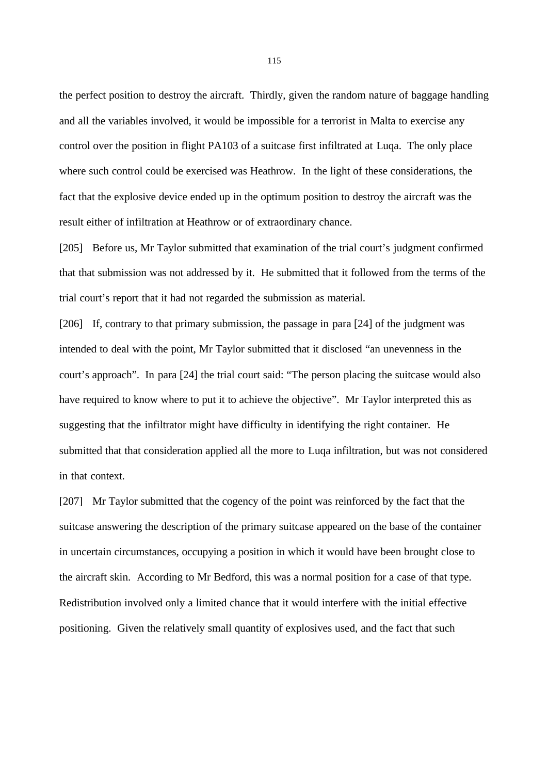the perfect position to destroy the aircraft. Thirdly, given the random nature of baggage handling and all the variables involved, it would be impossible for a terrorist in Malta to exercise any control over the position in flight PA103 of a suitcase first infiltrated at Luqa. The only place where such control could be exercised was Heathrow. In the light of these considerations, the fact that the explosive device ended up in the optimum position to destroy the aircraft was the result either of infiltration at Heathrow or of extraordinary chance.

[205] Before us, Mr Taylor submitted that examination of the trial court's judgment confirmed that that submission was not addressed by it. He submitted that it followed from the terms of the trial court's report that it had not regarded the submission as material.

[206] If, contrary to that primary submission, the passage in para [24] of the judgment was intended to deal with the point, Mr Taylor submitted that it disclosed "an unevenness in the court's approach". In para [24] the trial court said: "The person placing the suitcase would also have required to know where to put it to achieve the objective". Mr Taylor interpreted this as suggesting that the infiltrator might have difficulty in identifying the right container. He submitted that that consideration applied all the more to Luqa infiltration, but was not considered in that context.

[207] Mr Taylor submitted that the cogency of the point was reinforced by the fact that the suitcase answering the description of the primary suitcase appeared on the base of the container in uncertain circumstances, occupying a position in which it would have been brought close to the aircraft skin. According to Mr Bedford, this was a normal position for a case of that type. Redistribution involved only a limited chance that it would interfere with the initial effective positioning. Given the relatively small quantity of explosives used, and the fact that such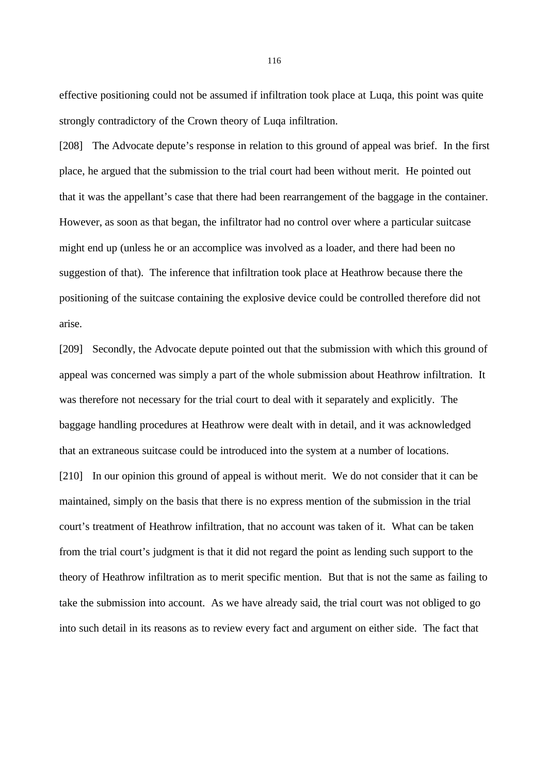effective positioning could not be assumed if infiltration took place at Luqa, this point was quite strongly contradictory of the Crown theory of Luqa infiltration.

[208] The Advocate depute's response in relation to this ground of appeal was brief. In the first place, he argued that the submission to the trial court had been without merit. He pointed out that it was the appellant's case that there had been rearrangement of the baggage in the container. However, as soon as that began, the infiltrator had no control over where a particular suitcase might end up (unless he or an accomplice was involved as a loader, and there had been no suggestion of that). The inference that infiltration took place at Heathrow because there the positioning of the suitcase containing the explosive device could be controlled therefore did not arise.

[209] Secondly, the Advocate depute pointed out that the submission with which this ground of appeal was concerned was simply a part of the whole submission about Heathrow infiltration. It was therefore not necessary for the trial court to deal with it separately and explicitly. The baggage handling procedures at Heathrow were dealt with in detail, and it was acknowledged that an extraneous suitcase could be introduced into the system at a number of locations. [210] In our opinion this ground of appeal is without merit. We do not consider that it can be maintained, simply on the basis that there is no express mention of the submission in the trial court's treatment of Heathrow infiltration, that no account was taken of it. What can be taken from the trial court's judgment is that it did not regard the point as lending such support to the theory of Heathrow infiltration as to merit specific mention. But that is not the same as failing to take the submission into account. As we have already said, the trial court was not obliged to go into such detail in its reasons as to review every fact and argument on either side. The fact that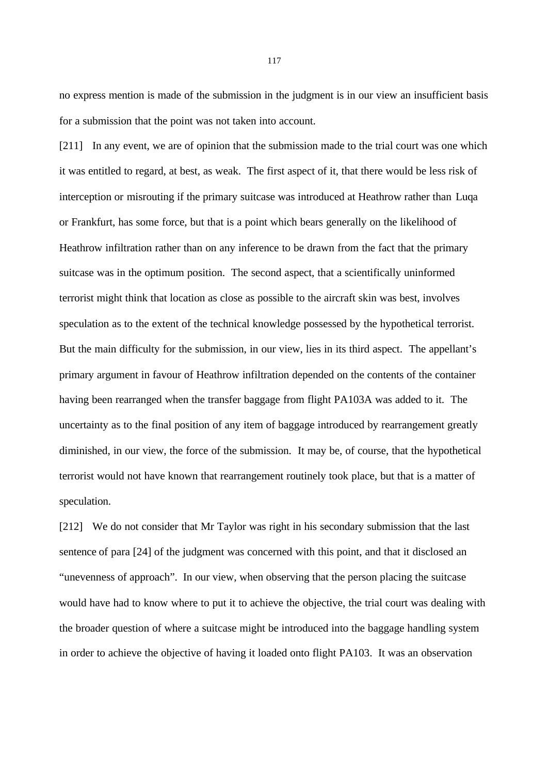no express mention is made of the submission in the judgment is in our view an insufficient basis for a submission that the point was not taken into account.

[211] In any event, we are of opinion that the submission made to the trial court was one which it was entitled to regard, at best, as weak. The first aspect of it, that there would be less risk of interception or misrouting if the primary suitcase was introduced at Heathrow rather than Luqa or Frankfurt, has some force, but that is a point which bears generally on the likelihood of Heathrow infiltration rather than on any inference to be drawn from the fact that the primary suitcase was in the optimum position. The second aspect, that a scientifically uninformed terrorist might think that location as close as possible to the aircraft skin was best, involves speculation as to the extent of the technical knowledge possessed by the hypothetical terrorist. But the main difficulty for the submission, in our view, lies in its third aspect. The appellant's primary argument in favour of Heathrow infiltration depended on the contents of the container having been rearranged when the transfer baggage from flight PA103A was added to it. The uncertainty as to the final position of any item of baggage introduced by rearrangement greatly diminished, in our view, the force of the submission. It may be, of course, that the hypothetical terrorist would not have known that rearrangement routinely took place, but that is a matter of speculation.

[212] We do not consider that Mr Taylor was right in his secondary submission that the last sentence of para [24] of the judgment was concerned with this point, and that it disclosed an "unevenness of approach". In our view, when observing that the person placing the suitcase would have had to know where to put it to achieve the objective, the trial court was dealing with the broader question of where a suitcase might be introduced into the baggage handling system in order to achieve the objective of having it loaded onto flight PA103. It was an observation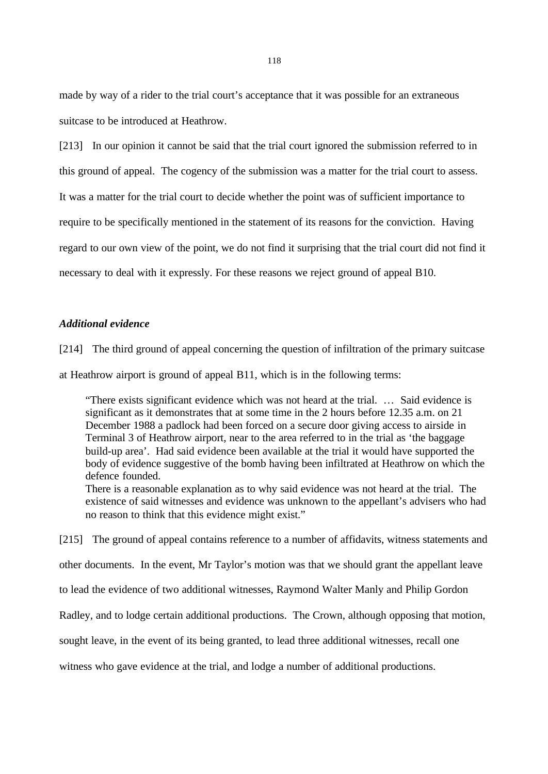made by way of a rider to the trial court's acceptance that it was possible for an extraneous suitcase to be introduced at Heathrow.

[213] In our opinion it cannot be said that the trial court ignored the submission referred to in this ground of appeal. The cogency of the submission was a matter for the trial court to assess. It was a matter for the trial court to decide whether the point was of sufficient importance to require to be specifically mentioned in the statement of its reasons for the conviction. Having regard to our own view of the point, we do not find it surprising that the trial court did not find it necessary to deal with it expressly. For these reasons we reject ground of appeal B10.

### *Additional evidence*

[214] The third ground of appeal concerning the question of infiltration of the primary suitcase

at Heathrow airport is ground of appeal B11, which is in the following terms:

"There exists significant evidence which was not heard at the trial. … Said evidence is significant as it demonstrates that at some time in the 2 hours before 12.35 a.m. on 21 December 1988 a padlock had been forced on a secure door giving access to airside in Terminal 3 of Heathrow airport, near to the area referred to in the trial as 'the baggage build-up area'. Had said evidence been available at the trial it would have supported the body of evidence suggestive of the bomb having been infiltrated at Heathrow on which the defence founded.

There is a reasonable explanation as to why said evidence was not heard at the trial. The existence of said witnesses and evidence was unknown to the appellant's advisers who had no reason to think that this evidence might exist."

[215] The ground of appeal contains reference to a number of affidavits, witness statements and other documents. In the event, Mr Taylor's motion was that we should grant the appellant leave to lead the evidence of two additional witnesses, Raymond Walter Manly and Philip Gordon Radley, and to lodge certain additional productions. The Crown, although opposing that motion, sought leave, in the event of its being granted, to lead three additional witnesses, recall one witness who gave evidence at the trial, and lodge a number of additional productions.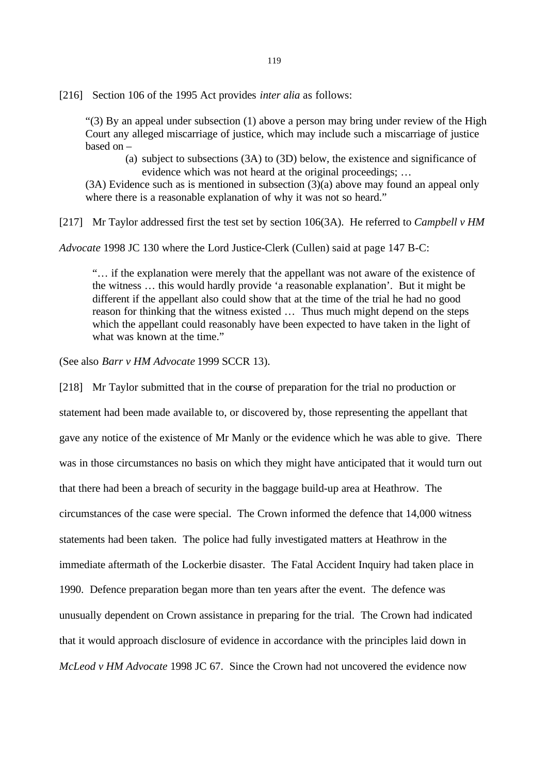[216] Section 106 of the 1995 Act provides *inter alia* as follows:

"(3) By an appeal under subsection (1) above a person may bring under review of the High Court any alleged miscarriage of justice, which may include such a miscarriage of justice based on –

(a) subject to subsections (3A) to (3D) below, the existence and significance of evidence which was not heard at the original proceedings; …

(3A) Evidence such as is mentioned in subsection (3)(a) above may found an appeal only where there is a reasonable explanation of why it was not so heard."

[217] Mr Taylor addressed first the test set by section 106(3A). He referred to *Campbell v HM*

*Advocate* 1998 JC 130 where the Lord Justice-Clerk (Cullen) said at page 147 B-C:

"… if the explanation were merely that the appellant was not aware of the existence of the witness … this would hardly provide 'a reasonable explanation'. But it might be different if the appellant also could show that at the time of the trial he had no good reason for thinking that the witness existed … Thus much might depend on the steps which the appellant could reasonably have been expected to have taken in the light of what was known at the time."

(See also *Barr v HM Advocate* 1999 SCCR 13).

[218] Mr Taylor submitted that in the course of preparation for the trial no production or statement had been made available to, or discovered by, those representing the appellant that gave any notice of the existence of Mr Manly or the evidence which he was able to give. There was in those circumstances no basis on which they might have anticipated that it would turn out that there had been a breach of security in the baggage build-up area at Heathrow. The circumstances of the case were special. The Crown informed the defence that 14,000 witness statements had been taken. The police had fully investigated matters at Heathrow in the immediate aftermath of the Lockerbie disaster. The Fatal Accident Inquiry had taken place in 1990. Defence preparation began more than ten years after the event. The defence was unusually dependent on Crown assistance in preparing for the trial. The Crown had indicated that it would approach disclosure of evidence in accordance with the principles laid down in *McLeod v HM Advocate* 1998 JC 67. Since the Crown had not uncovered the evidence now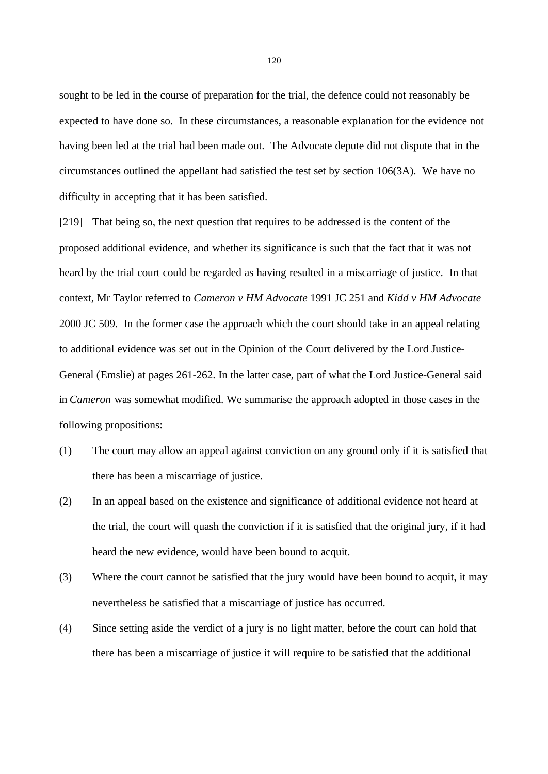sought to be led in the course of preparation for the trial, the defence could not reasonably be expected to have done so. In these circumstances, a reasonable explanation for the evidence not having been led at the trial had been made out. The Advocate depute did not dispute that in the circumstances outlined the appellant had satisfied the test set by section 106(3A). We have no difficulty in accepting that it has been satisfied.

[219] That being so, the next question that requires to be addressed is the content of the proposed additional evidence, and whether its significance is such that the fact that it was not heard by the trial court could be regarded as having resulted in a miscarriage of justice. In that context, Mr Taylor referred to *Cameron v HM Advocate* 1991 JC 251 and *Kidd v HM Advocate* 2000 JC 509. In the former case the approach which the court should take in an appeal relating to additional evidence was set out in the Opinion of the Court delivered by the Lord Justice-General (Emslie) at pages 261-262. In the latter case, part of what the Lord Justice-General said in *Cameron* was somewhat modified. We summarise the approach adopted in those cases in the following propositions:

- (1) The court may allow an appeal against conviction on any ground only if it is satisfied that there has been a miscarriage of justice.
- (2) In an appeal based on the existence and significance of additional evidence not heard at the trial, the court will quash the conviction if it is satisfied that the original jury, if it had heard the new evidence, would have been bound to acquit.
- (3) Where the court cannot be satisfied that the jury would have been bound to acquit, it may nevertheless be satisfied that a miscarriage of justice has occurred.
- (4) Since setting aside the verdict of a jury is no light matter, before the court can hold that there has been a miscarriage of justice it will require to be satisfied that the additional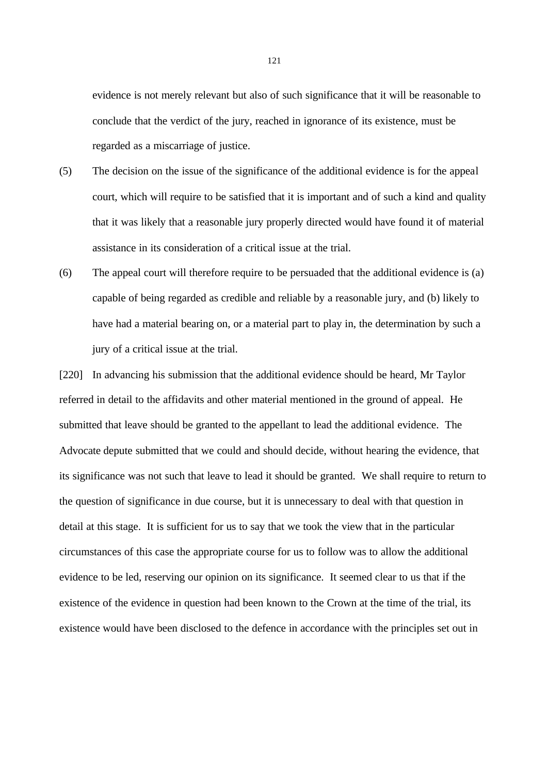evidence is not merely relevant but also of such significance that it will be reasonable to conclude that the verdict of the jury, reached in ignorance of its existence, must be regarded as a miscarriage of justice.

- (5) The decision on the issue of the significance of the additional evidence is for the appeal court, which will require to be satisfied that it is important and of such a kind and quality that it was likely that a reasonable jury properly directed would have found it of material assistance in its consideration of a critical issue at the trial.
- (6) The appeal court will therefore require to be persuaded that the additional evidence is (a) capable of being regarded as credible and reliable by a reasonable jury, and (b) likely to have had a material bearing on, or a material part to play in, the determination by such a jury of a critical issue at the trial.

[220] In advancing his submission that the additional evidence should be heard, Mr Taylor referred in detail to the affidavits and other material mentioned in the ground of appeal. He submitted that leave should be granted to the appellant to lead the additional evidence. The Advocate depute submitted that we could and should decide, without hearing the evidence, that its significance was not such that leave to lead it should be granted. We shall require to return to the question of significance in due course, but it is unnecessary to deal with that question in detail at this stage. It is sufficient for us to say that we took the view that in the particular circumstances of this case the appropriate course for us to follow was to allow the additional evidence to be led, reserving our opinion on its significance. It seemed clear to us that if the existence of the evidence in question had been known to the Crown at the time of the trial, its existence would have been disclosed to the defence in accordance with the principles set out in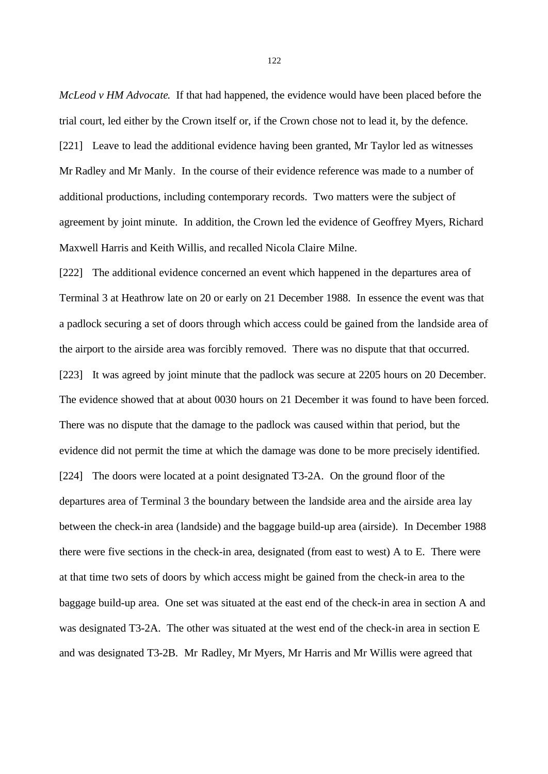*McLeod v HM Advocate*. If that had happened, the evidence would have been placed before the trial court, led either by the Crown itself or, if the Crown chose not to lead it, by the defence. [221] Leave to lead the additional evidence having been granted, Mr Taylor led as witnesses Mr Radley and Mr Manly. In the course of their evidence reference was made to a number of additional productions, including contemporary records. Two matters were the subject of agreement by joint minute. In addition, the Crown led the evidence of Geoffrey Myers, Richard Maxwell Harris and Keith Willis, and recalled Nicola Claire Milne.

[222] The additional evidence concerned an event which happened in the departures area of Terminal 3 at Heathrow late on 20 or early on 21 December 1988. In essence the event was that a padlock securing a set of doors through which access could be gained from the landside area of the airport to the airside area was forcibly removed. There was no dispute that that occurred. [223] It was agreed by joint minute that the padlock was secure at 2205 hours on 20 December. The evidence showed that at about 0030 hours on 21 December it was found to have been forced. There was no dispute that the damage to the padlock was caused within that period, but the evidence did not permit the time at which the damage was done to be more precisely identified. [224] The doors were located at a point designated T3-2A. On the ground floor of the departures area of Terminal 3 the boundary between the landside area and the airside area lay between the check-in area (landside) and the baggage build-up area (airside). In December 1988 there were five sections in the check-in area, designated (from east to west) A to E. There were at that time two sets of doors by which access might be gained from the check-in area to the baggage build-up area. One set was situated at the east end of the check-in area in section A and was designated T3-2A. The other was situated at the west end of the check-in area in section E and was designated T3-2B. Mr Radley, Mr Myers, Mr Harris and Mr Willis were agreed that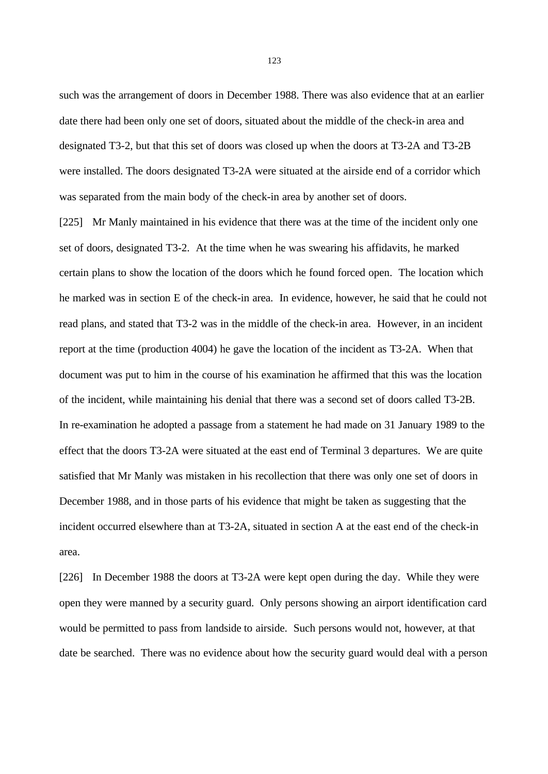such was the arrangement of doors in December 1988. There was also evidence that at an earlier date there had been only one set of doors, situated about the middle of the check-in area and designated T3-2, but that this set of doors was closed up when the doors at T3-2A and T3-2B were installed. The doors designated T3-2A were situated at the airside end of a corridor which was separated from the main body of the check-in area by another set of doors.

[225] Mr Manly maintained in his evidence that there was at the time of the incident only one set of doors, designated T3-2. At the time when he was swearing his affidavits, he marked certain plans to show the location of the doors which he found forced open. The location which he marked was in section E of the check-in area. In evidence, however, he said that he could not read plans, and stated that T3-2 was in the middle of the check-in area. However, in an incident report at the time (production 4004) he gave the location of the incident as T3-2A. When that document was put to him in the course of his examination he affirmed that this was the location of the incident, while maintaining his denial that there was a second set of doors called T3-2B. In re-examination he adopted a passage from a statement he had made on 31 January 1989 to the effect that the doors T3-2A were situated at the east end of Terminal 3 departures. We are quite satisfied that Mr Manly was mistaken in his recollection that there was only one set of doors in December 1988, and in those parts of his evidence that might be taken as suggesting that the incident occurred elsewhere than at T3-2A, situated in section A at the east end of the check-in area.

[226] In December 1988 the doors at T3-2A were kept open during the day. While they were open they were manned by a security guard. Only persons showing an airport identification card would be permitted to pass from landside to airside. Such persons would not, however, at that date be searched. There was no evidence about how the security guard would deal with a person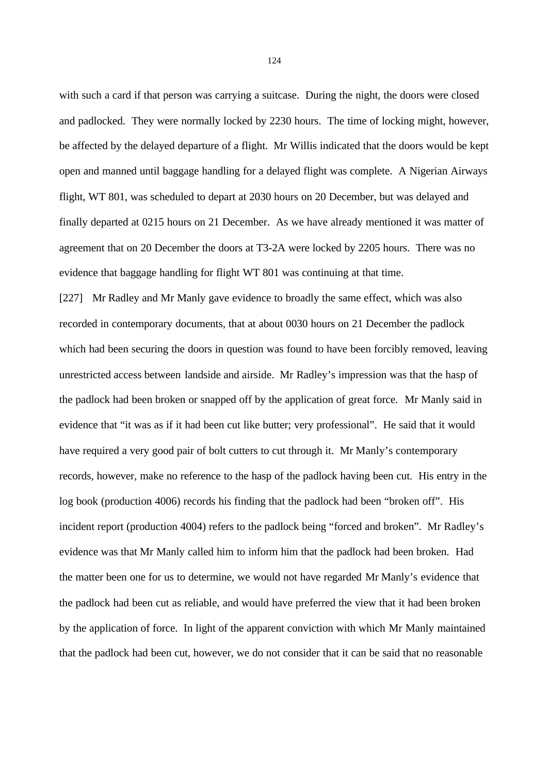with such a card if that person was carrying a suitcase. During the night, the doors were closed and padlocked. They were normally locked by 2230 hours. The time of locking might, however, be affected by the delayed departure of a flight. Mr Willis indicated that the doors would be kept open and manned until baggage handling for a delayed flight was complete. A Nigerian Airways flight, WT 801, was scheduled to depart at 2030 hours on 20 December, but was delayed and finally departed at 0215 hours on 21 December. As we have already mentioned it was matter of agreement that on 20 December the doors at T3-2A were locked by 2205 hours. There was no evidence that baggage handling for flight WT 801 was continuing at that time.

[227] Mr Radley and Mr Manly gave evidence to broadly the same effect, which was also recorded in contemporary documents, that at about 0030 hours on 21 December the padlock which had been securing the doors in question was found to have been forcibly removed, leaving unrestricted access between landside and airside. Mr Radley's impression was that the hasp of the padlock had been broken or snapped off by the application of great force. Mr Manly said in evidence that "it was as if it had been cut like butter; very professional". He said that it would have required a very good pair of bolt cutters to cut through it. Mr Manly's contemporary records, however, make no reference to the hasp of the padlock having been cut. His entry in the log book (production 4006) records his finding that the padlock had been "broken off". His incident report (production 4004) refers to the padlock being "forced and broken". Mr Radley's evidence was that Mr Manly called him to inform him that the padlock had been broken. Had the matter been one for us to determine, we would not have regarded Mr Manly's evidence that the padlock had been cut as reliable, and would have preferred the view that it had been broken by the application of force. In light of the apparent conviction with which Mr Manly maintained that the padlock had been cut, however, we do not consider that it can be said that no reasonable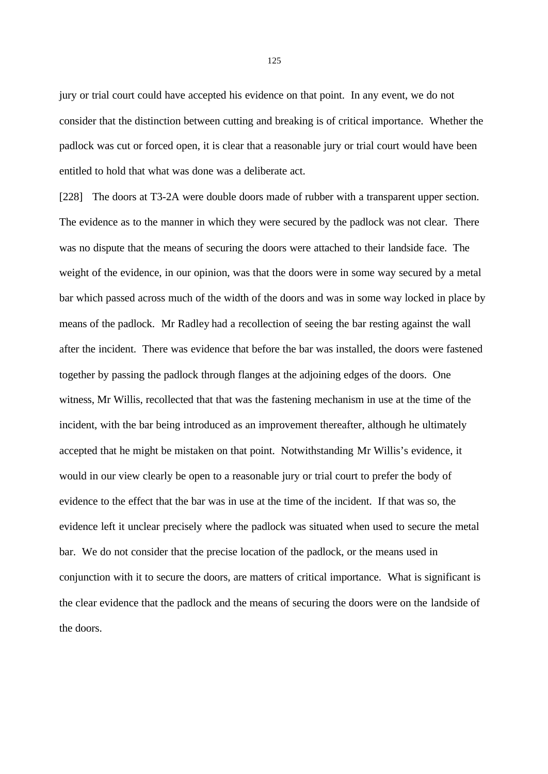jury or trial court could have accepted his evidence on that point. In any event, we do not consider that the distinction between cutting and breaking is of critical importance. Whether the padlock was cut or forced open, it is clear that a reasonable jury or trial court would have been entitled to hold that what was done was a deliberate act.

[228] The doors at T3-2A were double doors made of rubber with a transparent upper section. The evidence as to the manner in which they were secured by the padlock was not clear. There was no dispute that the means of securing the doors were attached to their landside face. The weight of the evidence, in our opinion, was that the doors were in some way secured by a metal bar which passed across much of the width of the doors and was in some way locked in place by means of the padlock. Mr Radley had a recollection of seeing the bar resting against the wall after the incident. There was evidence that before the bar was installed, the doors were fastened together by passing the padlock through flanges at the adjoining edges of the doors. One witness, Mr Willis, recollected that that was the fastening mechanism in use at the time of the incident, with the bar being introduced as an improvement thereafter, although he ultimately accepted that he might be mistaken on that point. Notwithstanding Mr Willis's evidence, it would in our view clearly be open to a reasonable jury or trial court to prefer the body of evidence to the effect that the bar was in use at the time of the incident. If that was so, the evidence left it unclear precisely where the padlock was situated when used to secure the metal bar. We do not consider that the precise location of the padlock, or the means used in conjunction with it to secure the doors, are matters of critical importance. What is significant is the clear evidence that the padlock and the means of securing the doors were on the landside of the doors.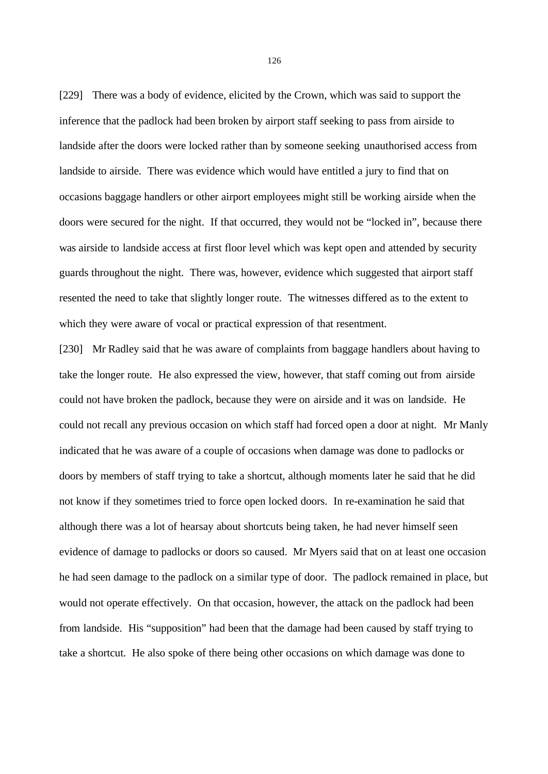[229] There was a body of evidence, elicited by the Crown, which was said to support the inference that the padlock had been broken by airport staff seeking to pass from airside to landside after the doors were locked rather than by someone seeking unauthorised access from landside to airside. There was evidence which would have entitled a jury to find that on occasions baggage handlers or other airport employees might still be working airside when the doors were secured for the night. If that occurred, they would not be "locked in", because there was airside to landside access at first floor level which was kept open and attended by security guards throughout the night. There was, however, evidence which suggested that airport staff resented the need to take that slightly longer route. The witnesses differed as to the extent to which they were aware of vocal or practical expression of that resentment.

[230] Mr Radley said that he was aware of complaints from baggage handlers about having to take the longer route. He also expressed the view, however, that staff coming out from airside could not have broken the padlock, because they were on airside and it was on landside. He could not recall any previous occasion on which staff had forced open a door at night. Mr Manly indicated that he was aware of a couple of occasions when damage was done to padlocks or doors by members of staff trying to take a shortcut, although moments later he said that he did not know if they sometimes tried to force open locked doors. In re-examination he said that although there was a lot of hearsay about shortcuts being taken, he had never himself seen evidence of damage to padlocks or doors so caused. Mr Myers said that on at least one occasion he had seen damage to the padlock on a similar type of door. The padlock remained in place, but would not operate effectively. On that occasion, however, the attack on the padlock had been from landside. His "supposition" had been that the damage had been caused by staff trying to take a shortcut. He also spoke of there being other occasions on which damage was done to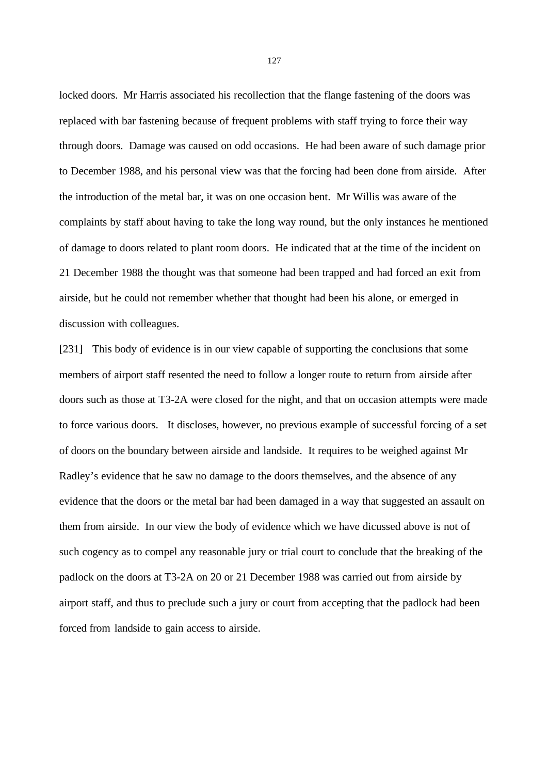locked doors. Mr Harris associated his recollection that the flange fastening of the doors was replaced with bar fastening because of frequent problems with staff trying to force their way through doors. Damage was caused on odd occasions. He had been aware of such damage prior to December 1988, and his personal view was that the forcing had been done from airside. After the introduction of the metal bar, it was on one occasion bent. Mr Willis was aware of the complaints by staff about having to take the long way round, but the only instances he mentioned of damage to doors related to plant room doors. He indicated that at the time of the incident on 21 December 1988 the thought was that someone had been trapped and had forced an exit from airside, but he could not remember whether that thought had been his alone, or emerged in discussion with colleagues.

[231] This body of evidence is in our view capable of supporting the conclusions that some members of airport staff resented the need to follow a longer route to return from airside after doors such as those at T3-2A were closed for the night, and that on occasion attempts were made to force various doors. It discloses, however, no previous example of successful forcing of a set of doors on the boundary between airside and landside. It requires to be weighed against Mr Radley's evidence that he saw no damage to the doors themselves, and the absence of any evidence that the doors or the metal bar had been damaged in a way that suggested an assault on them from airside. In our view the body of evidence which we have dicussed above is not of such cogency as to compel any reasonable jury or trial court to conclude that the breaking of the padlock on the doors at T3-2A on 20 or 21 December 1988 was carried out from airside by airport staff, and thus to preclude such a jury or court from accepting that the padlock had been forced from landside to gain access to airside.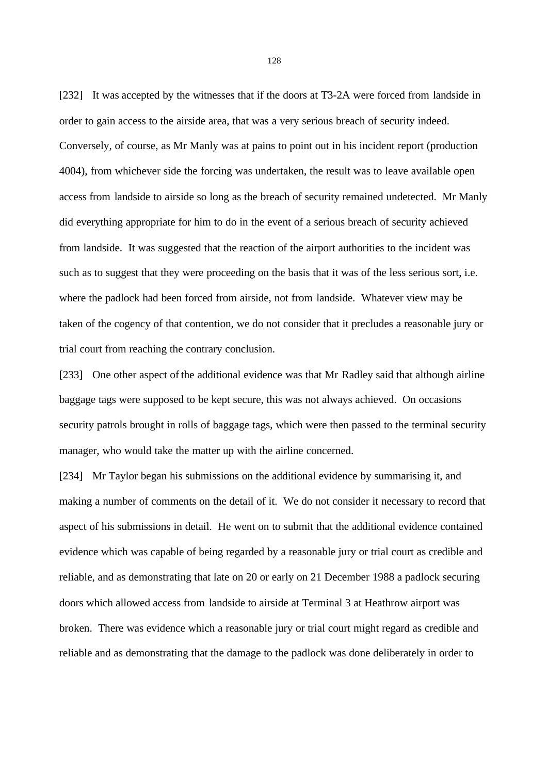[232] It was accepted by the witnesses that if the doors at T3-2A were forced from landside in order to gain access to the airside area, that was a very serious breach of security indeed. Conversely, of course, as Mr Manly was at pains to point out in his incident report (production 4004), from whichever side the forcing was undertaken, the result was to leave available open access from landside to airside so long as the breach of security remained undetected. Mr Manly did everything appropriate for him to do in the event of a serious breach of security achieved from landside. It was suggested that the reaction of the airport authorities to the incident was such as to suggest that they were proceeding on the basis that it was of the less serious sort, i.e. where the padlock had been forced from airside, not from landside. Whatever view may be taken of the cogency of that contention, we do not consider that it precludes a reasonable jury or trial court from reaching the contrary conclusion.

[233] One other aspect of the additional evidence was that Mr Radley said that although airline baggage tags were supposed to be kept secure, this was not always achieved. On occasions security patrols brought in rolls of baggage tags, which were then passed to the terminal security manager, who would take the matter up with the airline concerned.

[234] Mr Taylor began his submissions on the additional evidence by summarising it, and making a number of comments on the detail of it. We do not consider it necessary to record that aspect of his submissions in detail. He went on to submit that the additional evidence contained evidence which was capable of being regarded by a reasonable jury or trial court as credible and reliable, and as demonstrating that late on 20 or early on 21 December 1988 a padlock securing doors which allowed access from landside to airside at Terminal 3 at Heathrow airport was broken. There was evidence which a reasonable jury or trial court might regard as credible and reliable and as demonstrating that the damage to the padlock was done deliberately in order to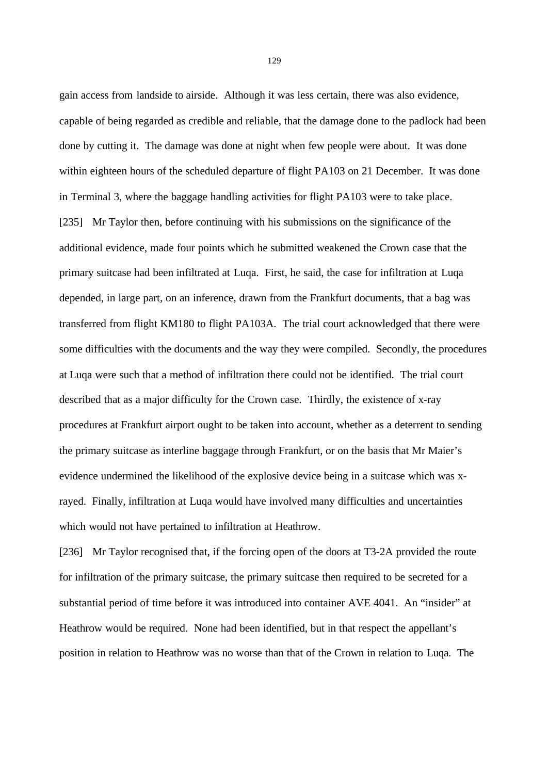gain access from landside to airside. Although it was less certain, there was also evidence, capable of being regarded as credible and reliable, that the damage done to the padlock had been done by cutting it. The damage was done at night when few people were about. It was done within eighteen hours of the scheduled departure of flight PA103 on 21 December. It was done in Terminal 3, where the baggage handling activities for flight PA103 were to take place. [235] Mr Taylor then, before continuing with his submissions on the significance of the additional evidence, made four points which he submitted weakened the Crown case that the primary suitcase had been infiltrated at Luqa. First, he said, the case for infiltration at Luqa depended, in large part, on an inference, drawn from the Frankfurt documents, that a bag was transferred from flight KM180 to flight PA103A. The trial court acknowledged that there were some difficulties with the documents and the way they were compiled. Secondly, the procedures at Luqa were such that a method of infiltration there could not be identified. The trial court described that as a major difficulty for the Crown case. Thirdly, the existence of x-ray procedures at Frankfurt airport ought to be taken into account, whether as a deterrent to sending the primary suitcase as interline baggage through Frankfurt, or on the basis that Mr Maier's evidence undermined the likelihood of the explosive device being in a suitcase which was xrayed. Finally, infiltration at Luqa would have involved many difficulties and uncertainties which would not have pertained to infiltration at Heathrow.

[236] Mr Taylor recognised that, if the forcing open of the doors at T3-2A provided the route for infiltration of the primary suitcase, the primary suitcase then required to be secreted for a substantial period of time before it was introduced into container AVE 4041. An "insider" at Heathrow would be required. None had been identified, but in that respect the appellant's position in relation to Heathrow was no worse than that of the Crown in relation to Luqa. The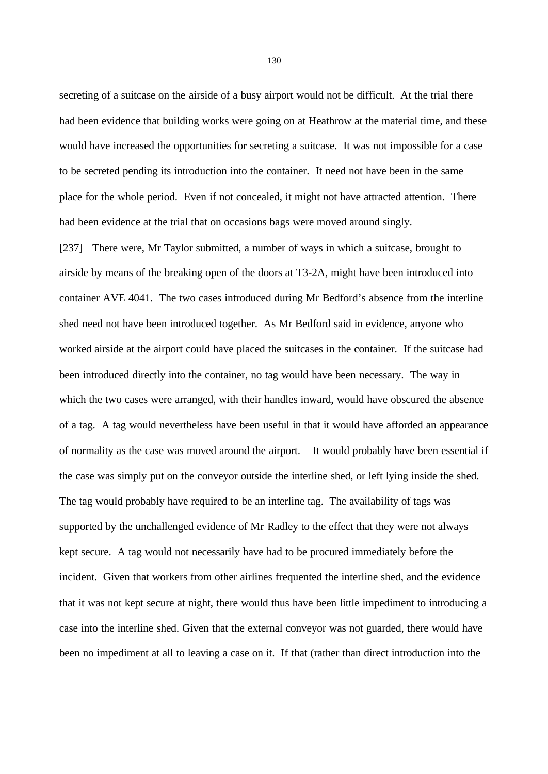secreting of a suitcase on the airside of a busy airport would not be difficult. At the trial there had been evidence that building works were going on at Heathrow at the material time, and these would have increased the opportunities for secreting a suitcase. It was not impossible for a case to be secreted pending its introduction into the container. It need not have been in the same place for the whole period. Even if not concealed, it might not have attracted attention. There had been evidence at the trial that on occasions bags were moved around singly.

[237] There were, Mr Taylor submitted, a number of ways in which a suitcase, brought to airside by means of the breaking open of the doors at T3-2A, might have been introduced into container AVE 4041. The two cases introduced during Mr Bedford's absence from the interline shed need not have been introduced together. As Mr Bedford said in evidence, anyone who worked airside at the airport could have placed the suitcases in the container. If the suitcase had been introduced directly into the container, no tag would have been necessary. The way in which the two cases were arranged, with their handles inward, would have obscured the absence of a tag. A tag would nevertheless have been useful in that it would have afforded an appearance of normality as the case was moved around the airport. It would probably have been essential if the case was simply put on the conveyor outside the interline shed, or left lying inside the shed. The tag would probably have required to be an interline tag. The availability of tags was supported by the unchallenged evidence of Mr Radley to the effect that they were not always kept secure. A tag would not necessarily have had to be procured immediately before the incident. Given that workers from other airlines frequented the interline shed, and the evidence that it was not kept secure at night, there would thus have been little impediment to introducing a case into the interline shed. Given that the external conveyor was not guarded, there would have been no impediment at all to leaving a case on it. If that (rather than direct introduction into the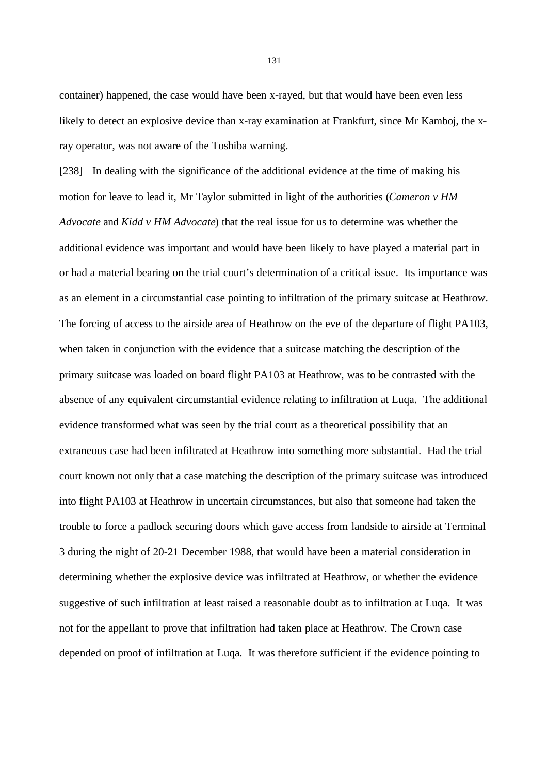container) happened, the case would have been x-rayed, but that would have been even less likely to detect an explosive device than x-ray examination at Frankfurt, since Mr Kamboj, the xray operator, was not aware of the Toshiba warning.

[238] In dealing with the significance of the additional evidence at the time of making his motion for leave to lead it, Mr Taylor submitted in light of the authorities (*Cameron v HM Advocate* and *Kidd v HM Advocate*) that the real issue for us to determine was whether the additional evidence was important and would have been likely to have played a material part in or had a material bearing on the trial court's determination of a critical issue. Its importance was as an element in a circumstantial case pointing to infiltration of the primary suitcase at Heathrow. The forcing of access to the airside area of Heathrow on the eve of the departure of flight PA103, when taken in conjunction with the evidence that a suitcase matching the description of the primary suitcase was loaded on board flight PA103 at Heathrow, was to be contrasted with the absence of any equivalent circumstantial evidence relating to infiltration at Luqa. The additional evidence transformed what was seen by the trial court as a theoretical possibility that an extraneous case had been infiltrated at Heathrow into something more substantial. Had the trial court known not only that a case matching the description of the primary suitcase was introduced into flight PA103 at Heathrow in uncertain circumstances, but also that someone had taken the trouble to force a padlock securing doors which gave access from landside to airside at Terminal 3 during the night of 20-21 December 1988, that would have been a material consideration in determining whether the explosive device was infiltrated at Heathrow, or whether the evidence suggestive of such infiltration at least raised a reasonable doubt as to infiltration at Luqa. It was not for the appellant to prove that infiltration had taken place at Heathrow. The Crown case depended on proof of infiltration at Luqa. It was therefore sufficient if the evidence pointing to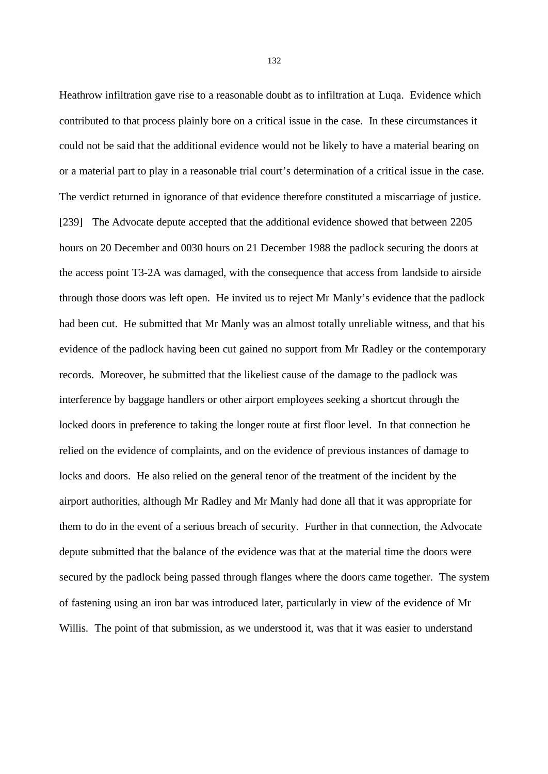Heathrow infiltration gave rise to a reasonable doubt as to infiltration at Luqa. Evidence which contributed to that process plainly bore on a critical issue in the case. In these circumstances it could not be said that the additional evidence would not be likely to have a material bearing on or a material part to play in a reasonable trial court's determination of a critical issue in the case. The verdict returned in ignorance of that evidence therefore constituted a miscarriage of justice. [239] The Advocate depute accepted that the additional evidence showed that between 2205 hours on 20 December and 0030 hours on 21 December 1988 the padlock securing the doors at the access point T3-2A was damaged, with the consequence that access from landside to airside through those doors was left open. He invited us to reject Mr Manly's evidence that the padlock had been cut. He submitted that Mr Manly was an almost totally unreliable witness, and that his evidence of the padlock having been cut gained no support from Mr Radley or the contemporary records. Moreover, he submitted that the likeliest cause of the damage to the padlock was interference by baggage handlers or other airport employees seeking a shortcut through the locked doors in preference to taking the longer route at first floor level. In that connection he relied on the evidence of complaints, and on the evidence of previous instances of damage to locks and doors. He also relied on the general tenor of the treatment of the incident by the airport authorities, although Mr Radley and Mr Manly had done all that it was appropriate for them to do in the event of a serious breach of security. Further in that connection, the Advocate depute submitted that the balance of the evidence was that at the material time the doors were secured by the padlock being passed through flanges where the doors came together. The system of fastening using an iron bar was introduced later, particularly in view of the evidence of Mr Willis. The point of that submission, as we understood it, was that it was easier to understand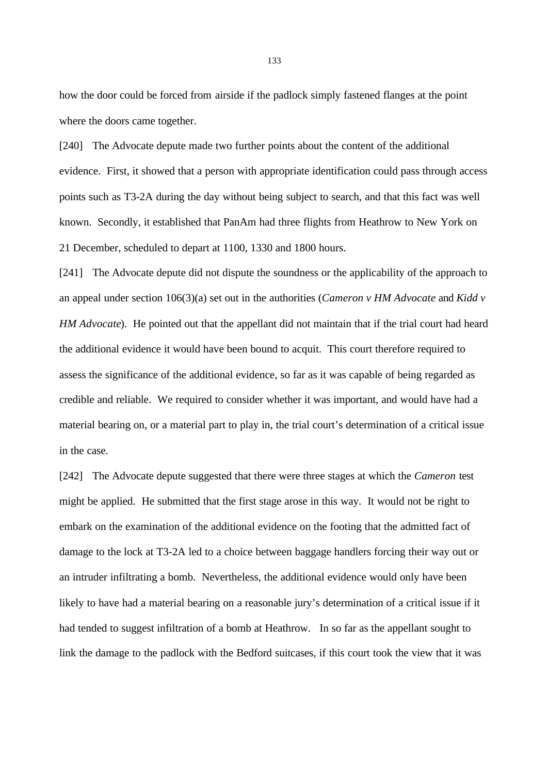how the door could be forced from airside if the padlock simply fastened flanges at the point where the doors came together.

[240] The Advocate depute made two further points about the content of the additional evidence. First, it showed that a person with appropriate identification could pass through access points such as T3-2A during the day without being subject to search, and that this fact was well known. Secondly, it established that PanAm had three flights from Heathrow to New York on 21 December, scheduled to depart at 1100, 1330 and 1800 hours.

[241] The Advocate depute did not dispute the soundness or the applicability of the approach to an appeal under section 106(3)(a) set out in the authorities (*Cameron v HM Advocate* and *Kidd v HM Advocate*). He pointed out that the appellant did not maintain that if the trial court had heard the additional evidence it would have been bound to acquit. This court therefore required to assess the significance of the additional evidence, so far as it was capable of being regarded as credible and reliable. We required to consider whether it was important, and would have had a material bearing on, or a material part to play in, the trial court's determination of a critical issue in the case.

[242] The Advocate depute suggested that there were three stages at which the *Cameron* test might be applied. He submitted that the first stage arose in this way. It would not be right to embark on the examination of the additional evidence on the footing that the admitted fact of damage to the lock at T3-2A led to a choice between baggage handlers forcing their way out or an intruder infiltrating a bomb. Nevertheless, the additional evidence would only have been likely to have had a material bearing on a reasonable jury's determination of a critical issue if it had tended to suggest infiltration of a bomb at Heathrow. In so far as the appellant sought to link the damage to the padlock with the Bedford suitcases, if this court took the view that it was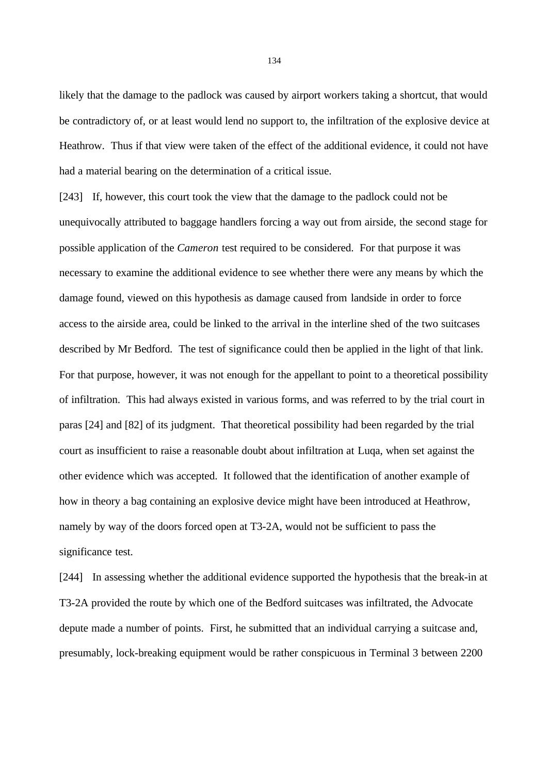likely that the damage to the padlock was caused by airport workers taking a shortcut, that would be contradictory of, or at least would lend no support to, the infiltration of the explosive device at Heathrow. Thus if that view were taken of the effect of the additional evidence, it could not have had a material bearing on the determination of a critical issue.

[243] If, however, this court took the view that the damage to the padlock could not be unequivocally attributed to baggage handlers forcing a way out from airside, the second stage for possible application of the *Cameron* test required to be considered. For that purpose it was necessary to examine the additional evidence to see whether there were any means by which the damage found, viewed on this hypothesis as damage caused from landside in order to force access to the airside area, could be linked to the arrival in the interline shed of the two suitcases described by Mr Bedford. The test of significance could then be applied in the light of that link. For that purpose, however, it was not enough for the appellant to point to a theoretical possibility of infiltration. This had always existed in various forms, and was referred to by the trial court in paras [24] and [82] of its judgment. That theoretical possibility had been regarded by the trial court as insufficient to raise a reasonable doubt about infiltration at Luqa, when set against the other evidence which was accepted. It followed that the identification of another example of how in theory a bag containing an explosive device might have been introduced at Heathrow, namely by way of the doors forced open at T3-2A, would not be sufficient to pass the significance test.

[244] In assessing whether the additional evidence supported the hypothesis that the break-in at T3-2A provided the route by which one of the Bedford suitcases was infiltrated, the Advocate depute made a number of points. First, he submitted that an individual carrying a suitcase and, presumably, lock-breaking equipment would be rather conspicuous in Terminal 3 between 2200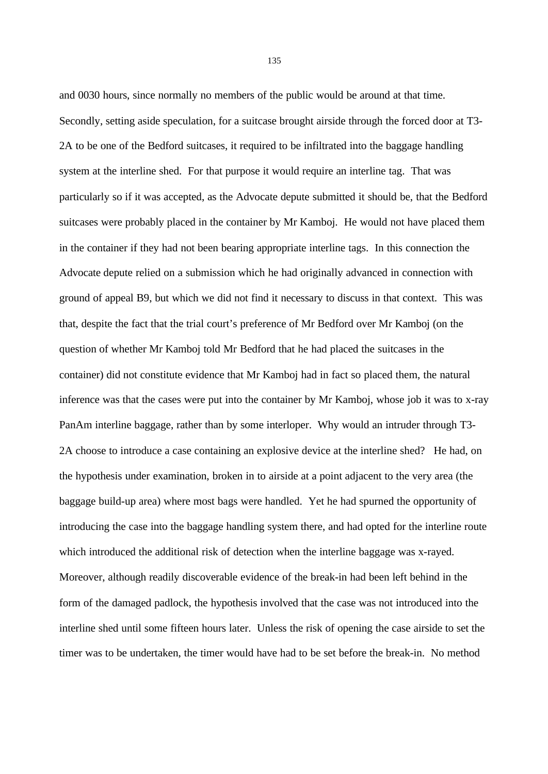and 0030 hours, since normally no members of the public would be around at that time. Secondly, setting aside speculation, for a suitcase brought airside through the forced door at T3- 2A to be one of the Bedford suitcases, it required to be infiltrated into the baggage handling system at the interline shed. For that purpose it would require an interline tag. That was particularly so if it was accepted, as the Advocate depute submitted it should be, that the Bedford suitcases were probably placed in the container by Mr Kamboj. He would not have placed them in the container if they had not been bearing appropriate interline tags. In this connection the Advocate depute relied on a submission which he had originally advanced in connection with ground of appeal B9, but which we did not find it necessary to discuss in that context. This was that, despite the fact that the trial court's preference of Mr Bedford over Mr Kamboj (on the question of whether Mr Kamboj told Mr Bedford that he had placed the suitcases in the container) did not constitute evidence that Mr Kamboj had in fact so placed them, the natural inference was that the cases were put into the container by Mr Kamboj, whose job it was to x-ray PanAm interline baggage, rather than by some interloper. Why would an intruder through T3- 2A choose to introduce a case containing an explosive device at the interline shed? He had, on the hypothesis under examination, broken in to airside at a point adjacent to the very area (the baggage build-up area) where most bags were handled. Yet he had spurned the opportunity of introducing the case into the baggage handling system there, and had opted for the interline route which introduced the additional risk of detection when the interline baggage was x-rayed. Moreover, although readily discoverable evidence of the break-in had been left behind in the form of the damaged padlock, the hypothesis involved that the case was not introduced into the interline shed until some fifteen hours later. Unless the risk of opening the case airside to set the timer was to be undertaken, the timer would have had to be set before the break-in. No method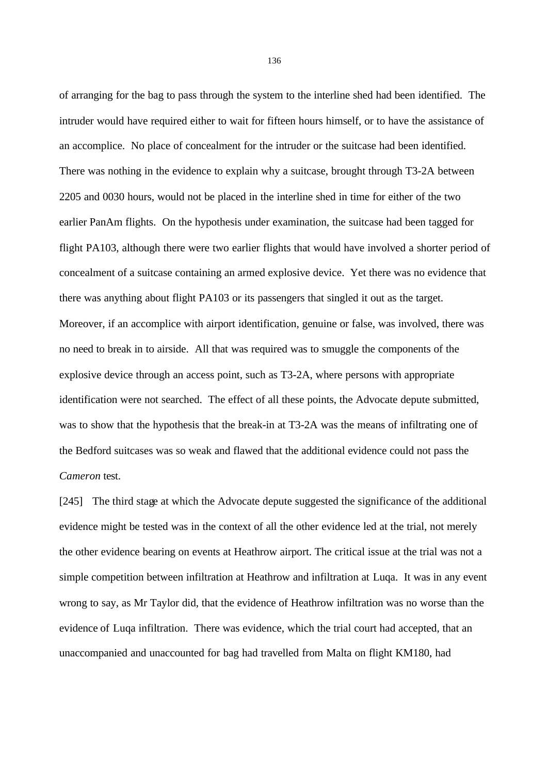of arranging for the bag to pass through the system to the interline shed had been identified. The intruder would have required either to wait for fifteen hours himself, or to have the assistance of an accomplice. No place of concealment for the intruder or the suitcase had been identified. There was nothing in the evidence to explain why a suitcase, brought through T3-2A between 2205 and 0030 hours, would not be placed in the interline shed in time for either of the two earlier PanAm flights. On the hypothesis under examination, the suitcase had been tagged for flight PA103, although there were two earlier flights that would have involved a shorter period of concealment of a suitcase containing an armed explosive device. Yet there was no evidence that there was anything about flight PA103 or its passengers that singled it out as the target. Moreover, if an accomplice with airport identification, genuine or false, was involved, there was no need to break in to airside. All that was required was to smuggle the components of the explosive device through an access point, such as T3-2A, where persons with appropriate identification were not searched. The effect of all these points, the Advocate depute submitted, was to show that the hypothesis that the break-in at T3-2A was the means of infiltrating one of the Bedford suitcases was so weak and flawed that the additional evidence could not pass the *Cameron* test.

[245] The third stage at which the Advocate depute suggested the significance of the additional evidence might be tested was in the context of all the other evidence led at the trial, not merely the other evidence bearing on events at Heathrow airport. The critical issue at the trial was not a simple competition between infiltration at Heathrow and infiltration at Luqa. It was in any event wrong to say, as Mr Taylor did, that the evidence of Heathrow infiltration was no worse than the evidence of Luqa infiltration. There was evidence, which the trial court had accepted, that an unaccompanied and unaccounted for bag had travelled from Malta on flight KM180, had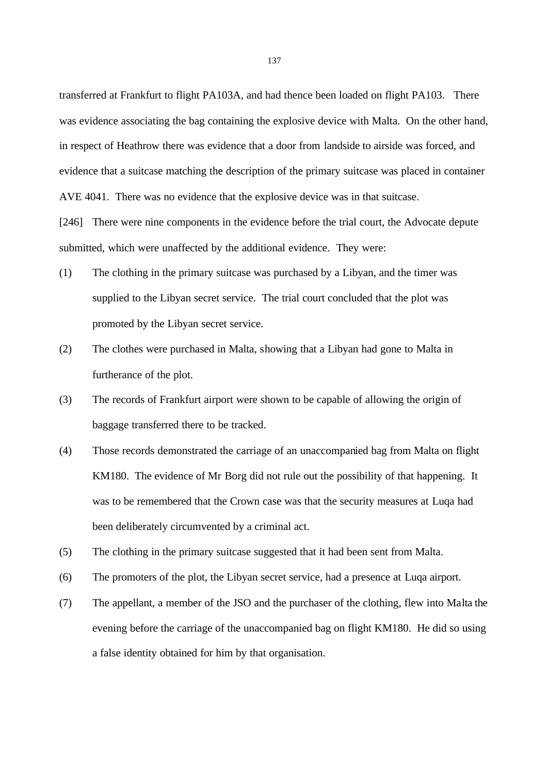transferred at Frankfurt to flight PA103A, and had thence been loaded on flight PA103. There was evidence associating the bag containing the explosive device with Malta. On the other hand, in respect of Heathrow there was evidence that a door from landside to airside was forced, and evidence that a suitcase matching the description of the primary suitcase was placed in container AVE 4041. There was no evidence that the explosive device was in that suitcase.

[246] There were nine components in the evidence before the trial court, the Advocate depute submitted, which were unaffected by the additional evidence. They were:

- (1) The clothing in the primary suitcase was purchased by a Libyan, and the timer was supplied to the Libyan secret service. The trial court concluded that the plot was promoted by the Libyan secret service.
- (2) The clothes were purchased in Malta, showing that a Libyan had gone to Malta in furtherance of the plot.
- (3) The records of Frankfurt airport were shown to be capable of allowing the origin of baggage transferred there to be tracked.
- (4) Those records demonstrated the carriage of an unaccompanied bag from Malta on flight KM180. The evidence of Mr Borg did not rule out the possibility of that happening. It was to be remembered that the Crown case was that the security measures at Luqa had been deliberately circumvented by a criminal act.
- (5) The clothing in the primary suitcase suggested that it had been sent from Malta.
- (6) The promoters of the plot, the Libyan secret service, had a presence at Luqa airport.
- (7) The appellant, a member of the JSO and the purchaser of the clothing, flew into Malta the evening before the carriage of the unaccompanied bag on flight KM180. He did so using a false identity obtained for him by that organisation.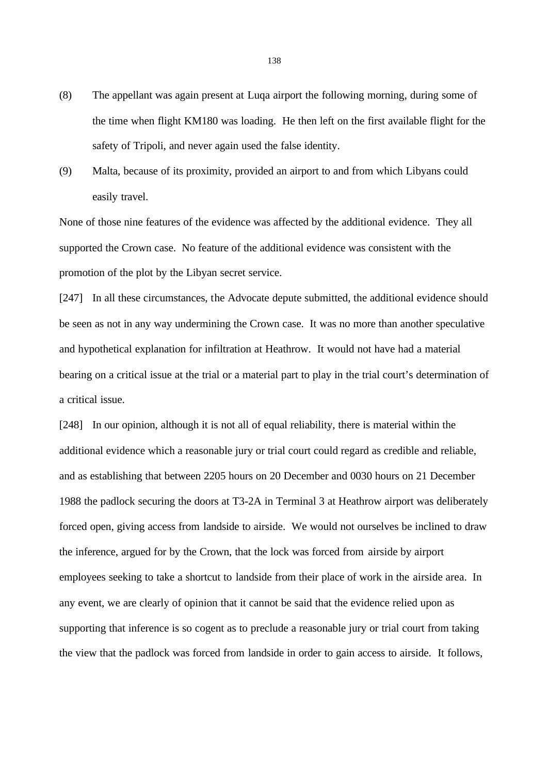- (8) The appellant was again present at Luqa airport the following morning, during some of the time when flight KM180 was loading. He then left on the first available flight for the safety of Tripoli, and never again used the false identity.
- (9) Malta, because of its proximity, provided an airport to and from which Libyans could easily travel.

None of those nine features of the evidence was affected by the additional evidence. They all supported the Crown case. No feature of the additional evidence was consistent with the promotion of the plot by the Libyan secret service.

[247] In all these circumstances, the Advocate depute submitted, the additional evidence should be seen as not in any way undermining the Crown case. It was no more than another speculative and hypothetical explanation for infiltration at Heathrow. It would not have had a material bearing on a critical issue at the trial or a material part to play in the trial court's determination of a critical issue.

[248] In our opinion, although it is not all of equal reliability, there is material within the additional evidence which a reasonable jury or trial court could regard as credible and reliable, and as establishing that between 2205 hours on 20 December and 0030 hours on 21 December 1988 the padlock securing the doors at T3-2A in Terminal 3 at Heathrow airport was deliberately forced open, giving access from landside to airside. We would not ourselves be inclined to draw the inference, argued for by the Crown, that the lock was forced from airside by airport employees seeking to take a shortcut to landside from their place of work in the airside area. In any event, we are clearly of opinion that it cannot be said that the evidence relied upon as supporting that inference is so cogent as to preclude a reasonable jury or trial court from taking the view that the padlock was forced from landside in order to gain access to airside. It follows,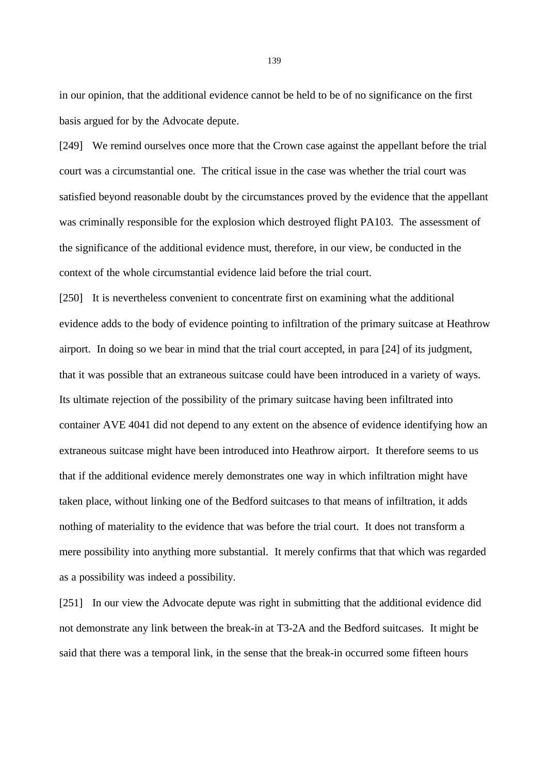in our opinion, that the additional evidence cannot be held to be of no significance on the first basis argued for by the Advocate depute.

[249] We remind ourselves once more that the Crown case against the appellant before the trial court was a circumstantial one. The critical issue in the case was whether the trial court was satisfied beyond reasonable doubt by the circumstances proved by the evidence that the appellant was criminally responsible for the explosion which destroyed flight PA103. The assessment of the significance of the additional evidence must, therefore, in our view, be conducted in the context of the whole circumstantial evidence laid before the trial court.

[250] It is nevertheless convenient to concentrate first on examining what the additional evidence adds to the body of evidence pointing to infiltration of the primary suitcase at Heathrow airport. In doing so we bear in mind that the trial court accepted, in para [24] of its judgment, that it was possible that an extraneous suitcase could have been introduced in a variety of ways. Its ultimate rejection of the possibility of the primary suitcase having been infiltrated into container AVE 4041 did not depend to any extent on the absence of evidence identifying how an extraneous suitcase might have been introduced into Heathrow airport. It therefore seems to us that if the additional evidence merely demonstrates one way in which infiltration might have taken place, without linking one of the Bedford suitcases to that means of infiltration, it adds nothing of materiality to the evidence that was before the trial court. It does not transform a mere possibility into anything more substantial. It merely confirms that that which was regarded as a possibility was indeed a possibility.

[251] In our view the Advocate depute was right in submitting that the additional evidence did not demonstrate any link between the break-in at T3-2A and the Bedford suitcases. It might be said that there was a temporal link, in the sense that the break-in occurred some fifteen hours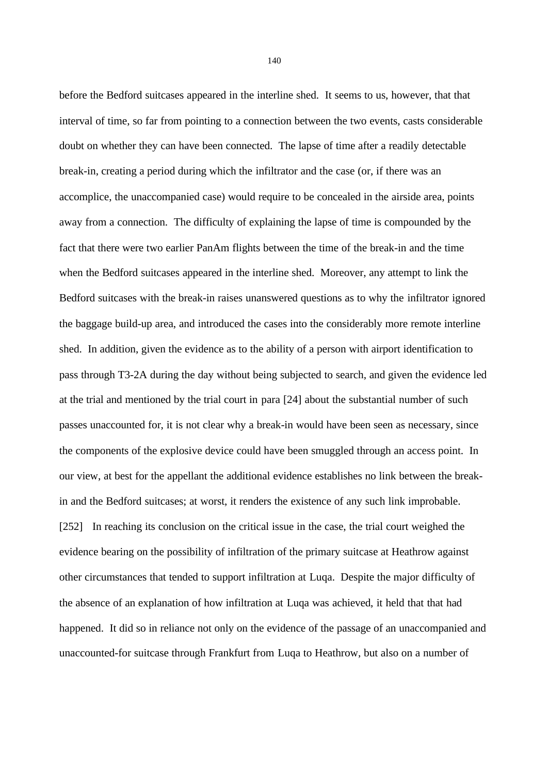before the Bedford suitcases appeared in the interline shed. It seems to us, however, that that interval of time, so far from pointing to a connection between the two events, casts considerable doubt on whether they can have been connected. The lapse of time after a readily detectable break-in, creating a period during which the infiltrator and the case (or, if there was an accomplice, the unaccompanied case) would require to be concealed in the airside area, points away from a connection. The difficulty of explaining the lapse of time is compounded by the fact that there were two earlier PanAm flights between the time of the break-in and the time when the Bedford suitcases appeared in the interline shed. Moreover, any attempt to link the Bedford suitcases with the break-in raises unanswered questions as to why the infiltrator ignored the baggage build-up area, and introduced the cases into the considerably more remote interline shed. In addition, given the evidence as to the ability of a person with airport identification to pass through T3-2A during the day without being subjected to search, and given the evidence led at the trial and mentioned by the trial court in para [24] about the substantial number of such passes unaccounted for, it is not clear why a break-in would have been seen as necessary, since the components of the explosive device could have been smuggled through an access point. In our view, at best for the appellant the additional evidence establishes no link between the breakin and the Bedford suitcases; at worst, it renders the existence of any such link improbable. [252] In reaching its conclusion on the critical issue in the case, the trial court weighed the evidence bearing on the possibility of infiltration of the primary suitcase at Heathrow against other circumstances that tended to support infiltration at Luqa. Despite the major difficulty of the absence of an explanation of how infiltration at Luqa was achieved, it held that that had happened. It did so in reliance not only on the evidence of the passage of an unaccompanied and unaccounted-for suitcase through Frankfurt from Luqa to Heathrow, but also on a number of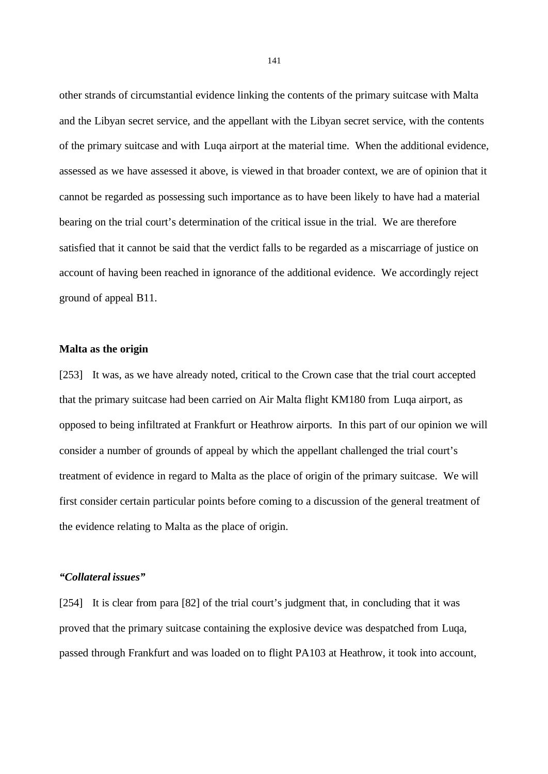other strands of circumstantial evidence linking the contents of the primary suitcase with Malta and the Libyan secret service, and the appellant with the Libyan secret service, with the contents of the primary suitcase and with Luqa airport at the material time. When the additional evidence, assessed as we have assessed it above, is viewed in that broader context, we are of opinion that it cannot be regarded as possessing such importance as to have been likely to have had a material bearing on the trial court's determination of the critical issue in the trial. We are therefore satisfied that it cannot be said that the verdict falls to be regarded as a miscarriage of justice on account of having been reached in ignorance of the additional evidence. We accordingly reject ground of appeal B11.

#### **Malta as the origin**

[253] It was, as we have already noted, critical to the Crown case that the trial court accepted that the primary suitcase had been carried on Air Malta flight KM180 from Luqa airport, as opposed to being infiltrated at Frankfurt or Heathrow airports. In this part of our opinion we will consider a number of grounds of appeal by which the appellant challenged the trial court's treatment of evidence in regard to Malta as the place of origin of the primary suitcase. We will first consider certain particular points before coming to a discussion of the general treatment of the evidence relating to Malta as the place of origin.

# *"Collateral issues"*

[254] It is clear from para [82] of the trial court's judgment that, in concluding that it was proved that the primary suitcase containing the explosive device was despatched from Luqa, passed through Frankfurt and was loaded on to flight PA103 at Heathrow, it took into account,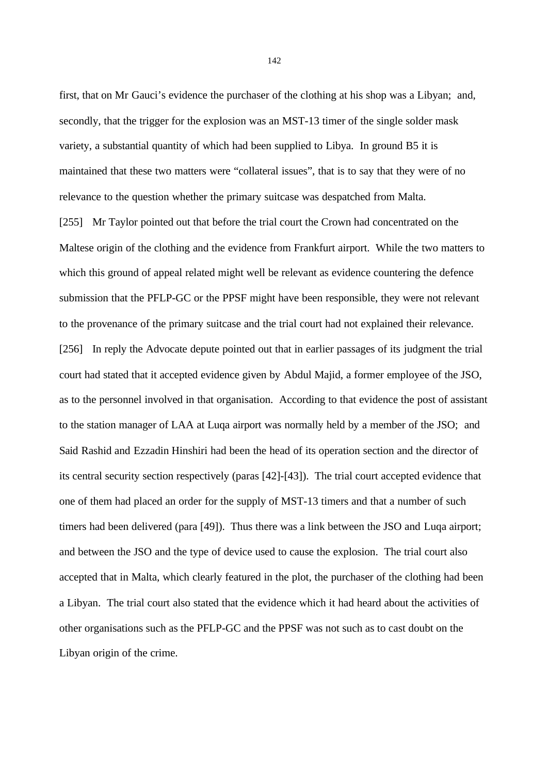first, that on Mr Gauci's evidence the purchaser of the clothing at his shop was a Libyan; and, secondly, that the trigger for the explosion was an MST-13 timer of the single solder mask variety, a substantial quantity of which had been supplied to Libya. In ground B5 it is maintained that these two matters were "collateral issues", that is to say that they were of no relevance to the question whether the primary suitcase was despatched from Malta.

[255] Mr Taylor pointed out that before the trial court the Crown had concentrated on the Maltese origin of the clothing and the evidence from Frankfurt airport. While the two matters to which this ground of appeal related might well be relevant as evidence countering the defence submission that the PFLP-GC or the PPSF might have been responsible, they were not relevant to the provenance of the primary suitcase and the trial court had not explained their relevance. [256] In reply the Advocate depute pointed out that in earlier passages of its judgment the trial court had stated that it accepted evidence given by Abdul Majid, a former employee of the JSO, as to the personnel involved in that organisation. According to that evidence the post of assistant to the station manager of LAA at Luqa airport was normally held by a member of the JSO; and Said Rashid and Ezzadin Hinshiri had been the head of its operation section and the director of its central security section respectively (paras [42]-[43]). The trial court accepted evidence that one of them had placed an order for the supply of MST-13 timers and that a number of such timers had been delivered (para [49]). Thus there was a link between the JSO and Luqa airport; and between the JSO and the type of device used to cause the explosion. The trial court also accepted that in Malta, which clearly featured in the plot, the purchaser of the clothing had been a Libyan. The trial court also stated that the evidence which it had heard about the activities of other organisations such as the PFLP-GC and the PPSF was not such as to cast doubt on the Libyan origin of the crime.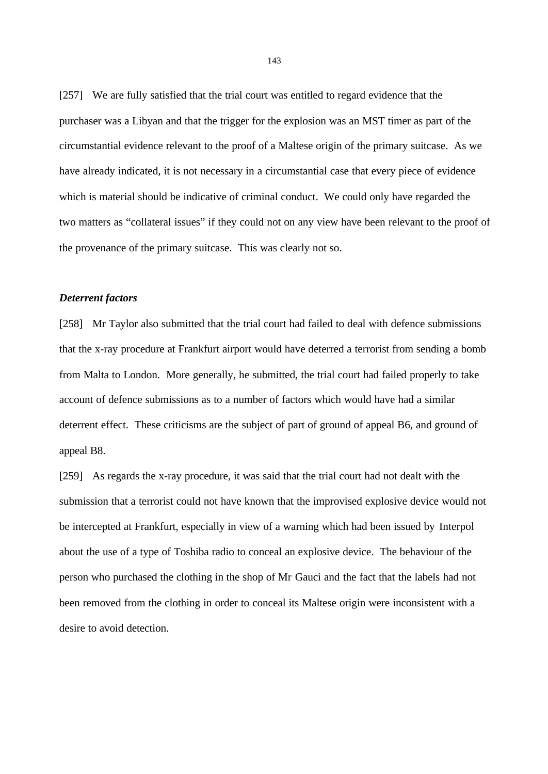[257] We are fully satisfied that the trial court was entitled to regard evidence that the purchaser was a Libyan and that the trigger for the explosion was an MST timer as part of the circumstantial evidence relevant to the proof of a Maltese origin of the primary suitcase. As we have already indicated, it is not necessary in a circumstantial case that every piece of evidence which is material should be indicative of criminal conduct. We could only have regarded the two matters as "collateral issues" if they could not on any view have been relevant to the proof of the provenance of the primary suitcase. This was clearly not so.

#### *Deterrent factors*

[258] Mr Taylor also submitted that the trial court had failed to deal with defence submissions that the x-ray procedure at Frankfurt airport would have deterred a terrorist from sending a bomb from Malta to London. More generally, he submitted, the trial court had failed properly to take account of defence submissions as to a number of factors which would have had a similar deterrent effect. These criticisms are the subject of part of ground of appeal B6, and ground of appeal B8.

[259] As regards the x-ray procedure, it was said that the trial court had not dealt with the submission that a terrorist could not have known that the improvised explosive device would not be intercepted at Frankfurt, especially in view of a warning which had been issued by Interpol about the use of a type of Toshiba radio to conceal an explosive device. The behaviour of the person who purchased the clothing in the shop of Mr Gauci and the fact that the labels had not been removed from the clothing in order to conceal its Maltese origin were inconsistent with a desire to avoid detection.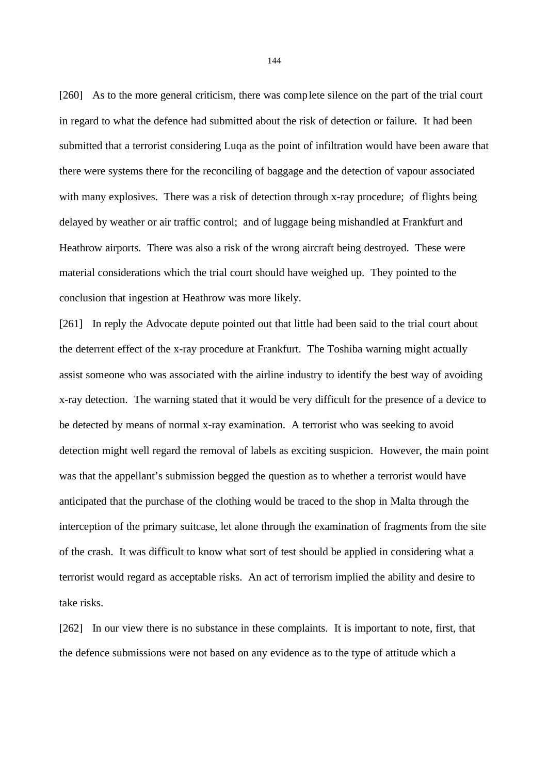[260] As to the more general criticism, there was complete silence on the part of the trial court in regard to what the defence had submitted about the risk of detection or failure. It had been submitted that a terrorist considering Luqa as the point of infiltration would have been aware that there were systems there for the reconciling of baggage and the detection of vapour associated with many explosives. There was a risk of detection through x-ray procedure; of flights being delayed by weather or air traffic control; and of luggage being mishandled at Frankfurt and Heathrow airports. There was also a risk of the wrong aircraft being destroyed. These were material considerations which the trial court should have weighed up. They pointed to the conclusion that ingestion at Heathrow was more likely.

[261] In reply the Advocate depute pointed out that little had been said to the trial court about the deterrent effect of the x-ray procedure at Frankfurt. The Toshiba warning might actually assist someone who was associated with the airline industry to identify the best way of avoiding x-ray detection. The warning stated that it would be very difficult for the presence of a device to be detected by means of normal x-ray examination. A terrorist who was seeking to avoid detection might well regard the removal of labels as exciting suspicion. However, the main point was that the appellant's submission begged the question as to whether a terrorist would have anticipated that the purchase of the clothing would be traced to the shop in Malta through the interception of the primary suitcase, let alone through the examination of fragments from the site of the crash. It was difficult to know what sort of test should be applied in considering what a terrorist would regard as acceptable risks. An act of terrorism implied the ability and desire to take risks.

[262] In our view there is no substance in these complaints. It is important to note, first, that the defence submissions were not based on any evidence as to the type of attitude which a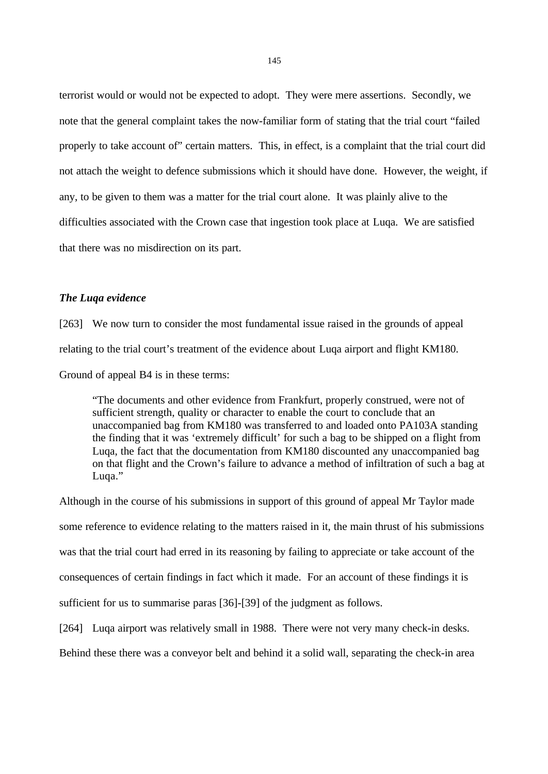terrorist would or would not be expected to adopt. They were mere assertions. Secondly, we note that the general complaint takes the now-familiar form of stating that the trial court "failed properly to take account of" certain matters. This, in effect, is a complaint that the trial court did not attach the weight to defence submissions which it should have done. However, the weight, if any, to be given to them was a matter for the trial court alone. It was plainly alive to the difficulties associated with the Crown case that ingestion took place at Luqa. We are satisfied that there was no misdirection on its part.

### *The Luqa evidence*

[263] We now turn to consider the most fundamental issue raised in the grounds of appeal relating to the trial court's treatment of the evidence about Luqa airport and flight KM180. Ground of appeal B4 is in these terms:

"The documents and other evidence from Frankfurt, properly construed, were not of sufficient strength, quality or character to enable the court to conclude that an unaccompanied bag from KM180 was transferred to and loaded onto PA103A standing the finding that it was 'extremely difficult' for such a bag to be shipped on a flight from Luqa, the fact that the documentation from KM180 discounted any unaccompanied bag on that flight and the Crown's failure to advance a method of infiltration of such a bag at Luqa."

Although in the course of his submissions in support of this ground of appeal Mr Taylor made some reference to evidence relating to the matters raised in it, the main thrust of his submissions was that the trial court had erred in its reasoning by failing to appreciate or take account of the consequences of certain findings in fact which it made. For an account of these findings it is sufficient for us to summarise paras [36]-[39] of the judgment as follows.

[264] Luga airport was relatively small in 1988. There were not very many check-in desks. Behind these there was a conveyor belt and behind it a solid wall, separating the check-in area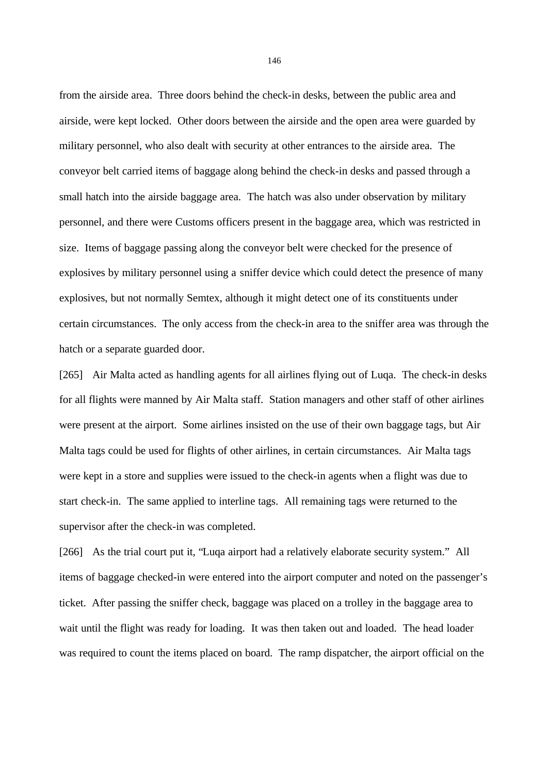from the airside area. Three doors behind the check-in desks, between the public area and airside, were kept locked. Other doors between the airside and the open area were guarded by military personnel, who also dealt with security at other entrances to the airside area. The conveyor belt carried items of baggage along behind the check-in desks and passed through a small hatch into the airside baggage area. The hatch was also under observation by military personnel, and there were Customs officers present in the baggage area, which was restricted in size. Items of baggage passing along the conveyor belt were checked for the presence of explosives by military personnel using a sniffer device which could detect the presence of many explosives, but not normally Semtex, although it might detect one of its constituents under certain circumstances. The only access from the check-in area to the sniffer area was through the hatch or a separate guarded door.

[265] Air Malta acted as handling agents for all airlines flying out of Luqa. The check-in desks for all flights were manned by Air Malta staff. Station managers and other staff of other airlines were present at the airport. Some airlines insisted on the use of their own baggage tags, but Air Malta tags could be used for flights of other airlines, in certain circumstances. Air Malta tags were kept in a store and supplies were issued to the check-in agents when a flight was due to start check-in. The same applied to interline tags. All remaining tags were returned to the supervisor after the check-in was completed.

[266] As the trial court put it, "Luqa airport had a relatively elaborate security system." All items of baggage checked-in were entered into the airport computer and noted on the passenger's ticket. After passing the sniffer check, baggage was placed on a trolley in the baggage area to wait until the flight was ready for loading. It was then taken out and loaded. The head loader was required to count the items placed on board. The ramp dispatcher, the airport official on the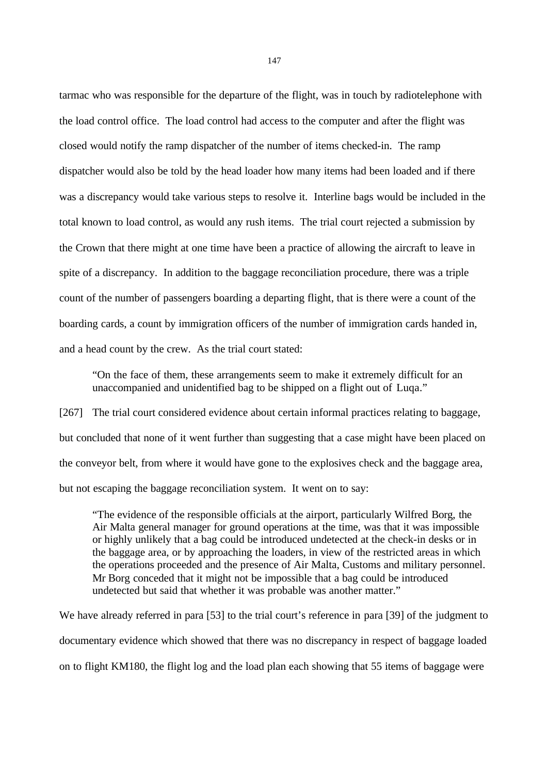tarmac who was responsible for the departure of the flight, was in touch by radiotelephone with the load control office. The load control had access to the computer and after the flight was closed would notify the ramp dispatcher of the number of items checked-in. The ramp dispatcher would also be told by the head loader how many items had been loaded and if there was a discrepancy would take various steps to resolve it. Interline bags would be included in the total known to load control, as would any rush items. The trial court rejected a submission by the Crown that there might at one time have been a practice of allowing the aircraft to leave in spite of a discrepancy. In addition to the baggage reconciliation procedure, there was a triple count of the number of passengers boarding a departing flight, that is there were a count of the boarding cards, a count by immigration officers of the number of immigration cards handed in, and a head count by the crew. As the trial court stated:

"On the face of them, these arrangements seem to make it extremely difficult for an unaccompanied and unidentified bag to be shipped on a flight out of Luqa."

[267] The trial court considered evidence about certain informal practices relating to baggage, but concluded that none of it went further than suggesting that a case might have been placed on the conveyor belt, from where it would have gone to the explosives check and the baggage area, but not escaping the baggage reconciliation system. It went on to say:

"The evidence of the responsible officials at the airport, particularly Wilfred Borg, the Air Malta general manager for ground operations at the time, was that it was impossible or highly unlikely that a bag could be introduced undetected at the check-in desks or in the baggage area, or by approaching the loaders, in view of the restricted areas in which the operations proceeded and the presence of Air Malta, Customs and military personnel. Mr Borg conceded that it might not be impossible that a bag could be introduced undetected but said that whether it was probable was another matter."

We have already referred in para [53] to the trial court's reference in para [39] of the judgment to documentary evidence which showed that there was no discrepancy in respect of baggage loaded on to flight KM180, the flight log and the load plan each showing that 55 items of baggage were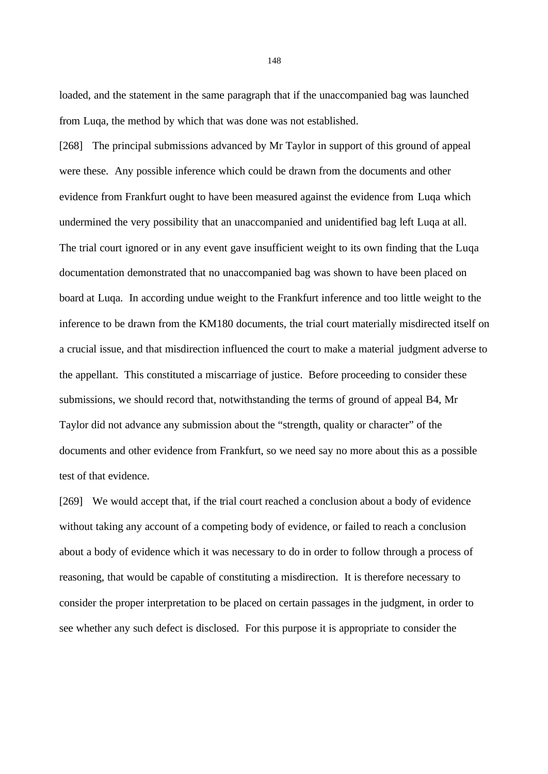loaded, and the statement in the same paragraph that if the unaccompanied bag was launched from Luqa, the method by which that was done was not established.

[268] The principal submissions advanced by Mr Taylor in support of this ground of appeal were these. Any possible inference which could be drawn from the documents and other evidence from Frankfurt ought to have been measured against the evidence from Luqa which undermined the very possibility that an unaccompanied and unidentified bag left Luqa at all. The trial court ignored or in any event gave insufficient weight to its own finding that the Luqa documentation demonstrated that no unaccompanied bag was shown to have been placed on board at Luqa. In according undue weight to the Frankfurt inference and too little weight to the inference to be drawn from the KM180 documents, the trial court materially misdirected itself on a crucial issue, and that misdirection influenced the court to make a material judgment adverse to the appellant. This constituted a miscarriage of justice. Before proceeding to consider these submissions, we should record that, notwithstanding the terms of ground of appeal B4, Mr Taylor did not advance any submission about the "strength, quality or character" of the documents and other evidence from Frankfurt, so we need say no more about this as a possible test of that evidence.

[269] We would accept that, if the trial court reached a conclusion about a body of evidence without taking any account of a competing body of evidence, or failed to reach a conclusion about a body of evidence which it was necessary to do in order to follow through a process of reasoning, that would be capable of constituting a misdirection. It is therefore necessary to consider the proper interpretation to be placed on certain passages in the judgment, in order to see whether any such defect is disclosed. For this purpose it is appropriate to consider the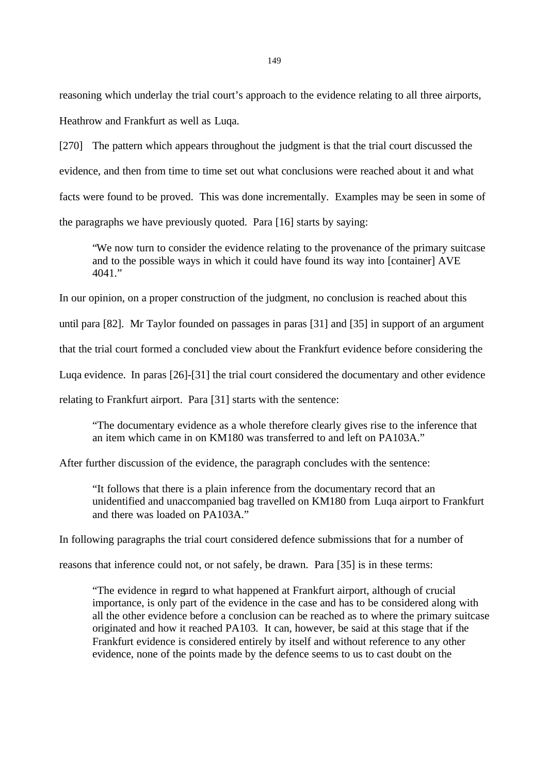reasoning which underlay the trial court's approach to the evidence relating to all three airports, Heathrow and Frankfurt as well as Luqa.

[270] The pattern which appears throughout the judgment is that the trial court discussed the evidence, and then from time to time set out what conclusions were reached about it and what facts were found to be proved. This was done incrementally. Examples may be seen in some of the paragraphs we have previously quoted. Para [16] starts by saying:

"We now turn to consider the evidence relating to the provenance of the primary suitcase and to the possible ways in which it could have found its way into [container] AVE  $4041$ ."

In our opinion, on a proper construction of the judgment, no conclusion is reached about this

until para [82]. Mr Taylor founded on passages in paras [31] and [35] in support of an argument

that the trial court formed a concluded view about the Frankfurt evidence before considering the

Luqa evidence. In paras [26]-[31] the trial court considered the documentary and other evidence

relating to Frankfurt airport. Para [31] starts with the sentence:

"The documentary evidence as a whole therefore clearly gives rise to the inference that an item which came in on KM180 was transferred to and left on PA103A."

After further discussion of the evidence, the paragraph concludes with the sentence:

"It follows that there is a plain inference from the documentary record that an unidentified and unaccompanied bag travelled on KM180 from Luqa airport to Frankfurt and there was loaded on PA103A."

In following paragraphs the trial court considered defence submissions that for a number of

reasons that inference could not, or not safely, be drawn. Para [35] is in these terms:

"The evidence in regard to what happened at Frankfurt airport, although of crucial importance, is only part of the evidence in the case and has to be considered along with all the other evidence before a conclusion can be reached as to where the primary suitcase originated and how it reached PA103. It can, however, be said at this stage that if the Frankfurt evidence is considered entirely by itself and without reference to any other evidence, none of the points made by the defence seems to us to cast doubt on the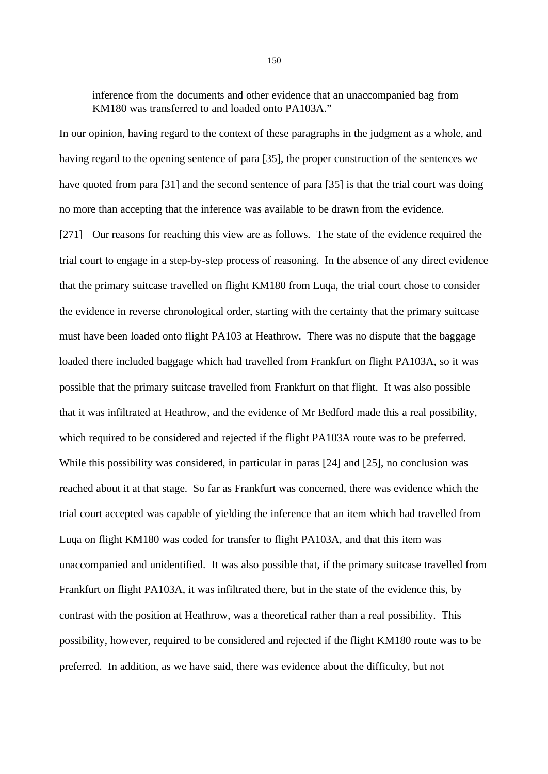inference from the documents and other evidence that an unaccompanied bag from KM180 was transferred to and loaded onto PA103A."

In our opinion, having regard to the context of these paragraphs in the judgment as a whole, and having regard to the opening sentence of para [35], the proper construction of the sentences we have quoted from para [31] and the second sentence of para [35] is that the trial court was doing no more than accepting that the inference was available to be drawn from the evidence.

[271] Our reasons for reaching this view are as follows. The state of the evidence required the trial court to engage in a step-by-step process of reasoning. In the absence of any direct evidence that the primary suitcase travelled on flight KM180 from Luqa, the trial court chose to consider the evidence in reverse chronological order, starting with the certainty that the primary suitcase must have been loaded onto flight PA103 at Heathrow. There was no dispute that the baggage loaded there included baggage which had travelled from Frankfurt on flight PA103A, so it was possible that the primary suitcase travelled from Frankfurt on that flight. It was also possible that it was infiltrated at Heathrow, and the evidence of Mr Bedford made this a real possibility, which required to be considered and rejected if the flight PA103A route was to be preferred. While this possibility was considered, in particular in paras [24] and [25], no conclusion was reached about it at that stage. So far as Frankfurt was concerned, there was evidence which the trial court accepted was capable of yielding the inference that an item which had travelled from Luqa on flight KM180 was coded for transfer to flight PA103A, and that this item was unaccompanied and unidentified. It was also possible that, if the primary suitcase travelled from Frankfurt on flight PA103A, it was infiltrated there, but in the state of the evidence this, by contrast with the position at Heathrow, was a theoretical rather than a real possibility. This possibility, however, required to be considered and rejected if the flight KM180 route was to be preferred. In addition, as we have said, there was evidence about the difficulty, but not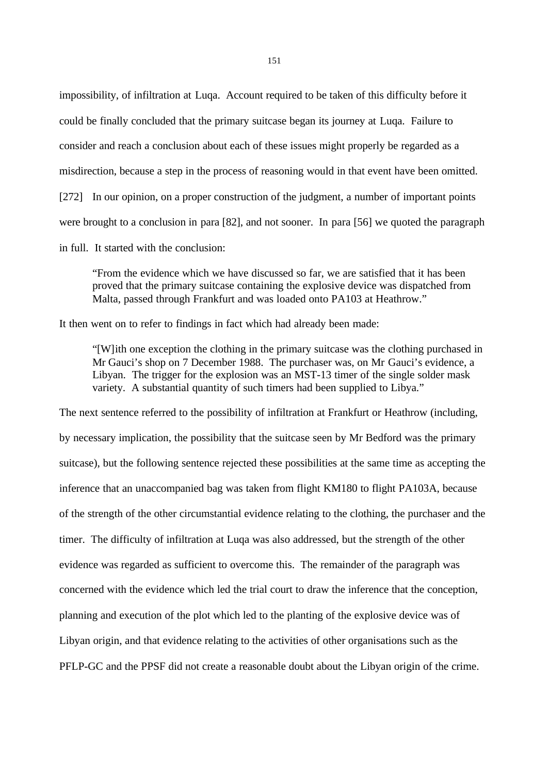impossibility, of infiltration at Luqa. Account required to be taken of this difficulty before it could be finally concluded that the primary suitcase began its journey at Luqa. Failure to consider and reach a conclusion about each of these issues might properly be regarded as a misdirection, because a step in the process of reasoning would in that event have been omitted. [272] In our opinion, on a proper construction of the judgment, a number of important points were brought to a conclusion in para [82], and not sooner. In para [56] we quoted the paragraph in full. It started with the conclusion:

"From the evidence which we have discussed so far, we are satisfied that it has been proved that the primary suitcase containing the explosive device was dispatched from Malta, passed through Frankfurt and was loaded onto PA103 at Heathrow."

It then went on to refer to findings in fact which had already been made:

"[W]ith one exception the clothing in the primary suitcase was the clothing purchased in Mr Gauci's shop on 7 December 1988. The purchaser was, on Mr Gauci's evidence, a Libyan. The trigger for the explosion was an MST-13 timer of the single solder mask variety. A substantial quantity of such timers had been supplied to Libya."

The next sentence referred to the possibility of infiltration at Frankfurt or Heathrow (including, by necessary implication, the possibility that the suitcase seen by Mr Bedford was the primary suitcase), but the following sentence rejected these possibilities at the same time as accepting the inference that an unaccompanied bag was taken from flight KM180 to flight PA103A, because of the strength of the other circumstantial evidence relating to the clothing, the purchaser and the timer. The difficulty of infiltration at Luqa was also addressed, but the strength of the other evidence was regarded as sufficient to overcome this. The remainder of the paragraph was concerned with the evidence which led the trial court to draw the inference that the conception, planning and execution of the plot which led to the planting of the explosive device was of Libyan origin, and that evidence relating to the activities of other organisations such as the PFLP-GC and the PPSF did not create a reasonable doubt about the Libyan origin of the crime.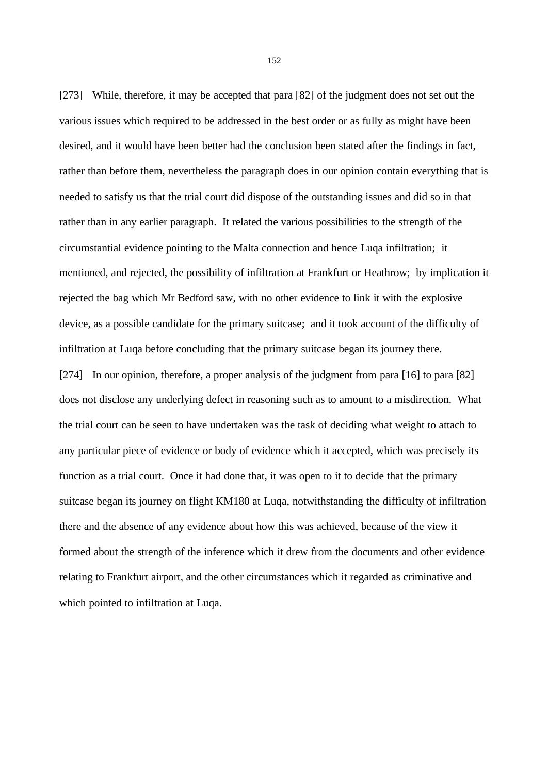[273] While, therefore, it may be accepted that para [82] of the judgment does not set out the various issues which required to be addressed in the best order or as fully as might have been desired, and it would have been better had the conclusion been stated after the findings in fact, rather than before them, nevertheless the paragraph does in our opinion contain everything that is needed to satisfy us that the trial court did dispose of the outstanding issues and did so in that rather than in any earlier paragraph. It related the various possibilities to the strength of the circumstantial evidence pointing to the Malta connection and hence Luqa infiltration; it mentioned, and rejected, the possibility of infiltration at Frankfurt or Heathrow; by implication it rejected the bag which Mr Bedford saw, with no other evidence to link it with the explosive device, as a possible candidate for the primary suitcase; and it took account of the difficulty of infiltration at Luqa before concluding that the primary suitcase began its journey there.

[274] In our opinion, therefore, a proper analysis of the judgment from para [16] to para [82] does not disclose any underlying defect in reasoning such as to amount to a misdirection. What the trial court can be seen to have undertaken was the task of deciding what weight to attach to any particular piece of evidence or body of evidence which it accepted, which was precisely its function as a trial court. Once it had done that, it was open to it to decide that the primary suitcase began its journey on flight KM180 at Luqa, notwithstanding the difficulty of infiltration there and the absence of any evidence about how this was achieved, because of the view it formed about the strength of the inference which it drew from the documents and other evidence relating to Frankfurt airport, and the other circumstances which it regarded as criminative and which pointed to infiltration at Luqa.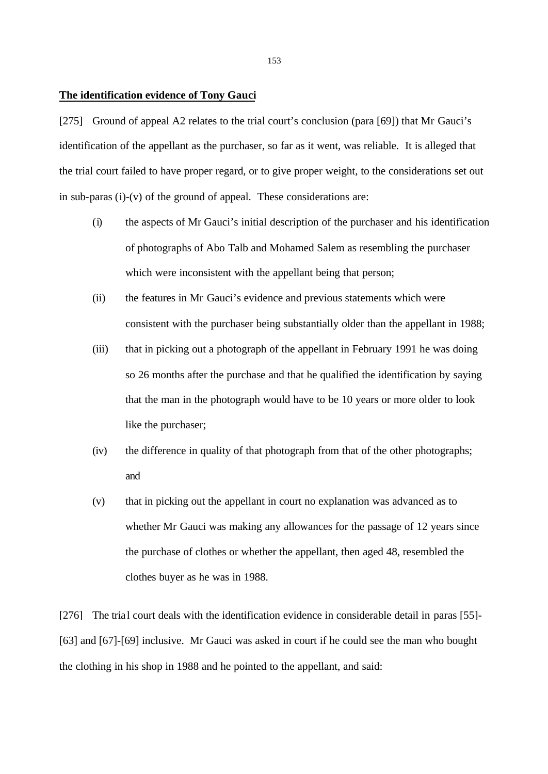# **The identification evidence of Tony Gauci**

[275] Ground of appeal A2 relates to the trial court's conclusion (para [69]) that Mr Gauci's identification of the appellant as the purchaser, so far as it went, was reliable. It is alleged that the trial court failed to have proper regard, or to give proper weight, to the considerations set out in sub-paras  $(i)-(v)$  of the ground of appeal. These considerations are:

- (i) the aspects of Mr Gauci's initial description of the purchaser and his identification of photographs of Abo Talb and Mohamed Salem as resembling the purchaser which were inconsistent with the appellant being that person;
- (ii) the features in Mr Gauci's evidence and previous statements which were consistent with the purchaser being substantially older than the appellant in 1988;
- (iii) that in picking out a photograph of the appellant in February 1991 he was doing so 26 months after the purchase and that he qualified the identification by saying that the man in the photograph would have to be 10 years or more older to look like the purchaser;
- (iv) the difference in quality of that photograph from that of the other photographs; and
- (v) that in picking out the appellant in court no explanation was advanced as to whether Mr Gauci was making any allowances for the passage of 12 years since the purchase of clothes or whether the appellant, then aged 48, resembled the clothes buyer as he was in 1988.

[276] The trial court deals with the identification evidence in considerable detail in paras [55]-[63] and [67]-[69] inclusive. Mr Gauci was asked in court if he could see the man who bought the clothing in his shop in 1988 and he pointed to the appellant, and said: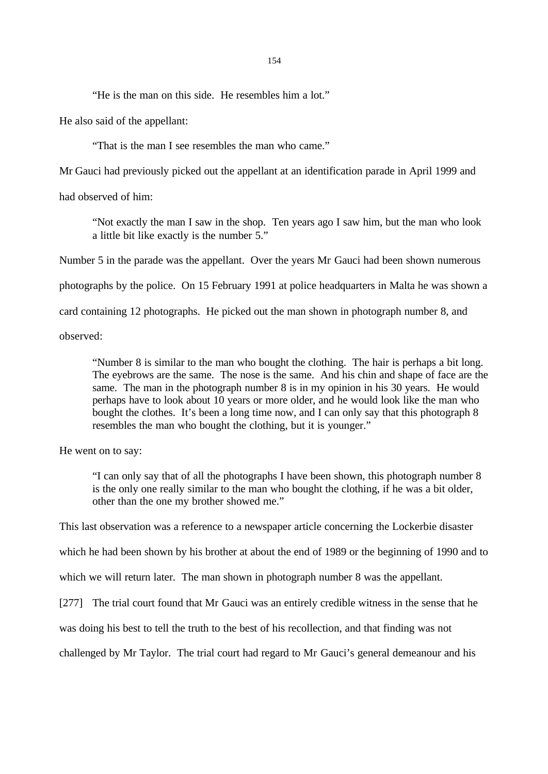154

"He is the man on this side. He resembles him a lot."

He also said of the appellant:

"That is the man I see resembles the man who came."

Mr Gauci had previously picked out the appellant at an identification parade in April 1999 and

had observed of him:

"Not exactly the man I saw in the shop. Ten years ago I saw him, but the man who look a little bit like exactly is the number 5."

Number 5 in the parade was the appellant. Over the years Mr Gauci had been shown numerous

photographs by the police. On 15 February 1991 at police headquarters in Malta he was shown a

card containing 12 photographs. He picked out the man shown in photograph number 8, and

observed:

"Number 8 is similar to the man who bought the clothing. The hair is perhaps a bit long. The eyebrows are the same. The nose is the same. And his chin and shape of face are the same. The man in the photograph number 8 is in my opinion in his 30 years. He would perhaps have to look about 10 years or more older, and he would look like the man who bought the clothes. It's been a long time now, and I can only say that this photograph 8 resembles the man who bought the clothing, but it is younger."

He went on to say:

"I can only say that of all the photographs I have been shown, this photograph number 8 is the only one really similar to the man who bought the clothing, if he was a bit older, other than the one my brother showed me."

This last observation was a reference to a newspaper article concerning the Lockerbie disaster

which he had been shown by his brother at about the end of 1989 or the beginning of 1990 and to

which we will return later. The man shown in photograph number 8 was the appellant.

[277] The trial court found that Mr Gauci was an entirely credible witness in the sense that he

was doing his best to tell the truth to the best of his recollection, and that finding was not

challenged by Mr Taylor. The trial court had regard to Mr Gauci's general demeanour and his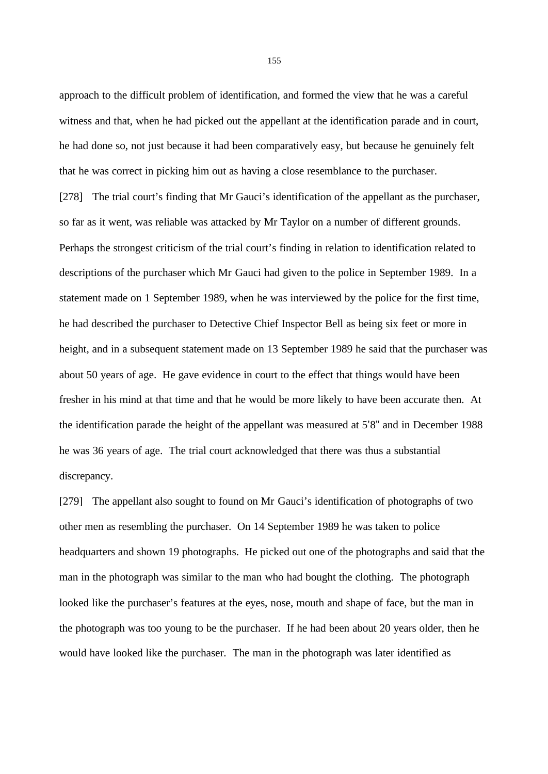approach to the difficult problem of identification, and formed the view that he was a careful witness and that, when he had picked out the appellant at the identification parade and in court, he had done so, not just because it had been comparatively easy, but because he genuinely felt that he was correct in picking him out as having a close resemblance to the purchaser. [278] The trial court's finding that Mr Gauci's identification of the appellant as the purchaser, so far as it went, was reliable was attacked by Mr Taylor on a number of different grounds. Perhaps the strongest criticism of the trial court's finding in relation to identification related to descriptions of the purchaser which Mr Gauci had given to the police in September 1989. In a statement made on 1 September 1989, when he was interviewed by the police for the first time, he had described the purchaser to Detective Chief Inspector Bell as being six feet or more in height, and in a subsequent statement made on 13 September 1989 he said that the purchaser was about 50 years of age. He gave evidence in court to the effect that things would have been fresher in his mind at that time and that he would be more likely to have been accurate then. At the identification parade the height of the appellant was measured at 5'8" and in December 1988 he was 36 years of age. The trial court acknowledged that there was thus a substantial discrepancy.

[279] The appellant also sought to found on Mr Gauci's identification of photographs of two other men as resembling the purchaser. On 14 September 1989 he was taken to police headquarters and shown 19 photographs. He picked out one of the photographs and said that the man in the photograph was similar to the man who had bought the clothing. The photograph looked like the purchaser's features at the eyes, nose, mouth and shape of face, but the man in the photograph was too young to be the purchaser. If he had been about 20 years older, then he would have looked like the purchaser. The man in the photograph was later identified as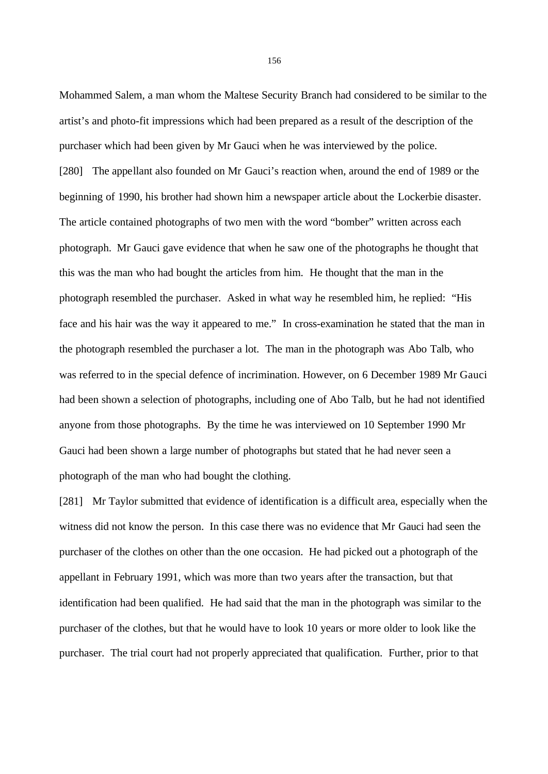Mohammed Salem, a man whom the Maltese Security Branch had considered to be similar to the artist's and photo-fit impressions which had been prepared as a result of the description of the purchaser which had been given by Mr Gauci when he was interviewed by the police. [280] The appellant also founded on Mr Gauci's reaction when, around the end of 1989 or the beginning of 1990, his brother had shown him a newspaper article about the Lockerbie disaster. The article contained photographs of two men with the word "bomber" written across each photograph. Mr Gauci gave evidence that when he saw one of the photographs he thought that this was the man who had bought the articles from him. He thought that the man in the photograph resembled the purchaser. Asked in what way he resembled him, he replied: "His face and his hair was the way it appeared to me." In cross-examination he stated that the man in the photograph resembled the purchaser a lot. The man in the photograph was Abo Talb, who was referred to in the special defence of incrimination. However, on 6 December 1989 Mr Gauci had been shown a selection of photographs, including one of Abo Talb, but he had not identified anyone from those photographs. By the time he was interviewed on 10 September 1990 Mr Gauci had been shown a large number of photographs but stated that he had never seen a photograph of the man who had bought the clothing.

[281] Mr Taylor submitted that evidence of identification is a difficult area, especially when the witness did not know the person. In this case there was no evidence that Mr Gauci had seen the purchaser of the clothes on other than the one occasion. He had picked out a photograph of the appellant in February 1991, which was more than two years after the transaction, but that identification had been qualified. He had said that the man in the photograph was similar to the purchaser of the clothes, but that he would have to look 10 years or more older to look like the purchaser. The trial court had not properly appreciated that qualification. Further, prior to that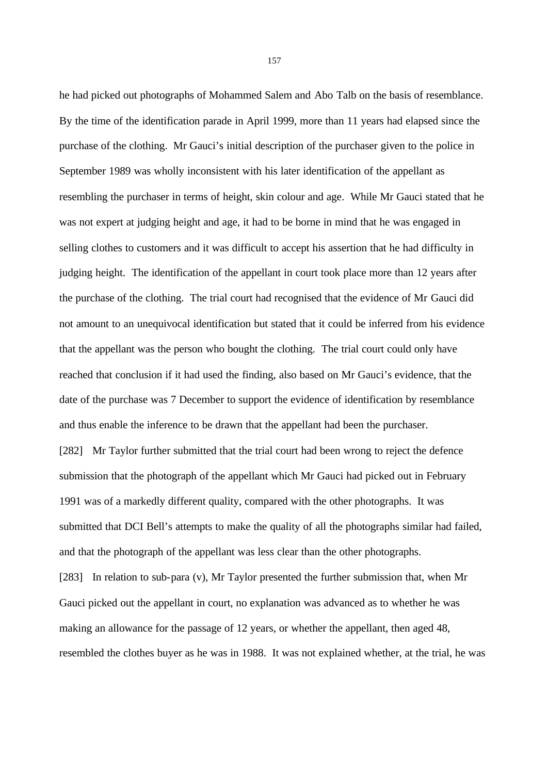he had picked out photographs of Mohammed Salem and Abo Talb on the basis of resemblance. By the time of the identification parade in April 1999, more than 11 years had elapsed since the purchase of the clothing. Mr Gauci's initial description of the purchaser given to the police in September 1989 was wholly inconsistent with his later identification of the appellant as resembling the purchaser in terms of height, skin colour and age. While Mr Gauci stated that he was not expert at judging height and age, it had to be borne in mind that he was engaged in selling clothes to customers and it was difficult to accept his assertion that he had difficulty in judging height. The identification of the appellant in court took place more than 12 years after the purchase of the clothing. The trial court had recognised that the evidence of Mr Gauci did not amount to an unequivocal identification but stated that it could be inferred from his evidence that the appellant was the person who bought the clothing. The trial court could only have reached that conclusion if it had used the finding, also based on Mr Gauci's evidence, that the date of the purchase was 7 December to support the evidence of identification by resemblance and thus enable the inference to be drawn that the appellant had been the purchaser. [282] Mr Taylor further submitted that the trial court had been wrong to reject the defence submission that the photograph of the appellant which Mr Gauci had picked out in February 1991 was of a markedly different quality, compared with the other photographs. It was submitted that DCI Bell's attempts to make the quality of all the photographs similar had failed, and that the photograph of the appellant was less clear than the other photographs.

[283] In relation to sub-para (v), Mr Taylor presented the further submission that, when Mr Gauci picked out the appellant in court, no explanation was advanced as to whether he was making an allowance for the passage of 12 years, or whether the appellant, then aged 48, resembled the clothes buyer as he was in 1988. It was not explained whether, at the trial, he was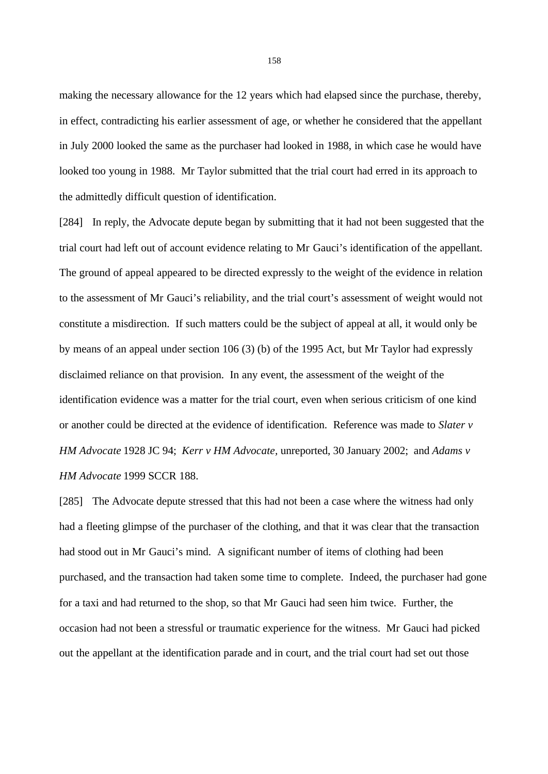making the necessary allowance for the 12 years which had elapsed since the purchase, thereby, in effect, contradicting his earlier assessment of age, or whether he considered that the appellant in July 2000 looked the same as the purchaser had looked in 1988, in which case he would have looked too young in 1988. Mr Taylor submitted that the trial court had erred in its approach to the admittedly difficult question of identification.

[284] In reply, the Advocate depute began by submitting that it had not been suggested that the trial court had left out of account evidence relating to Mr Gauci's identification of the appellant. The ground of appeal appeared to be directed expressly to the weight of the evidence in relation to the assessment of Mr Gauci's reliability, and the trial court's assessment of weight would not constitute a misdirection. If such matters could be the subject of appeal at all, it would only be by means of an appeal under section 106 (3) (b) of the 1995 Act, but Mr Taylor had expressly disclaimed reliance on that provision. In any event, the assessment of the weight of the identification evidence was a matter for the trial court, even when serious criticism of one kind or another could be directed at the evidence of identification. Reference was made to *Slater v HM Advocate* 1928 JC 94; *Kerr v HM Advocate,* unreported, 30 January 2002; and *Adams v HM Advocate* 1999 SCCR 188.

[285] The Advocate depute stressed that this had not been a case where the witness had only had a fleeting glimpse of the purchaser of the clothing, and that it was clear that the transaction had stood out in Mr Gauci's mind. A significant number of items of clothing had been purchased, and the transaction had taken some time to complete. Indeed, the purchaser had gone for a taxi and had returned to the shop, so that Mr Gauci had seen him twice. Further, the occasion had not been a stressful or traumatic experience for the witness. Mr Gauci had picked out the appellant at the identification parade and in court, and the trial court had set out those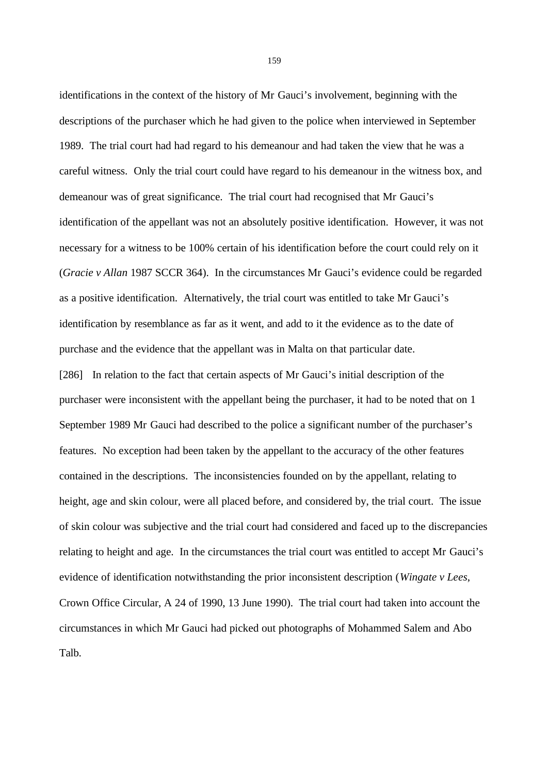identifications in the context of the history of Mr Gauci's involvement, beginning with the descriptions of the purchaser which he had given to the police when interviewed in September 1989. The trial court had had regard to his demeanour and had taken the view that he was a careful witness. Only the trial court could have regard to his demeanour in the witness box, and demeanour was of great significance. The trial court had recognised that Mr Gauci's identification of the appellant was not an absolutely positive identification. However, it was not necessary for a witness to be 100% certain of his identification before the court could rely on it (*Gracie v Allan* 1987 SCCR 364). In the circumstances Mr Gauci's evidence could be regarded as a positive identification. Alternatively, the trial court was entitled to take Mr Gauci's identification by resemblance as far as it went, and add to it the evidence as to the date of purchase and the evidence that the appellant was in Malta on that particular date. [286] In relation to the fact that certain aspects of Mr Gauci's initial description of the purchaser were inconsistent with the appellant being the purchaser, it had to be noted that on 1 September 1989 Mr Gauci had described to the police a significant number of the purchaser's features. No exception had been taken by the appellant to the accuracy of the other features contained in the descriptions. The inconsistencies founded on by the appellant, relating to height, age and skin colour, were all placed before, and considered by, the trial court. The issue of skin colour was subjective and the trial court had considered and faced up to the discrepancies relating to height and age. In the circumstances the trial court was entitled to accept Mr Gauci's evidence of identification notwithstanding the prior inconsistent description (*Wingate v Lees*, Crown Office Circular, A 24 of 1990, 13 June 1990). The trial court had taken into account the circumstances in which Mr Gauci had picked out photographs of Mohammed Salem and Abo Talb.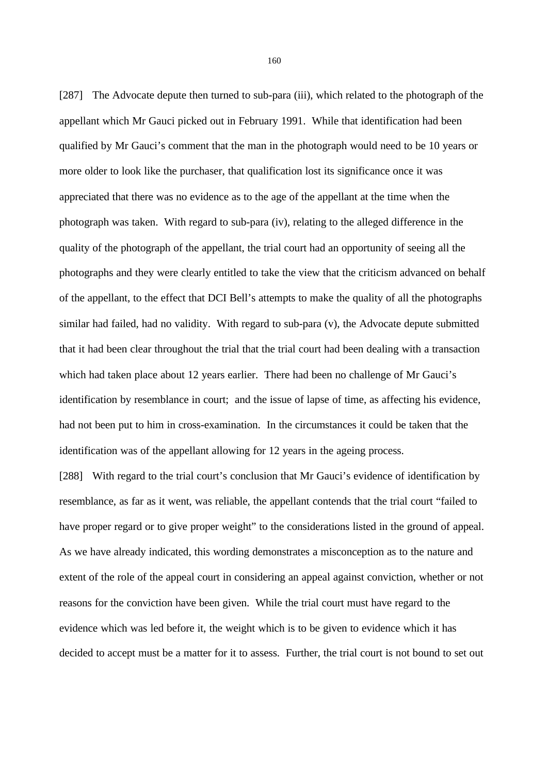[287] The Advocate depute then turned to sub-para (iii), which related to the photograph of the appellant which Mr Gauci picked out in February 1991. While that identification had been qualified by Mr Gauci's comment that the man in the photograph would need to be 10 years or more older to look like the purchaser, that qualification lost its significance once it was appreciated that there was no evidence as to the age of the appellant at the time when the photograph was taken. With regard to sub-para (iv), relating to the alleged difference in the quality of the photograph of the appellant, the trial court had an opportunity of seeing all the photographs and they were clearly entitled to take the view that the criticism advanced on behalf of the appellant, to the effect that DCI Bell's attempts to make the quality of all the photographs similar had failed, had no validity. With regard to sub-para (v), the Advocate depute submitted that it had been clear throughout the trial that the trial court had been dealing with a transaction which had taken place about 12 years earlier. There had been no challenge of Mr Gauci's identification by resemblance in court; and the issue of lapse of time, as affecting his evidence, had not been put to him in cross-examination. In the circumstances it could be taken that the identification was of the appellant allowing for 12 years in the ageing process.

[288] With regard to the trial court's conclusion that Mr Gauci's evidence of identification by resemblance, as far as it went, was reliable, the appellant contends that the trial court "failed to have proper regard or to give proper weight" to the considerations listed in the ground of appeal. As we have already indicated, this wording demonstrates a misconception as to the nature and extent of the role of the appeal court in considering an appeal against conviction, whether or not reasons for the conviction have been given. While the trial court must have regard to the evidence which was led before it, the weight which is to be given to evidence which it has decided to accept must be a matter for it to assess. Further, the trial court is not bound to set out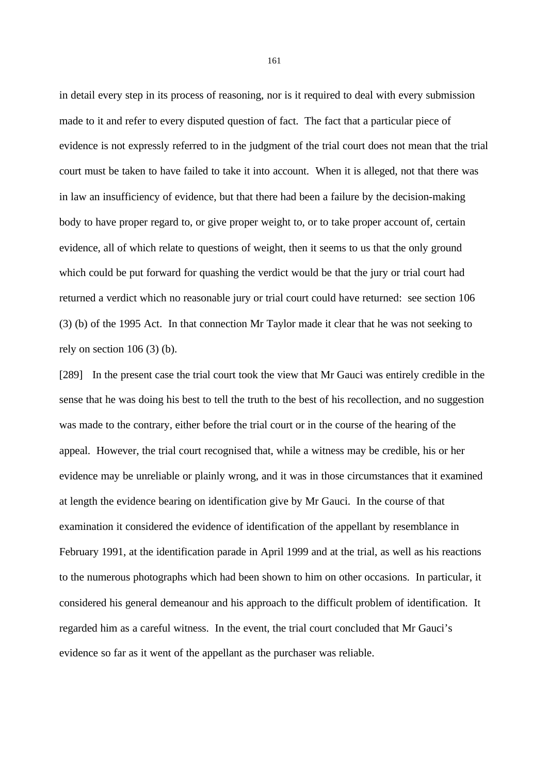in detail every step in its process of reasoning, nor is it required to deal with every submission made to it and refer to every disputed question of fact. The fact that a particular piece of evidence is not expressly referred to in the judgment of the trial court does not mean that the trial court must be taken to have failed to take it into account. When it is alleged, not that there was in law an insufficiency of evidence, but that there had been a failure by the decision-making body to have proper regard to, or give proper weight to, or to take proper account of, certain evidence, all of which relate to questions of weight, then it seems to us that the only ground which could be put forward for quashing the verdict would be that the jury or trial court had returned a verdict which no reasonable jury or trial court could have returned: see section 106 (3) (b) of the 1995 Act. In that connection Mr Taylor made it clear that he was not seeking to rely on section  $106(3)$  (b).

[289] In the present case the trial court took the view that Mr Gauci was entirely credible in the sense that he was doing his best to tell the truth to the best of his recollection, and no suggestion was made to the contrary, either before the trial court or in the course of the hearing of the appeal. However, the trial court recognised that, while a witness may be credible, his or her evidence may be unreliable or plainly wrong, and it was in those circumstances that it examined at length the evidence bearing on identification give by Mr Gauci. In the course of that examination it considered the evidence of identification of the appellant by resemblance in February 1991, at the identification parade in April 1999 and at the trial, as well as his reactions to the numerous photographs which had been shown to him on other occasions. In particular, it considered his general demeanour and his approach to the difficult problem of identification. It regarded him as a careful witness. In the event, the trial court concluded that Mr Gauci's evidence so far as it went of the appellant as the purchaser was reliable.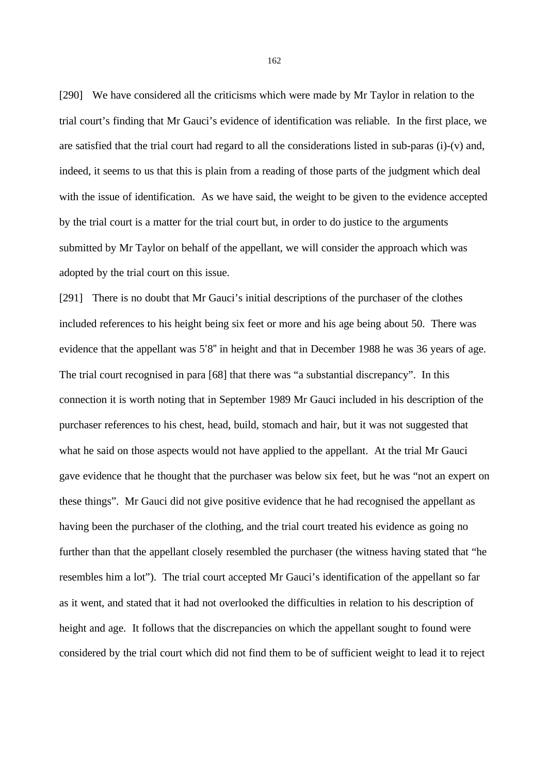[290] We have considered all the criticisms which were made by Mr Taylor in relation to the trial court's finding that Mr Gauci's evidence of identification was reliable. In the first place, we are satisfied that the trial court had regard to all the considerations listed in sub-paras (i)-(v) and, indeed, it seems to us that this is plain from a reading of those parts of the judgment which deal with the issue of identification. As we have said, the weight to be given to the evidence accepted by the trial court is a matter for the trial court but, in order to do justice to the arguments submitted by Mr Taylor on behalf of the appellant, we will consider the approach which was adopted by the trial court on this issue.

[291] There is no doubt that Mr Gauci's initial descriptions of the purchaser of the clothes included references to his height being six feet or more and his age being about 50. There was evidence that the appellant was 5'8" in height and that in December 1988 he was 36 years of age. The trial court recognised in para [68] that there was "a substantial discrepancy". In this connection it is worth noting that in September 1989 Mr Gauci included in his description of the purchaser references to his chest, head, build, stomach and hair, but it was not suggested that what he said on those aspects would not have applied to the appellant. At the trial Mr Gauci gave evidence that he thought that the purchaser was below six feet, but he was "not an expert on these things". Mr Gauci did not give positive evidence that he had recognised the appellant as having been the purchaser of the clothing, and the trial court treated his evidence as going no further than that the appellant closely resembled the purchaser (the witness having stated that "he resembles him a lot"). The trial court accepted Mr Gauci's identification of the appellant so far as it went, and stated that it had not overlooked the difficulties in relation to his description of height and age. It follows that the discrepancies on which the appellant sought to found were considered by the trial court which did not find them to be of sufficient weight to lead it to reject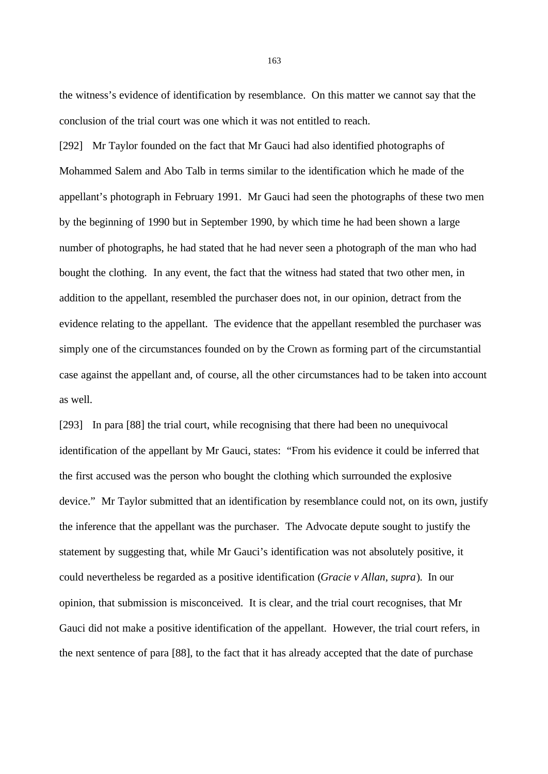the witness's evidence of identification by resemblance. On this matter we cannot say that the conclusion of the trial court was one which it was not entitled to reach.

[292] Mr Taylor founded on the fact that Mr Gauci had also identified photographs of Mohammed Salem and Abo Talb in terms similar to the identification which he made of the appellant's photograph in February 1991. Mr Gauci had seen the photographs of these two men by the beginning of 1990 but in September 1990, by which time he had been shown a large number of photographs, he had stated that he had never seen a photograph of the man who had bought the clothing. In any event, the fact that the witness had stated that two other men, in addition to the appellant, resembled the purchaser does not, in our opinion, detract from the evidence relating to the appellant. The evidence that the appellant resembled the purchaser was simply one of the circumstances founded on by the Crown as forming part of the circumstantial case against the appellant and, of course, all the other circumstances had to be taken into account as well.

[293] In para [88] the trial court, while recognising that there had been no unequivocal identification of the appellant by Mr Gauci, states: "From his evidence it could be inferred that the first accused was the person who bought the clothing which surrounded the explosive device." Mr Taylor submitted that an identification by resemblance could not, on its own, justify the inference that the appellant was the purchaser. The Advocate depute sought to justify the statement by suggesting that, while Mr Gauci's identification was not absolutely positive, it could nevertheless be regarded as a positive identification (*Gracie v Allan*, *supra*). In our opinion, that submission is misconceived. It is clear, and the trial court recognises, that Mr Gauci did not make a positive identification of the appellant. However, the trial court refers, in the next sentence of para [88], to the fact that it has already accepted that the date of purchase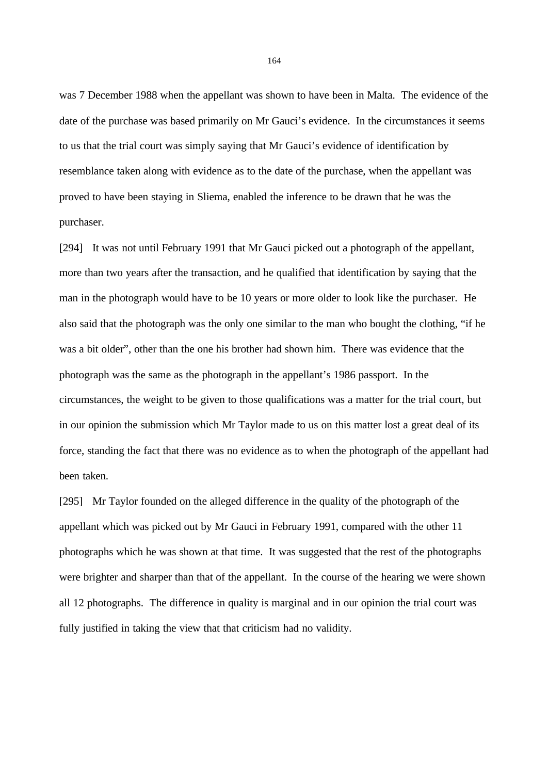was 7 December 1988 when the appellant was shown to have been in Malta. The evidence of the date of the purchase was based primarily on Mr Gauci's evidence. In the circumstances it seems to us that the trial court was simply saying that Mr Gauci's evidence of identification by resemblance taken along with evidence as to the date of the purchase, when the appellant was proved to have been staying in Sliema, enabled the inference to be drawn that he was the purchaser.

[294] It was not until February 1991 that Mr Gauci picked out a photograph of the appellant, more than two years after the transaction, and he qualified that identification by saying that the man in the photograph would have to be 10 years or more older to look like the purchaser. He also said that the photograph was the only one similar to the man who bought the clothing, "if he was a bit older", other than the one his brother had shown him. There was evidence that the photograph was the same as the photograph in the appellant's 1986 passport. In the circumstances, the weight to be given to those qualifications was a matter for the trial court, but in our opinion the submission which Mr Taylor made to us on this matter lost a great deal of its force, standing the fact that there was no evidence as to when the photograph of the appellant had been taken.

[295] Mr Taylor founded on the alleged difference in the quality of the photograph of the appellant which was picked out by Mr Gauci in February 1991, compared with the other 11 photographs which he was shown at that time. It was suggested that the rest of the photographs were brighter and sharper than that of the appellant. In the course of the hearing we were shown all 12 photographs. The difference in quality is marginal and in our opinion the trial court was fully justified in taking the view that that criticism had no validity.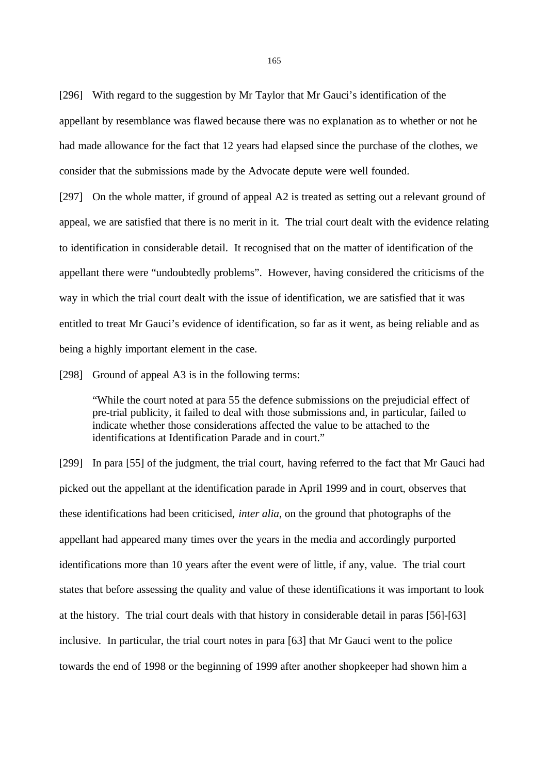[296] With regard to the suggestion by Mr Taylor that Mr Gauci's identification of the appellant by resemblance was flawed because there was no explanation as to whether or not he had made allowance for the fact that 12 years had elapsed since the purchase of the clothes, we consider that the submissions made by the Advocate depute were well founded.

[297] On the whole matter, if ground of appeal A2 is treated as setting out a relevant ground of appeal, we are satisfied that there is no merit in it. The trial court dealt with the evidence relating to identification in considerable detail. It recognised that on the matter of identification of the appellant there were "undoubtedly problems". However, having considered the criticisms of the way in which the trial court dealt with the issue of identification, we are satisfied that it was entitled to treat Mr Gauci's evidence of identification, so far as it went, as being reliable and as being a highly important element in the case.

[298] Ground of appeal A3 is in the following terms:

"While the court noted at para 55 the defence submissions on the prejudicial effect of pre-trial publicity, it failed to deal with those submissions and, in particular, failed to indicate whether those considerations affected the value to be attached to the identifications at Identification Parade and in court."

[299] In para [55] of the judgment, the trial court, having referred to the fact that Mr Gauci had picked out the appellant at the identification parade in April 1999 and in court, observes that these identifications had been criticised, *inter alia*, on the ground that photographs of the appellant had appeared many times over the years in the media and accordingly purported identifications more than 10 years after the event were of little, if any, value. The trial court states that before assessing the quality and value of these identifications it was important to look at the history. The trial court deals with that history in considerable detail in paras [56]-[63] inclusive. In particular, the trial court notes in para [63] that Mr Gauci went to the police towards the end of 1998 or the beginning of 1999 after another shopkeeper had shown him a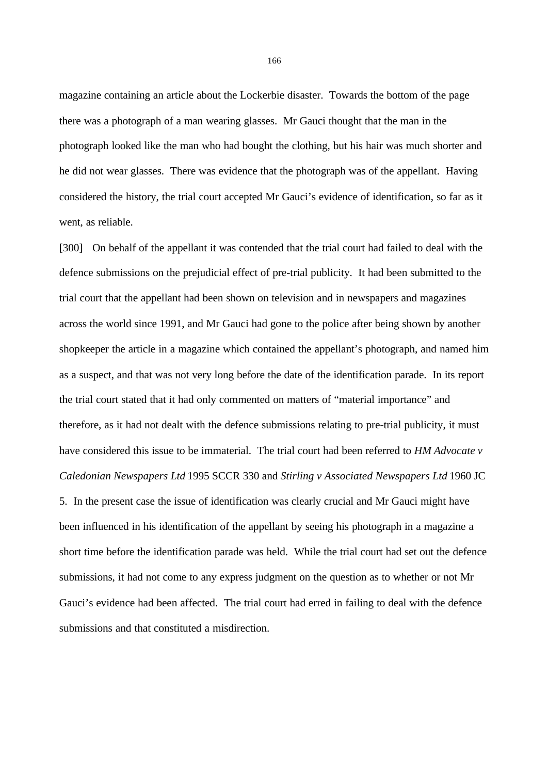magazine containing an article about the Lockerbie disaster. Towards the bottom of the page there was a photograph of a man wearing glasses. Mr Gauci thought that the man in the photograph looked like the man who had bought the clothing, but his hair was much shorter and he did not wear glasses. There was evidence that the photograph was of the appellant. Having considered the history, the trial court accepted Mr Gauci's evidence of identification, so far as it went, as reliable.

[300] On behalf of the appellant it was contended that the trial court had failed to deal with the defence submissions on the prejudicial effect of pre-trial publicity. It had been submitted to the trial court that the appellant had been shown on television and in newspapers and magazines across the world since 1991, and Mr Gauci had gone to the police after being shown by another shopkeeper the article in a magazine which contained the appellant's photograph, and named him as a suspect, and that was not very long before the date of the identification parade. In its report the trial court stated that it had only commented on matters of "material importance" and therefore, as it had not dealt with the defence submissions relating to pre-trial publicity, it must have considered this issue to be immaterial. The trial court had been referred to *HM Advocate v Caledonian Newspapers Ltd* 1995 SCCR 330 and *Stirling v Associated Newspapers Ltd* 1960 JC 5. In the present case the issue of identification was clearly crucial and Mr Gauci might have been influenced in his identification of the appellant by seeing his photograph in a magazine a short time before the identification parade was held. While the trial court had set out the defence submissions, it had not come to any express judgment on the question as to whether or not Mr Gauci's evidence had been affected. The trial court had erred in failing to deal with the defence submissions and that constituted a misdirection.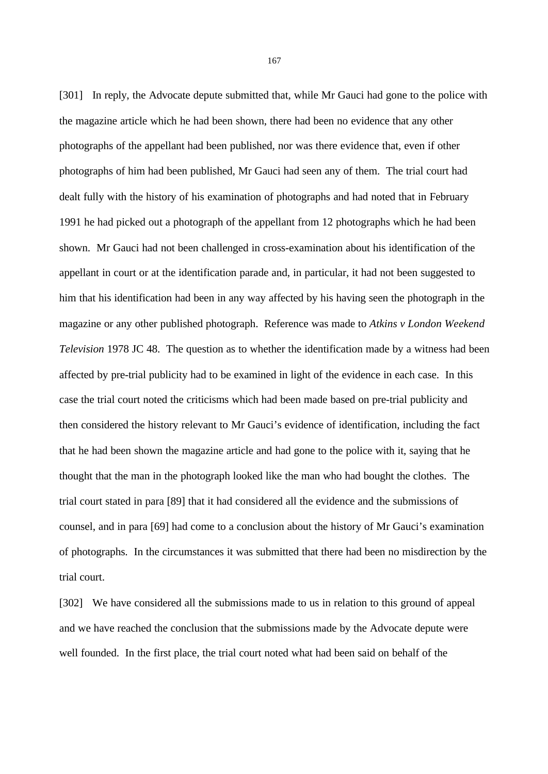[301] In reply, the Advocate depute submitted that, while Mr Gauci had gone to the police with the magazine article which he had been shown, there had been no evidence that any other photographs of the appellant had been published, nor was there evidence that, even if other photographs of him had been published, Mr Gauci had seen any of them. The trial court had dealt fully with the history of his examination of photographs and had noted that in February 1991 he had picked out a photograph of the appellant from 12 photographs which he had been shown. Mr Gauci had not been challenged in cross-examination about his identification of the appellant in court or at the identification parade and, in particular, it had not been suggested to him that his identification had been in any way affected by his having seen the photograph in the magazine or any other published photograph. Reference was made to *Atkins v London Weekend Television* 1978 JC 48. The question as to whether the identification made by a witness had been affected by pre-trial publicity had to be examined in light of the evidence in each case. In this case the trial court noted the criticisms which had been made based on pre-trial publicity and then considered the history relevant to Mr Gauci's evidence of identification, including the fact that he had been shown the magazine article and had gone to the police with it, saying that he thought that the man in the photograph looked like the man who had bought the clothes. The trial court stated in para [89] that it had considered all the evidence and the submissions of counsel, and in para [69] had come to a conclusion about the history of Mr Gauci's examination of photographs. In the circumstances it was submitted that there had been no misdirection by the trial court.

[302] We have considered all the submissions made to us in relation to this ground of appeal and we have reached the conclusion that the submissions made by the Advocate depute were well founded. In the first place, the trial court noted what had been said on behalf of the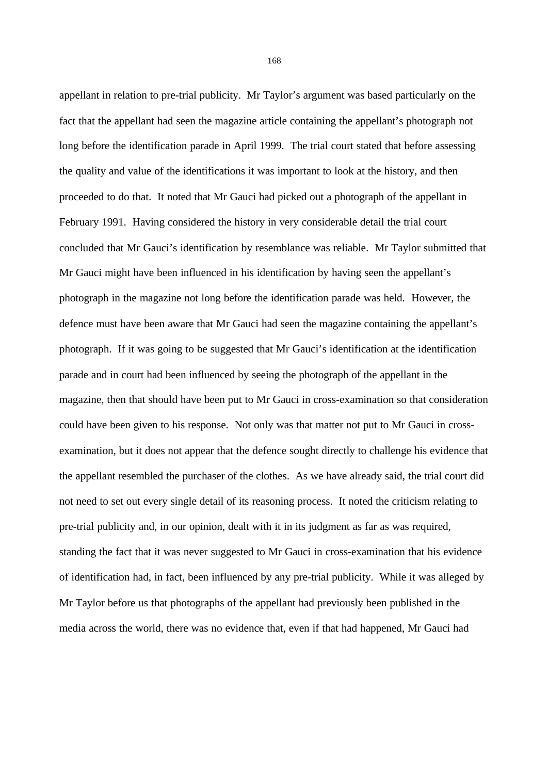appellant in relation to pre-trial publicity. Mr Taylor's argument was based particularly on the fact that the appellant had seen the magazine article containing the appellant's photograph not long before the identification parade in April 1999. The trial court stated that before assessing the quality and value of the identifications it was important to look at the history, and then proceeded to do that. It noted that Mr Gauci had picked out a photograph of the appellant in February 1991. Having considered the history in very considerable detail the trial court concluded that Mr Gauci's identification by resemblance was reliable. Mr Taylor submitted that Mr Gauci might have been influenced in his identification by having seen the appellant's photograph in the magazine not long before the identification parade was held. However, the defence must have been aware that Mr Gauci had seen the magazine containing the appellant's photograph. If it was going to be suggested that Mr Gauci's identification at the identification parade and in court had been influenced by seeing the photograph of the appellant in the magazine, then that should have been put to Mr Gauci in cross-examination so that consideration could have been given to his response. Not only was that matter not put to Mr Gauci in crossexamination, but it does not appear that the defence sought directly to challenge his evidence that the appellant resembled the purchaser of the clothes. As we have already said, the trial court did not need to set out every single detail of its reasoning process. It noted the criticism relating to pre-trial publicity and, in our opinion, dealt with it in its judgment as far as was required, standing the fact that it was never suggested to Mr Gauci in cross-examination that his evidence of identification had, in fact, been influenced by any pre-trial publicity. While it was alleged by Mr Taylor before us that photographs of the appellant had previously been published in the media across the world, there was no evidence that, even if that had happened, Mr Gauci had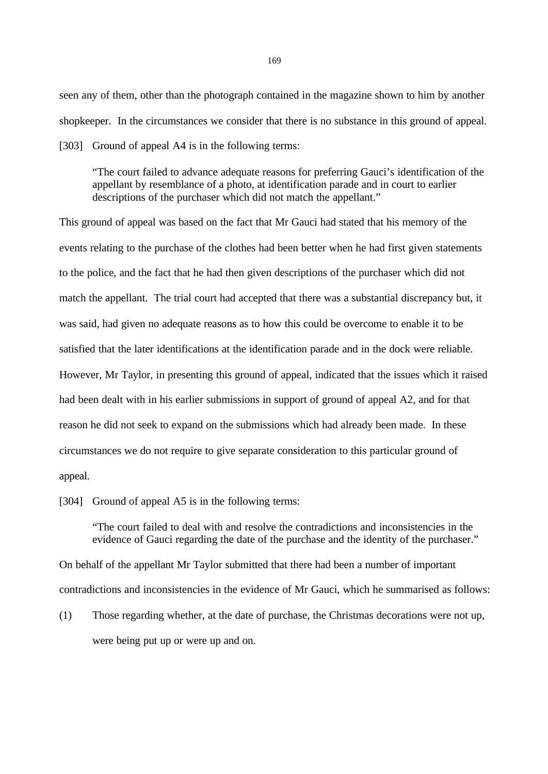seen any of them, other than the photograph contained in the magazine shown to him by another shopkeeper. In the circumstances we consider that there is no substance in this ground of appeal. [303] Ground of appeal A4 is in the following terms:

"The court failed to advance adequate reasons for preferring Gauci's identification of the appellant by resemblance of a photo, at identification parade and in court to earlier descriptions of the purchaser which did not match the appellant."

This ground of appeal was based on the fact that Mr Gauci had stated that his memory of the events relating to the purchase of the clothes had been better when he had first given statements to the police, and the fact that he had then given descriptions of the purchaser which did not match the appellant. The trial court had accepted that there was a substantial discrepancy but, it was said, had given no adequate reasons as to how this could be overcome to enable it to be satisfied that the later identifications at the identification parade and in the dock were reliable. However, Mr Taylor, in presenting this ground of appeal, indicated that the issues which it raised had been dealt with in his earlier submissions in support of ground of appeal A2, and for that reason he did not seek to expand on the submissions which had already been made. In these circumstances we do not require to give separate consideration to this particular ground of appeal.

[304] Ground of appeal A5 is in the following terms:

"The court failed to deal with and resolve the contradictions and inconsistencies in the evidence of Gauci regarding the date of the purchase and the identity of the purchaser."

On behalf of the appellant Mr Taylor submitted that there had been a number of important contradictions and inconsistencies in the evidence of Mr Gauci, which he summarised as follows:

(1) Those regarding whether, at the date of purchase, the Christmas decorations were not up, were being put up or were up and on.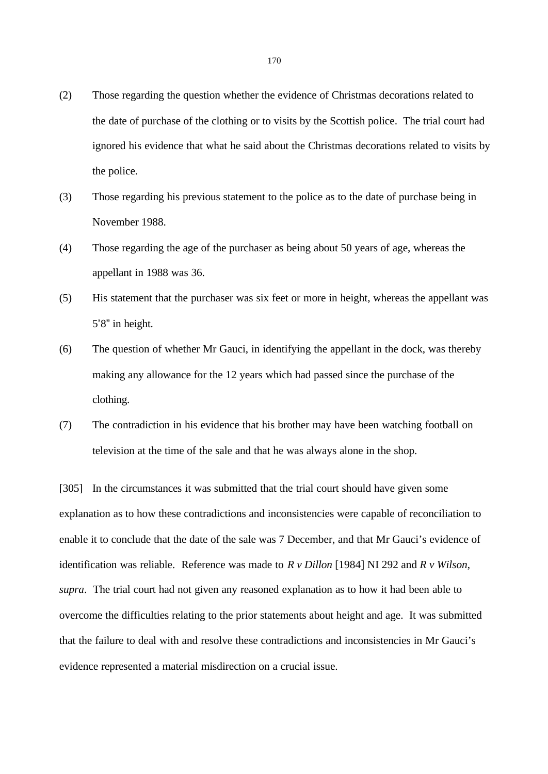- (2) Those regarding the question whether the evidence of Christmas decorations related to the date of purchase of the clothing or to visits by the Scottish police. The trial court had ignored his evidence that what he said about the Christmas decorations related to visits by the police.
- (3) Those regarding his previous statement to the police as to the date of purchase being in November 1988.
- (4) Those regarding the age of the purchaser as being about 50 years of age, whereas the appellant in 1988 was 36.
- (5) His statement that the purchaser was six feet or more in height, whereas the appellant was 5'8" in height.
- (6) The question of whether Mr Gauci, in identifying the appellant in the dock, was thereby making any allowance for the 12 years which had passed since the purchase of the clothing.
- (7) The contradiction in his evidence that his brother may have been watching football on television at the time of the sale and that he was always alone in the shop.

[305] In the circumstances it was submitted that the trial court should have given some explanation as to how these contradictions and inconsistencies were capable of reconciliation to enable it to conclude that the date of the sale was 7 December, and that Mr Gauci's evidence of identification was reliable. Reference was made to *R v Dillon* [1984] NI 292 and *R v Wilson*, *supra*. The trial court had not given any reasoned explanation as to how it had been able to overcome the difficulties relating to the prior statements about height and age. It was submitted that the failure to deal with and resolve these contradictions and inconsistencies in Mr Gauci's evidence represented a material misdirection on a crucial issue.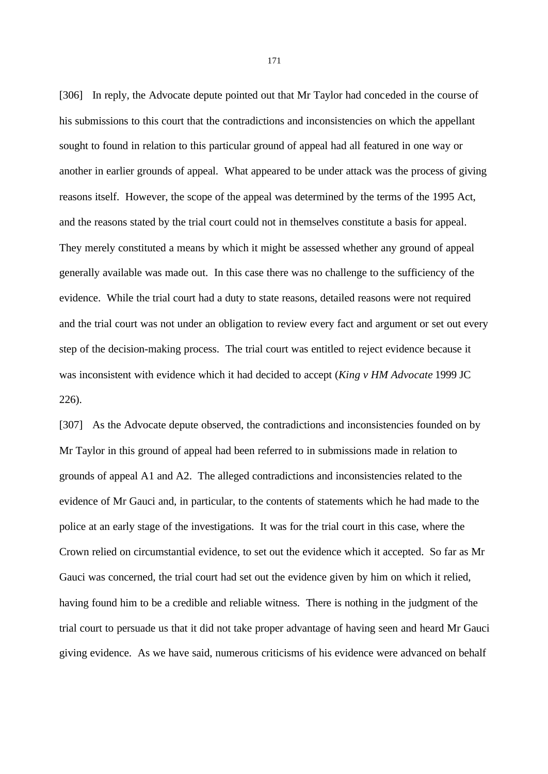[306] In reply, the Advocate depute pointed out that Mr Taylor had conceded in the course of his submissions to this court that the contradictions and inconsistencies on which the appellant sought to found in relation to this particular ground of appeal had all featured in one way or another in earlier grounds of appeal. What appeared to be under attack was the process of giving reasons itself. However, the scope of the appeal was determined by the terms of the 1995 Act, and the reasons stated by the trial court could not in themselves constitute a basis for appeal. They merely constituted a means by which it might be assessed whether any ground of appeal generally available was made out. In this case there was no challenge to the sufficiency of the evidence. While the trial court had a duty to state reasons, detailed reasons were not required and the trial court was not under an obligation to review every fact and argument or set out every step of the decision-making process. The trial court was entitled to reject evidence because it was inconsistent with evidence which it had decided to accept (*King v HM Advocate* 1999 JC 226).

[307] As the Advocate depute observed, the contradictions and inconsistencies founded on by Mr Taylor in this ground of appeal had been referred to in submissions made in relation to grounds of appeal A1 and A2. The alleged contradictions and inconsistencies related to the evidence of Mr Gauci and, in particular, to the contents of statements which he had made to the police at an early stage of the investigations. It was for the trial court in this case, where the Crown relied on circumstantial evidence, to set out the evidence which it accepted. So far as Mr Gauci was concerned, the trial court had set out the evidence given by him on which it relied, having found him to be a credible and reliable witness. There is nothing in the judgment of the trial court to persuade us that it did not take proper advantage of having seen and heard Mr Gauci giving evidence. As we have said, numerous criticisms of his evidence were advanced on behalf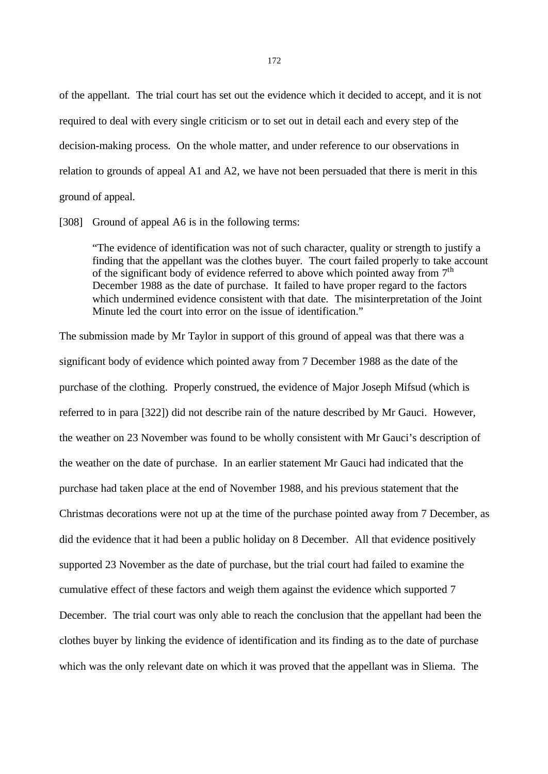of the appellant. The trial court has set out the evidence which it decided to accept, and it is not required to deal with every single criticism or to set out in detail each and every step of the decision-making process. On the whole matter, and under reference to our observations in relation to grounds of appeal A1 and A2, we have not been persuaded that there is merit in this ground of appeal.

[308] Ground of appeal A6 is in the following terms:

"The evidence of identification was not of such character, quality or strength to justify a finding that the appellant was the clothes buyer. The court failed properly to take account of the significant body of evidence referred to above which pointed away from 7<sup>th</sup> December 1988 as the date of purchase. It failed to have proper regard to the factors which undermined evidence consistent with that date. The misinterpretation of the Joint Minute led the court into error on the issue of identification."

The submission made by Mr Taylor in support of this ground of appeal was that there was a significant body of evidence which pointed away from 7 December 1988 as the date of the purchase of the clothing. Properly construed, the evidence of Major Joseph Mifsud (which is referred to in para [322]) did not describe rain of the nature described by Mr Gauci. However, the weather on 23 November was found to be wholly consistent with Mr Gauci's description of the weather on the date of purchase. In an earlier statement Mr Gauci had indicated that the purchase had taken place at the end of November 1988, and his previous statement that the Christmas decorations were not up at the time of the purchase pointed away from 7 December, as did the evidence that it had been a public holiday on 8 December. All that evidence positively supported 23 November as the date of purchase, but the trial court had failed to examine the cumulative effect of these factors and weigh them against the evidence which supported 7 December. The trial court was only able to reach the conclusion that the appellant had been the clothes buyer by linking the evidence of identification and its finding as to the date of purchase which was the only relevant date on which it was proved that the appellant was in Sliema. The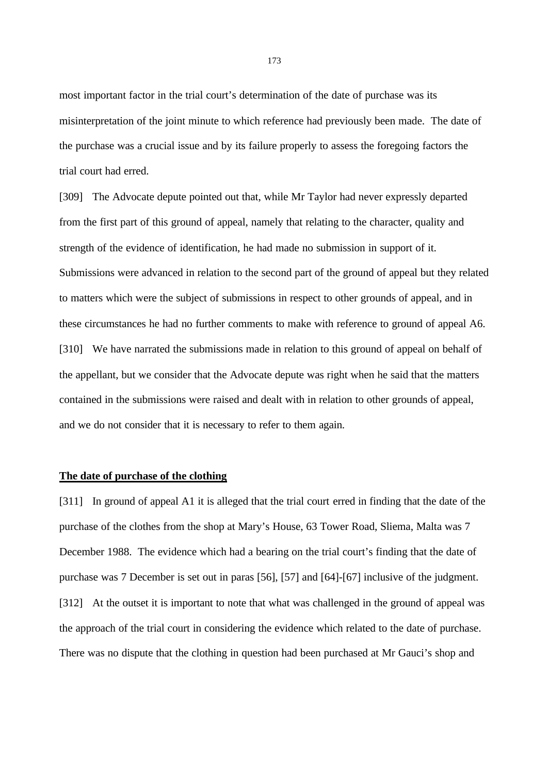most important factor in the trial court's determination of the date of purchase was its misinterpretation of the joint minute to which reference had previously been made. The date of the purchase was a crucial issue and by its failure properly to assess the foregoing factors the trial court had erred.

[309] The Advocate depute pointed out that, while Mr Taylor had never expressly departed from the first part of this ground of appeal, namely that relating to the character, quality and strength of the evidence of identification, he had made no submission in support of it. Submissions were advanced in relation to the second part of the ground of appeal but they related to matters which were the subject of submissions in respect to other grounds of appeal, and in these circumstances he had no further comments to make with reference to ground of appeal A6. [310] We have narrated the submissions made in relation to this ground of appeal on behalf of the appellant, but we consider that the Advocate depute was right when he said that the matters contained in the submissions were raised and dealt with in relation to other grounds of appeal, and we do not consider that it is necessary to refer to them again.

### **The date of purchase of the clothing**

[311] In ground of appeal A1 it is alleged that the trial court erred in finding that the date of the purchase of the clothes from the shop at Mary's House, 63 Tower Road, Sliema, Malta was 7 December 1988. The evidence which had a bearing on the trial court's finding that the date of purchase was 7 December is set out in paras [56], [57] and [64]-[67] inclusive of the judgment. [312] At the outset it is important to note that what was challenged in the ground of appeal was the approach of the trial court in considering the evidence which related to the date of purchase. There was no dispute that the clothing in question had been purchased at Mr Gauci's shop and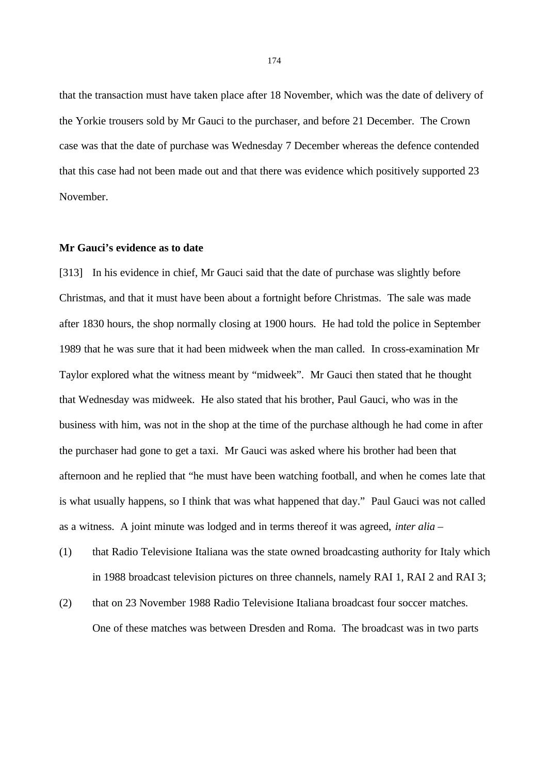that the transaction must have taken place after 18 November, which was the date of delivery of the Yorkie trousers sold by Mr Gauci to the purchaser, and before 21 December. The Crown case was that the date of purchase was Wednesday 7 December whereas the defence contended that this case had not been made out and that there was evidence which positively supported 23 November.

#### **Mr Gauci's evidence as to date**

[313] In his evidence in chief, Mr Gauci said that the date of purchase was slightly before Christmas, and that it must have been about a fortnight before Christmas. The sale was made after 1830 hours, the shop normally closing at 1900 hours. He had told the police in September 1989 that he was sure that it had been midweek when the man called. In cross-examination Mr Taylor explored what the witness meant by "midweek". Mr Gauci then stated that he thought that Wednesday was midweek. He also stated that his brother, Paul Gauci, who was in the business with him, was not in the shop at the time of the purchase although he had come in after the purchaser had gone to get a taxi. Mr Gauci was asked where his brother had been that afternoon and he replied that "he must have been watching football, and when he comes late that is what usually happens, so I think that was what happened that day." Paul Gauci was not called as a witness. A joint minute was lodged and in terms thereof it was agreed, *inter alia* –

- (1) that Radio Televisione Italiana was the state owned broadcasting authority for Italy which in 1988 broadcast television pictures on three channels, namely RAI 1, RAI 2 and RAI 3;
- (2) that on 23 November 1988 Radio Televisione Italiana broadcast four soccer matches. One of these matches was between Dresden and Roma. The broadcast was in two parts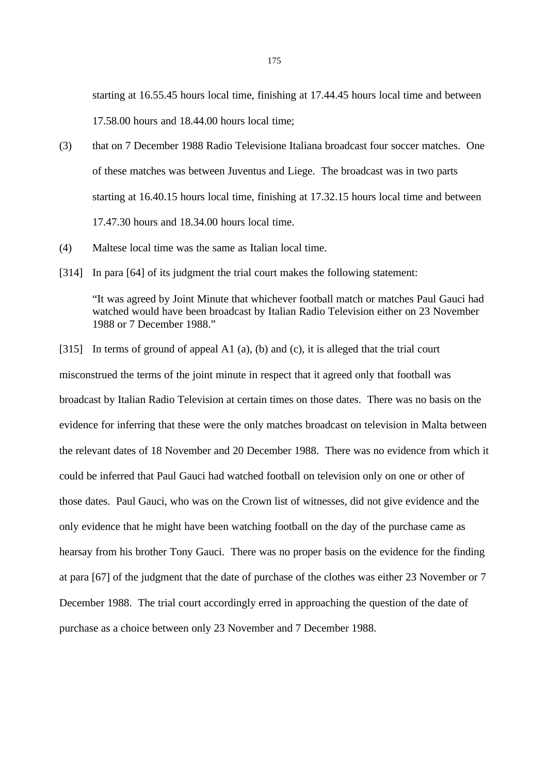starting at 16.55.45 hours local time, finishing at 17.44.45 hours local time and between 17.58.00 hours and 18.44.00 hours local time;

- (3) that on 7 December 1988 Radio Televisione Italiana broadcast four soccer matches. One of these matches was between Juventus and Liege. The broadcast was in two parts starting at 16.40.15 hours local time, finishing at 17.32.15 hours local time and between 17.47.30 hours and 18.34.00 hours local time.
- (4) Maltese local time was the same as Italian local time.
- [314] In para [64] of its judgment the trial court makes the following statement:

"It was agreed by Joint Minute that whichever football match or matches Paul Gauci had watched would have been broadcast by Italian Radio Television either on 23 November 1988 or 7 December 1988."

[315] In terms of ground of appeal A1 (a), (b) and (c), it is alleged that the trial court misconstrued the terms of the joint minute in respect that it agreed only that football was broadcast by Italian Radio Television at certain times on those dates. There was no basis on the evidence for inferring that these were the only matches broadcast on television in Malta between the relevant dates of 18 November and 20 December 1988. There was no evidence from which it could be inferred that Paul Gauci had watched football on television only on one or other of those dates. Paul Gauci, who was on the Crown list of witnesses, did not give evidence and the only evidence that he might have been watching football on the day of the purchase came as hearsay from his brother Tony Gauci. There was no proper basis on the evidence for the finding at para [67] of the judgment that the date of purchase of the clothes was either 23 November or 7 December 1988. The trial court accordingly erred in approaching the question of the date of purchase as a choice between only 23 November and 7 December 1988.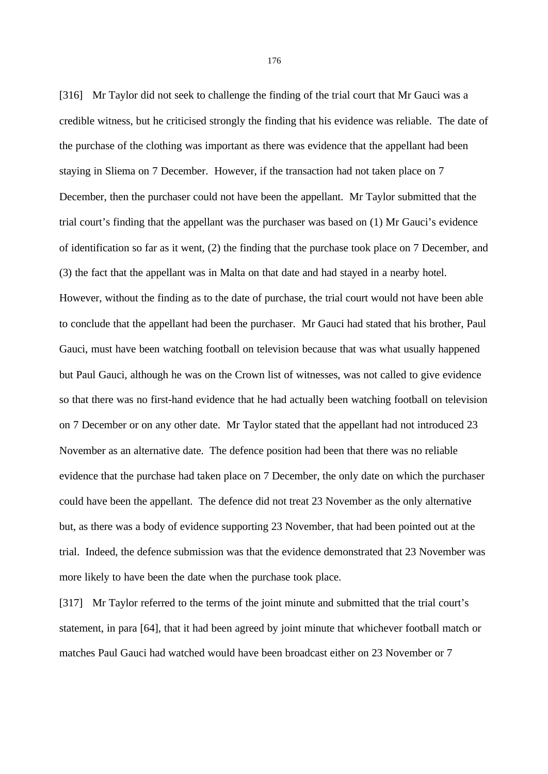[316] Mr Taylor did not seek to challenge the finding of the trial court that Mr Gauci was a credible witness, but he criticised strongly the finding that his evidence was reliable. The date of the purchase of the clothing was important as there was evidence that the appellant had been staying in Sliema on 7 December. However, if the transaction had not taken place on 7 December, then the purchaser could not have been the appellant. Mr Taylor submitted that the trial court's finding that the appellant was the purchaser was based on (1) Mr Gauci's evidence of identification so far as it went, (2) the finding that the purchase took place on 7 December, and (3) the fact that the appellant was in Malta on that date and had stayed in a nearby hotel. However, without the finding as to the date of purchase, the trial court would not have been able to conclude that the appellant had been the purchaser. Mr Gauci had stated that his brother, Paul Gauci, must have been watching football on television because that was what usually happened but Paul Gauci, although he was on the Crown list of witnesses, was not called to give evidence so that there was no first-hand evidence that he had actually been watching football on television on 7 December or on any other date. Mr Taylor stated that the appellant had not introduced 23 November as an alternative date. The defence position had been that there was no reliable evidence that the purchase had taken place on 7 December, the only date on which the purchaser could have been the appellant. The defence did not treat 23 November as the only alternative but, as there was a body of evidence supporting 23 November, that had been pointed out at the trial. Indeed, the defence submission was that the evidence demonstrated that 23 November was more likely to have been the date when the purchase took place.

[317] Mr Taylor referred to the terms of the joint minute and submitted that the trial court's statement, in para [64], that it had been agreed by joint minute that whichever football match or matches Paul Gauci had watched would have been broadcast either on 23 November or 7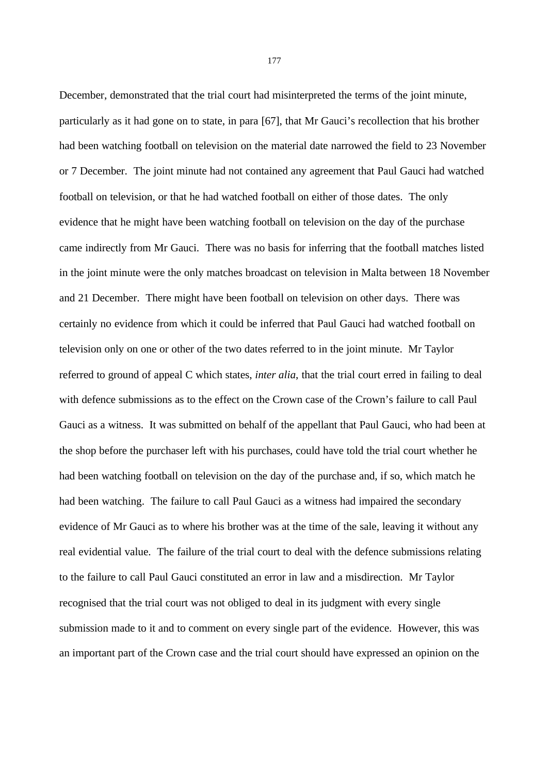December, demonstrated that the trial court had misinterpreted the terms of the joint minute, particularly as it had gone on to state, in para [67], that Mr Gauci's recollection that his brother had been watching football on television on the material date narrowed the field to 23 November or 7 December. The joint minute had not contained any agreement that Paul Gauci had watched football on television, or that he had watched football on either of those dates. The only evidence that he might have been watching football on television on the day of the purchase came indirectly from Mr Gauci. There was no basis for inferring that the football matches listed in the joint minute were the only matches broadcast on television in Malta between 18 November and 21 December. There might have been football on television on other days. There was certainly no evidence from which it could be inferred that Paul Gauci had watched football on television only on one or other of the two dates referred to in the joint minute. Mr Taylor referred to ground of appeal C which states, *inter alia*, that the trial court erred in failing to deal with defence submissions as to the effect on the Crown case of the Crown's failure to call Paul Gauci as a witness. It was submitted on behalf of the appellant that Paul Gauci, who had been at the shop before the purchaser left with his purchases, could have told the trial court whether he had been watching football on television on the day of the purchase and, if so, which match he had been watching. The failure to call Paul Gauci as a witness had impaired the secondary evidence of Mr Gauci as to where his brother was at the time of the sale, leaving it without any real evidential value. The failure of the trial court to deal with the defence submissions relating to the failure to call Paul Gauci constituted an error in law and a misdirection. Mr Taylor recognised that the trial court was not obliged to deal in its judgment with every single submission made to it and to comment on every single part of the evidence. However, this was an important part of the Crown case and the trial court should have expressed an opinion on the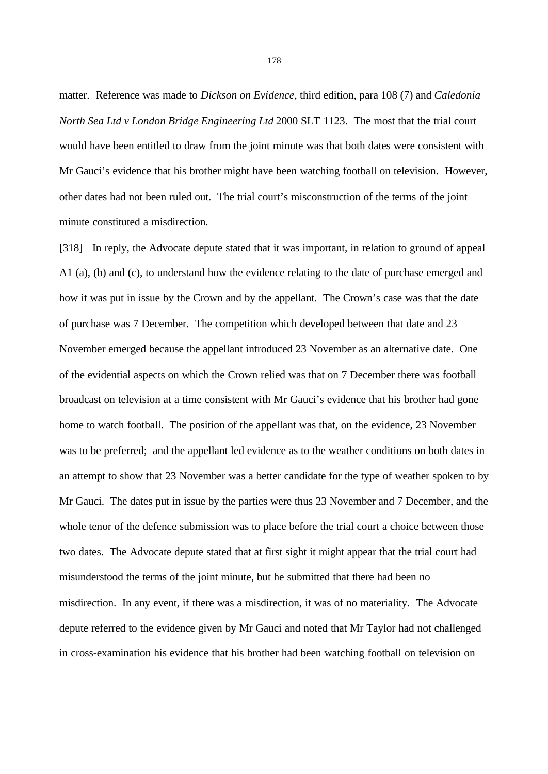matter. Reference was made to *Dickson on Evidence,* third edition, para 108 (7) and *Caledonia North Sea Ltd v London Bridge Engineering Ltd* 2000 SLT 1123. The most that the trial court would have been entitled to draw from the joint minute was that both dates were consistent with Mr Gauci's evidence that his brother might have been watching football on television. However, other dates had not been ruled out. The trial court's misconstruction of the terms of the joint minute constituted a misdirection.

[318] In reply, the Advocate depute stated that it was important, in relation to ground of appeal A1 (a), (b) and (c), to understand how the evidence relating to the date of purchase emerged and how it was put in issue by the Crown and by the appellant. The Crown's case was that the date of purchase was 7 December. The competition which developed between that date and 23 November emerged because the appellant introduced 23 November as an alternative date. One of the evidential aspects on which the Crown relied was that on 7 December there was football broadcast on television at a time consistent with Mr Gauci's evidence that his brother had gone home to watch football. The position of the appellant was that, on the evidence, 23 November was to be preferred; and the appellant led evidence as to the weather conditions on both dates in an attempt to show that 23 November was a better candidate for the type of weather spoken to by Mr Gauci. The dates put in issue by the parties were thus 23 November and 7 December, and the whole tenor of the defence submission was to place before the trial court a choice between those two dates. The Advocate depute stated that at first sight it might appear that the trial court had misunderstood the terms of the joint minute, but he submitted that there had been no misdirection. In any event, if there was a misdirection, it was of no materiality. The Advocate depute referred to the evidence given by Mr Gauci and noted that Mr Taylor had not challenged in cross-examination his evidence that his brother had been watching football on television on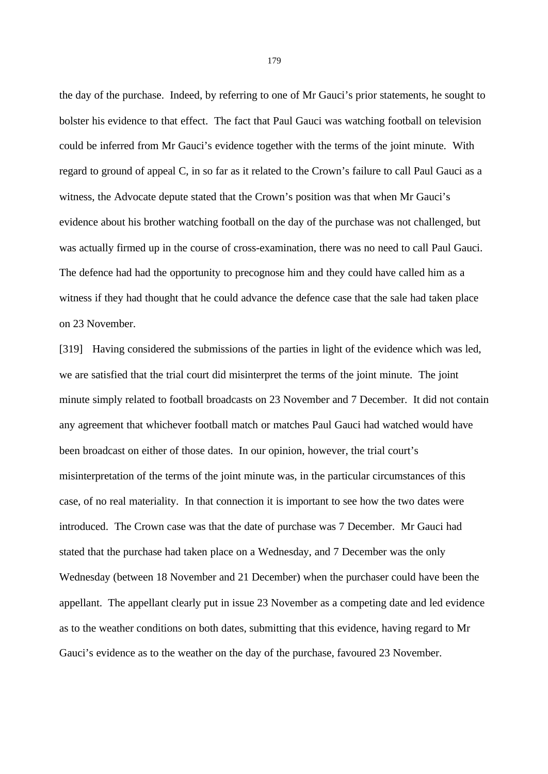the day of the purchase. Indeed, by referring to one of Mr Gauci's prior statements, he sought to bolster his evidence to that effect. The fact that Paul Gauci was watching football on television could be inferred from Mr Gauci's evidence together with the terms of the joint minute. With regard to ground of appeal C, in so far as it related to the Crown's failure to call Paul Gauci as a witness, the Advocate depute stated that the Crown's position was that when Mr Gauci's evidence about his brother watching football on the day of the purchase was not challenged, but was actually firmed up in the course of cross-examination, there was no need to call Paul Gauci. The defence had had the opportunity to precognose him and they could have called him as a witness if they had thought that he could advance the defence case that the sale had taken place on 23 November.

[319] Having considered the submissions of the parties in light of the evidence which was led, we are satisfied that the trial court did misinterpret the terms of the joint minute. The joint minute simply related to football broadcasts on 23 November and 7 December. It did not contain any agreement that whichever football match or matches Paul Gauci had watched would have been broadcast on either of those dates. In our opinion, however, the trial court's misinterpretation of the terms of the joint minute was, in the particular circumstances of this case, of no real materiality. In that connection it is important to see how the two dates were introduced. The Crown case was that the date of purchase was 7 December. Mr Gauci had stated that the purchase had taken place on a Wednesday, and 7 December was the only Wednesday (between 18 November and 21 December) when the purchaser could have been the appellant. The appellant clearly put in issue 23 November as a competing date and led evidence as to the weather conditions on both dates, submitting that this evidence, having regard to Mr Gauci's evidence as to the weather on the day of the purchase, favoured 23 November.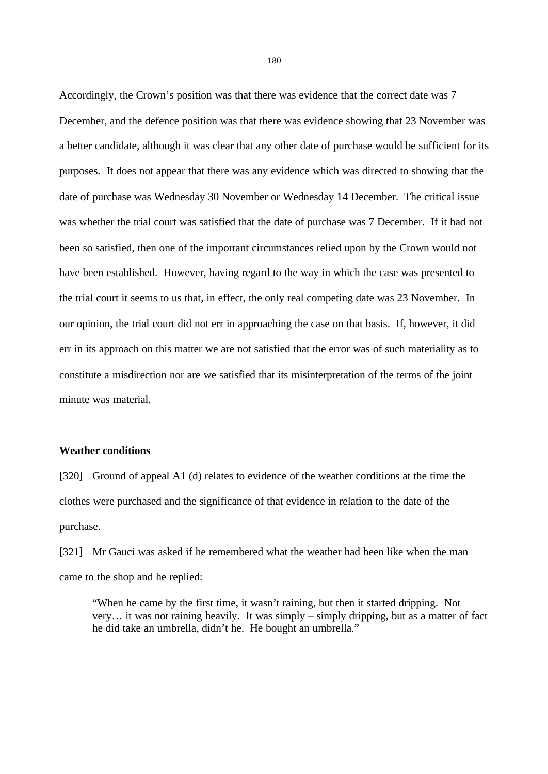Accordingly, the Crown's position was that there was evidence that the correct date was 7 December, and the defence position was that there was evidence showing that 23 November was a better candidate, although it was clear that any other date of purchase would be sufficient for its purposes. It does not appear that there was any evidence which was directed to showing that the date of purchase was Wednesday 30 November or Wednesday 14 December. The critical issue was whether the trial court was satisfied that the date of purchase was 7 December. If it had not been so satisfied, then one of the important circumstances relied upon by the Crown would not have been established. However, having regard to the way in which the case was presented to the trial court it seems to us that, in effect, the only real competing date was 23 November. In our opinion, the trial court did not err in approaching the case on that basis. If, however, it did err in its approach on this matter we are not satisfied that the error was of such materiality as to constitute a misdirection nor are we satisfied that its misinterpretation of the terms of the joint minute was material.

# **Weather conditions**

[320] Ground of appeal A1 (d) relates to evidence of the weather conditions at the time the clothes were purchased and the significance of that evidence in relation to the date of the purchase.

[321] Mr Gauci was asked if he remembered what the weather had been like when the man came to the shop and he replied:

"When he came by the first time, it wasn't raining, but then it started dripping. Not very… it was not raining heavily. It was simply – simply dripping, but as a matter of fact he did take an umbrella, didn't he. He bought an umbrella."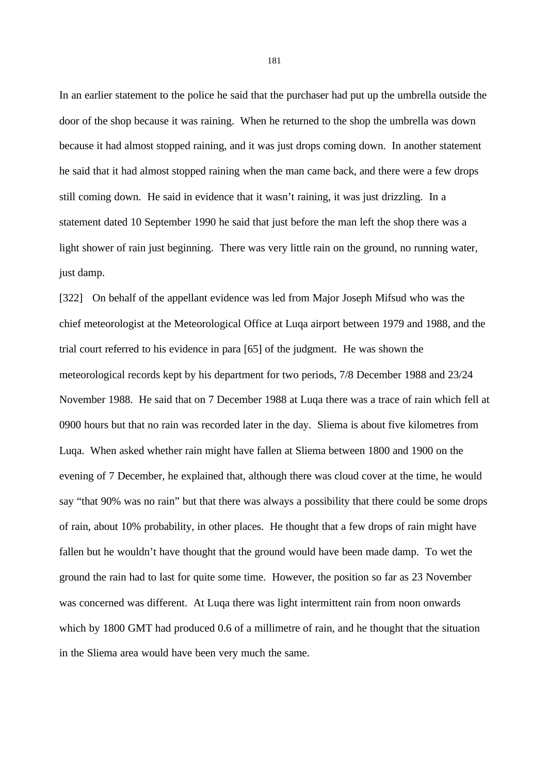In an earlier statement to the police he said that the purchaser had put up the umbrella outside the door of the shop because it was raining. When he returned to the shop the umbrella was down because it had almost stopped raining, and it was just drops coming down. In another statement he said that it had almost stopped raining when the man came back, and there were a few drops still coming down. He said in evidence that it wasn't raining, it was just drizzling. In a statement dated 10 September 1990 he said that just before the man left the shop there was a light shower of rain just beginning. There was very little rain on the ground, no running water, just damp.

[322] On behalf of the appellant evidence was led from Major Joseph Mifsud who was the chief meteorologist at the Meteorological Office at Luqa airport between 1979 and 1988, and the trial court referred to his evidence in para [65] of the judgment. He was shown the meteorological records kept by his department for two periods, 7/8 December 1988 and 23/24 November 1988. He said that on 7 December 1988 at Luqa there was a trace of rain which fell at 0900 hours but that no rain was recorded later in the day. Sliema is about five kilometres from Luqa. When asked whether rain might have fallen at Sliema between 1800 and 1900 on the evening of 7 December, he explained that, although there was cloud cover at the time, he would say "that 90% was no rain" but that there was always a possibility that there could be some drops of rain, about 10% probability, in other places. He thought that a few drops of rain might have fallen but he wouldn't have thought that the ground would have been made damp. To wet the ground the rain had to last for quite some time. However, the position so far as 23 November was concerned was different. At Luqa there was light intermittent rain from noon onwards which by 1800 GMT had produced 0.6 of a millimetre of rain, and he thought that the situation in the Sliema area would have been very much the same.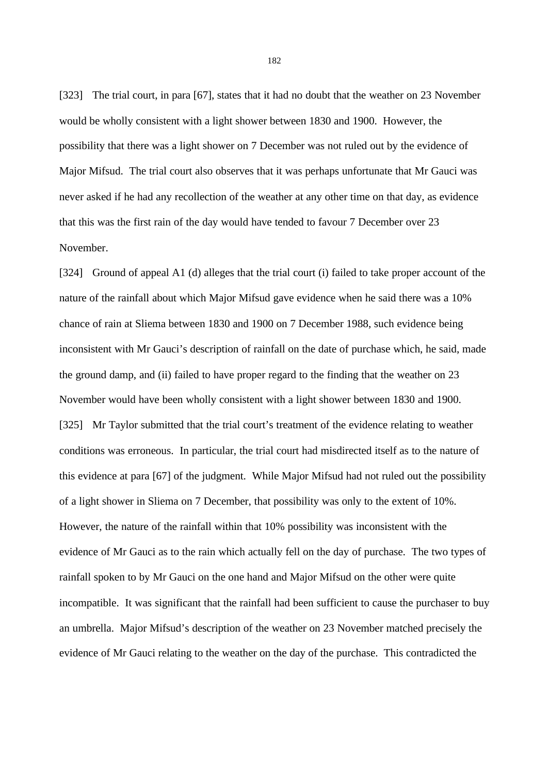[323] The trial court, in para [67], states that it had no doubt that the weather on 23 November would be wholly consistent with a light shower between 1830 and 1900. However, the possibility that there was a light shower on 7 December was not ruled out by the evidence of Major Mifsud. The trial court also observes that it was perhaps unfortunate that Mr Gauci was never asked if he had any recollection of the weather at any other time on that day, as evidence that this was the first rain of the day would have tended to favour 7 December over 23 November.

[324] Ground of appeal A1 (d) alleges that the trial court (i) failed to take proper account of the nature of the rainfall about which Major Mifsud gave evidence when he said there was a 10% chance of rain at Sliema between 1830 and 1900 on 7 December 1988, such evidence being inconsistent with Mr Gauci's description of rainfall on the date of purchase which, he said, made the ground damp, and (ii) failed to have proper regard to the finding that the weather on 23 November would have been wholly consistent with a light shower between 1830 and 1900. [325] Mr Taylor submitted that the trial court's treatment of the evidence relating to weather conditions was erroneous. In particular, the trial court had misdirected itself as to the nature of this evidence at para [67] of the judgment. While Major Mifsud had not ruled out the possibility of a light shower in Sliema on 7 December, that possibility was only to the extent of 10%. However, the nature of the rainfall within that 10% possibility was inconsistent with the evidence of Mr Gauci as to the rain which actually fell on the day of purchase. The two types of rainfall spoken to by Mr Gauci on the one hand and Major Mifsud on the other were quite incompatible. It was significant that the rainfall had been sufficient to cause the purchaser to buy an umbrella. Major Mifsud's description of the weather on 23 November matched precisely the evidence of Mr Gauci relating to the weather on the day of the purchase. This contradicted the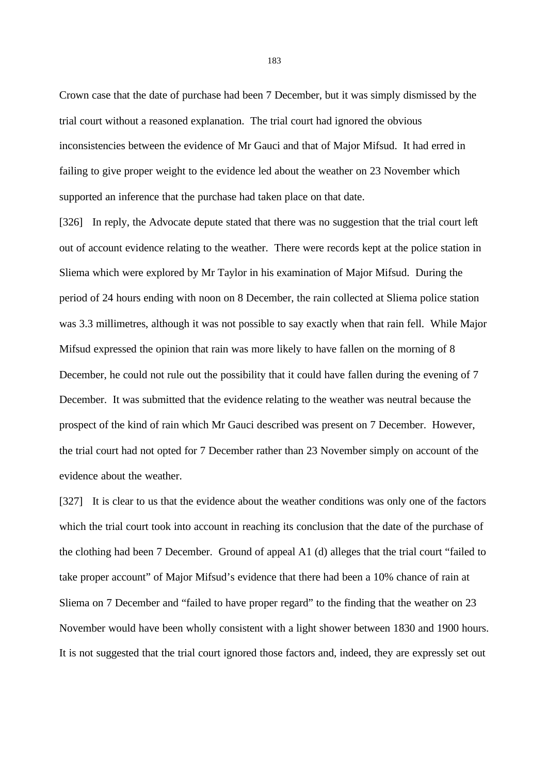Crown case that the date of purchase had been 7 December, but it was simply dismissed by the trial court without a reasoned explanation. The trial court had ignored the obvious inconsistencies between the evidence of Mr Gauci and that of Major Mifsud. It had erred in failing to give proper weight to the evidence led about the weather on 23 November which supported an inference that the purchase had taken place on that date.

[326] In reply, the Advocate depute stated that there was no suggestion that the trial court left out of account evidence relating to the weather. There were records kept at the police station in Sliema which were explored by Mr Taylor in his examination of Major Mifsud. During the period of 24 hours ending with noon on 8 December, the rain collected at Sliema police station was 3.3 millimetres, although it was not possible to say exactly when that rain fell. While Major Mifsud expressed the opinion that rain was more likely to have fallen on the morning of 8 December, he could not rule out the possibility that it could have fallen during the evening of 7 December. It was submitted that the evidence relating to the weather was neutral because the prospect of the kind of rain which Mr Gauci described was present on 7 December. However, the trial court had not opted for 7 December rather than 23 November simply on account of the evidence about the weather.

[327] It is clear to us that the evidence about the weather conditions was only one of the factors which the trial court took into account in reaching its conclusion that the date of the purchase of the clothing had been 7 December. Ground of appeal A1 (d) alleges that the trial court "failed to take proper account" of Major Mifsud's evidence that there had been a 10% chance of rain at Sliema on 7 December and "failed to have proper regard" to the finding that the weather on 23 November would have been wholly consistent with a light shower between 1830 and 1900 hours. It is not suggested that the trial court ignored those factors and, indeed, they are expressly set out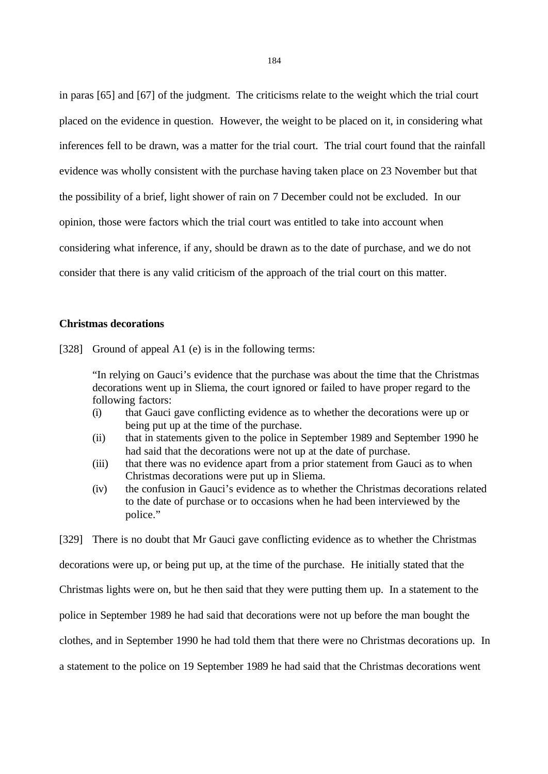in paras [65] and [67] of the judgment. The criticisms relate to the weight which the trial court placed on the evidence in question. However, the weight to be placed on it, in considering what inferences fell to be drawn, was a matter for the trial court. The trial court found that the rainfall evidence was wholly consistent with the purchase having taken place on 23 November but that the possibility of a brief, light shower of rain on 7 December could not be excluded. In our opinion, those were factors which the trial court was entitled to take into account when considering what inference, if any, should be drawn as to the date of purchase, and we do not consider that there is any valid criticism of the approach of the trial court on this matter.

## **Christmas decorations**

[328] Ground of appeal A1 (e) is in the following terms:

"In relying on Gauci's evidence that the purchase was about the time that the Christmas decorations went up in Sliema, the court ignored or failed to have proper regard to the following factors:

- (i) that Gauci gave conflicting evidence as to whether the decorations were up or being put up at the time of the purchase.
- (ii) that in statements given to the police in September 1989 and September 1990 he had said that the decorations were not up at the date of purchase.
- (iii) that there was no evidence apart from a prior statement from Gauci as to when Christmas decorations were put up in Sliema.
- (iv) the confusion in Gauci's evidence as to whether the Christmas decorations related to the date of purchase or to occasions when he had been interviewed by the police."

[329] There is no doubt that Mr Gauci gave conflicting evidence as to whether the Christmas decorations were up, or being put up, at the time of the purchase. He initially stated that the Christmas lights were on, but he then said that they were putting them up. In a statement to the police in September 1989 he had said that decorations were not up before the man bought the clothes, and in September 1990 he had told them that there were no Christmas decorations up. In a statement to the police on 19 September 1989 he had said that the Christmas decorations went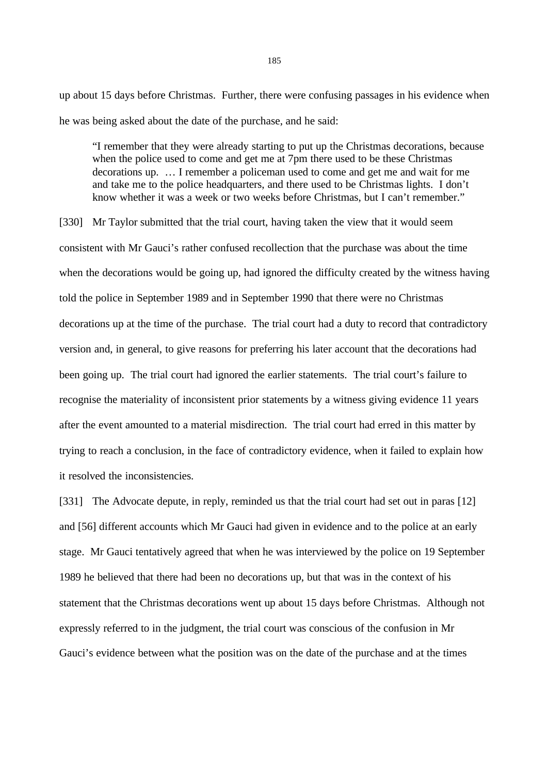up about 15 days before Christmas. Further, there were confusing passages in his evidence when he was being asked about the date of the purchase, and he said:

"I remember that they were already starting to put up the Christmas decorations, because when the police used to come and get me at 7pm there used to be these Christmas decorations up. … I remember a policeman used to come and get me and wait for me and take me to the police headquarters, and there used to be Christmas lights. I don't know whether it was a week or two weeks before Christmas, but I can't remember."

[330] Mr Taylor submitted that the trial court, having taken the view that it would seem consistent with Mr Gauci's rather confused recollection that the purchase was about the time when the decorations would be going up, had ignored the difficulty created by the witness having told the police in September 1989 and in September 1990 that there were no Christmas decorations up at the time of the purchase. The trial court had a duty to record that contradictory version and, in general, to give reasons for preferring his later account that the decorations had been going up. The trial court had ignored the earlier statements. The trial court's failure to recognise the materiality of inconsistent prior statements by a witness giving evidence 11 years after the event amounted to a material misdirection. The trial court had erred in this matter by trying to reach a conclusion, in the face of contradictory evidence, when it failed to explain how it resolved the inconsistencies.

[331] The Advocate depute, in reply, reminded us that the trial court had set out in paras [12] and [56] different accounts which Mr Gauci had given in evidence and to the police at an early stage. Mr Gauci tentatively agreed that when he was interviewed by the police on 19 September 1989 he believed that there had been no decorations up, but that was in the context of his statement that the Christmas decorations went up about 15 days before Christmas. Although not expressly referred to in the judgment, the trial court was conscious of the confusion in Mr Gauci's evidence between what the position was on the date of the purchase and at the times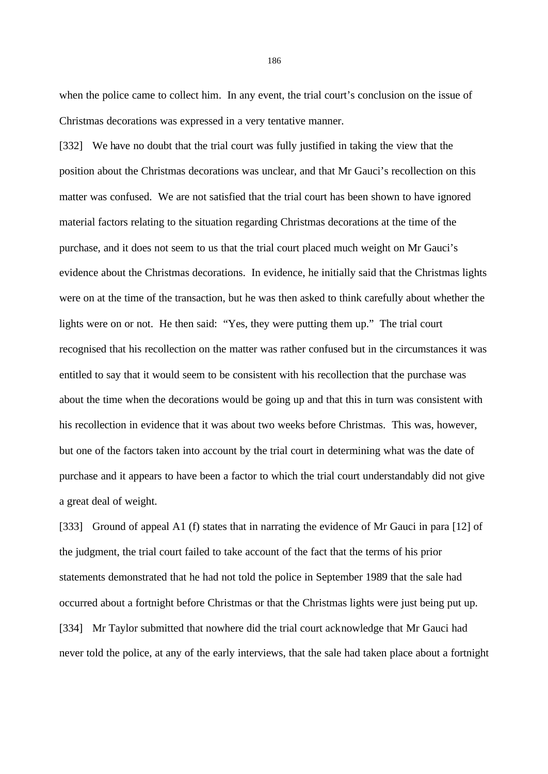when the police came to collect him. In any event, the trial court's conclusion on the issue of Christmas decorations was expressed in a very tentative manner.

[332] We have no doubt that the trial court was fully justified in taking the view that the position about the Christmas decorations was unclear, and that Mr Gauci's recollection on this matter was confused. We are not satisfied that the trial court has been shown to have ignored material factors relating to the situation regarding Christmas decorations at the time of the purchase, and it does not seem to us that the trial court placed much weight on Mr Gauci's evidence about the Christmas decorations. In evidence, he initially said that the Christmas lights were on at the time of the transaction, but he was then asked to think carefully about whether the lights were on or not. He then said: "Yes, they were putting them up." The trial court recognised that his recollection on the matter was rather confused but in the circumstances it was entitled to say that it would seem to be consistent with his recollection that the purchase was about the time when the decorations would be going up and that this in turn was consistent with his recollection in evidence that it was about two weeks before Christmas. This was, however, but one of the factors taken into account by the trial court in determining what was the date of purchase and it appears to have been a factor to which the trial court understandably did not give a great deal of weight.

[333] Ground of appeal A1 (f) states that in narrating the evidence of Mr Gauci in para [12] of the judgment, the trial court failed to take account of the fact that the terms of his prior statements demonstrated that he had not told the police in September 1989 that the sale had occurred about a fortnight before Christmas or that the Christmas lights were just being put up. [334] Mr Taylor submitted that nowhere did the trial court acknowledge that Mr Gauci had never told the police, at any of the early interviews, that the sale had taken place about a fortnight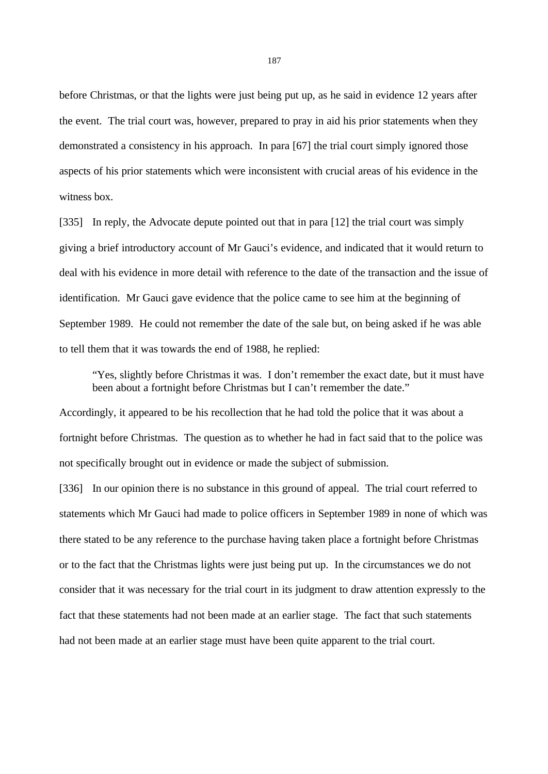before Christmas, or that the lights were just being put up, as he said in evidence 12 years after the event. The trial court was, however, prepared to pray in aid his prior statements when they demonstrated a consistency in his approach. In para [67] the trial court simply ignored those aspects of his prior statements which were inconsistent with crucial areas of his evidence in the witness box.

[335] In reply, the Advocate depute pointed out that in para [12] the trial court was simply giving a brief introductory account of Mr Gauci's evidence, and indicated that it would return to deal with his evidence in more detail with reference to the date of the transaction and the issue of identification. Mr Gauci gave evidence that the police came to see him at the beginning of September 1989. He could not remember the date of the sale but, on being asked if he was able to tell them that it was towards the end of 1988, he replied:

"Yes, slightly before Christmas it was. I don't remember the exact date, but it must have been about a fortnight before Christmas but I can't remember the date."

Accordingly, it appeared to be his recollection that he had told the police that it was about a fortnight before Christmas. The question as to whether he had in fact said that to the police was not specifically brought out in evidence or made the subject of submission.

[336] In our opinion there is no substance in this ground of appeal. The trial court referred to statements which Mr Gauci had made to police officers in September 1989 in none of which was there stated to be any reference to the purchase having taken place a fortnight before Christmas or to the fact that the Christmas lights were just being put up. In the circumstances we do not consider that it was necessary for the trial court in its judgment to draw attention expressly to the fact that these statements had not been made at an earlier stage. The fact that such statements had not been made at an earlier stage must have been quite apparent to the trial court.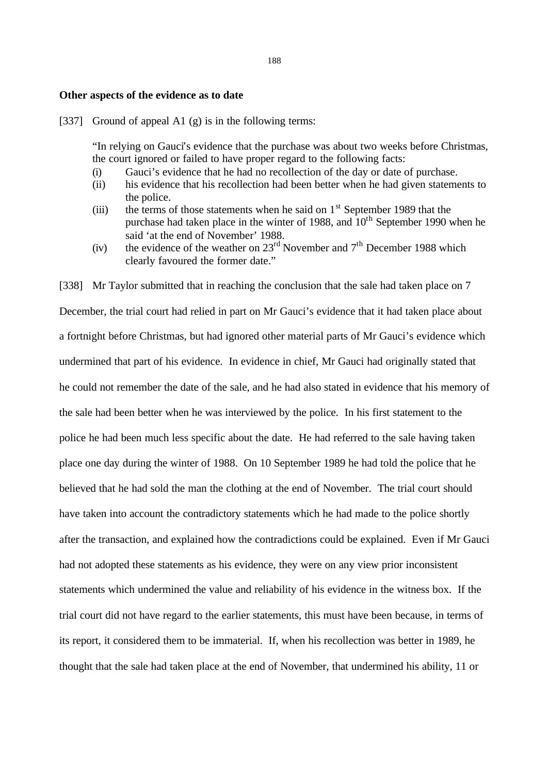#### **Other aspects of the evidence as to date**

[337] Ground of appeal A1 (g) is in the following terms:

"In relying on Gauci's evidence that the purchase was about two weeks before Christmas, the court ignored or failed to have proper regard to the following facts:

- (i) Gauci's evidence that he had no recollection of the day or date of purchase.
- (ii) his evidence that his recollection had been better when he had given statements to the police.
- (iii) the terms of those statements when he said on  $1<sup>st</sup>$  September 1989 that the purchase had taken place in the winter of 1988, and  $10<sup>th</sup>$  September 1990 when he said 'at the end of November' 1988.
- (iv) the evidence of the weather on  $23<sup>rd</sup>$  November and  $7<sup>th</sup>$  December 1988 which clearly favoured the former date."

[338] Mr Taylor submitted that in reaching the conclusion that the sale had taken place on 7 December, the trial court had relied in part on Mr Gauci's evidence that it had taken place about a fortnight before Christmas, but had ignored other material parts of Mr Gauci's evidence which undermined that part of his evidence. In evidence in chief, Mr Gauci had originally stated that he could not remember the date of the sale, and he had also stated in evidence that his memory of the sale had been better when he was interviewed by the police. In his first statement to the police he had been much less specific about the date. He had referred to the sale having taken place one day during the winter of 1988. On 10 September 1989 he had told the police that he believed that he had sold the man the clothing at the end of November. The trial court should have taken into account the contradictory statements which he had made to the police shortly after the transaction, and explained how the contradictions could be explained. Even if Mr Gauci had not adopted these statements as his evidence, they were on any view prior inconsistent statements which undermined the value and reliability of his evidence in the witness box. If the trial court did not have regard to the earlier statements, this must have been because, in terms of its report, it considered them to be immaterial. If, when his recollection was better in 1989, he thought that the sale had taken place at the end of November, that undermined his ability, 11 or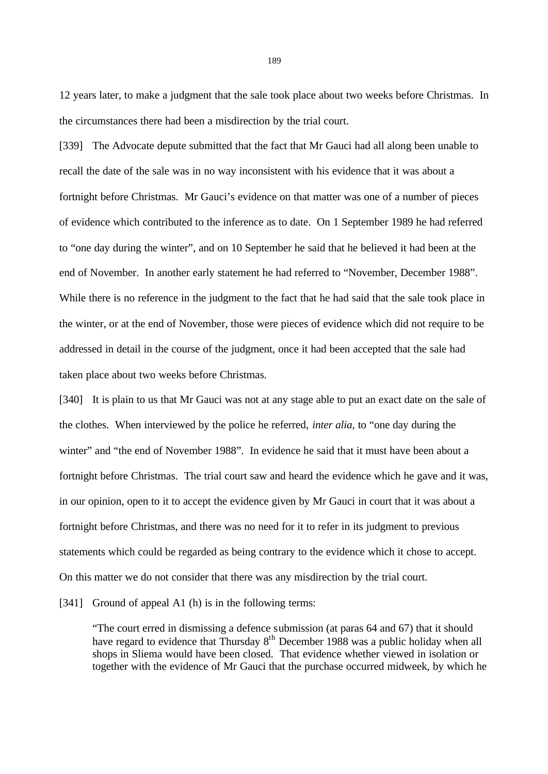12 years later, to make a judgment that the sale took place about two weeks before Christmas. In the circumstances there had been a misdirection by the trial court.

[339] The Advocate depute submitted that the fact that Mr Gauci had all along been unable to recall the date of the sale was in no way inconsistent with his evidence that it was about a fortnight before Christmas. Mr Gauci's evidence on that matter was one of a number of pieces of evidence which contributed to the inference as to date. On 1 September 1989 he had referred to "one day during the winter", and on 10 September he said that he believed it had been at the end of November. In another early statement he had referred to "November, December 1988". While there is no reference in the judgment to the fact that he had said that the sale took place in the winter, or at the end of November, those were pieces of evidence which did not require to be addressed in detail in the course of the judgment, once it had been accepted that the sale had taken place about two weeks before Christmas.

[340] It is plain to us that Mr Gauci was not at any stage able to put an exact date on the sale of the clothes. When interviewed by the police he referred, *inter alia*, to "one day during the winter" and "the end of November 1988". In evidence he said that it must have been about a fortnight before Christmas. The trial court saw and heard the evidence which he gave and it was, in our opinion, open to it to accept the evidence given by Mr Gauci in court that it was about a fortnight before Christmas, and there was no need for it to refer in its judgment to previous statements which could be regarded as being contrary to the evidence which it chose to accept. On this matter we do not consider that there was any misdirection by the trial court.

[341] Ground of appeal A1 (h) is in the following terms:

"The court erred in dismissing a defence submission (at paras 64 and 67) that it should have regard to evidence that Thursday  $8<sup>th</sup>$  December 1988 was a public holiday when all shops in Sliema would have been closed. That evidence whether viewed in isolation or together with the evidence of Mr Gauci that the purchase occurred midweek, by which he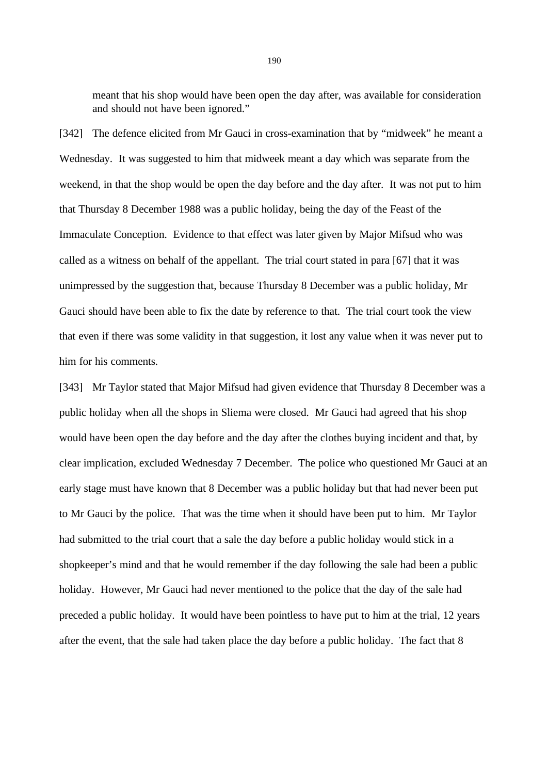meant that his shop would have been open the day after, was available for consideration and should not have been ignored."

[342] The defence elicited from Mr Gauci in cross-examination that by "midweek" he meant a Wednesday. It was suggested to him that midweek meant a day which was separate from the weekend, in that the shop would be open the day before and the day after. It was not put to him that Thursday 8 December 1988 was a public holiday, being the day of the Feast of the Immaculate Conception. Evidence to that effect was later given by Major Mifsud who was called as a witness on behalf of the appellant. The trial court stated in para [67] that it was unimpressed by the suggestion that, because Thursday 8 December was a public holiday, Mr Gauci should have been able to fix the date by reference to that. The trial court took the view that even if there was some validity in that suggestion, it lost any value when it was never put to him for his comments.

[343] Mr Taylor stated that Major Mifsud had given evidence that Thursday 8 December was a public holiday when all the shops in Sliema were closed. Mr Gauci had agreed that his shop would have been open the day before and the day after the clothes buying incident and that, by clear implication, excluded Wednesday 7 December. The police who questioned Mr Gauci at an early stage must have known that 8 December was a public holiday but that had never been put to Mr Gauci by the police. That was the time when it should have been put to him. Mr Taylor had submitted to the trial court that a sale the day before a public holiday would stick in a shopkeeper's mind and that he would remember if the day following the sale had been a public holiday. However, Mr Gauci had never mentioned to the police that the day of the sale had preceded a public holiday. It would have been pointless to have put to him at the trial, 12 years after the event, that the sale had taken place the day before a public holiday. The fact that 8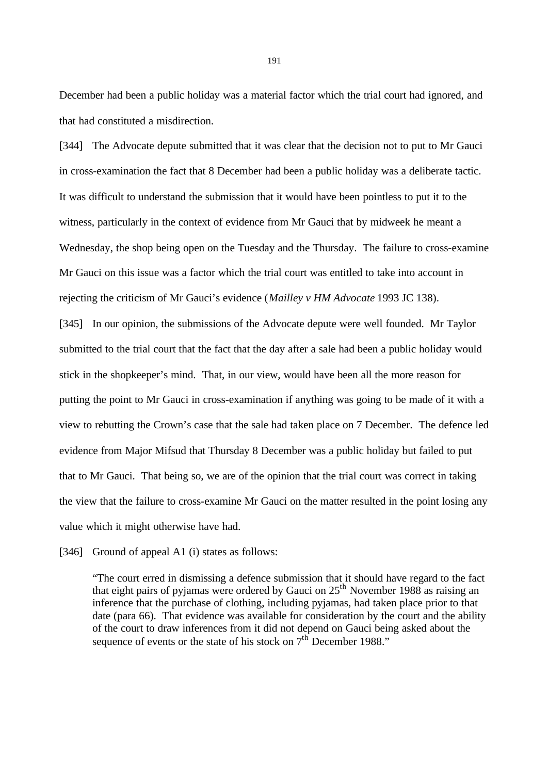December had been a public holiday was a material factor which the trial court had ignored, and that had constituted a misdirection.

[344] The Advocate depute submitted that it was clear that the decision not to put to Mr Gauci in cross-examination the fact that 8 December had been a public holiday was a deliberate tactic. It was difficult to understand the submission that it would have been pointless to put it to the witness, particularly in the context of evidence from Mr Gauci that by midweek he meant a Wednesday, the shop being open on the Tuesday and the Thursday. The failure to cross-examine Mr Gauci on this issue was a factor which the trial court was entitled to take into account in rejecting the criticism of Mr Gauci's evidence (*Mailley v HM Advocate* 1993 JC 138).

[345] In our opinion, the submissions of the Advocate depute were well founded. Mr Taylor submitted to the trial court that the fact that the day after a sale had been a public holiday would stick in the shopkeeper's mind. That, in our view, would have been all the more reason for putting the point to Mr Gauci in cross-examination if anything was going to be made of it with a view to rebutting the Crown's case that the sale had taken place on 7 December. The defence led evidence from Major Mifsud that Thursday 8 December was a public holiday but failed to put that to Mr Gauci. That being so, we are of the opinion that the trial court was correct in taking the view that the failure to cross-examine Mr Gauci on the matter resulted in the point losing any value which it might otherwise have had.

## [346] Ground of appeal A1 (i) states as follows:

"The court erred in dismissing a defence submission that it should have regard to the fact that eight pairs of pyjamas were ordered by Gauci on  $25<sup>th</sup>$  November 1988 as raising an inference that the purchase of clothing, including pyjamas, had taken place prior to that date (para 66). That evidence was available for consideration by the court and the ability of the court to draw inferences from it did not depend on Gauci being asked about the sequence of events or the state of his stock on 7<sup>th</sup> December 1988."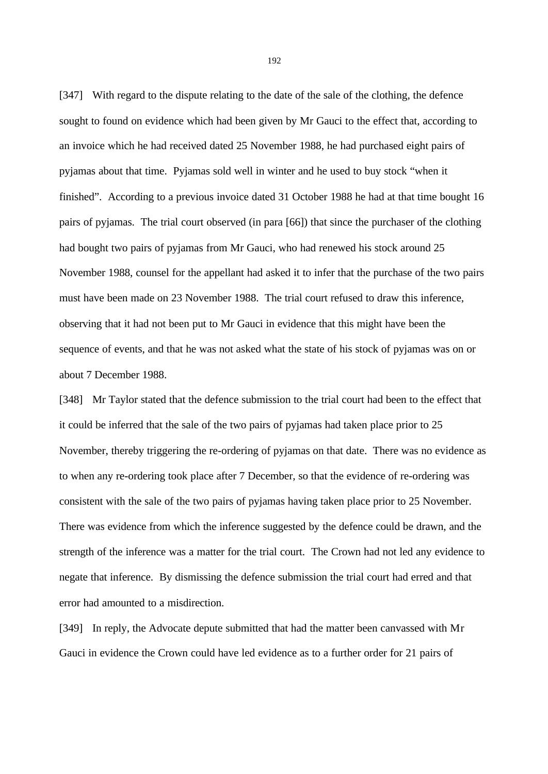[347] With regard to the dispute relating to the date of the sale of the clothing, the defence sought to found on evidence which had been given by Mr Gauci to the effect that, according to an invoice which he had received dated 25 November 1988, he had purchased eight pairs of pyjamas about that time. Pyjamas sold well in winter and he used to buy stock "when it finished". According to a previous invoice dated 31 October 1988 he had at that time bought 16 pairs of pyjamas. The trial court observed (in para [66]) that since the purchaser of the clothing had bought two pairs of pyjamas from Mr Gauci, who had renewed his stock around 25 November 1988, counsel for the appellant had asked it to infer that the purchase of the two pairs must have been made on 23 November 1988. The trial court refused to draw this inference, observing that it had not been put to Mr Gauci in evidence that this might have been the sequence of events, and that he was not asked what the state of his stock of pyjamas was on or about 7 December 1988.

[348] Mr Taylor stated that the defence submission to the trial court had been to the effect that it could be inferred that the sale of the two pairs of pyjamas had taken place prior to 25 November, thereby triggering the re-ordering of pyjamas on that date. There was no evidence as to when any re-ordering took place after 7 December, so that the evidence of re-ordering was consistent with the sale of the two pairs of pyjamas having taken place prior to 25 November. There was evidence from which the inference suggested by the defence could be drawn, and the strength of the inference was a matter for the trial court. The Crown had not led any evidence to negate that inference. By dismissing the defence submission the trial court had erred and that error had amounted to a misdirection.

[349] In reply, the Advocate depute submitted that had the matter been canvassed with Mr Gauci in evidence the Crown could have led evidence as to a further order for 21 pairs of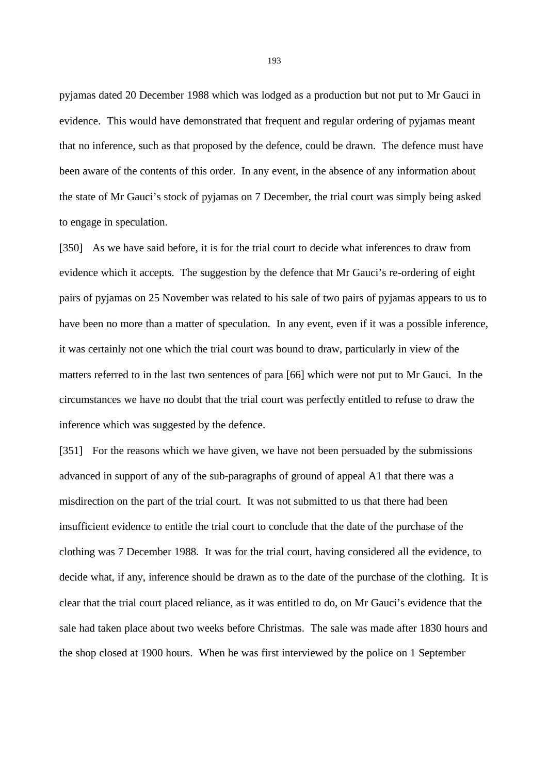pyjamas dated 20 December 1988 which was lodged as a production but not put to Mr Gauci in evidence. This would have demonstrated that frequent and regular ordering of pyjamas meant that no inference, such as that proposed by the defence, could be drawn. The defence must have been aware of the contents of this order. In any event, in the absence of any information about the state of Mr Gauci's stock of pyjamas on 7 December, the trial court was simply being asked to engage in speculation.

[350] As we have said before, it is for the trial court to decide what inferences to draw from evidence which it accepts. The suggestion by the defence that Mr Gauci's re-ordering of eight pairs of pyjamas on 25 November was related to his sale of two pairs of pyjamas appears to us to have been no more than a matter of speculation. In any event, even if it was a possible inference, it was certainly not one which the trial court was bound to draw, particularly in view of the matters referred to in the last two sentences of para [66] which were not put to Mr Gauci. In the circumstances we have no doubt that the trial court was perfectly entitled to refuse to draw the inference which was suggested by the defence.

[351] For the reasons which we have given, we have not been persuaded by the submissions advanced in support of any of the sub-paragraphs of ground of appeal A1 that there was a misdirection on the part of the trial court. It was not submitted to us that there had been insufficient evidence to entitle the trial court to conclude that the date of the purchase of the clothing was 7 December 1988. It was for the trial court, having considered all the evidence, to decide what, if any, inference should be drawn as to the date of the purchase of the clothing. It is clear that the trial court placed reliance, as it was entitled to do, on Mr Gauci's evidence that the sale had taken place about two weeks before Christmas. The sale was made after 1830 hours and the shop closed at 1900 hours. When he was first interviewed by the police on 1 September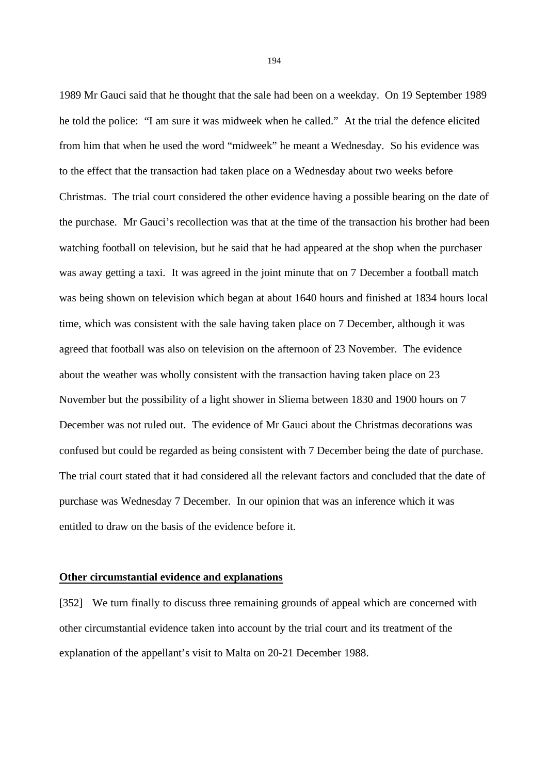1989 Mr Gauci said that he thought that the sale had been on a weekday. On 19 September 1989 he told the police: "I am sure it was midweek when he called." At the trial the defence elicited from him that when he used the word "midweek" he meant a Wednesday. So his evidence was to the effect that the transaction had taken place on a Wednesday about two weeks before Christmas. The trial court considered the other evidence having a possible bearing on the date of the purchase. Mr Gauci's recollection was that at the time of the transaction his brother had been watching football on television, but he said that he had appeared at the shop when the purchaser was away getting a taxi. It was agreed in the joint minute that on 7 December a football match was being shown on television which began at about 1640 hours and finished at 1834 hours local time, which was consistent with the sale having taken place on 7 December, although it was agreed that football was also on television on the afternoon of 23 November. The evidence about the weather was wholly consistent with the transaction having taken place on 23 November but the possibility of a light shower in Sliema between 1830 and 1900 hours on 7 December was not ruled out. The evidence of Mr Gauci about the Christmas decorations was confused but could be regarded as being consistent with 7 December being the date of purchase. The trial court stated that it had considered all the relevant factors and concluded that the date of purchase was Wednesday 7 December. In our opinion that was an inference which it was entitled to draw on the basis of the evidence before it.

#### **Other circumstantial evidence and explanations**

[352] We turn finally to discuss three remaining grounds of appeal which are concerned with other circumstantial evidence taken into account by the trial court and its treatment of the explanation of the appellant's visit to Malta on 20-21 December 1988.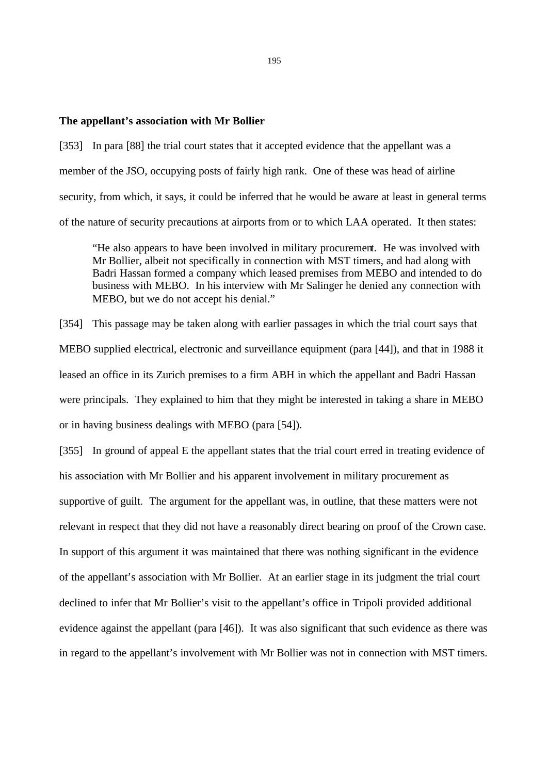#### **The appellant's association with Mr Bollier**

[353] In para [88] the trial court states that it accepted evidence that the appellant was a member of the JSO, occupying posts of fairly high rank. One of these was head of airline security, from which, it says, it could be inferred that he would be aware at least in general terms of the nature of security precautions at airports from or to which LAA operated. It then states:

"He also appears to have been involved in military procurement. He was involved with Mr Bollier, albeit not specifically in connection with MST timers, and had along with Badri Hassan formed a company which leased premises from MEBO and intended to do business with MEBO. In his interview with Mr Salinger he denied any connection with MEBO, but we do not accept his denial."

[354] This passage may be taken along with earlier passages in which the trial court says that MEBO supplied electrical, electronic and surveillance equipment (para [44]), and that in 1988 it leased an office in its Zurich premises to a firm ABH in which the appellant and Badri Hassan were principals. They explained to him that they might be interested in taking a share in MEBO or in having business dealings with MEBO (para [54]).

[355] In ground of appeal E the appellant states that the trial court erred in treating evidence of his association with Mr Bollier and his apparent involvement in military procurement as supportive of guilt. The argument for the appellant was, in outline, that these matters were not relevant in respect that they did not have a reasonably direct bearing on proof of the Crown case. In support of this argument it was maintained that there was nothing significant in the evidence of the appellant's association with Mr Bollier. At an earlier stage in its judgment the trial court declined to infer that Mr Bollier's visit to the appellant's office in Tripoli provided additional evidence against the appellant (para [46]). It was also significant that such evidence as there was in regard to the appellant's involvement with Mr Bollier was not in connection with MST timers.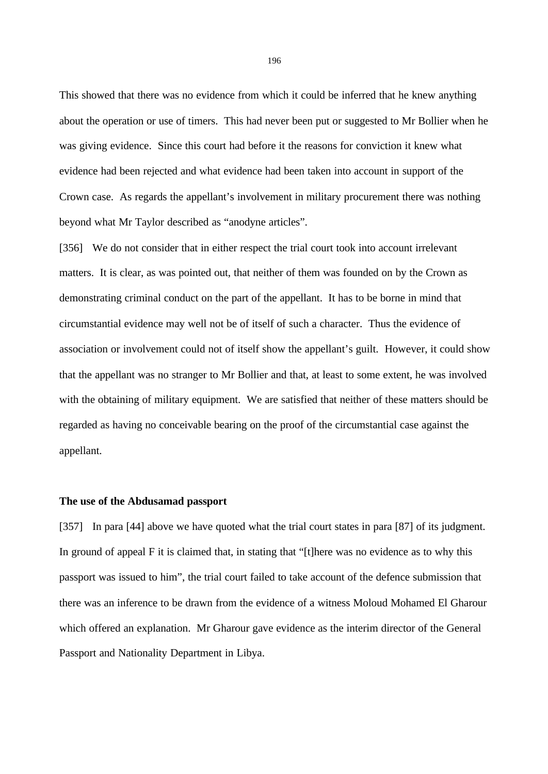This showed that there was no evidence from which it could be inferred that he knew anything about the operation or use of timers. This had never been put or suggested to Mr Bollier when he was giving evidence. Since this court had before it the reasons for conviction it knew what evidence had been rejected and what evidence had been taken into account in support of the Crown case. As regards the appellant's involvement in military procurement there was nothing beyond what Mr Taylor described as "anodyne articles".

[356] We do not consider that in either respect the trial court took into account irrelevant matters. It is clear, as was pointed out, that neither of them was founded on by the Crown as demonstrating criminal conduct on the part of the appellant. It has to be borne in mind that circumstantial evidence may well not be of itself of such a character. Thus the evidence of association or involvement could not of itself show the appellant's guilt. However, it could show that the appellant was no stranger to Mr Bollier and that, at least to some extent, he was involved with the obtaining of military equipment. We are satisfied that neither of these matters should be regarded as having no conceivable bearing on the proof of the circumstantial case against the appellant.

# **The use of the Abdusamad passport**

[357] In para [44] above we have quoted what the trial court states in para [87] of its judgment. In ground of appeal F it is claimed that, in stating that "[t]here was no evidence as to why this passport was issued to him", the trial court failed to take account of the defence submission that there was an inference to be drawn from the evidence of a witness Moloud Mohamed El Gharour which offered an explanation. Mr Gharour gave evidence as the interim director of the General Passport and Nationality Department in Libya.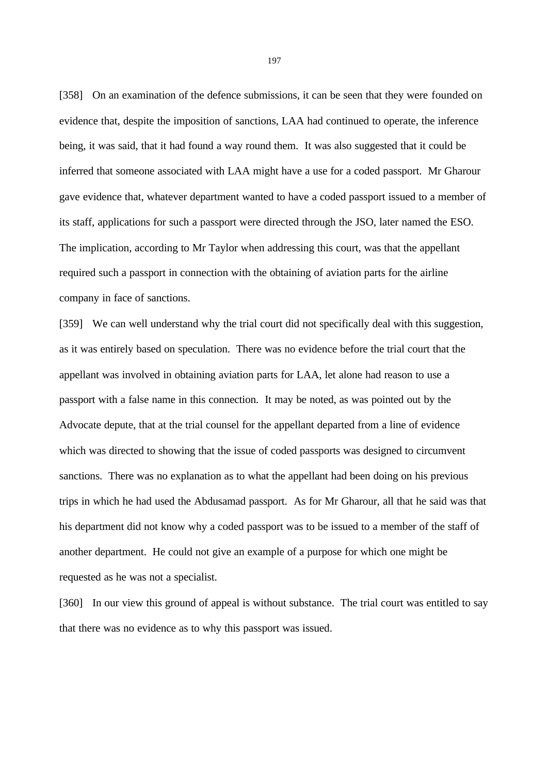[358] On an examination of the defence submissions, it can be seen that they were founded on evidence that, despite the imposition of sanctions, LAA had continued to operate, the inference being, it was said, that it had found a way round them. It was also suggested that it could be inferred that someone associated with LAA might have a use for a coded passport. Mr Gharour gave evidence that, whatever department wanted to have a coded passport issued to a member of its staff, applications for such a passport were directed through the JSO, later named the ESO. The implication, according to Mr Taylor when addressing this court, was that the appellant required such a passport in connection with the obtaining of aviation parts for the airline company in face of sanctions.

[359] We can well understand why the trial court did not specifically deal with this suggestion, as it was entirely based on speculation. There was no evidence before the trial court that the appellant was involved in obtaining aviation parts for LAA, let alone had reason to use a passport with a false name in this connection. It may be noted, as was pointed out by the Advocate depute, that at the trial counsel for the appellant departed from a line of evidence which was directed to showing that the issue of coded passports was designed to circumvent sanctions. There was no explanation as to what the appellant had been doing on his previous trips in which he had used the Abdusamad passport. As for Mr Gharour, all that he said was that his department did not know why a coded passport was to be issued to a member of the staff of another department. He could not give an example of a purpose for which one might be requested as he was not a specialist.

[360] In our view this ground of appeal is without substance. The trial court was entitled to say that there was no evidence as to why this passport was issued.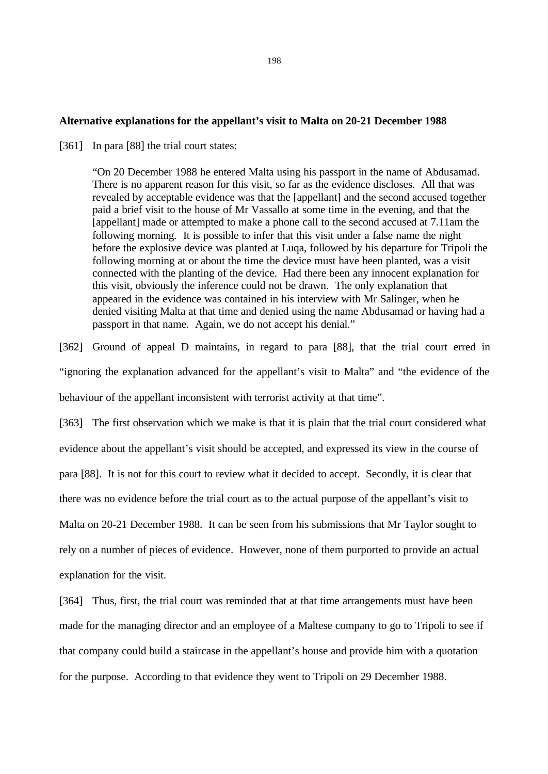### **Alternative explanations for the appellant's visit to Malta on 20-21 December 1988**

[361] In para [88] the trial court states:

"On 20 December 1988 he entered Malta using his passport in the name of Abdusamad. There is no apparent reason for this visit, so far as the evidence discloses. All that was revealed by acceptable evidence was that the [appellant] and the second accused together paid a brief visit to the house of Mr Vassallo at some time in the evening, and that the [appellant] made or attempted to make a phone call to the second accused at 7.11am the following morning. It is possible to infer that this visit under a false name the night before the explosive device was planted at Luqa, followed by his departure for Tripoli the following morning at or about the time the device must have been planted, was a visit connected with the planting of the device. Had there been any innocent explanation for this visit, obviously the inference could not be drawn. The only explanation that appeared in the evidence was contained in his interview with Mr Salinger, when he denied visiting Malta at that time and denied using the name Abdusamad or having had a passport in that name. Again, we do not accept his denial."

[362] Ground of appeal D maintains, in regard to para [88], that the trial court erred in "ignoring the explanation advanced for the appellant's visit to Malta" and "the evidence of the behaviour of the appellant inconsistent with terrorist activity at that time".

[363] The first observation which we make is that it is plain that the trial court considered what evidence about the appellant's visit should be accepted, and expressed its view in the course of para [88]. It is not for this court to review what it decided to accept. Secondly, it is clear that there was no evidence before the trial court as to the actual purpose of the appellant's visit to Malta on 20-21 December 1988. It can be seen from his submissions that Mr Taylor sought to rely on a number of pieces of evidence. However, none of them purported to provide an actual explanation for the visit.

[364] Thus, first, the trial court was reminded that at that time arrangements must have been made for the managing director and an employee of a Maltese company to go to Tripoli to see if that company could build a staircase in the appellant's house and provide him with a quotation for the purpose. According to that evidence they went to Tripoli on 29 December 1988.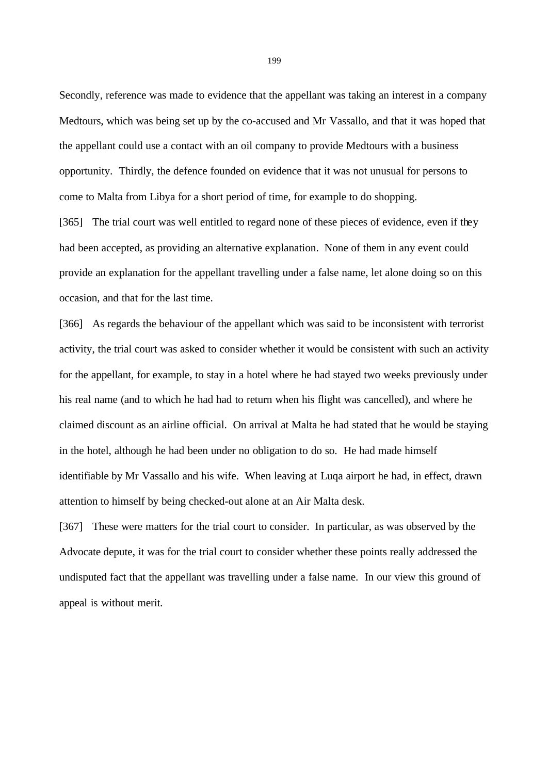Secondly, reference was made to evidence that the appellant was taking an interest in a company Medtours, which was being set up by the co-accused and Mr Vassallo, and that it was hoped that the appellant could use a contact with an oil company to provide Medtours with a business opportunity. Thirdly, the defence founded on evidence that it was not unusual for persons to come to Malta from Libya for a short period of time, for example to do shopping.

[365] The trial court was well entitled to regard none of these pieces of evidence, even if they had been accepted, as providing an alternative explanation. None of them in any event could provide an explanation for the appellant travelling under a false name, let alone doing so on this occasion, and that for the last time.

[366] As regards the behaviour of the appellant which was said to be inconsistent with terrorist activity, the trial court was asked to consider whether it would be consistent with such an activity for the appellant, for example, to stay in a hotel where he had stayed two weeks previously under his real name (and to which he had had to return when his flight was cancelled), and where he claimed discount as an airline official. On arrival at Malta he had stated that he would be staying in the hotel, although he had been under no obligation to do so. He had made himself identifiable by Mr Vassallo and his wife. When leaving at Luqa airport he had, in effect, drawn attention to himself by being checked-out alone at an Air Malta desk.

[367] These were matters for the trial court to consider. In particular, as was observed by the Advocate depute, it was for the trial court to consider whether these points really addressed the undisputed fact that the appellant was travelling under a false name. In our view this ground of appeal is without merit.